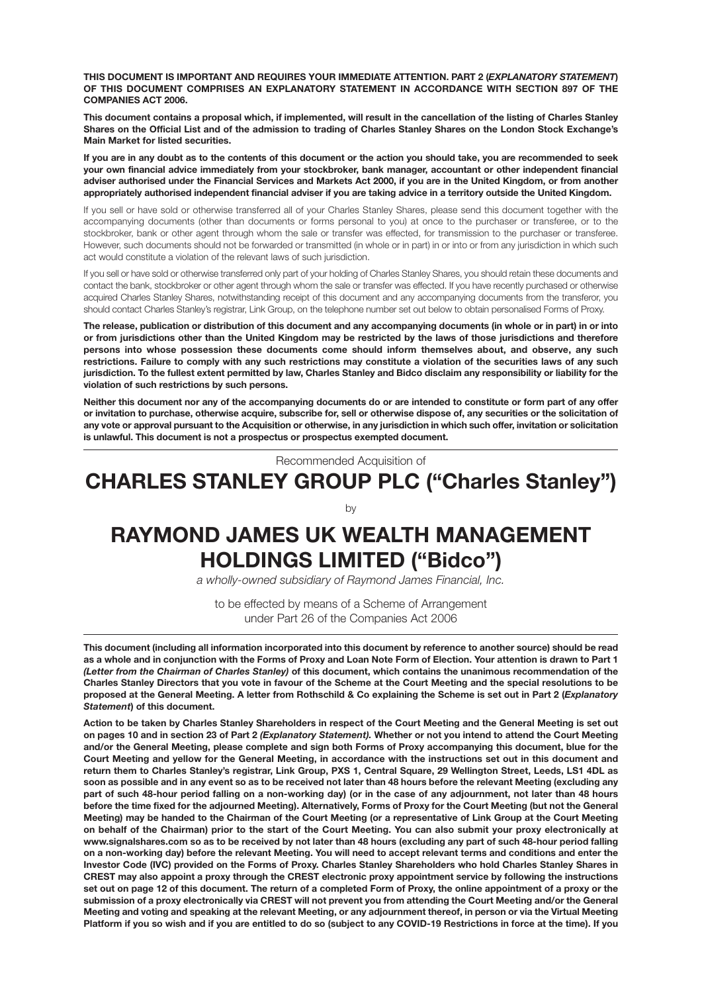**THIS DOCUMENT IS IMPORTANT AND REQUIRES YOUR IMMEDIATE ATTENTION. PART 2 (***EXPLANATORY STATEMENT***) OF THIS DOCUMENT COMPRISES AN EXPLANATORY STATEMENT IN ACCORDANCE WITH SECTION 897 OF THE COMPANIES ACT 2006.**

**This document contains a proposal which, if implemented, will result in the cancellation of the listing of Charles Stanley Shares on the Official List and of the admission to trading of Charles Stanley Shares on the London Stock Exchange's Main Market for listed securities.**

**If you are in any doubt as to the contents of this document or the action you should take, you are recommended to seek your own financial advice immediately from your stockbroker, bank manager, accountant or other independent financial adviser authorised under the Financial Services and Markets Act 2000, if you are in the United Kingdom, or from another appropriately authorised independent financial adviser if you are taking advice in a territory outside the United Kingdom.**

If you sell or have sold or otherwise transferred all of your Charles Stanley Shares, please send this document together with the accompanying documents (other than documents or forms personal to you) at once to the purchaser or transferee, or to the stockbroker, bank or other agent through whom the sale or transfer was effected, for transmission to the purchaser or transferee. However, such documents should not be forwarded or transmitted (in whole or in part) in or into or from any jurisdiction in which such act would constitute a violation of the relevant laws of such jurisdiction.

If you sell or have sold or otherwise transferred only part of your holding of Charles Stanley Shares, you should retain these documents and contact the bank, stockbroker or other agent through whom the sale or transfer was effected. If you have recently purchased or otherwise acquired Charles Stanley Shares, notwithstanding receipt of this document and any accompanying documents from the transferor, you should contact Charles Stanley's registrar, Link Group, on the telephone number set out below to obtain personalised Forms of Proxy.

**The release, publication or distribution of this document and any accompanying documents (in whole or in part) in or into or from jurisdictions other than the United Kingdom may be restricted by the laws of those jurisdictions and therefore persons into whose possession these documents come should inform themselves about, and observe, any such restrictions. Failure to comply with any such restrictions may constitute a violation of the securities laws of any such jurisdiction. To the fullest extent permitted by law, Charles Stanley and Bidco disclaim any responsibility or liability for the violation of such restrictions by such persons.**

**Neither this document nor any of the accompanying documents do or are intended to constitute or form part of any offer or invitation to purchase, otherwise acquire, subscribe for, sell or otherwise dispose of, any securities or the solicitation of any vote or approval pursuant to the Acquisition or otherwise, in any jurisdiction in which such offer, invitation or solicitation is unlawful. This document is not a prospectus or prospectus exempted document.**

Recommended Acquisition of

## **CHARLES STANLEY GROUP PLC ("Charles Stanley")**

by

# **RAYMOND JAMES UK WEALTH MANAGEMENT HOLDINGS LIMITED ("Bidco")**

*a wholly-owned subsidiary of Raymond James Financial, Inc.*

to be effected by means of a Scheme of Arrangement under Part 26 of the Companies Act 2006

**This document (including all information incorporated into this document by reference to another source) should be read as a whole and in conjunction with the Forms of Proxy and Loan Note Form of Election. Your attention is drawn to Part 1** *(Letter from the Chairman of Charles Stanley)* **of this document, which contains the unanimous recommendation of the Charles Stanley Directors that you vote in favour of the Scheme at the Court Meeting and the special resolutions to be proposed at the General Meeting. A letter from Rothschild & Co explaining the Scheme is set out in Part 2 (***Explanatory Statement***) of this document.**

**Action to be taken by Charles Stanley Shareholders in respect of the Court Meeting and the General Meeting is set out on pages 10 and in section 23 of Part 2** *(Explanatory Statement).* **Whether or not you intend to attend the Court Meeting and/or the General Meeting, please complete and sign both Forms of Proxy accompanying this document, blue for the Court Meeting and yellow for the General Meeting, in accordance with the instructions set out in this document and return them to Charles Stanley's registrar, Link Group, PXS 1, Central Square, 29 Wellington Street, Leeds, LS1 4DL as soon as possible and in any event so as to be received not later than 48 hours before the relevant Meeting (excluding any part of such 48-hour period falling on a non-working day) (or in the case of any adjournment, not later than 48 hours before the time fixed for the adjourned Meeting). Alternatively, Forms of Proxy for the Court Meeting (but not the General Meeting) may be handed to the Chairman of the Court Meeting (or a representative of Link Group at the Court Meeting on behalf of the Chairman) prior to the start of the Court Meeting. You can also submit your proxy electronically at www.signalshares.com so as to be received by not later than 48 hours (excluding any part of such 48-hour period falling on a non-working day) before the relevant Meeting. You will need to accept relevant terms and conditions and enter the Investor Code (IVC) provided on the Forms of Proxy. Charles Stanley Shareholders who hold Charles Stanley Shares in CREST may also appoint a proxy through the CREST electronic proxy appointment service by following the instructions set out on page 12 of this document. The return of a completed Form of Proxy, the online appointment of a proxy or the submission of a proxy electronically via CREST will not prevent you from attending the Court Meeting and/or the General Meeting and voting and speaking at the relevant Meeting, or any adjournment thereof, in person or via the Virtual Meeting Platform if you so wish and if you are entitled to do so (subject to any COVID-19 Restrictions in force at the time). If you**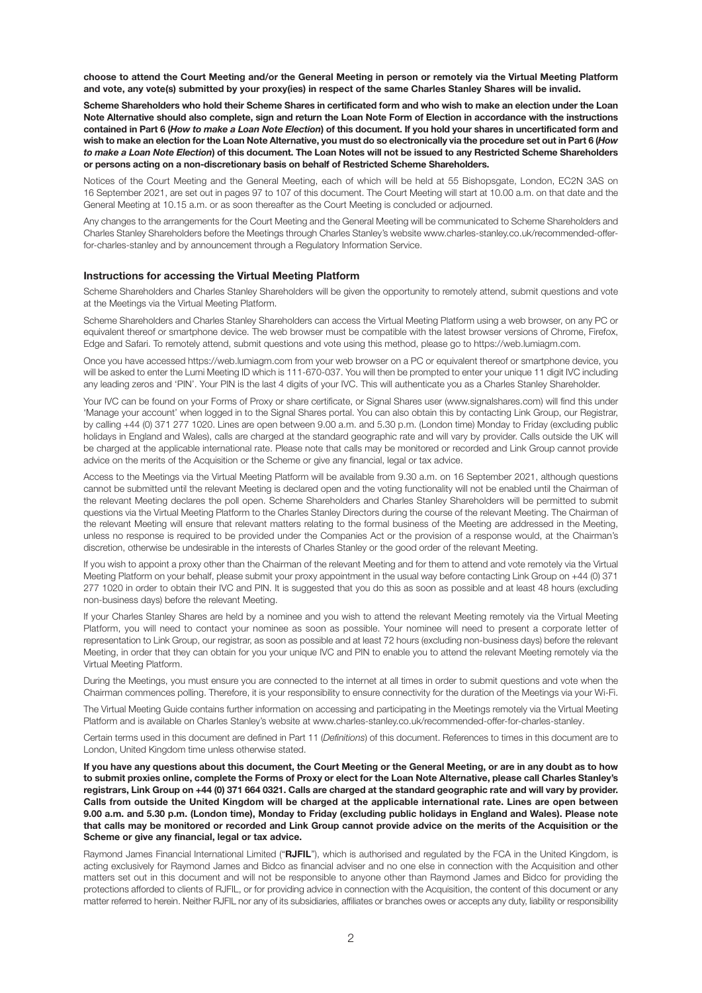**choose to attend the Court Meeting and/or the General Meeting in person or remotely via the Virtual Meeting Platform and vote, any vote(s) submitted by your proxy(ies) in respect of the same Charles Stanley Shares will be invalid.**

**Scheme Shareholders who hold their Scheme Shares in certificated form and who wish to make an election under the Loan Note Alternative should also complete, sign and return the Loan Note Form of Election in accordance with the instructions contained in Part 6 (***How to make a Loan Note Election***) of this document. If you hold your shares in uncertificated form and wish to make an election for the Loan Note Alternative, you must do so electronically via the procedure set out in Part 6 (***How to make a Loan Note Election***) of this document. The Loan Notes will not be issued to any Restricted Scheme Shareholders or persons acting on a non-discretionary basis on behalf of Restricted Scheme Shareholders.**

Notices of the Court Meeting and the General Meeting, each of which will be held at 55 Bishopsgate, London, EC2N 3AS on 16 September 2021, are set out in pages 97 to 107 of this document. The Court Meeting will start at 10.00 a.m. on that date and the General Meeting at 10.15 a.m. or as soon thereafter as the Court Meeting is concluded or adjourned.

Any changes to the arrangements for the Court Meeting and the General Meeting will be communicated to Scheme Shareholders and Charles Stanley Shareholders before the Meetings through Charles Stanley's website www.charles-stanley.co.uk/recommended-offerfor-charles-stanley and by announcement through a Regulatory Information Service.

#### **Instructions for accessing the Virtual Meeting Platform**

Scheme Shareholders and Charles Stanley Shareholders will be given the opportunity to remotely attend, submit questions and vote at the Meetings via the Virtual Meeting Platform.

Scheme Shareholders and Charles Stanley Shareholders can access the Virtual Meeting Platform using a web browser, on any PC or equivalent thereof or smartphone device. The web browser must be compatible with the latest browser versions of Chrome, Firefox, Edge and Safari. To remotely attend, submit questions and vote using this method, please go to https://web.lumiagm.com.

Once you have accessed https://web.lumiagm.com from your web browser on a PC or equivalent thereof or smartphone device, you will be asked to enter the Lumi Meeting ID which is 111-670-037. You will then be prompted to enter your unique 11 digit IVC including any leading zeros and 'PIN'. Your PIN is the last 4 digits of your IVC. This will authenticate you as a Charles Stanley Shareholder.

Your IVC can be found on your Forms of Proxy or share certificate, or Signal Shares user (www.signalshares.com) will find this under 'Manage your account' when logged in to the Signal Shares portal. You can also obtain this by contacting Link Group, our Registrar, by calling +44 (0) 371 277 1020. Lines are open between 9.00 a.m. and 5.30 p.m. (London time) Monday to Friday (excluding public holidays in England and Wales), calls are charged at the standard geographic rate and will vary by provider. Calls outside the UK will be charged at the applicable international rate. Please note that calls may be monitored or recorded and Link Group cannot provide advice on the merits of the Acquisition or the Scheme or give any financial, legal or tax advice.

Access to the Meetings via the Virtual Meeting Platform will be available from 9.30 a.m. on 16 September 2021, although questions cannot be submitted until the relevant Meeting is declared open and the voting functionality will not be enabled until the Chairman of the relevant Meeting declares the poll open. Scheme Shareholders and Charles Stanley Shareholders will be permitted to submit questions via the Virtual Meeting Platform to the Charles Stanley Directors during the course of the relevant Meeting. The Chairman of the relevant Meeting will ensure that relevant matters relating to the formal business of the Meeting are addressed in the Meeting, unless no response is required to be provided under the Companies Act or the provision of a response would, at the Chairman's discretion, otherwise be undesirable in the interests of Charles Stanley or the good order of the relevant Meeting.

If you wish to appoint a proxy other than the Chairman of the relevant Meeting and for them to attend and vote remotely via the Virtual Meeting Platform on your behalf, please submit your proxy appointment in the usual way before contacting Link Group on +44 (0) 371 277 1020 in order to obtain their IVC and PIN. It is suggested that you do this as soon as possible and at least 48 hours (excluding non-business days) before the relevant Meeting.

If your Charles Stanley Shares are held by a nominee and you wish to attend the relevant Meeting remotely via the Virtual Meeting Platform, you will need to contact your nominee as soon as possible. Your nominee will need to present a corporate letter of representation to Link Group, our registrar, as soon as possible and at least 72 hours (excluding non-business days) before the relevant Meeting, in order that they can obtain for you your unique IVC and PIN to enable you to attend the relevant Meeting remotely via the Virtual Meeting Platform.

During the Meetings, you must ensure you are connected to the internet at all times in order to submit questions and vote when the Chairman commences polling. Therefore, it is your responsibility to ensure connectivity for the duration of the Meetings via your Wi-Fi.

The Virtual Meeting Guide contains further information on accessing and participating in the Meetings remotely via the Virtual Meeting Platform and is available on Charles Stanley's website at www.charles-stanley.co.uk/recommended-offer-for-charles-stanley.

Certain terms used in this document are defined in Part 11 (*Definitions*) of this document. References to times in this document are to London, United Kingdom time unless otherwise stated.

**If you have any questions about this document, the Court Meeting or the General Meeting, or are in any doubt as to how to submit proxies online, complete the Forms of Proxy or elect for the Loan Note Alternative, please call Charles Stanley's registrars, Link Group on +44 (0) 371 664 0321. Calls are charged at the standard geographic rate and will vary by provider. Calls from outside the United Kingdom will be charged at the applicable international rate. Lines are open between 9.00 a.m. and 5.30 p.m. (London time), Monday to Friday (excluding public holidays in England and Wales). Please note that calls may be monitored or recorded and Link Group cannot provide advice on the merits of the Acquisition or the Scheme or give any financial, legal or tax advice.**

Raymond James Financial International Limited ("**RJFIL**"), which is authorised and regulated by the FCA in the United Kingdom, is acting exclusively for Raymond James and Bidco as financial adviser and no one else in connection with the Acquisition and other matters set out in this document and will not be responsible to anyone other than Raymond James and Bidco for providing the protections afforded to clients of RJFIL, or for providing advice in connection with the Acquisition, the content of this document or any matter referred to herein. Neither RJFIL nor any of its subsidiaries, affiliates or branches owes or accepts any duty, liability or responsibility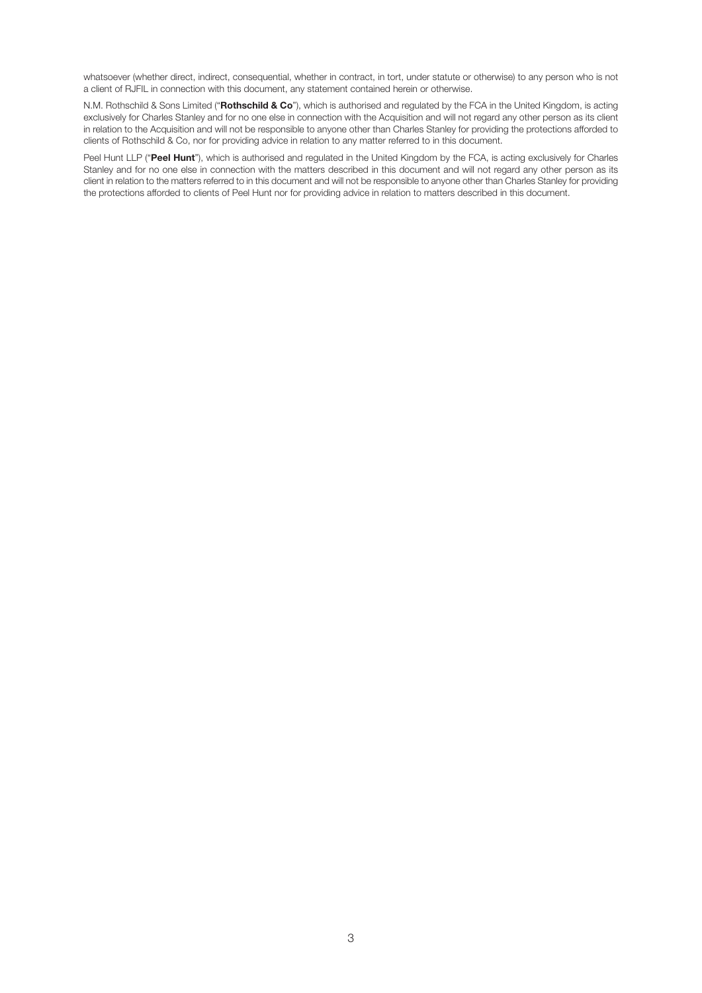whatsoever (whether direct, indirect, consequential, whether in contract, in tort, under statute or otherwise) to any person who is not a client of RJFIL in connection with this document, any statement contained herein or otherwise.

N.M. Rothschild & Sons Limited ("**Rothschild & Co**"), which is authorised and regulated by the FCA in the United Kingdom, is acting exclusively for Charles Stanley and for no one else in connection with the Acquisition and will not regard any other person as its client in relation to the Acquisition and will not be responsible to anyone other than Charles Stanley for providing the protections afforded to clients of Rothschild & Co, nor for providing advice in relation to any matter referred to in this document.

Peel Hunt LLP ("**Peel Hunt**"), which is authorised and regulated in the United Kingdom by the FCA, is acting exclusively for Charles Stanley and for no one else in connection with the matters described in this document and will not regard any other person as its client in relation to the matters referred to in this document and will not be responsible to anyone other than Charles Stanley for providing the protections afforded to clients of Peel Hunt nor for providing advice in relation to matters described in this document.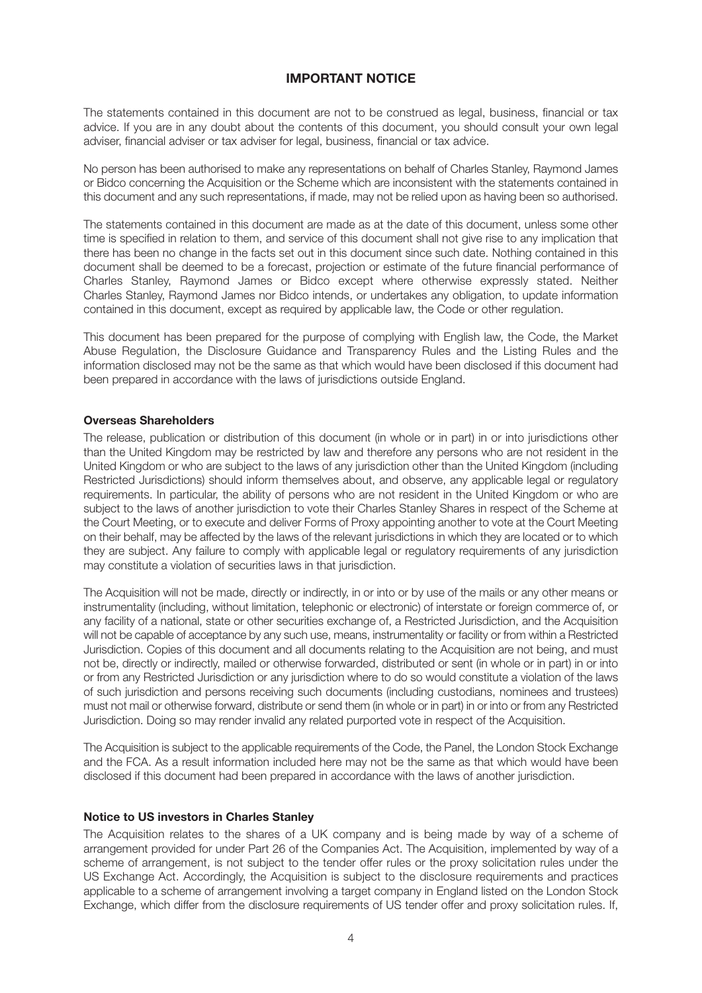## **IMPORTANT NOTICE**

The statements contained in this document are not to be construed as legal, business, financial or tax advice. If you are in any doubt about the contents of this document, you should consult your own legal adviser, financial adviser or tax adviser for legal, business, financial or tax advice.

No person has been authorised to make any representations on behalf of Charles Stanley, Raymond James or Bidco concerning the Acquisition or the Scheme which are inconsistent with the statements contained in this document and any such representations, if made, may not be relied upon as having been so authorised.

The statements contained in this document are made as at the date of this document, unless some other time is specified in relation to them, and service of this document shall not give rise to any implication that there has been no change in the facts set out in this document since such date. Nothing contained in this document shall be deemed to be a forecast, projection or estimate of the future financial performance of Charles Stanley, Raymond James or Bidco except where otherwise expressly stated. Neither Charles Stanley, Raymond James nor Bidco intends, or undertakes any obligation, to update information contained in this document, except as required by applicable law, the Code or other regulation.

This document has been prepared for the purpose of complying with English law, the Code, the Market Abuse Regulation, the Disclosure Guidance and Transparency Rules and the Listing Rules and the information disclosed may not be the same as that which would have been disclosed if this document had been prepared in accordance with the laws of jurisdictions outside England.

#### **Overseas Shareholders**

The release, publication or distribution of this document (in whole or in part) in or into jurisdictions other than the United Kingdom may be restricted by law and therefore any persons who are not resident in the United Kingdom or who are subject to the laws of any jurisdiction other than the United Kingdom (including Restricted Jurisdictions) should inform themselves about, and observe, any applicable legal or regulatory requirements. In particular, the ability of persons who are not resident in the United Kingdom or who are subject to the laws of another jurisdiction to vote their Charles Stanley Shares in respect of the Scheme at the Court Meeting, or to execute and deliver Forms of Proxy appointing another to vote at the Court Meeting on their behalf, may be affected by the laws of the relevant jurisdictions in which they are located or to which they are subject. Any failure to comply with applicable legal or regulatory requirements of any jurisdiction may constitute a violation of securities laws in that jurisdiction.

The Acquisition will not be made, directly or indirectly, in or into or by use of the mails or any other means or instrumentality (including, without limitation, telephonic or electronic) of interstate or foreign commerce of, or any facility of a national, state or other securities exchange of, a Restricted Jurisdiction, and the Acquisition will not be capable of acceptance by any such use, means, instrumentality or facility or from within a Restricted Jurisdiction. Copies of this document and all documents relating to the Acquisition are not being, and must not be, directly or indirectly, mailed or otherwise forwarded, distributed or sent (in whole or in part) in or into or from any Restricted Jurisdiction or any jurisdiction where to do so would constitute a violation of the laws of such jurisdiction and persons receiving such documents (including custodians, nominees and trustees) must not mail or otherwise forward, distribute or send them (in whole or in part) in or into or from any Restricted Jurisdiction. Doing so may render invalid any related purported vote in respect of the Acquisition.

The Acquisition is subject to the applicable requirements of the Code, the Panel, the London Stock Exchange and the FCA. As a result information included here may not be the same as that which would have been disclosed if this document had been prepared in accordance with the laws of another jurisdiction.

#### **Notice to US investors in Charles Stanley**

The Acquisition relates to the shares of a UK company and is being made by way of a scheme of arrangement provided for under Part 26 of the Companies Act. The Acquisition, implemented by way of a scheme of arrangement, is not subject to the tender offer rules or the proxy solicitation rules under the US Exchange Act. Accordingly, the Acquisition is subject to the disclosure requirements and practices applicable to a scheme of arrangement involving a target company in England listed on the London Stock Exchange, which differ from the disclosure requirements of US tender offer and proxy solicitation rules. If,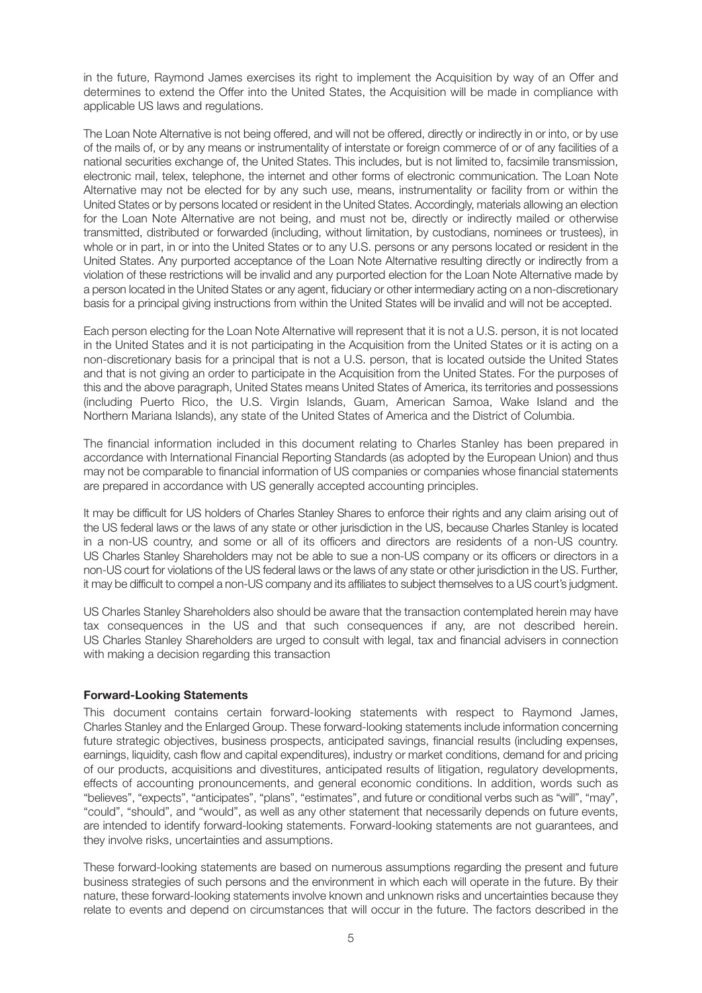in the future, Raymond James exercises its right to implement the Acquisition by way of an Offer and determines to extend the Offer into the United States, the Acquisition will be made in compliance with applicable US laws and regulations.

The Loan Note Alternative is not being offered, and will not be offered, directly or indirectly in or into, or by use of the mails of, or by any means or instrumentality of interstate or foreign commerce of or of any facilities of a national securities exchange of, the United States. This includes, but is not limited to, facsimile transmission, electronic mail, telex, telephone, the internet and other forms of electronic communication. The Loan Note Alternative may not be elected for by any such use, means, instrumentality or facility from or within the United States or by persons located or resident in the United States. Accordingly, materials allowing an election for the Loan Note Alternative are not being, and must not be, directly or indirectly mailed or otherwise transmitted, distributed or forwarded (including, without limitation, by custodians, nominees or trustees), in whole or in part, in or into the United States or to any U.S. persons or any persons located or resident in the United States. Any purported acceptance of the Loan Note Alternative resulting directly or indirectly from a violation of these restrictions will be invalid and any purported election for the Loan Note Alternative made by a person located in the United States or any agent, fiduciary or other intermediary acting on a non-discretionary basis for a principal giving instructions from within the United States will be invalid and will not be accepted.

Each person electing for the Loan Note Alternative will represent that it is not a U.S. person, it is not located in the United States and it is not participating in the Acquisition from the United States or it is acting on a non-discretionary basis for a principal that is not a U.S. person, that is located outside the United States and that is not giving an order to participate in the Acquisition from the United States. For the purposes of this and the above paragraph, United States means United States of America, its territories and possessions (including Puerto Rico, the U.S. Virgin Islands, Guam, American Samoa, Wake Island and the Northern Mariana Islands), any state of the United States of America and the District of Columbia.

The financial information included in this document relating to Charles Stanley has been prepared in accordance with International Financial Reporting Standards (as adopted by the European Union) and thus may not be comparable to financial information of US companies or companies whose financial statements are prepared in accordance with US generally accepted accounting principles.

It may be difficult for US holders of Charles Stanley Shares to enforce their rights and any claim arising out of the US federal laws or the laws of any state or other jurisdiction in the US, because Charles Stanley is located in a non-US country, and some or all of its officers and directors are residents of a non-US country. US Charles Stanley Shareholders may not be able to sue a non-US company or its officers or directors in a non-US court for violations of the US federal laws or the laws of any state or other jurisdiction in the US. Further, it may be difficult to compel a non-US company and its affiliates to subject themselves to a US court's judgment.

US Charles Stanley Shareholders also should be aware that the transaction contemplated herein may have tax consequences in the US and that such consequences if any, are not described herein. US Charles Stanley Shareholders are urged to consult with legal, tax and financial advisers in connection with making a decision regarding this transaction

## **Forward-Looking Statements**

This document contains certain forward-looking statements with respect to Raymond James, Charles Stanley and the Enlarged Group. These forward-looking statements include information concerning future strategic objectives, business prospects, anticipated savings, financial results (including expenses, earnings, liquidity, cash flow and capital expenditures), industry or market conditions, demand for and pricing of our products, acquisitions and divestitures, anticipated results of litigation, regulatory developments, effects of accounting pronouncements, and general economic conditions. In addition, words such as "believes", "expects", "anticipates", "plans", "estimates", and future or conditional verbs such as "will", "may", "could", "should", and "would", as well as any other statement that necessarily depends on future events, are intended to identify forward-looking statements. Forward-looking statements are not guarantees, and they involve risks, uncertainties and assumptions.

These forward-looking statements are based on numerous assumptions regarding the present and future business strategies of such persons and the environment in which each will operate in the future. By their nature, these forward-looking statements involve known and unknown risks and uncertainties because they relate to events and depend on circumstances that will occur in the future. The factors described in the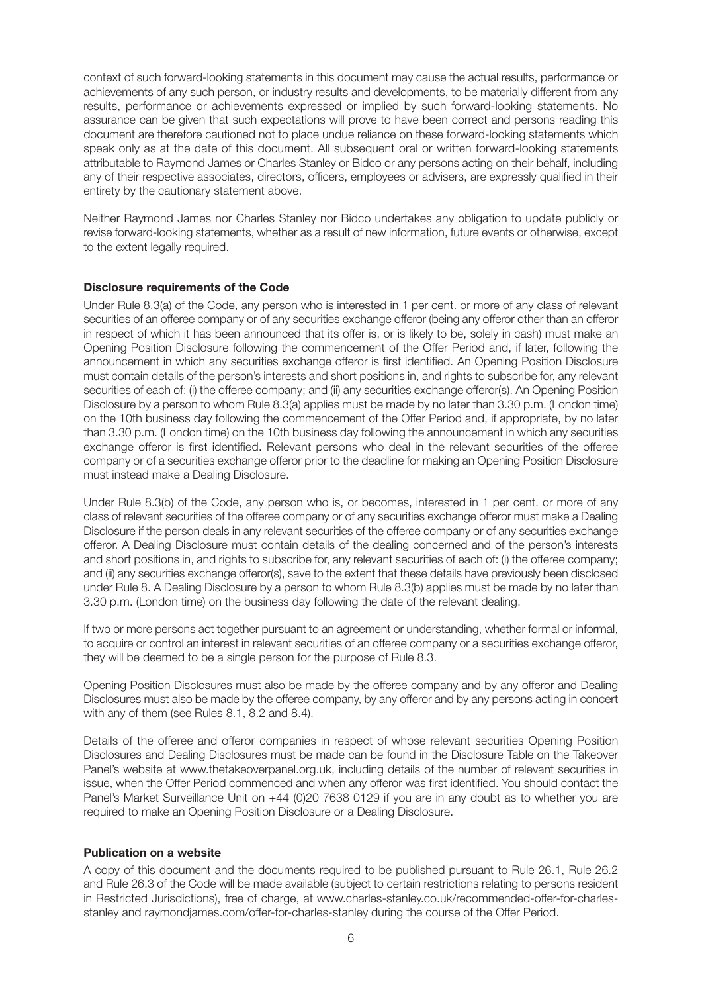context of such forward-looking statements in this document may cause the actual results, performance or achievements of any such person, or industry results and developments, to be materially different from any results, performance or achievements expressed or implied by such forward-looking statements. No assurance can be given that such expectations will prove to have been correct and persons reading this document are therefore cautioned not to place undue reliance on these forward-looking statements which speak only as at the date of this document. All subsequent oral or written forward-looking statements attributable to Raymond James or Charles Stanley or Bidco or any persons acting on their behalf, including any of their respective associates, directors, officers, employees or advisers, are expressly qualified in their entirety by the cautionary statement above.

Neither Raymond James nor Charles Stanley nor Bidco undertakes any obligation to update publicly or revise forward-looking statements, whether as a result of new information, future events or otherwise, except to the extent legally required.

## **Disclosure requirements of the Code**

Under Rule 8.3(a) of the Code, any person who is interested in 1 per cent. or more of any class of relevant securities of an offeree company or of any securities exchange offeror (being any offeror other than an offeror in respect of which it has been announced that its offer is, or is likely to be, solely in cash) must make an Opening Position Disclosure following the commencement of the Offer Period and, if later, following the announcement in which any securities exchange offeror is first identified. An Opening Position Disclosure must contain details of the person's interests and short positions in, and rights to subscribe for, any relevant securities of each of: (i) the offeree company; and (ii) any securities exchange offeror(s). An Opening Position Disclosure by a person to whom Rule 8.3(a) applies must be made by no later than 3.30 p.m. (London time) on the 10th business day following the commencement of the Offer Period and, if appropriate, by no later than 3.30 p.m. (London time) on the 10th business day following the announcement in which any securities exchange offeror is first identified. Relevant persons who deal in the relevant securities of the offeree company or of a securities exchange offeror prior to the deadline for making an Opening Position Disclosure must instead make a Dealing Disclosure.

Under Rule 8.3(b) of the Code, any person who is, or becomes, interested in 1 per cent. or more of any class of relevant securities of the offeree company or of any securities exchange offeror must make a Dealing Disclosure if the person deals in any relevant securities of the offeree company or of any securities exchange offeror. A Dealing Disclosure must contain details of the dealing concerned and of the person's interests and short positions in, and rights to subscribe for, any relevant securities of each of: (i) the offeree company; and (ii) any securities exchange offeror(s), save to the extent that these details have previously been disclosed under Rule 8. A Dealing Disclosure by a person to whom Rule 8.3(b) applies must be made by no later than 3.30 p.m. (London time) on the business day following the date of the relevant dealing.

If two or more persons act together pursuant to an agreement or understanding, whether formal or informal, to acquire or control an interest in relevant securities of an offeree company or a securities exchange offeror, they will be deemed to be a single person for the purpose of Rule 8.3.

Opening Position Disclosures must also be made by the offeree company and by any offeror and Dealing Disclosures must also be made by the offeree company, by any offeror and by any persons acting in concert with any of them (see Rules 8.1, 8.2 and 8.4).

Details of the offeree and offeror companies in respect of whose relevant securities Opening Position Disclosures and Dealing Disclosures must be made can be found in the Disclosure Table on the Takeover Panel's website at www.thetakeoverpanel.org.uk, including details of the number of relevant securities in issue, when the Offer Period commenced and when any offeror was first identified. You should contact the Panel's Market Surveillance Unit on +44 (0)20 7638 0129 if you are in any doubt as to whether you are required to make an Opening Position Disclosure or a Dealing Disclosure.

## **Publication on a website**

A copy of this document and the documents required to be published pursuant to Rule 26.1, Rule 26.2 and Rule 26.3 of the Code will be made available (subject to certain restrictions relating to persons resident in Restricted Jurisdictions), free of charge, at www.charles-stanley.co.uk/recommended-offer-for-charlesstanley and raymondjames.com/offer-for-charles-stanley during the course of the Offer Period.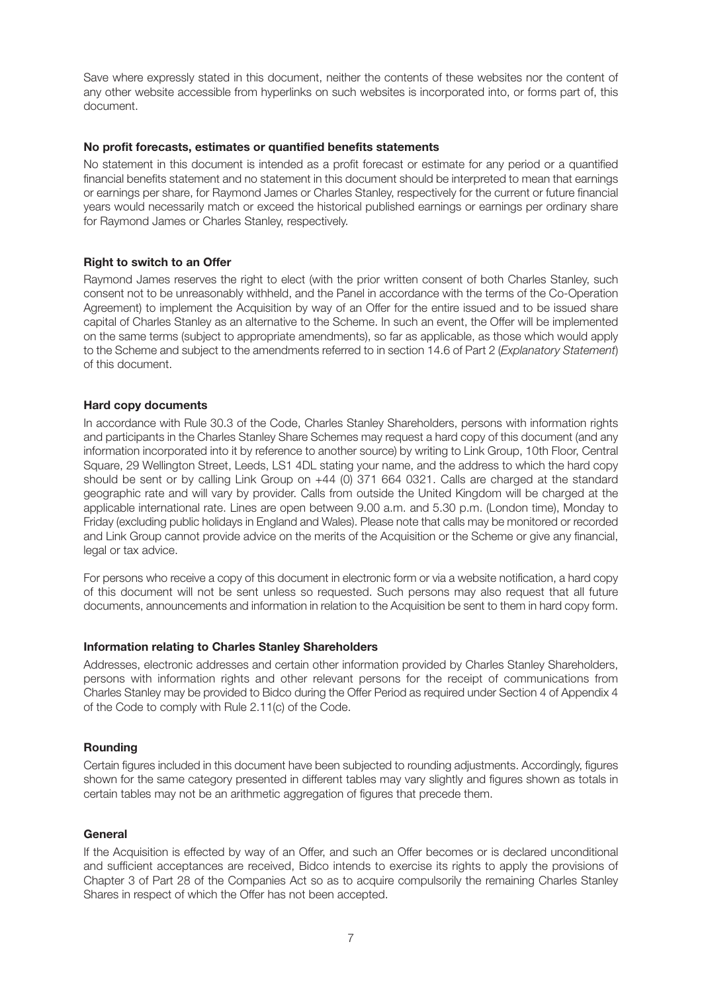Save where expressly stated in this document, neither the contents of these websites nor the content of any other website accessible from hyperlinks on such websites is incorporated into, or forms part of, this document.

## **No profit forecasts, estimates or quantified benefits statements**

No statement in this document is intended as a profit forecast or estimate for any period or a quantified financial benefits statement and no statement in this document should be interpreted to mean that earnings or earnings per share, for Raymond James or Charles Stanley, respectively for the current or future financial years would necessarily match or exceed the historical published earnings or earnings per ordinary share for Raymond James or Charles Stanley, respectively.

## **Right to switch to an Offer**

Raymond James reserves the right to elect (with the prior written consent of both Charles Stanley, such consent not to be unreasonably withheld, and the Panel in accordance with the terms of the Co-Operation Agreement) to implement the Acquisition by way of an Offer for the entire issued and to be issued share capital of Charles Stanley as an alternative to the Scheme. In such an event, the Offer will be implemented on the same terms (subject to appropriate amendments), so far as applicable, as those which would apply to the Scheme and subject to the amendments referred to in section 14.6 of Part 2 (*Explanatory Statement*) of this document.

## **Hard copy documents**

In accordance with Rule 30.3 of the Code, Charles Stanley Shareholders, persons with information rights and participants in the Charles Stanley Share Schemes may request a hard copy of this document (and any information incorporated into it by reference to another source) by writing to Link Group, 10th Floor, Central Square, 29 Wellington Street, Leeds, LS1 4DL stating your name, and the address to which the hard copy should be sent or by calling Link Group on +44 (0) 371 664 0321. Calls are charged at the standard geographic rate and will vary by provider. Calls from outside the United Kingdom will be charged at the applicable international rate. Lines are open between 9.00 a.m. and 5.30 p.m. (London time), Monday to Friday (excluding public holidays in England and Wales). Please note that calls may be monitored or recorded and Link Group cannot provide advice on the merits of the Acquisition or the Scheme or give any financial, legal or tax advice.

For persons who receive a copy of this document in electronic form or via a website notification, a hard copy of this document will not be sent unless so requested. Such persons may also request that all future documents, announcements and information in relation to the Acquisition be sent to them in hard copy form.

#### **Information relating to Charles Stanley Shareholders**

Addresses, electronic addresses and certain other information provided by Charles Stanley Shareholders, persons with information rights and other relevant persons for the receipt of communications from Charles Stanley may be provided to Bidco during the Offer Period as required under Section 4 of Appendix 4 of the Code to comply with Rule 2.11(c) of the Code.

#### **Rounding**

Certain figures included in this document have been subjected to rounding adjustments. Accordingly, figures shown for the same category presented in different tables may vary slightly and figures shown as totals in certain tables may not be an arithmetic aggregation of figures that precede them.

#### **General**

If the Acquisition is effected by way of an Offer, and such an Offer becomes or is declared unconditional and sufficient acceptances are received, Bidco intends to exercise its rights to apply the provisions of Chapter 3 of Part 28 of the Companies Act so as to acquire compulsorily the remaining Charles Stanley Shares in respect of which the Offer has not been accepted.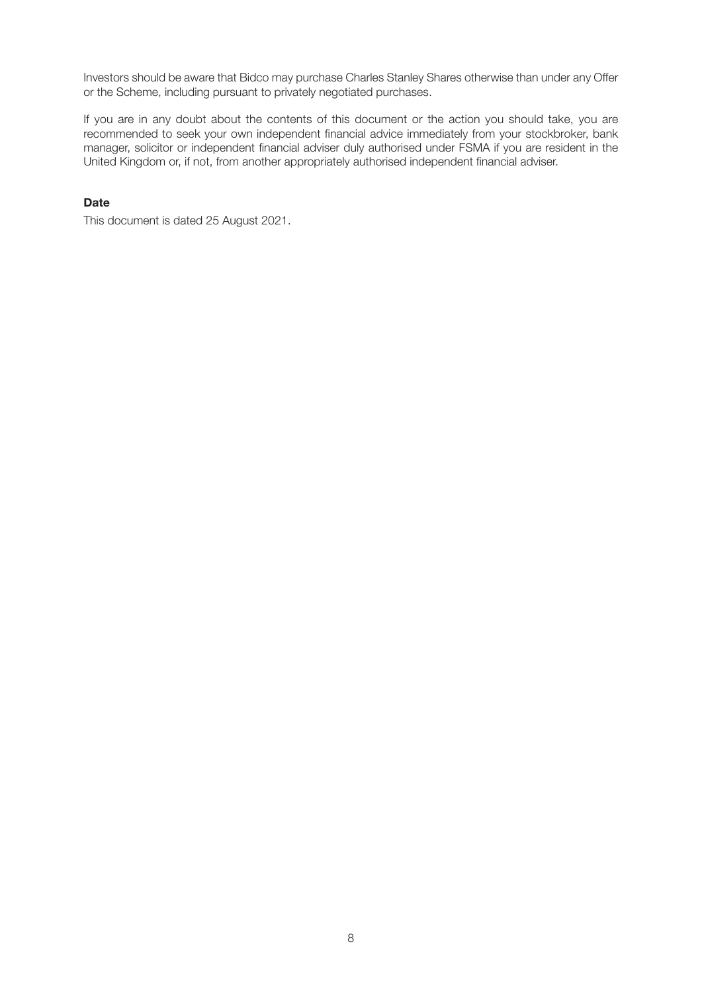Investors should be aware that Bidco may purchase Charles Stanley Shares otherwise than under any Offer or the Scheme, including pursuant to privately negotiated purchases.

If you are in any doubt about the contents of this document or the action you should take, you are recommended to seek your own independent financial advice immediately from your stockbroker, bank manager, solicitor or independent financial adviser duly authorised under FSMA if you are resident in the United Kingdom or, if not, from another appropriately authorised independent financial adviser.

## **Date**

This document is dated 25 August 2021.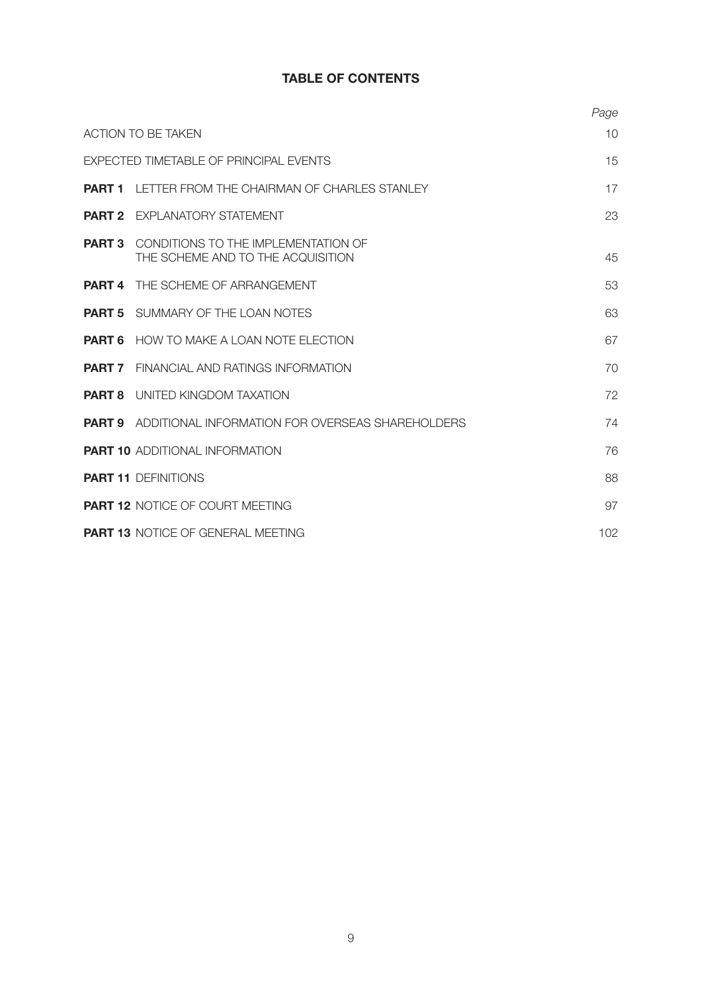## **TABLE OF CONTENTS**

|                   |                                                                                         | Page |
|-------------------|-----------------------------------------------------------------------------------------|------|
|                   | <b>ACTION TO BE TAKEN</b>                                                               | 10   |
|                   | <b>EXPECTED TIMETABLE OF PRINCIPAL EVENTS</b>                                           | 15   |
| PART <sub>1</sub> | LETTER FROM THE CHAIRMAN OF CHARLES STANLEY                                             | 17   |
|                   | <b>PART 2</b> EXPLANATORY STATEMENT                                                     | 23   |
|                   | <b>PART 3</b> CONDITIONS TO THE IMPI EMENTATION OF<br>THE SCHEME AND TO THE ACQUISITION | 45   |
|                   | <b>PART 4</b> THE SCHEME OF ARRANGEMENT                                                 | 53   |
|                   | <b>PART 5</b> SUMMARY OF THE LOAN NOTES                                                 | 63   |
|                   | <b>PART 6</b> HOW TO MAKE A LOAN NOTE ELECTION                                          | 67   |
|                   | <b>PART 7</b> FINANCIAL AND RATINGS INFORMATION                                         | 70   |
|                   | <b>PART 8</b> UNITED KINGDOM TAXATION                                                   | 72   |
|                   | <b>PART 9</b> ADDITIONAL INFORMATION FOR OVERSEAS SHAREHOLDERS                          | 74   |
|                   | <b>PART 10 ADDITIONAL INFORMATION</b>                                                   | 76   |
|                   | <b>PART 11 DEFINITIONS</b>                                                              | 88   |
|                   | <b>PART 12 NOTICE OF COURT MEETING</b>                                                  | 97   |
|                   | <b>PART 13 NOTICE OF GENERAL MEETING</b>                                                | 102  |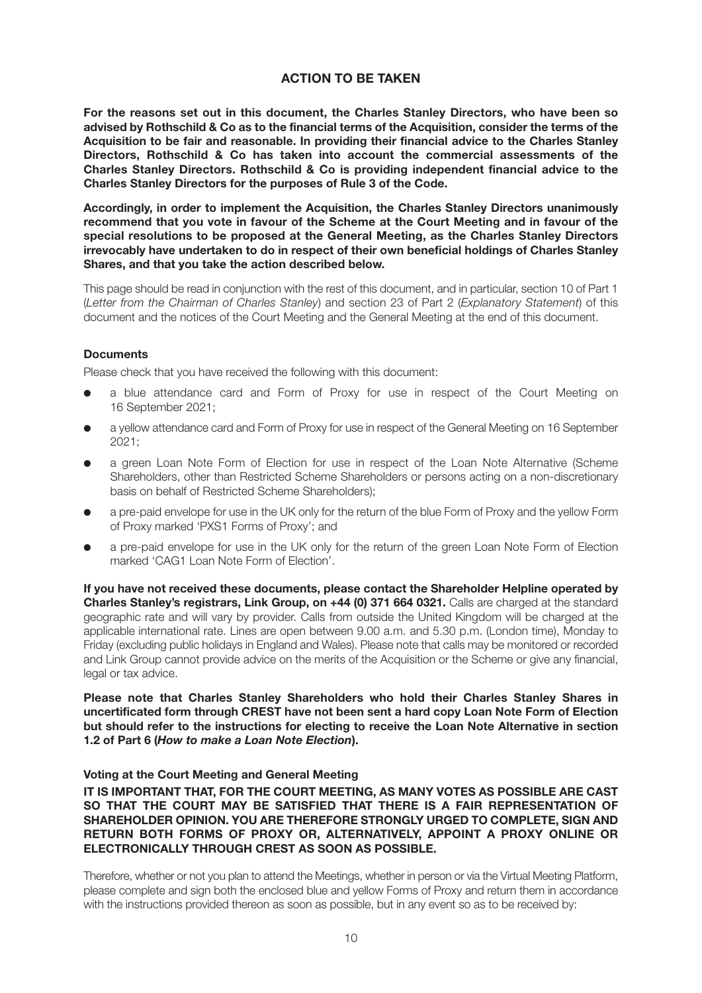## **ACTION TO BE TAKEN**

**For the reasons set out in this document, the Charles Stanley Directors, who have been so advised by Rothschild & Co as to the financial terms of the Acquisition, consider the terms of the Acquisition to be fair and reasonable. In providing their financial advice to the Charles Stanley Directors, Rothschild & Co has taken into account the commercial assessments of the Charles Stanley Directors. Rothschild & Co is providing independent financial advice to the Charles Stanley Directors for the purposes of Rule 3 of the Code.**

**Accordingly, in order to implement the Acquisition, the Charles Stanley Directors unanimously recommend that you vote in favour of the Scheme at the Court Meeting and in favour of the special resolutions to be proposed at the General Meeting, as the Charles Stanley Directors irrevocably have undertaken to do in respect of their own beneficial holdings of Charles Stanley Shares, and that you take the action described below.**

This page should be read in conjunction with the rest of this document, and in particular, section 10 of Part 1 (*Letter from the Chairman of Charles Stanley*) and section 23 of Part 2 (*Explanatory Statement*) of this document and the notices of the Court Meeting and the General Meeting at the end of this document.

## **Documents**

Please check that you have received the following with this document:

- a blue attendance card and Form of Proxy for use in respect of the Court Meeting on 16 September 2021;
- a yellow attendance card and Form of Proxy for use in respect of the General Meeting on 16 September 2021;
- a green Loan Note Form of Election for use in respect of the Loan Note Alternative (Scheme Shareholders, other than Restricted Scheme Shareholders or persons acting on a non-discretionary basis on behalf of Restricted Scheme Shareholders);
- a pre-paid envelope for use in the UK only for the return of the blue Form of Proxy and the yellow Form of Proxy marked 'PXS1 Forms of Proxy'; and
- a pre-paid envelope for use in the UK only for the return of the green Loan Note Form of Election marked 'CAG1 Loan Note Form of Election'.

**If you have not received these documents, please contact the Shareholder Helpline operated by Charles Stanley's registrars, Link Group, on +44 (0) 371 664 0321.** Calls are charged at the standard geographic rate and will vary by provider. Calls from outside the United Kingdom will be charged at the applicable international rate. Lines are open between 9.00 a.m. and 5.30 p.m. (London time), Monday to Friday (excluding public holidays in England and Wales). Please note that calls may be monitored or recorded and Link Group cannot provide advice on the merits of the Acquisition or the Scheme or give any financial, legal or tax advice.

## **Please note that Charles Stanley Shareholders who hold their Charles Stanley Shares in uncertificated form through CREST have not been sent a hard copy Loan Note Form of Election but should refer to the instructions for electing to receive the Loan Note Alternative in section 1.2 of Part 6 (***How to make a Loan Note Election***).**

#### **Voting at the Court Meeting and General Meeting**

**IT IS IMPORTANT THAT, FOR THE COURT MEETING, AS MANY VOTES AS POSSIBLE ARE CAST SO THAT THE COURT MAY BE SATISFIED THAT THERE IS A FAIR REPRESENTATION OF SHAREHOLDER OPINION. YOU ARE THEREFORE STRONGLY URGED TO COMPLETE, SIGN AND RETURN BOTH FORMS OF PROXY OR, ALTERNATIVELY, APPOINT A PROXY ONLINE OR ELECTRONICALLY THROUGH CREST AS SOON AS POSSIBLE.** 

Therefore, whether or not you plan to attend the Meetings, whether in person or via the Virtual Meeting Platform, please complete and sign both the enclosed blue and yellow Forms of Proxy and return them in accordance with the instructions provided thereon as soon as possible, but in any event so as to be received by: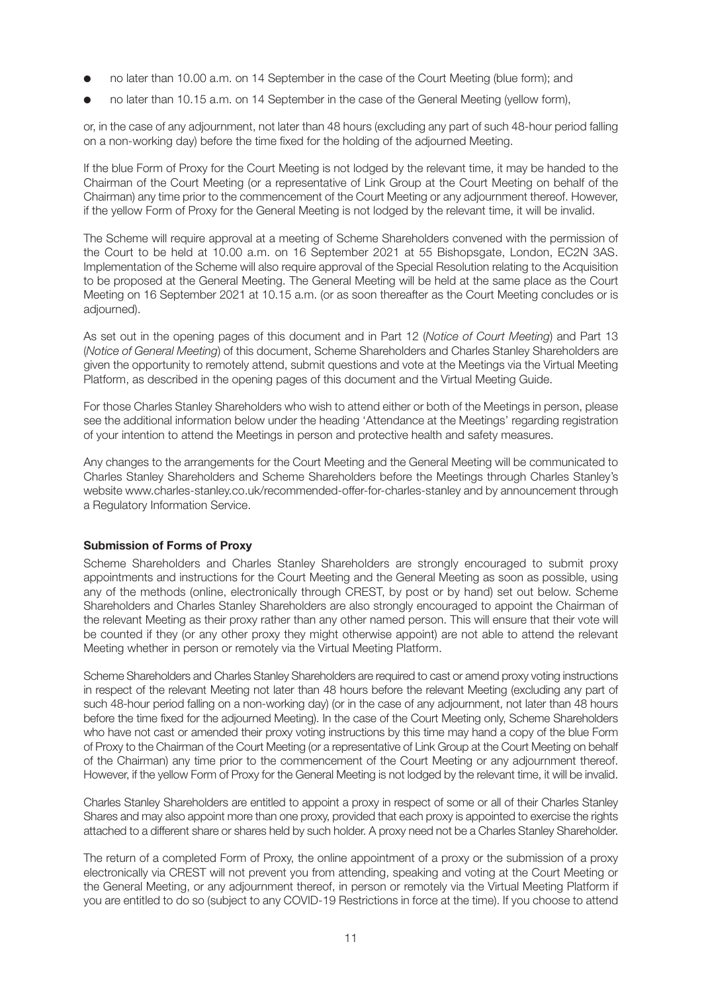- no later than 10.00 a.m. on 14 September in the case of the Court Meeting (blue form); and
- no later than 10.15 a.m. on 14 September in the case of the General Meeting (yellow form),

or, in the case of any adjournment, not later than 48 hours (excluding any part of such 48-hour period falling on a non-working day) before the time fixed for the holding of the adjourned Meeting.

If the blue Form of Proxy for the Court Meeting is not lodged by the relevant time, it may be handed to the Chairman of the Court Meeting (or a representative of Link Group at the Court Meeting on behalf of the Chairman) any time prior to the commencement of the Court Meeting or any adjournment thereof. However, if the yellow Form of Proxy for the General Meeting is not lodged by the relevant time, it will be invalid.

The Scheme will require approval at a meeting of Scheme Shareholders convened with the permission of the Court to be held at 10.00 a.m. on 16 September 2021 at 55 Bishopsgate, London, EC2N 3AS. Implementation of the Scheme will also require approval of the Special Resolution relating to the Acquisition to be proposed at the General Meeting. The General Meeting will be held at the same place as the Court Meeting on 16 September 2021 at 10.15 a.m. (or as soon thereafter as the Court Meeting concludes or is adjourned).

As set out in the opening pages of this document and in Part 12 (*Notice of Court Meeting*) and Part 13 (*Notice of General Meeting*) of this document, Scheme Shareholders and Charles Stanley Shareholders are given the opportunity to remotely attend, submit questions and vote at the Meetings via the Virtual Meeting Platform, as described in the opening pages of this document and the Virtual Meeting Guide.

For those Charles Stanley Shareholders who wish to attend either or both of the Meetings in person, please see the additional information below under the heading 'Attendance at the Meetings' regarding registration of your intention to attend the Meetings in person and protective health and safety measures.

Any changes to the arrangements for the Court Meeting and the General Meeting will be communicated to Charles Stanley Shareholders and Scheme Shareholders before the Meetings through Charles Stanley's website www.charles-stanley.co.uk/recommended-offer-for-charles-stanley and by announcement through a Regulatory Information Service.

## **Submission of Forms of Proxy**

Scheme Shareholders and Charles Stanley Shareholders are strongly encouraged to submit proxy appointments and instructions for the Court Meeting and the General Meeting as soon as possible, using any of the methods (online, electronically through CREST, by post or by hand) set out below. Scheme Shareholders and Charles Stanley Shareholders are also strongly encouraged to appoint the Chairman of the relevant Meeting as their proxy rather than any other named person. This will ensure that their vote will be counted if they (or any other proxy they might otherwise appoint) are not able to attend the relevant Meeting whether in person or remotely via the Virtual Meeting Platform.

Scheme Shareholders and Charles Stanley Shareholders are required to cast or amend proxy voting instructions in respect of the relevant Meeting not later than 48 hours before the relevant Meeting (excluding any part of such 48-hour period falling on a non-working day) (or in the case of any adjournment, not later than 48 hours before the time fixed for the adjourned Meeting). In the case of the Court Meeting only, Scheme Shareholders who have not cast or amended their proxy voting instructions by this time may hand a copy of the blue Form of Proxy to the Chairman of the Court Meeting (or a representative of Link Group at the Court Meeting on behalf of the Chairman) any time prior to the commencement of the Court Meeting or any adjournment thereof. However, if the yellow Form of Proxy for the General Meeting is not lodged by the relevant time, it will be invalid.

Charles Stanley Shareholders are entitled to appoint a proxy in respect of some or all of their Charles Stanley Shares and may also appoint more than one proxy, provided that each proxy is appointed to exercise the rights attached to a different share or shares held by such holder. A proxy need not be a Charles Stanley Shareholder.

The return of a completed Form of Proxy, the online appointment of a proxy or the submission of a proxy electronically via CREST will not prevent you from attending, speaking and voting at the Court Meeting or the General Meeting, or any adjournment thereof, in person or remotely via the Virtual Meeting Platform if you are entitled to do so (subject to any COVID-19 Restrictions in force at the time). If you choose to attend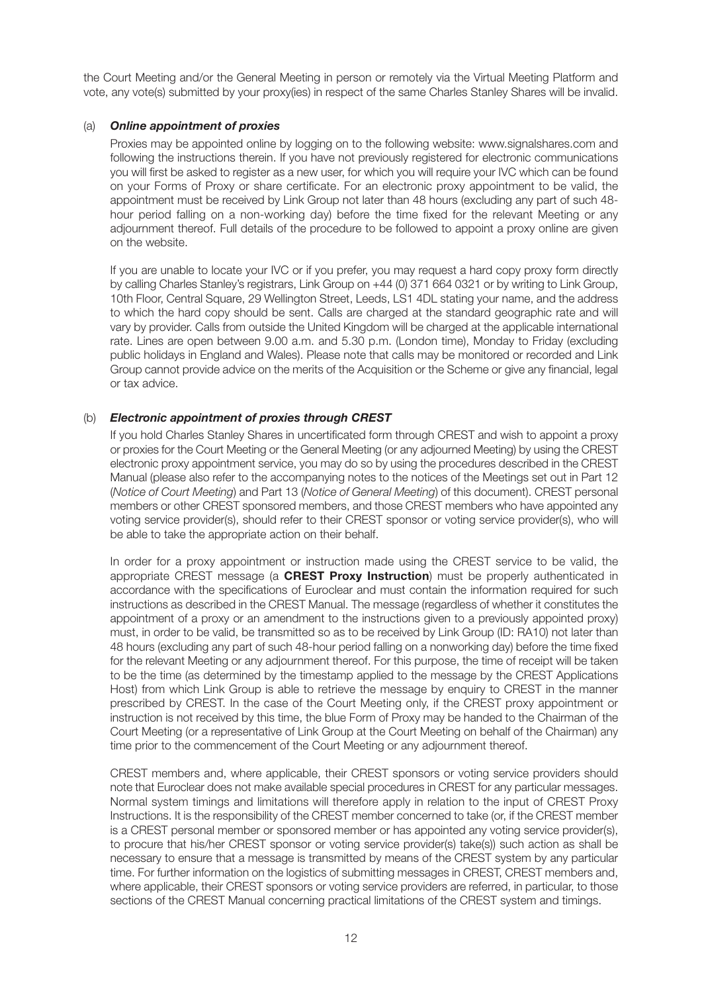the Court Meeting and/or the General Meeting in person or remotely via the Virtual Meeting Platform and vote, any vote(s) submitted by your proxy(ies) in respect of the same Charles Stanley Shares will be invalid.

## (a) *Online appointment of proxies*

 Proxies may be appointed online by logging on to the following website: www.signalshares.com and following the instructions therein. If you have not previously registered for electronic communications you will first be asked to register as a new user, for which you will require your IVC which can be found on your Forms of Proxy or share certificate. For an electronic proxy appointment to be valid, the appointment must be received by Link Group not later than 48 hours (excluding any part of such 48 hour period falling on a non-working day) before the time fixed for the relevant Meeting or any adjournment thereof. Full details of the procedure to be followed to appoint a proxy online are given on the website.

 If you are unable to locate your IVC or if you prefer, you may request a hard copy proxy form directly by calling Charles Stanley's registrars, Link Group on +44 (0) 371 664 0321 or by writing to Link Group, 10th Floor, Central Square, 29 Wellington Street, Leeds, LS1 4DL stating your name, and the address to which the hard copy should be sent. Calls are charged at the standard geographic rate and will vary by provider. Calls from outside the United Kingdom will be charged at the applicable international rate. Lines are open between 9.00 a.m. and 5.30 p.m. (London time), Monday to Friday (excluding public holidays in England and Wales). Please note that calls may be monitored or recorded and Link Group cannot provide advice on the merits of the Acquisition or the Scheme or give any financial, legal or tax advice.

## (b) *Electronic appointment of proxies through CREST*

 If you hold Charles Stanley Shares in uncertificated form through CREST and wish to appoint a proxy or proxies for the Court Meeting or the General Meeting (or any adjourned Meeting) by using the CREST electronic proxy appointment service, you may do so by using the procedures described in the CREST Manual (please also refer to the accompanying notes to the notices of the Meetings set out in Part 12 (*Notice of Court Meeting*) and Part 13 (*Notice of General Meeting*) of this document). CREST personal members or other CREST sponsored members, and those CREST members who have appointed any voting service provider(s), should refer to their CREST sponsor or voting service provider(s), who will be able to take the appropriate action on their behalf.

 In order for a proxy appointment or instruction made using the CREST service to be valid, the appropriate CREST message (a **CREST Proxy Instruction**) must be properly authenticated in accordance with the specifications of Euroclear and must contain the information required for such instructions as described in the CREST Manual. The message (regardless of whether it constitutes the appointment of a proxy or an amendment to the instructions given to a previously appointed proxy) must, in order to be valid, be transmitted so as to be received by Link Group (ID: RA10) not later than 48 hours (excluding any part of such 48-hour period falling on a nonworking day) before the time fixed for the relevant Meeting or any adjournment thereof. For this purpose, the time of receipt will be taken to be the time (as determined by the timestamp applied to the message by the CREST Applications Host) from which Link Group is able to retrieve the message by enquiry to CREST in the manner prescribed by CREST. In the case of the Court Meeting only, if the CREST proxy appointment or instruction is not received by this time, the blue Form of Proxy may be handed to the Chairman of the Court Meeting (or a representative of Link Group at the Court Meeting on behalf of the Chairman) any time prior to the commencement of the Court Meeting or any adjournment thereof.

 CREST members and, where applicable, their CREST sponsors or voting service providers should note that Euroclear does not make available special procedures in CREST for any particular messages. Normal system timings and limitations will therefore apply in relation to the input of CREST Proxy Instructions. It is the responsibility of the CREST member concerned to take (or, if the CREST member is a CREST personal member or sponsored member or has appointed any voting service provider(s), to procure that his/her CREST sponsor or voting service provider(s) take(s)) such action as shall be necessary to ensure that a message is transmitted by means of the CREST system by any particular time. For further information on the logistics of submitting messages in CREST, CREST members and, where applicable, their CREST sponsors or voting service providers are referred, in particular, to those sections of the CREST Manual concerning practical limitations of the CREST system and timings.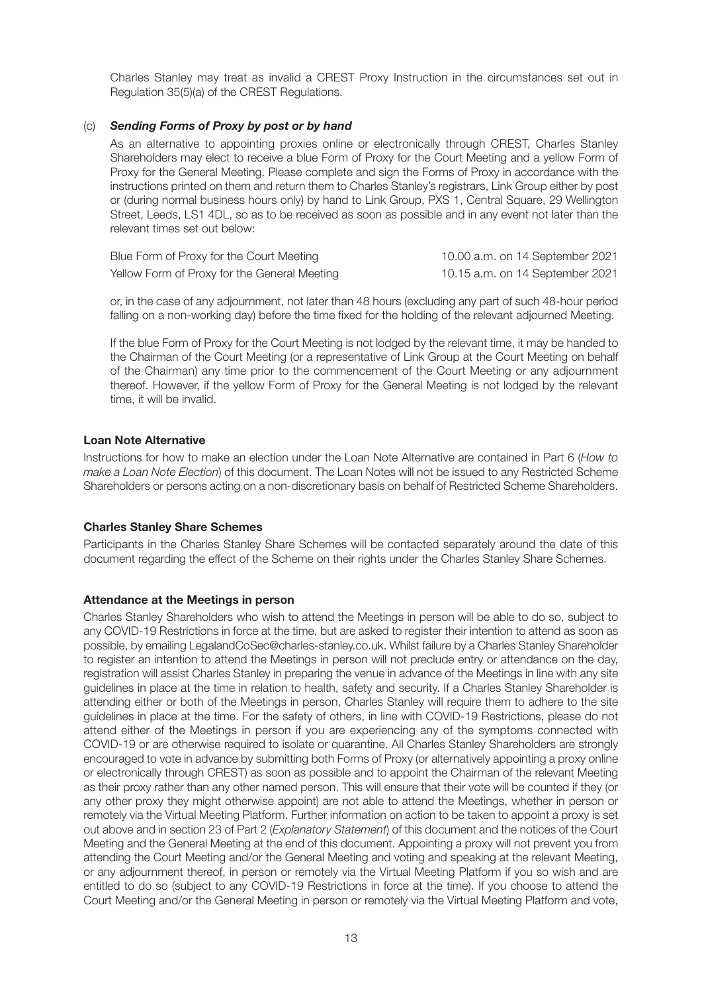Charles Stanley may treat as invalid a CREST Proxy Instruction in the circumstances set out in Regulation 35(5)(a) of the CREST Regulations.

## (c) *Sending Forms of Proxy by post or by hand*

 As an alternative to appointing proxies online or electronically through CREST, Charles Stanley Shareholders may elect to receive a blue Form of Proxy for the Court Meeting and a yellow Form of Proxy for the General Meeting. Please complete and sign the Forms of Proxy in accordance with the instructions printed on them and return them to Charles Stanley's registrars, Link Group either by post or (during normal business hours only) by hand to Link Group, PXS 1, Central Square, 29 Wellington Street, Leeds, LS1 4DL, so as to be received as soon as possible and in any event not later than the relevant times set out below:

| Blue Form of Proxy for the Court Meeting     | 10.00 a.m. on 14 September 2021 |
|----------------------------------------------|---------------------------------|
| Yellow Form of Proxy for the General Meeting | 10.15 a.m. on 14 September 2021 |

 or, in the case of any adjournment, not later than 48 hours (excluding any part of such 48-hour period falling on a non-working day) before the time fixed for the holding of the relevant adjourned Meeting.

 If the blue Form of Proxy for the Court Meeting is not lodged by the relevant time, it may be handed to the Chairman of the Court Meeting (or a representative of Link Group at the Court Meeting on behalf of the Chairman) any time prior to the commencement of the Court Meeting or any adjournment thereof. However, if the yellow Form of Proxy for the General Meeting is not lodged by the relevant time, it will be invalid.

## **Loan Note Alternative**

Instructions for how to make an election under the Loan Note Alternative are contained in Part 6 (*How to make a Loan Note Election*) of this document. The Loan Notes will not be issued to any Restricted Scheme Shareholders or persons acting on a non-discretionary basis on behalf of Restricted Scheme Shareholders.

#### **Charles Stanley Share Schemes**

Participants in the Charles Stanley Share Schemes will be contacted separately around the date of this document regarding the effect of the Scheme on their rights under the Charles Stanley Share Schemes.

#### **Attendance at the Meetings in person**

Charles Stanley Shareholders who wish to attend the Meetings in person will be able to do so, subject to any COVID-19 Restrictions in force at the time, but are asked to register their intention to attend as soon as possible, by emailing LegalandCoSec@charles-stanley.co.uk. Whilst failure by a Charles Stanley Shareholder to register an intention to attend the Meetings in person will not preclude entry or attendance on the day, registration will assist Charles Stanley in preparing the venue in advance of the Meetings in line with any site guidelines in place at the time in relation to health, safety and security. If a Charles Stanley Shareholder is attending either or both of the Meetings in person, Charles Stanley will require them to adhere to the site guidelines in place at the time. For the safety of others, in line with COVID-19 Restrictions, please do not attend either of the Meetings in person if you are experiencing any of the symptoms connected with COVID-19 or are otherwise required to isolate or quarantine. All Charles Stanley Shareholders are strongly encouraged to vote in advance by submitting both Forms of Proxy (or alternatively appointing a proxy online or electronically through CREST) as soon as possible and to appoint the Chairman of the relevant Meeting as their proxy rather than any other named person. This will ensure that their vote will be counted if they (or any other proxy they might otherwise appoint) are not able to attend the Meetings, whether in person or remotely via the Virtual Meeting Platform. Further information on action to be taken to appoint a proxy is set out above and in section 23 of Part 2 (*Explanatory Statement*) of this document and the notices of the Court Meeting and the General Meeting at the end of this document. Appointing a proxy will not prevent you from attending the Court Meeting and/or the General Meeting and voting and speaking at the relevant Meeting, or any adjournment thereof, in person or remotely via the Virtual Meeting Platform if you so wish and are entitled to do so (subject to any COVID-19 Restrictions in force at the time). If you choose to attend the Court Meeting and/or the General Meeting in person or remotely via the Virtual Meeting Platform and vote,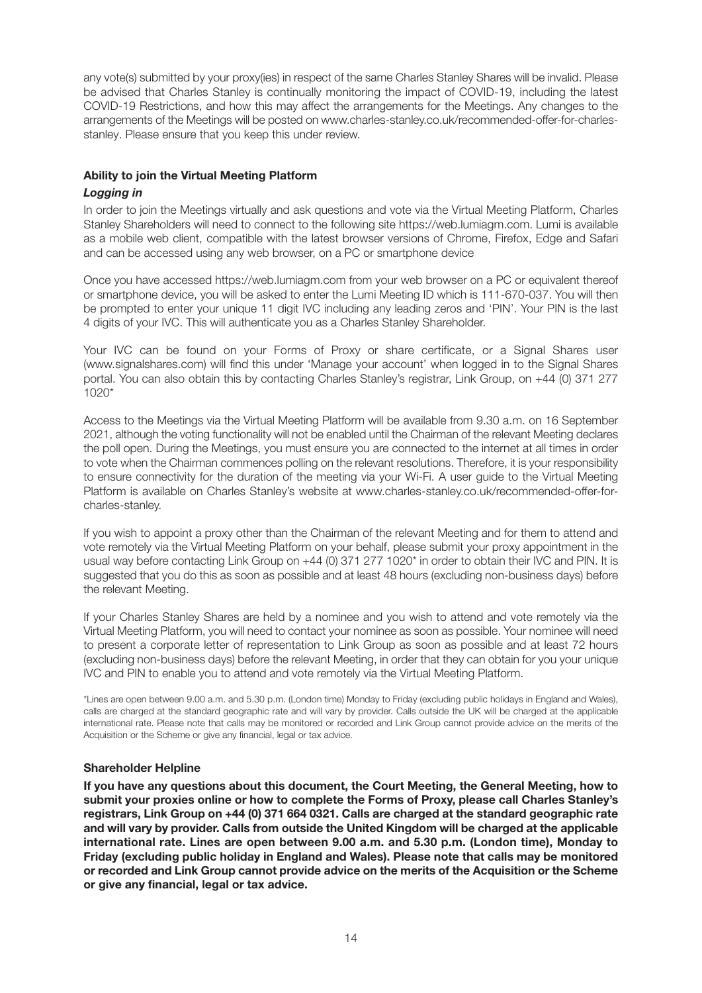any vote(s) submitted by your proxy(ies) in respect of the same Charles Stanley Shares will be invalid. Please be advised that Charles Stanley is continually monitoring the impact of COVID-19, including the latest COVID-19 Restrictions, and how this may affect the arrangements for the Meetings. Any changes to the arrangements of the Meetings will be posted on www.charles-stanley.co.uk/recommended-offer-for-charlesstanley. Please ensure that you keep this under review.

## **Ability to join the Virtual Meeting Platform**

## *Logging in*

In order to join the Meetings virtually and ask questions and vote via the Virtual Meeting Platform, Charles Stanley Shareholders will need to connect to the following site https://web.lumiagm.com. Lumi is available as a mobile web client, compatible with the latest browser versions of Chrome, Firefox, Edge and Safari and can be accessed using any web browser, on a PC or smartphone device

Once you have accessed https://web.lumiagm.com from your web browser on a PC or equivalent thereof or smartphone device, you will be asked to enter the Lumi Meeting ID which is 111-670-037. You will then be prompted to enter your unique 11 digit IVC including any leading zeros and 'PIN'. Your PIN is the last 4 digits of your IVC. This will authenticate you as a Charles Stanley Shareholder.

Your IVC can be found on your Forms of Proxy or share certificate, or a Signal Shares user (www.signalshares.com) will find this under 'Manage your account' when logged in to the Signal Shares portal. You can also obtain this by contacting Charles Stanley's registrar, Link Group, on +44 (0) 371 277 1020\*

Access to the Meetings via the Virtual Meeting Platform will be available from 9.30 a.m. on 16 September 2021, although the voting functionality will not be enabled until the Chairman of the relevant Meeting declares the poll open. During the Meetings, you must ensure you are connected to the internet at all times in order to vote when the Chairman commences polling on the relevant resolutions. Therefore, it is your responsibility to ensure connectivity for the duration of the meeting via your Wi-Fi. A user guide to the Virtual Meeting Platform is available on Charles Stanley's website at www.charles-stanley.co.uk/recommended-offer-forcharles-stanley.

If you wish to appoint a proxy other than the Chairman of the relevant Meeting and for them to attend and vote remotely via the Virtual Meeting Platform on your behalf, please submit your proxy appointment in the usual way before contacting Link Group on +44 (0) 371 277 1020\* in order to obtain their IVC and PIN. It is suggested that you do this as soon as possible and at least 48 hours (excluding non-business days) before the relevant Meeting.

If your Charles Stanley Shares are held by a nominee and you wish to attend and vote remotely via the Virtual Meeting Platform, you will need to contact your nominee as soon as possible. Your nominee will need to present a corporate letter of representation to Link Group as soon as possible and at least 72 hours (excluding non-business days) before the relevant Meeting, in order that they can obtain for you your unique IVC and PIN to enable you to attend and vote remotely via the Virtual Meeting Platform.

\*Lines are open between 9.00 a.m. and 5.30 p.m. (London time) Monday to Friday (excluding public holidays in England and Wales), calls are charged at the standard geographic rate and will vary by provider. Calls outside the UK will be charged at the applicable international rate. Please note that calls may be monitored or recorded and Link Group cannot provide advice on the merits of the Acquisition or the Scheme or give any financial, legal or tax advice.

## **Shareholder Helpline**

**If you have any questions about this document, the Court Meeting, the General Meeting, how to submit your proxies online or how to complete the Forms of Proxy, please call Charles Stanley's registrars, Link Group on +44 (0) 371 664 0321. Calls are charged at the standard geographic rate and will vary by provider. Calls from outside the United Kingdom will be charged at the applicable international rate. Lines are open between 9.00 a.m. and 5.30 p.m. (London time), Monday to Friday (excluding public holiday in England and Wales). Please note that calls may be monitored or recorded and Link Group cannot provide advice on the merits of the Acquisition or the Scheme or give any financial, legal or tax advice.**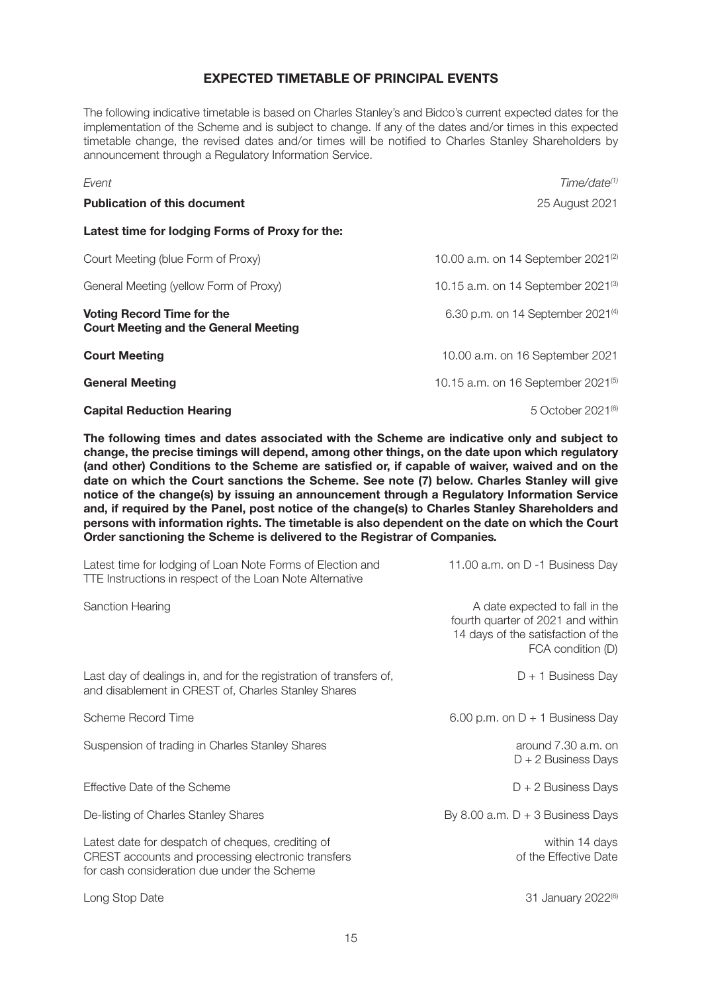## **EXPECTED TIMETABLE OF PRINCIPAL EVENTS**

The following indicative timetable is based on Charles Stanley's and Bidco's current expected dates for the implementation of the Scheme and is subject to change. If any of the dates and/or times in this expected timetable change, the revised dates and/or times will be notified to Charles Stanley Shareholders by announcement through a Regulatory Information Service.

| Event                                                                      | Time/date <sup>(1)</sup>                      |
|----------------------------------------------------------------------------|-----------------------------------------------|
| <b>Publication of this document</b>                                        | 25 August 2021                                |
| Latest time for lodging Forms of Proxy for the:                            |                                               |
| Court Meeting (blue Form of Proxy)                                         | 10.00 a.m. on 14 September $2021^{(2)}$       |
| General Meeting (yellow Form of Proxy)                                     | 10.15 a.m. on 14 September $2021^{(3)}$       |
| Voting Record Time for the<br><b>Court Meeting and the General Meeting</b> | 6.30 p.m. on 14 September 2021 <sup>(4)</sup> |
| <b>Court Meeting</b>                                                       | 10.00 a.m. on 16 September 2021               |
| <b>General Meeting</b>                                                     | 10.15 a.m. on 16 September $2021^{(5)}$       |
| <b>Capital Reduction Hearing</b>                                           | 5 October 2021 <sup>(6)</sup>                 |

**The following times and dates associated with the Scheme are indicative only and subject to change, the precise timings will depend, among other things, on the date upon which regulatory (and other) Conditions to the Scheme are satisfied or, if capable of waiver, waived and on the date on which the Court sanctions the Scheme. See note (7) below. Charles Stanley will give notice of the change(s) by issuing an announcement through a Regulatory Information Service and, if required by the Panel, post notice of the change(s) to Charles Stanley Shareholders and persons with information rights. The timetable is also dependent on the date on which the Court Order sanctioning the Scheme is delivered to the Registrar of Companies***.*

| Latest time for lodging of Loan Note Forms of Election and<br>TTE Instructions in respect of the Loan Note Alternative                                 | 11.00 a.m. on D -1 Business Day                                                                                                |
|--------------------------------------------------------------------------------------------------------------------------------------------------------|--------------------------------------------------------------------------------------------------------------------------------|
| Sanction Hearing                                                                                                                                       | A date expected to fall in the<br>fourth quarter of 2021 and within<br>14 days of the satisfaction of the<br>FCA condition (D) |
| Last day of dealings in, and for the registration of transfers of,<br>and disablement in CREST of, Charles Stanley Shares                              | $D + 1$ Business Day                                                                                                           |
| Scheme Record Time                                                                                                                                     | 6.00 p.m. on $D + 1$ Business Day                                                                                              |
| Suspension of trading in Charles Stanley Shares                                                                                                        | around 7.30 a.m. on<br>$D + 2$ Business Days                                                                                   |
| Effective Date of the Scheme                                                                                                                           | $D + 2$ Business Days                                                                                                          |
| De-listing of Charles Stanley Shares                                                                                                                   | By 8.00 a.m. $D + 3$ Business Days                                                                                             |
| Latest date for despatch of cheques, crediting of<br>CREST accounts and processing electronic transfers<br>for cash consideration due under the Scheme | within 14 days<br>of the Effective Date                                                                                        |
| Long Stop Date                                                                                                                                         | 31 January 2022 <sup>(6)</sup>                                                                                                 |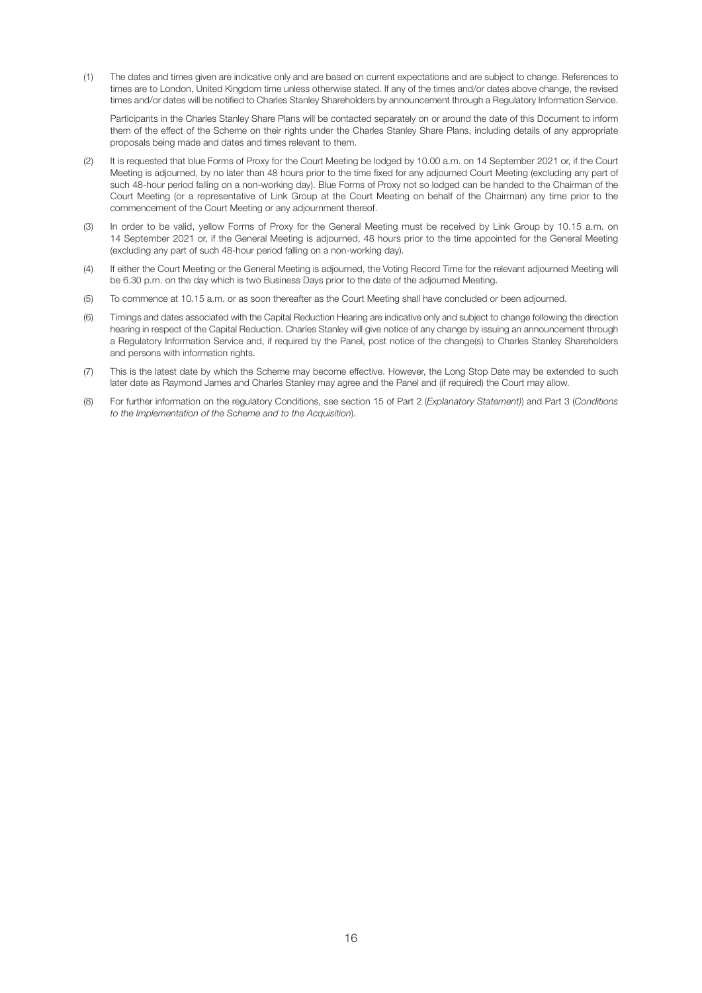(1) The dates and times given are indicative only and are based on current expectations and are subject to change. References to times are to London, United Kingdom time unless otherwise stated. If any of the times and/or dates above change, the revised times and/or dates will be notified to Charles Stanley Shareholders by announcement through a Regulatory Information Service.

 Participants in the Charles Stanley Share Plans will be contacted separately on or around the date of this Document to inform them of the effect of the Scheme on their rights under the Charles Stanley Share Plans, including details of any appropriate proposals being made and dates and times relevant to them.

- (2) It is requested that blue Forms of Proxy for the Court Meeting be lodged by 10.00 a.m. on 14 September 2021 or, if the Court Meeting is adjourned, by no later than 48 hours prior to the time fixed for any adjourned Court Meeting (excluding any part of such 48-hour period falling on a non-working day). Blue Forms of Proxy not so lodged can be handed to the Chairman of the Court Meeting (or a representative of Link Group at the Court Meeting on behalf of the Chairman) any time prior to the commencement of the Court Meeting or any adjournment thereof.
- (3) In order to be valid, yellow Forms of Proxy for the General Meeting must be received by Link Group by 10.15 a.m. on 14 September 2021 or, if the General Meeting is adjourned, 48 hours prior to the time appointed for the General Meeting (excluding any part of such 48-hour period falling on a non-working day).
- (4) If either the Court Meeting or the General Meeting is adjourned, the Voting Record Time for the relevant adjourned Meeting will be 6.30 p.m. on the day which is two Business Days prior to the date of the adjourned Meeting.
- (5) To commence at 10.15 a.m. or as soon thereafter as the Court Meeting shall have concluded or been adjourned.
- (6) Timings and dates associated with the Capital Reduction Hearing are indicative only and subject to change following the direction hearing in respect of the Capital Reduction. Charles Stanley will give notice of any change by issuing an announcement through a Regulatory Information Service and, if required by the Panel, post notice of the change(s) to Charles Stanley Shareholders and persons with information rights.
- (7) This is the latest date by which the Scheme may become effective. However, the Long Stop Date may be extended to such later date as Raymond James and Charles Stanley may agree and the Panel and (if required) the Court may allow.
- (8) For further information on the regulatory Conditions, see section 15 of Part 2 (*Explanatory Statement)*) and Part 3 (*Conditions to the Implementation of the Scheme and to the Acquisition*).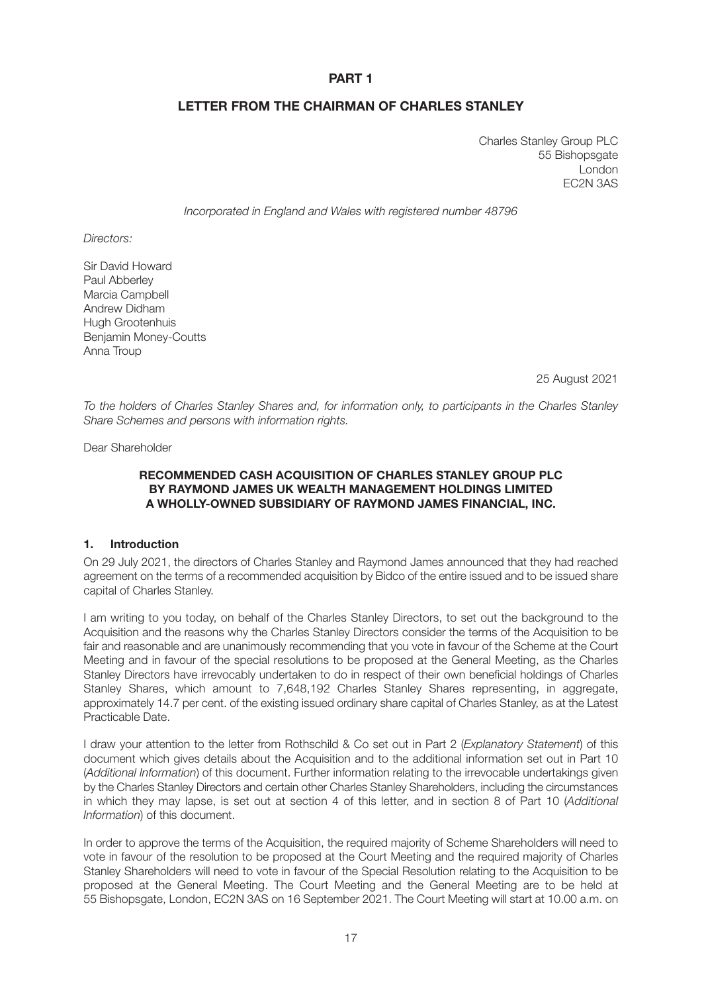## **PART 1**

## **LETTER FROM THE CHAIRMAN OF CHARLES STANLEY**

Charles Stanley Group PLC 55 Bishopsgate London EC2N 3AS

*Incorporated in England and Wales with registered number 48796*

*Directors:*

Sir David Howard Paul Abberley Marcia Campbell Andrew Didham Hugh Grootenhuis Benjamin Money-Coutts Anna Troup

25 August 2021

*To the holders of Charles Stanley Shares and, for information only, to participants in the Charles Stanley Share Schemes and persons with information rights.*

Dear Shareholder

## **RECOMMENDED CASH ACQUISITION OF CHARLES STANLEY GROUP PLC BY RAYMOND JAMES UK WEALTH MANAGEMENT HOLDINGS LIMITED A WHOLLY-OWNED SUBSIDIARY OF RAYMOND JAMES FINANCIAL, INC.**

#### **1. Introduction**

On 29 July 2021, the directors of Charles Stanley and Raymond James announced that they had reached agreement on the terms of a recommended acquisition by Bidco of the entire issued and to be issued share capital of Charles Stanley.

I am writing to you today, on behalf of the Charles Stanley Directors, to set out the background to the Acquisition and the reasons why the Charles Stanley Directors consider the terms of the Acquisition to be fair and reasonable and are unanimously recommending that you vote in favour of the Scheme at the Court Meeting and in favour of the special resolutions to be proposed at the General Meeting, as the Charles Stanley Directors have irrevocably undertaken to do in respect of their own beneficial holdings of Charles Stanley Shares, which amount to 7,648,192 Charles Stanley Shares representing, in aggregate, approximately 14.7 per cent. of the existing issued ordinary share capital of Charles Stanley, as at the Latest Practicable Date.

I draw your attention to the letter from Rothschild & Co set out in Part 2 (*Explanatory Statement*) of this document which gives details about the Acquisition and to the additional information set out in Part 10 (*Additional Information*) of this document. Further information relating to the irrevocable undertakings given by the Charles Stanley Directors and certain other Charles Stanley Shareholders, including the circumstances in which they may lapse, is set out at section 4 of this letter, and in section 8 of Part 10 (*Additional Information*) of this document.

In order to approve the terms of the Acquisition, the required majority of Scheme Shareholders will need to vote in favour of the resolution to be proposed at the Court Meeting and the required majority of Charles Stanley Shareholders will need to vote in favour of the Special Resolution relating to the Acquisition to be proposed at the General Meeting. The Court Meeting and the General Meeting are to be held at 55 Bishopsgate, London, EC2N 3AS on 16 September 2021. The Court Meeting will start at 10.00 a.m. on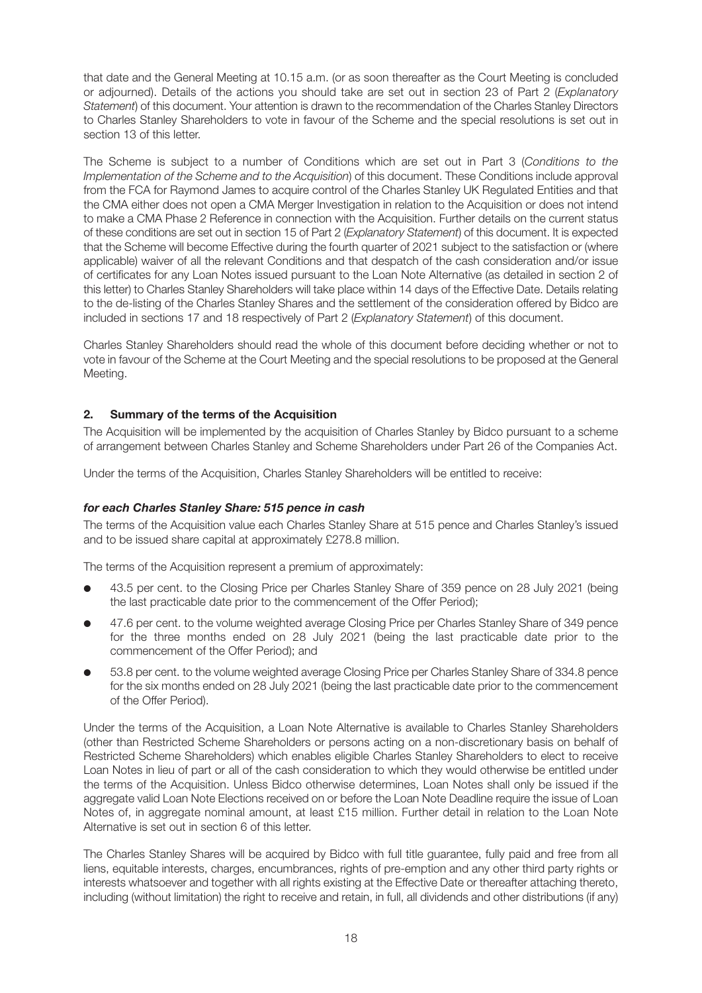that date and the General Meeting at 10.15 a.m. (or as soon thereafter as the Court Meeting is concluded or adjourned). Details of the actions you should take are set out in section 23 of Part 2 (*Explanatory Statement*) of this document. Your attention is drawn to the recommendation of the Charles Stanley Directors to Charles Stanley Shareholders to vote in favour of the Scheme and the special resolutions is set out in section 13 of this letter.

The Scheme is subject to a number of Conditions which are set out in Part 3 (*Conditions to the Implementation of the Scheme and to the Acquisition*) of this document. These Conditions include approval from the FCA for Raymond James to acquire control of the Charles Stanley UK Regulated Entities and that the CMA either does not open a CMA Merger Investigation in relation to the Acquisition or does not intend to make a CMA Phase 2 Reference in connection with the Acquisition. Further details on the current status of these conditions are set out in section 15 of Part 2 (*Explanatory Statement*) of this document. It is expected that the Scheme will become Effective during the fourth quarter of 2021 subject to the satisfaction or (where applicable) waiver of all the relevant Conditions and that despatch of the cash consideration and/or issue of certificates for any Loan Notes issued pursuant to the Loan Note Alternative (as detailed in section 2 of this letter) to Charles Stanley Shareholders will take place within 14 days of the Effective Date. Details relating to the de-listing of the Charles Stanley Shares and the settlement of the consideration offered by Bidco are included in sections 17 and 18 respectively of Part 2 (*Explanatory Statement*) of this document.

Charles Stanley Shareholders should read the whole of this document before deciding whether or not to vote in favour of the Scheme at the Court Meeting and the special resolutions to be proposed at the General Meeting.

## **2. Summary of the terms of the Acquisition**

The Acquisition will be implemented by the acquisition of Charles Stanley by Bidco pursuant to a scheme of arrangement between Charles Stanley and Scheme Shareholders under Part 26 of the Companies Act.

Under the terms of the Acquisition, Charles Stanley Shareholders will be entitled to receive:

## *for each Charles Stanley Share: 515 pence in cash*

The terms of the Acquisition value each Charles Stanley Share at 515 pence and Charles Stanley's issued and to be issued share capital at approximately £278.8 million.

The terms of the Acquisition represent a premium of approximately:

- l 43.5 per cent. to the Closing Price per Charles Stanley Share of 359 pence on 28 July 2021 (being the last practicable date prior to the commencement of the Offer Period);
- l 47.6 per cent. to the volume weighted average Closing Price per Charles Stanley Share of 349 pence for the three months ended on 28 July 2021 (being the last practicable date prior to the commencement of the Offer Period); and
- l 53.8 per cent. to the volume weighted average Closing Price per Charles Stanley Share of 334.8 pence for the six months ended on 28 July 2021 (being the last practicable date prior to the commencement of the Offer Period).

Under the terms of the Acquisition, a Loan Note Alternative is available to Charles Stanley Shareholders (other than Restricted Scheme Shareholders or persons acting on a non-discretionary basis on behalf of Restricted Scheme Shareholders) which enables eligible Charles Stanley Shareholders to elect to receive Loan Notes in lieu of part or all of the cash consideration to which they would otherwise be entitled under the terms of the Acquisition. Unless Bidco otherwise determines, Loan Notes shall only be issued if the aggregate valid Loan Note Elections received on or before the Loan Note Deadline require the issue of Loan Notes of, in aggregate nominal amount, at least £15 million. Further detail in relation to the Loan Note Alternative is set out in section 6 of this letter.

The Charles Stanley Shares will be acquired by Bidco with full title guarantee, fully paid and free from all liens, equitable interests, charges, encumbrances, rights of pre-emption and any other third party rights or interests whatsoever and together with all rights existing at the Effective Date or thereafter attaching thereto, including (without limitation) the right to receive and retain, in full, all dividends and other distributions (if any)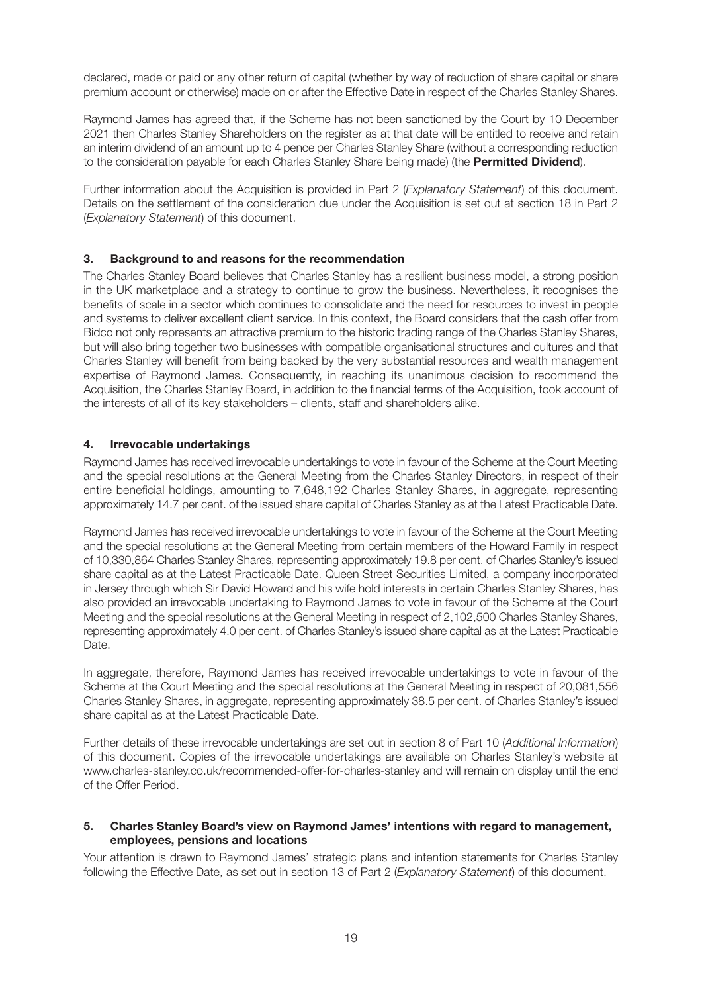declared, made or paid or any other return of capital (whether by way of reduction of share capital or share premium account or otherwise) made on or after the Effective Date in respect of the Charles Stanley Shares.

Raymond James has agreed that, if the Scheme has not been sanctioned by the Court by 10 December 2021 then Charles Stanley Shareholders on the register as at that date will be entitled to receive and retain an interim dividend of an amount up to 4 pence per Charles Stanley Share (without a corresponding reduction to the consideration payable for each Charles Stanley Share being made) (the **Permitted Dividend**).

Further information about the Acquisition is provided in Part 2 (*Explanatory Statement*) of this document. Details on the settlement of the consideration due under the Acquisition is set out at section 18 in Part 2 (*Explanatory Statement*) of this document.

## **3. Background to and reasons for the recommendation**

The Charles Stanley Board believes that Charles Stanley has a resilient business model, a strong position in the UK marketplace and a strategy to continue to grow the business. Nevertheless, it recognises the benefits of scale in a sector which continues to consolidate and the need for resources to invest in people and systems to deliver excellent client service. In this context, the Board considers that the cash offer from Bidco not only represents an attractive premium to the historic trading range of the Charles Stanley Shares, but will also bring together two businesses with compatible organisational structures and cultures and that Charles Stanley will benefit from being backed by the very substantial resources and wealth management expertise of Raymond James. Consequently, in reaching its unanimous decision to recommend the Acquisition, the Charles Stanley Board, in addition to the financial terms of the Acquisition, took account of the interests of all of its key stakeholders – clients, staff and shareholders alike.

## **4. Irrevocable undertakings**

Raymond James has received irrevocable undertakings to vote in favour of the Scheme at the Court Meeting and the special resolutions at the General Meeting from the Charles Stanley Directors, in respect of their entire beneficial holdings, amounting to 7,648,192 Charles Stanley Shares, in aggregate, representing approximately 14.7 per cent. of the issued share capital of Charles Stanley as at the Latest Practicable Date.

Raymond James has received irrevocable undertakings to vote in favour of the Scheme at the Court Meeting and the special resolutions at the General Meeting from certain members of the Howard Family in respect of 10,330,864 Charles Stanley Shares, representing approximately 19.8 per cent. of Charles Stanley's issued share capital as at the Latest Practicable Date. Queen Street Securities Limited, a company incorporated in Jersey through which Sir David Howard and his wife hold interests in certain Charles Stanley Shares, has also provided an irrevocable undertaking to Raymond James to vote in favour of the Scheme at the Court Meeting and the special resolutions at the General Meeting in respect of 2,102,500 Charles Stanley Shares, representing approximately 4.0 per cent. of Charles Stanley's issued share capital as at the Latest Practicable Date.

In aggregate, therefore, Raymond James has received irrevocable undertakings to vote in favour of the Scheme at the Court Meeting and the special resolutions at the General Meeting in respect of 20,081,556 Charles Stanley Shares, in aggregate, representing approximately 38.5 per cent. of Charles Stanley's issued share capital as at the Latest Practicable Date.

Further details of these irrevocable undertakings are set out in section 8 of Part 10 (*Additional Information*) of this document. Copies of the irrevocable undertakings are available on Charles Stanley's website at www.charles-stanley.co.uk/recommended-offer-for-charles-stanley and will remain on display until the end of the Offer Period.

#### **5. Charles Stanley Board's view on Raymond James' intentions with regard to management, employees, pensions and locations**

Your attention is drawn to Raymond James' strategic plans and intention statements for Charles Stanley following the Effective Date, as set out in section 13 of Part 2 (*Explanatory Statement*) of this document.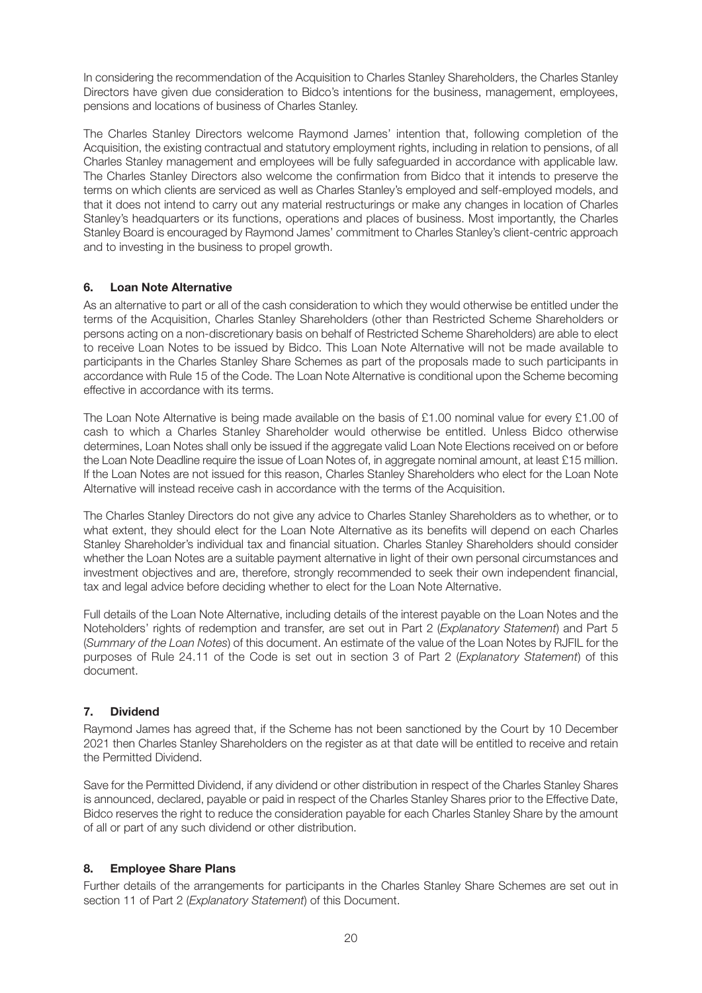In considering the recommendation of the Acquisition to Charles Stanley Shareholders, the Charles Stanley Directors have given due consideration to Bidco's intentions for the business, management, employees, pensions and locations of business of Charles Stanley.

The Charles Stanley Directors welcome Raymond James' intention that, following completion of the Acquisition, the existing contractual and statutory employment rights, including in relation to pensions, of all Charles Stanley management and employees will be fully safeguarded in accordance with applicable law. The Charles Stanley Directors also welcome the confirmation from Bidco that it intends to preserve the terms on which clients are serviced as well as Charles Stanley's employed and self-employed models, and that it does not intend to carry out any material restructurings or make any changes in location of Charles Stanley's headquarters or its functions, operations and places of business. Most importantly, the Charles Stanley Board is encouraged by Raymond James' commitment to Charles Stanley's client-centric approach and to investing in the business to propel growth.

## **6. Loan Note Alternative**

As an alternative to part or all of the cash consideration to which they would otherwise be entitled under the terms of the Acquisition, Charles Stanley Shareholders (other than Restricted Scheme Shareholders or persons acting on a non-discretionary basis on behalf of Restricted Scheme Shareholders) are able to elect to receive Loan Notes to be issued by Bidco. This Loan Note Alternative will not be made available to participants in the Charles Stanley Share Schemes as part of the proposals made to such participants in accordance with Rule 15 of the Code. The Loan Note Alternative is conditional upon the Scheme becoming effective in accordance with its terms.

The Loan Note Alternative is being made available on the basis of £1.00 nominal value for every £1.00 of cash to which a Charles Stanley Shareholder would otherwise be entitled. Unless Bidco otherwise determines, Loan Notes shall only be issued if the aggregate valid Loan Note Elections received on or before the Loan Note Deadline require the issue of Loan Notes of, in aggregate nominal amount, at least £15 million. If the Loan Notes are not issued for this reason, Charles Stanley Shareholders who elect for the Loan Note Alternative will instead receive cash in accordance with the terms of the Acquisition.

The Charles Stanley Directors do not give any advice to Charles Stanley Shareholders as to whether, or to what extent, they should elect for the Loan Note Alternative as its benefits will depend on each Charles Stanley Shareholder's individual tax and financial situation. Charles Stanley Shareholders should consider whether the Loan Notes are a suitable payment alternative in light of their own personal circumstances and investment objectives and are, therefore, strongly recommended to seek their own independent financial, tax and legal advice before deciding whether to elect for the Loan Note Alternative.

Full details of the Loan Note Alternative, including details of the interest payable on the Loan Notes and the Noteholders' rights of redemption and transfer, are set out in Part 2 (*Explanatory Statement*) and Part 5 (*Summary of the Loan Notes*) of this document. An estimate of the value of the Loan Notes by RJFIL for the purposes of Rule 24.11 of the Code is set out in section 3 of Part 2 (*Explanatory Statement*) of this document.

## **7. Dividend**

Raymond James has agreed that, if the Scheme has not been sanctioned by the Court by 10 December 2021 then Charles Stanley Shareholders on the register as at that date will be entitled to receive and retain the Permitted Dividend.

Save for the Permitted Dividend, if any dividend or other distribution in respect of the Charles Stanley Shares is announced, declared, payable or paid in respect of the Charles Stanley Shares prior to the Effective Date, Bidco reserves the right to reduce the consideration payable for each Charles Stanley Share by the amount of all or part of any such dividend or other distribution.

## **8. Employee Share Plans**

Further details of the arrangements for participants in the Charles Stanley Share Schemes are set out in section 11 of Part 2 (*Explanatory Statement*) of this Document.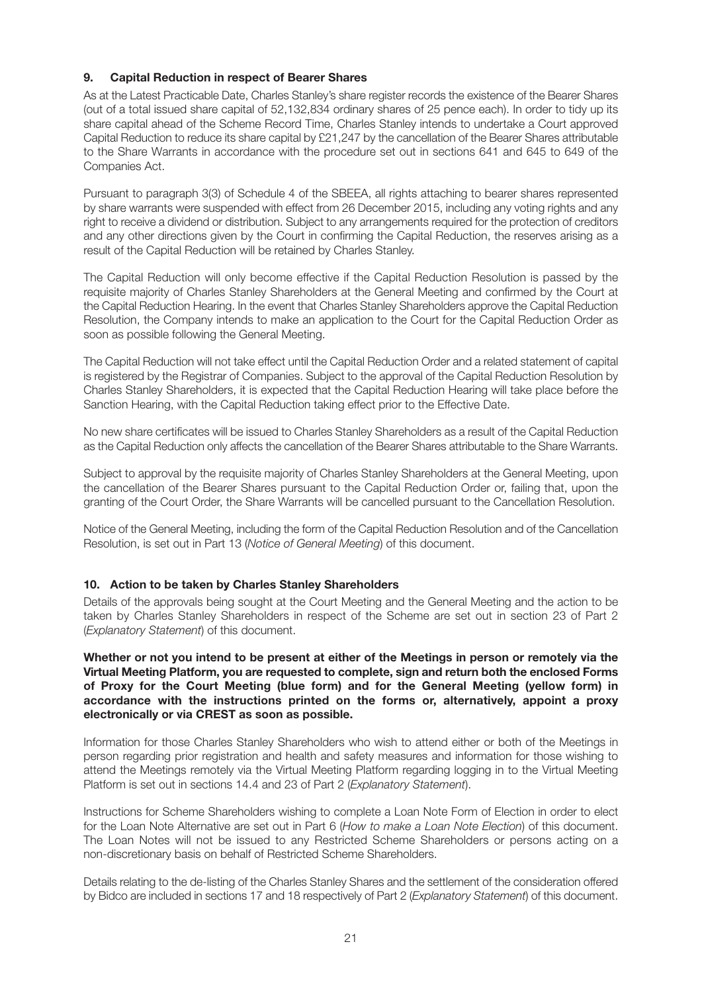## **9. Capital Reduction in respect of Bearer Shares**

As at the Latest Practicable Date, Charles Stanley's share register records the existence of the Bearer Shares (out of a total issued share capital of 52,132,834 ordinary shares of 25 pence each). In order to tidy up its share capital ahead of the Scheme Record Time, Charles Stanley intends to undertake a Court approved Capital Reduction to reduce its share capital by £21,247 by the cancellation of the Bearer Shares attributable to the Share Warrants in accordance with the procedure set out in sections 641 and 645 to 649 of the Companies Act.

Pursuant to paragraph 3(3) of Schedule 4 of the SBEEA, all rights attaching to bearer shares represented by share warrants were suspended with effect from 26 December 2015, including any voting rights and any right to receive a dividend or distribution. Subject to any arrangements required for the protection of creditors and any other directions given by the Court in confirming the Capital Reduction, the reserves arising as a result of the Capital Reduction will be retained by Charles Stanley.

The Capital Reduction will only become effective if the Capital Reduction Resolution is passed by the requisite majority of Charles Stanley Shareholders at the General Meeting and confirmed by the Court at the Capital Reduction Hearing. In the event that Charles Stanley Shareholders approve the Capital Reduction Resolution, the Company intends to make an application to the Court for the Capital Reduction Order as soon as possible following the General Meeting.

The Capital Reduction will not take effect until the Capital Reduction Order and a related statement of capital is registered by the Registrar of Companies. Subject to the approval of the Capital Reduction Resolution by Charles Stanley Shareholders, it is expected that the Capital Reduction Hearing will take place before the Sanction Hearing, with the Capital Reduction taking effect prior to the Effective Date.

No new share certificates will be issued to Charles Stanley Shareholders as a result of the Capital Reduction as the Capital Reduction only affects the cancellation of the Bearer Shares attributable to the Share Warrants.

Subject to approval by the requisite majority of Charles Stanley Shareholders at the General Meeting, upon the cancellation of the Bearer Shares pursuant to the Capital Reduction Order or, failing that, upon the granting of the Court Order, the Share Warrants will be cancelled pursuant to the Cancellation Resolution.

Notice of the General Meeting, including the form of the Capital Reduction Resolution and of the Cancellation Resolution, is set out in Part 13 (*Notice of General Meeting*) of this document.

## **10. Action to be taken by Charles Stanley Shareholders**

Details of the approvals being sought at the Court Meeting and the General Meeting and the action to be taken by Charles Stanley Shareholders in respect of the Scheme are set out in section 23 of Part 2 (*Explanatory Statement*) of this document.

## **Whether or not you intend to be present at either of the Meetings in person or remotely via the Virtual Meeting Platform, you are requested to complete, sign and return both the enclosed Forms of Proxy for the Court Meeting (blue form) and for the General Meeting (yellow form) in accordance with the instructions printed on the forms or, alternatively, appoint a proxy electronically or via CREST as soon as possible.**

Information for those Charles Stanley Shareholders who wish to attend either or both of the Meetings in person regarding prior registration and health and safety measures and information for those wishing to attend the Meetings remotely via the Virtual Meeting Platform regarding logging in to the Virtual Meeting Platform is set out in sections 14.4 and 23 of Part 2 (*Explanatory Statement*).

Instructions for Scheme Shareholders wishing to complete a Loan Note Form of Election in order to elect for the Loan Note Alternative are set out in Part 6 (*How to make a Loan Note Election*) of this document. The Loan Notes will not be issued to any Restricted Scheme Shareholders or persons acting on a non-discretionary basis on behalf of Restricted Scheme Shareholders.

Details relating to the de-listing of the Charles Stanley Shares and the settlement of the consideration offered by Bidco are included in sections 17 and 18 respectively of Part 2 (*Explanatory Statement*) of this document.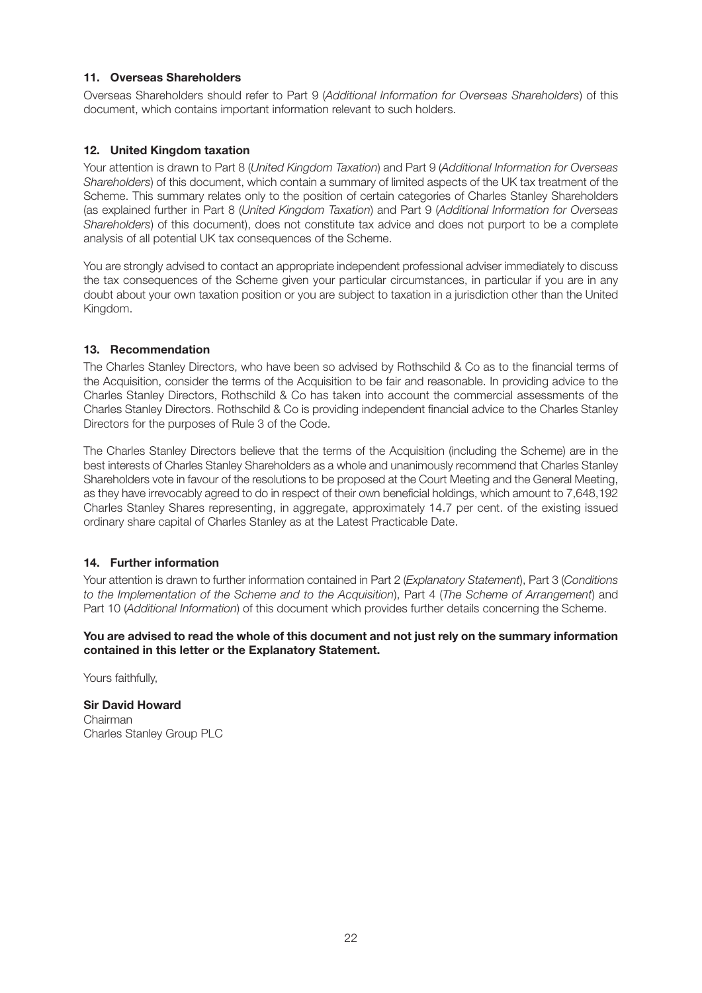## **11. Overseas Shareholders**

Overseas Shareholders should refer to Part 9 (*Additional Information for Overseas Shareholders*) of this document, which contains important information relevant to such holders.

## **12. United Kingdom taxation**

Your attention is drawn to Part 8 (*United Kingdom Taxation*) and Part 9 (*Additional Information for Overseas Shareholders*) of this document, which contain a summary of limited aspects of the UK tax treatment of the Scheme. This summary relates only to the position of certain categories of Charles Stanley Shareholders (as explained further in Part 8 (*United Kingdom Taxation*) and Part 9 (*Additional Information for Overseas Shareholders*) of this document), does not constitute tax advice and does not purport to be a complete analysis of all potential UK tax consequences of the Scheme.

You are strongly advised to contact an appropriate independent professional adviser immediately to discuss the tax consequences of the Scheme given your particular circumstances, in particular if you are in any doubt about your own taxation position or you are subject to taxation in a jurisdiction other than the United Kingdom.

## **13. Recommendation**

The Charles Stanley Directors, who have been so advised by Rothschild & Co as to the financial terms of the Acquisition, consider the terms of the Acquisition to be fair and reasonable. In providing advice to the Charles Stanley Directors, Rothschild & Co has taken into account the commercial assessments of the Charles Stanley Directors. Rothschild & Co is providing independent financial advice to the Charles Stanley Directors for the purposes of Rule 3 of the Code.

The Charles Stanley Directors believe that the terms of the Acquisition (including the Scheme) are in the best interests of Charles Stanley Shareholders as a whole and unanimously recommend that Charles Stanley Shareholders vote in favour of the resolutions to be proposed at the Court Meeting and the General Meeting, as they have irrevocably agreed to do in respect of their own beneficial holdings, which amount to 7,648,192 Charles Stanley Shares representing, in aggregate, approximately 14.7 per cent. of the existing issued ordinary share capital of Charles Stanley as at the Latest Practicable Date.

## **14. Further information**

Your attention is drawn to further information contained in Part 2 (*Explanatory Statement*), Part 3 (*Conditions to the Implementation of the Scheme and to the Acquisition*), Part 4 (*The Scheme of Arrangement*) and Part 10 (*Additional Information*) of this document which provides further details concerning the Scheme.

## **You are advised to read the whole of this document and not just rely on the summary information contained in this letter or the Explanatory Statement.**

Yours faithfully,

**Sir David Howard** Chairman Charles Stanley Group PLC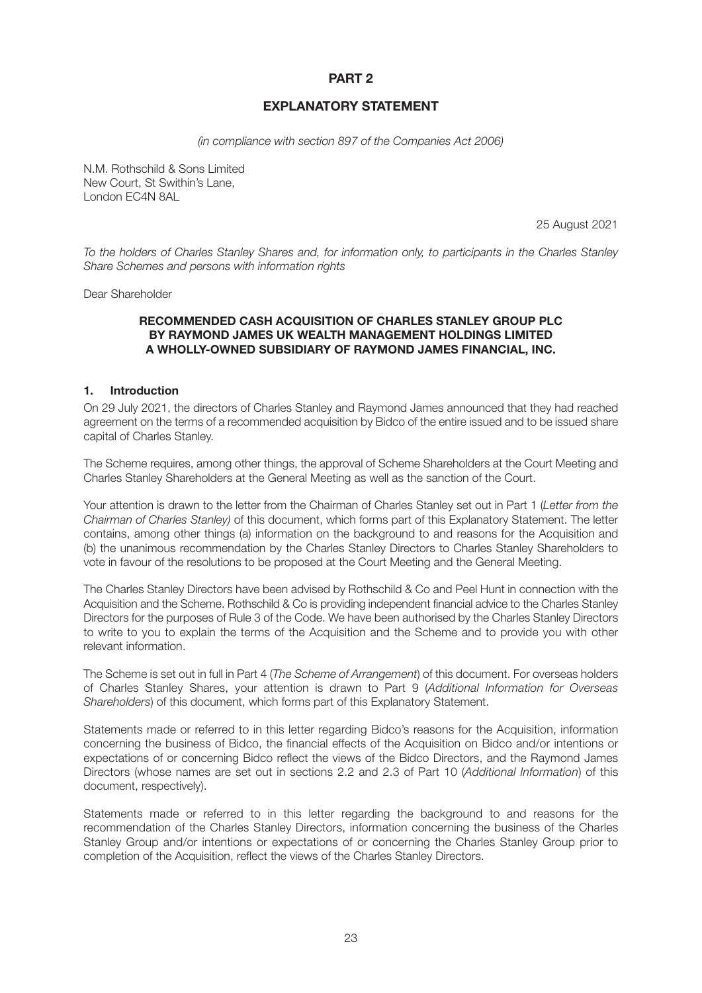## **PART 2**

## **EXPLANATORY STATEMENT**

*(in compliance with section 897 of the Companies Act 2006)*

N.M. Rothschild & Sons Limited New Court, St Swithin's Lane, London EC4N 8AL

25 August 2021

*To the holders of Charles Stanley Shares and, for information only, to participants in the Charles Stanley Share Schemes and persons with information rights*

Dear Shareholder

## **RECOMMENDED CASH ACQUISITION OF CHARLES STANLEY GROUP PLC BY RAYMOND JAMES UK WEALTH MANAGEMENT HOLDINGS LIMITED A WHOLLY-OWNED SUBSIDIARY OF RAYMOND JAMES FINANCIAL, INC.**

## **1. Introduction**

On 29 July 2021, the directors of Charles Stanley and Raymond James announced that they had reached agreement on the terms of a recommended acquisition by Bidco of the entire issued and to be issued share capital of Charles Stanley.

The Scheme requires, among other things, the approval of Scheme Shareholders at the Court Meeting and Charles Stanley Shareholders at the General Meeting as well as the sanction of the Court.

Your attention is drawn to the letter from the Chairman of Charles Stanley set out in Part 1 (*Letter from the Chairman of Charles Stanley)* of this document, which forms part of this Explanatory Statement. The letter contains, among other things (a) information on the background to and reasons for the Acquisition and (b) the unanimous recommendation by the Charles Stanley Directors to Charles Stanley Shareholders to vote in favour of the resolutions to be proposed at the Court Meeting and the General Meeting.

The Charles Stanley Directors have been advised by Rothschild & Co and Peel Hunt in connection with the Acquisition and the Scheme. Rothschild & Co is providing independent financial advice to the Charles Stanley Directors for the purposes of Rule 3 of the Code. We have been authorised by the Charles Stanley Directors to write to you to explain the terms of the Acquisition and the Scheme and to provide you with other relevant information.

The Scheme is set out in full in Part 4 (*The Scheme of Arrangement*) of this document. For overseas holders of Charles Stanley Shares, your attention is drawn to Part 9 (*Additional Information for Overseas Shareholders*) of this document, which forms part of this Explanatory Statement.

Statements made or referred to in this letter regarding Bidco's reasons for the Acquisition, information concerning the business of Bidco, the financial effects of the Acquisition on Bidco and/or intentions or expectations of or concerning Bidco reflect the views of the Bidco Directors, and the Raymond James Directors (whose names are set out in sections 2.2 and 2.3 of Part 10 (*Additional Information*) of this document, respectively).

Statements made or referred to in this letter regarding the background to and reasons for the recommendation of the Charles Stanley Directors, information concerning the business of the Charles Stanley Group and/or intentions or expectations of or concerning the Charles Stanley Group prior to completion of the Acquisition, reflect the views of the Charles Stanley Directors.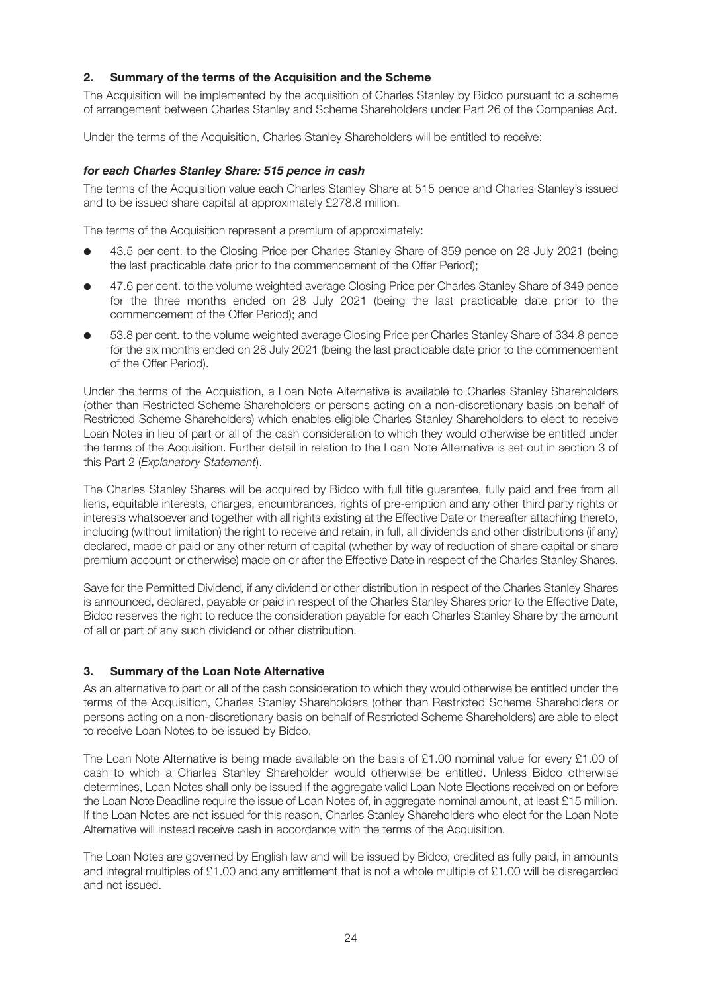## **2. Summary of the terms of the Acquisition and the Scheme**

The Acquisition will be implemented by the acquisition of Charles Stanley by Bidco pursuant to a scheme of arrangement between Charles Stanley and Scheme Shareholders under Part 26 of the Companies Act.

Under the terms of the Acquisition, Charles Stanley Shareholders will be entitled to receive:

## *for each Charles Stanley Share: 515 pence in cash*

The terms of the Acquisition value each Charles Stanley Share at 515 pence and Charles Stanley's issued and to be issued share capital at approximately £278.8 million.

The terms of the Acquisition represent a premium of approximately:

- l 43.5 per cent. to the Closing Price per Charles Stanley Share of 359 pence on 28 July 2021 (being the last practicable date prior to the commencement of the Offer Period);
- l 47.6 per cent. to the volume weighted average Closing Price per Charles Stanley Share of 349 pence for the three months ended on 28 July 2021 (being the last practicable date prior to the commencement of the Offer Period); and
- 53.8 per cent. to the volume weighted average Closing Price per Charles Stanley Share of 334.8 pence for the six months ended on 28 July 2021 (being the last practicable date prior to the commencement of the Offer Period).

Under the terms of the Acquisition, a Loan Note Alternative is available to Charles Stanley Shareholders (other than Restricted Scheme Shareholders or persons acting on a non-discretionary basis on behalf of Restricted Scheme Shareholders) which enables eligible Charles Stanley Shareholders to elect to receive Loan Notes in lieu of part or all of the cash consideration to which they would otherwise be entitled under the terms of the Acquisition. Further detail in relation to the Loan Note Alternative is set out in section 3 of this Part 2 (*Explanatory Statement*).

The Charles Stanley Shares will be acquired by Bidco with full title guarantee, fully paid and free from all liens, equitable interests, charges, encumbrances, rights of pre-emption and any other third party rights or interests whatsoever and together with all rights existing at the Effective Date or thereafter attaching thereto, including (without limitation) the right to receive and retain, in full, all dividends and other distributions (if any) declared, made or paid or any other return of capital (whether by way of reduction of share capital or share premium account or otherwise) made on or after the Effective Date in respect of the Charles Stanley Shares.

Save for the Permitted Dividend, if any dividend or other distribution in respect of the Charles Stanley Shares is announced, declared, payable or paid in respect of the Charles Stanley Shares prior to the Effective Date, Bidco reserves the right to reduce the consideration payable for each Charles Stanley Share by the amount of all or part of any such dividend or other distribution.

## **3. Summary of the Loan Note Alternative**

As an alternative to part or all of the cash consideration to which they would otherwise be entitled under the terms of the Acquisition, Charles Stanley Shareholders (other than Restricted Scheme Shareholders or persons acting on a non-discretionary basis on behalf of Restricted Scheme Shareholders) are able to elect to receive Loan Notes to be issued by Bidco.

The Loan Note Alternative is being made available on the basis of £1.00 nominal value for every £1.00 of cash to which a Charles Stanley Shareholder would otherwise be entitled. Unless Bidco otherwise determines, Loan Notes shall only be issued if the aggregate valid Loan Note Elections received on or before the Loan Note Deadline require the issue of Loan Notes of, in aggregate nominal amount, at least £15 million. If the Loan Notes are not issued for this reason, Charles Stanley Shareholders who elect for the Loan Note Alternative will instead receive cash in accordance with the terms of the Acquisition.

The Loan Notes are governed by English law and will be issued by Bidco, credited as fully paid, in amounts and integral multiples of £1.00 and any entitlement that is not a whole multiple of £1.00 will be disregarded and not issued.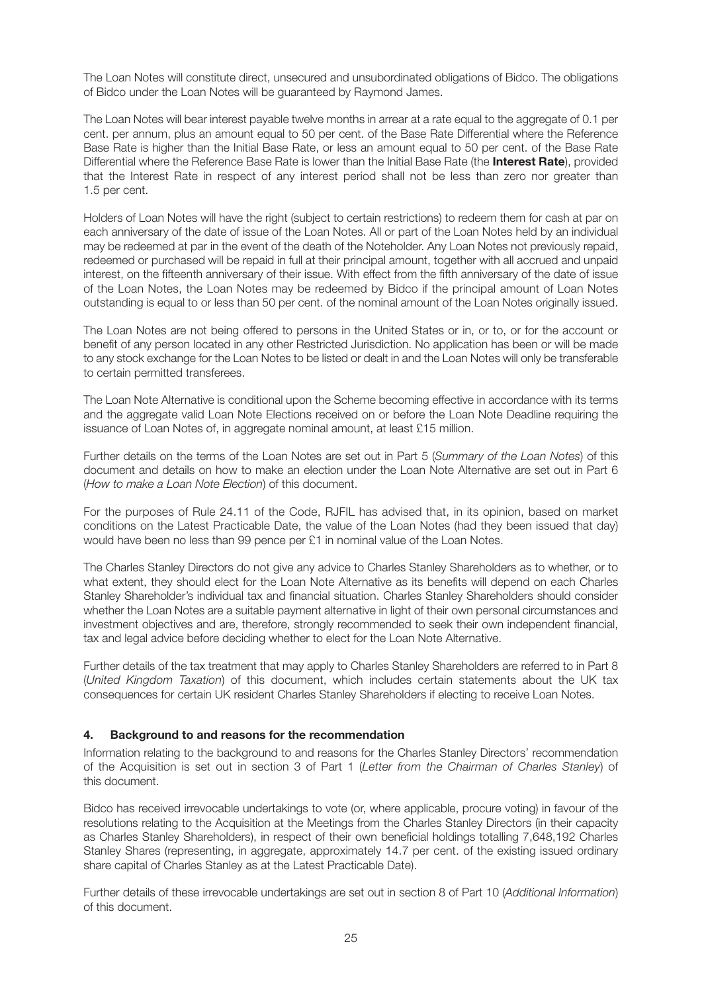The Loan Notes will constitute direct, unsecured and unsubordinated obligations of Bidco. The obligations of Bidco under the Loan Notes will be guaranteed by Raymond James.

The Loan Notes will bear interest payable twelve months in arrear at a rate equal to the aggregate of 0.1 per cent. per annum, plus an amount equal to 50 per cent. of the Base Rate Differential where the Reference Base Rate is higher than the Initial Base Rate, or less an amount equal to 50 per cent. of the Base Rate Differential where the Reference Base Rate is lower than the Initial Base Rate (the **Interest Rate**), provided that the Interest Rate in respect of any interest period shall not be less than zero nor greater than 1.5 per cent.

Holders of Loan Notes will have the right (subject to certain restrictions) to redeem them for cash at par on each anniversary of the date of issue of the Loan Notes. All or part of the Loan Notes held by an individual may be redeemed at par in the event of the death of the Noteholder. Any Loan Notes not previously repaid, redeemed or purchased will be repaid in full at their principal amount, together with all accrued and unpaid interest, on the fifteenth anniversary of their issue. With effect from the fifth anniversary of the date of issue of the Loan Notes, the Loan Notes may be redeemed by Bidco if the principal amount of Loan Notes outstanding is equal to or less than 50 per cent. of the nominal amount of the Loan Notes originally issued.

The Loan Notes are not being offered to persons in the United States or in, or to, or for the account or benefit of any person located in any other Restricted Jurisdiction. No application has been or will be made to any stock exchange for the Loan Notes to be listed or dealt in and the Loan Notes will only be transferable to certain permitted transferees.

The Loan Note Alternative is conditional upon the Scheme becoming effective in accordance with its terms and the aggregate valid Loan Note Elections received on or before the Loan Note Deadline requiring the issuance of Loan Notes of, in aggregate nominal amount, at least £15 million.

Further details on the terms of the Loan Notes are set out in Part 5 (*Summary of the Loan Notes*) of this document and details on how to make an election under the Loan Note Alternative are set out in Part 6 (*How to make a Loan Note Election*) of this document.

For the purposes of Rule 24.11 of the Code, RJFIL has advised that, in its opinion, based on market conditions on the Latest Practicable Date, the value of the Loan Notes (had they been issued that day) would have been no less than 99 pence per £1 in nominal value of the Loan Notes.

The Charles Stanley Directors do not give any advice to Charles Stanley Shareholders as to whether, or to what extent, they should elect for the Loan Note Alternative as its benefits will depend on each Charles Stanley Shareholder's individual tax and financial situation. Charles Stanley Shareholders should consider whether the Loan Notes are a suitable payment alternative in light of their own personal circumstances and investment objectives and are, therefore, strongly recommended to seek their own independent financial, tax and legal advice before deciding whether to elect for the Loan Note Alternative.

Further details of the tax treatment that may apply to Charles Stanley Shareholders are referred to in Part 8 (*United Kingdom Taxation*) of this document, which includes certain statements about the UK tax consequences for certain UK resident Charles Stanley Shareholders if electing to receive Loan Notes.

## **4. Background to and reasons for the recommendation**

Information relating to the background to and reasons for the Charles Stanley Directors' recommendation of the Acquisition is set out in section 3 of Part 1 (*Letter from the Chairman of Charles Stanley*) of this document.

Bidco has received irrevocable undertakings to vote (or, where applicable, procure voting) in favour of the resolutions relating to the Acquisition at the Meetings from the Charles Stanley Directors (in their capacity as Charles Stanley Shareholders), in respect of their own beneficial holdings totalling 7,648,192 Charles Stanley Shares (representing, in aggregate, approximately 14.7 per cent. of the existing issued ordinary share capital of Charles Stanley as at the Latest Practicable Date).

Further details of these irrevocable undertakings are set out in section 8 of Part 10 (*Additional Information*) of this document.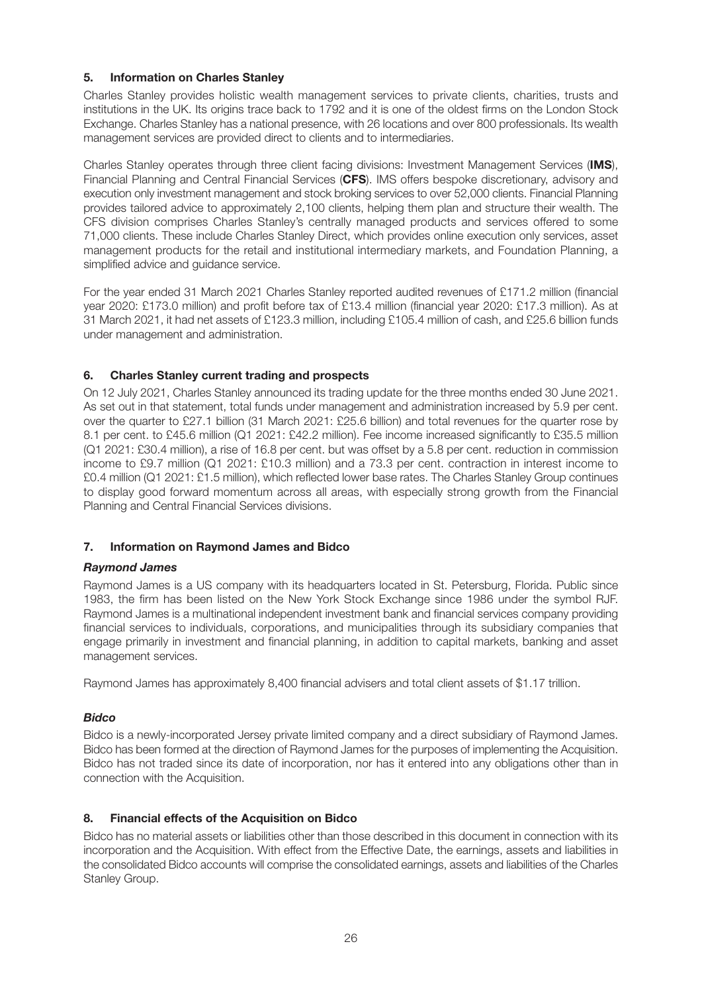## **5. Information on Charles Stanley**

Charles Stanley provides holistic wealth management services to private clients, charities, trusts and institutions in the UK. Its origins trace back to 1792 and it is one of the oldest firms on the London Stock Exchange. Charles Stanley has a national presence, with 26 locations and over 800 professionals. Its wealth management services are provided direct to clients and to intermediaries.

Charles Stanley operates through three client facing divisions: Investment Management Services (**IMS**), Financial Planning and Central Financial Services (**CFS**). IMS offers bespoke discretionary, advisory and execution only investment management and stock broking services to over 52,000 clients. Financial Planning provides tailored advice to approximately 2,100 clients, helping them plan and structure their wealth. The CFS division comprises Charles Stanley's centrally managed products and services offered to some 71,000 clients. These include Charles Stanley Direct, which provides online execution only services, asset management products for the retail and institutional intermediary markets, and Foundation Planning, a simplified advice and guidance service.

For the year ended 31 March 2021 Charles Stanley reported audited revenues of £171.2 million (financial year 2020: £173.0 million) and profit before tax of £13.4 million (financial year 2020: £17.3 million). As at 31 March 2021, it had net assets of £123.3 million, including £105.4 million of cash, and £25.6 billion funds under management and administration.

## **6. Charles Stanley current trading and prospects**

On 12 July 2021, Charles Stanley announced its trading update for the three months ended 30 June 2021. As set out in that statement, total funds under management and administration increased by 5.9 per cent. over the quarter to £27.1 billion (31 March 2021: £25.6 billion) and total revenues for the quarter rose by 8.1 per cent. to £45.6 million (Q1 2021: £42.2 million). Fee income increased significantly to £35.5 million (Q1 2021: £30.4 million), a rise of 16.8 per cent. but was offset by a 5.8 per cent. reduction in commission income to £9.7 million (Q1 2021: £10.3 million) and a 73.3 per cent. contraction in interest income to £0.4 million (Q1 2021: £1.5 million), which reflected lower base rates. The Charles Stanley Group continues to display good forward momentum across all areas, with especially strong growth from the Financial Planning and Central Financial Services divisions.

## **7. Information on Raymond James and Bidco**

## *Raymond James*

Raymond James is a US company with its headquarters located in St. Petersburg, Florida. Public since 1983, the firm has been listed on the New York Stock Exchange since 1986 under the symbol RJF. Raymond James is a multinational independent investment bank and financial services company providing financial services to individuals, corporations, and municipalities through its subsidiary companies that engage primarily in investment and financial planning, in addition to capital markets, banking and asset management services.

Raymond James has approximately 8,400 financial advisers and total client assets of \$1.17 trillion.

## *Bidco*

Bidco is a newly-incorporated Jersey private limited company and a direct subsidiary of Raymond James. Bidco has been formed at the direction of Raymond James for the purposes of implementing the Acquisition. Bidco has not traded since its date of incorporation, nor has it entered into any obligations other than in connection with the Acquisition.

## **8. Financial effects of the Acquisition on Bidco**

Bidco has no material assets or liabilities other than those described in this document in connection with its incorporation and the Acquisition. With effect from the Effective Date, the earnings, assets and liabilities in the consolidated Bidco accounts will comprise the consolidated earnings, assets and liabilities of the Charles Stanley Group.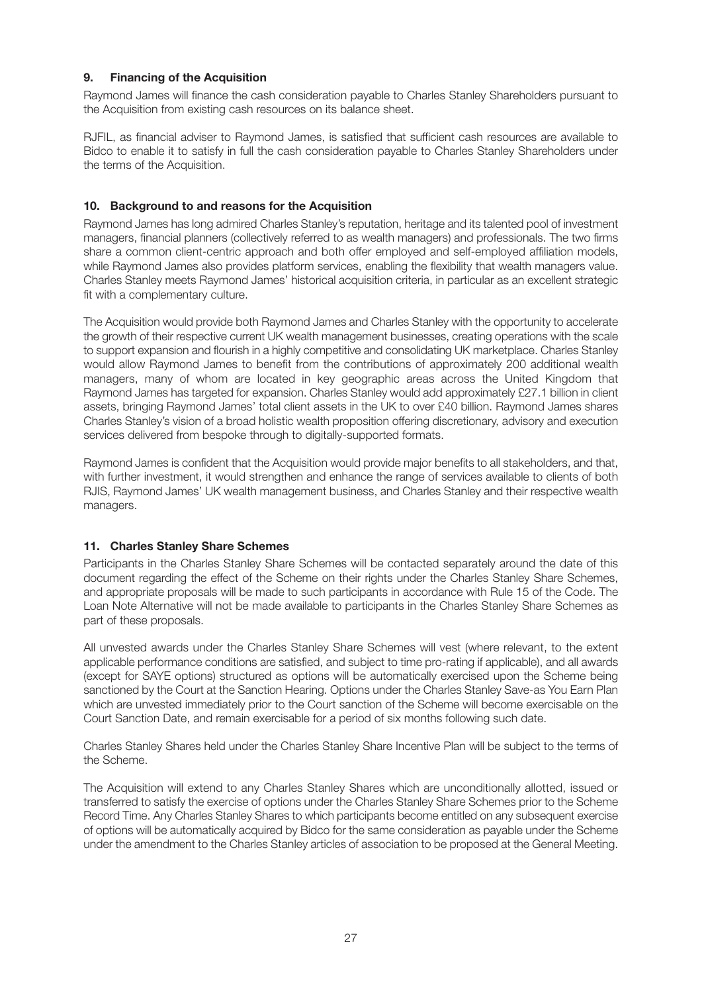## **9. Financing of the Acquisition**

Raymond James will finance the cash consideration payable to Charles Stanley Shareholders pursuant to the Acquisition from existing cash resources on its balance sheet.

RJFIL, as financial adviser to Raymond James, is satisfied that sufficient cash resources are available to Bidco to enable it to satisfy in full the cash consideration payable to Charles Stanley Shareholders under the terms of the Acquisition.

## **10. Background to and reasons for the Acquisition**

Raymond James has long admired Charles Stanley's reputation, heritage and its talented pool of investment managers, financial planners (collectively referred to as wealth managers) and professionals. The two firms share a common client-centric approach and both offer employed and self-employed affiliation models, while Raymond James also provides platform services, enabling the flexibility that wealth managers value. Charles Stanley meets Raymond James' historical acquisition criteria, in particular as an excellent strategic fit with a complementary culture.

The Acquisition would provide both Raymond James and Charles Stanley with the opportunity to accelerate the growth of their respective current UK wealth management businesses, creating operations with the scale to support expansion and flourish in a highly competitive and consolidating UK marketplace. Charles Stanley would allow Raymond James to benefit from the contributions of approximately 200 additional wealth managers, many of whom are located in key geographic areas across the United Kingdom that Raymond James has targeted for expansion. Charles Stanley would add approximately £27.1 billion in client assets, bringing Raymond James' total client assets in the UK to over £40 billion. Raymond James shares Charles Stanley's vision of a broad holistic wealth proposition offering discretionary, advisory and execution services delivered from bespoke through to digitally-supported formats.

Raymond James is confident that the Acquisition would provide major benefits to all stakeholders, and that, with further investment, it would strengthen and enhance the range of services available to clients of both RJIS, Raymond James' UK wealth management business, and Charles Stanley and their respective wealth managers.

## **11. Charles Stanley Share Schemes**

Participants in the Charles Stanley Share Schemes will be contacted separately around the date of this document regarding the effect of the Scheme on their rights under the Charles Stanley Share Schemes, and appropriate proposals will be made to such participants in accordance with Rule 15 of the Code. The Loan Note Alternative will not be made available to participants in the Charles Stanley Share Schemes as part of these proposals.

All unvested awards under the Charles Stanley Share Schemes will vest (where relevant, to the extent applicable performance conditions are satisfied, and subject to time pro-rating if applicable), and all awards (except for SAYE options) structured as options will be automatically exercised upon the Scheme being sanctioned by the Court at the Sanction Hearing. Options under the Charles Stanley Save-as You Earn Plan which are unvested immediately prior to the Court sanction of the Scheme will become exercisable on the Court Sanction Date, and remain exercisable for a period of six months following such date.

Charles Stanley Shares held under the Charles Stanley Share Incentive Plan will be subject to the terms of the Scheme.

The Acquisition will extend to any Charles Stanley Shares which are unconditionally allotted, issued or transferred to satisfy the exercise of options under the Charles Stanley Share Schemes prior to the Scheme Record Time. Any Charles Stanley Shares to which participants become entitled on any subsequent exercise of options will be automatically acquired by Bidco for the same consideration as payable under the Scheme under the amendment to the Charles Stanley articles of association to be proposed at the General Meeting.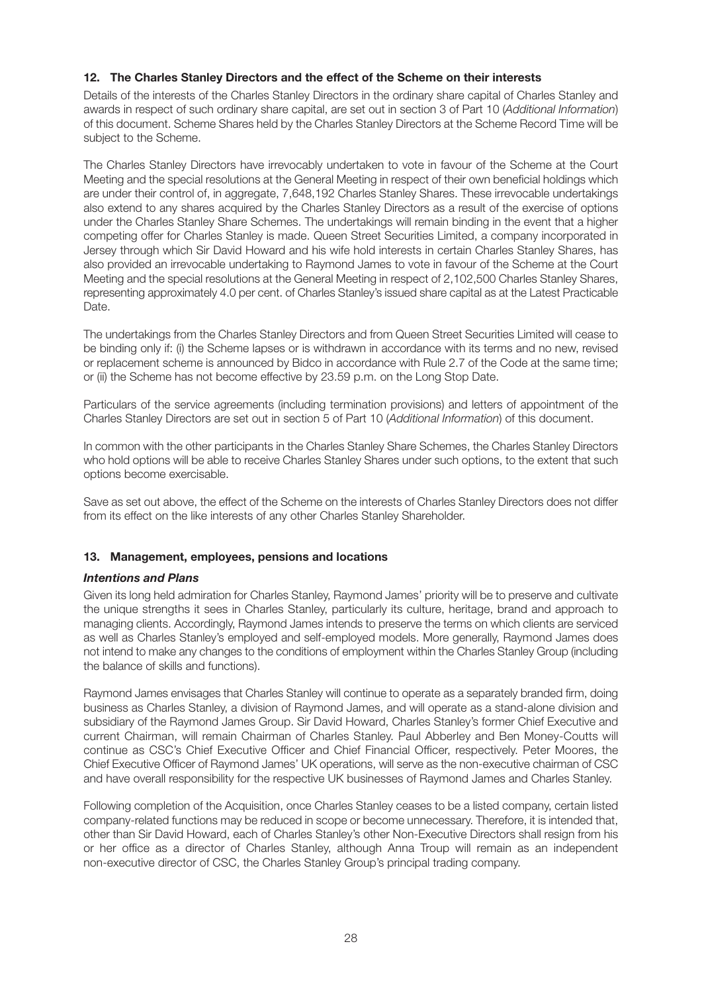## **12. The Charles Stanley Directors and the effect of the Scheme on their interests**

Details of the interests of the Charles Stanley Directors in the ordinary share capital of Charles Stanley and awards in respect of such ordinary share capital, are set out in section 3 of Part 10 (*Additional Information*) of this document. Scheme Shares held by the Charles Stanley Directors at the Scheme Record Time will be subject to the Scheme.

The Charles Stanley Directors have irrevocably undertaken to vote in favour of the Scheme at the Court Meeting and the special resolutions at the General Meeting in respect of their own beneficial holdings which are under their control of, in aggregate, 7,648,192 Charles Stanley Shares. These irrevocable undertakings also extend to any shares acquired by the Charles Stanley Directors as a result of the exercise of options under the Charles Stanley Share Schemes. The undertakings will remain binding in the event that a higher competing offer for Charles Stanley is made. Queen Street Securities Limited, a company incorporated in Jersey through which Sir David Howard and his wife hold interests in certain Charles Stanley Shares, has also provided an irrevocable undertaking to Raymond James to vote in favour of the Scheme at the Court Meeting and the special resolutions at the General Meeting in respect of 2,102,500 Charles Stanley Shares, representing approximately 4.0 per cent. of Charles Stanley's issued share capital as at the Latest Practicable Date.

The undertakings from the Charles Stanley Directors and from Queen Street Securities Limited will cease to be binding only if: (i) the Scheme lapses or is withdrawn in accordance with its terms and no new, revised or replacement scheme is announced by Bidco in accordance with Rule 2.7 of the Code at the same time; or (ii) the Scheme has not become effective by 23.59 p.m. on the Long Stop Date.

Particulars of the service agreements (including termination provisions) and letters of appointment of the Charles Stanley Directors are set out in section 5 of Part 10 (*Additional Information*) of this document.

In common with the other participants in the Charles Stanley Share Schemes, the Charles Stanley Directors who hold options will be able to receive Charles Stanley Shares under such options, to the extent that such options become exercisable.

Save as set out above, the effect of the Scheme on the interests of Charles Stanley Directors does not differ from its effect on the like interests of any other Charles Stanley Shareholder.

## **13. Management, employees, pensions and locations**

## *Intentions and Plans*

Given its long held admiration for Charles Stanley, Raymond James' priority will be to preserve and cultivate the unique strengths it sees in Charles Stanley, particularly its culture, heritage, brand and approach to managing clients. Accordingly, Raymond James intends to preserve the terms on which clients are serviced as well as Charles Stanley's employed and self-employed models. More generally, Raymond James does not intend to make any changes to the conditions of employment within the Charles Stanley Group (including the balance of skills and functions).

Raymond James envisages that Charles Stanley will continue to operate as a separately branded firm, doing business as Charles Stanley, a division of Raymond James, and will operate as a stand-alone division and subsidiary of the Raymond James Group. Sir David Howard, Charles Stanley's former Chief Executive and current Chairman, will remain Chairman of Charles Stanley. Paul Abberley and Ben Money-Coutts will continue as CSC's Chief Executive Officer and Chief Financial Officer, respectively. Peter Moores, the Chief Executive Officer of Raymond James' UK operations, will serve as the non-executive chairman of CSC and have overall responsibility for the respective UK businesses of Raymond James and Charles Stanley.

Following completion of the Acquisition, once Charles Stanley ceases to be a listed company, certain listed company-related functions may be reduced in scope or become unnecessary. Therefore, it is intended that, other than Sir David Howard, each of Charles Stanley's other Non-Executive Directors shall resign from his or her office as a director of Charles Stanley, although Anna Troup will remain as an independent non-executive director of CSC, the Charles Stanley Group's principal trading company.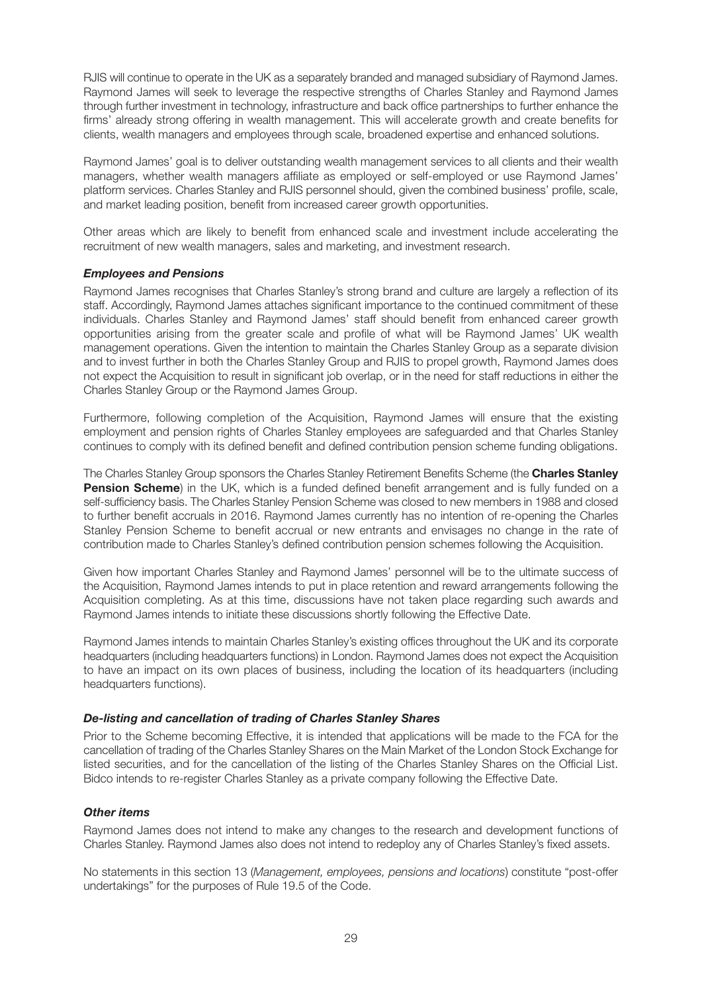RJIS will continue to operate in the UK as a separately branded and managed subsidiary of Raymond James. Raymond James will seek to leverage the respective strengths of Charles Stanley and Raymond James through further investment in technology, infrastructure and back office partnerships to further enhance the firms' already strong offering in wealth management. This will accelerate growth and create benefits for clients, wealth managers and employees through scale, broadened expertise and enhanced solutions.

Raymond James' goal is to deliver outstanding wealth management services to all clients and their wealth managers, whether wealth managers affiliate as employed or self-employed or use Raymond James' platform services. Charles Stanley and RJIS personnel should, given the combined business' profile, scale, and market leading position, benefit from increased career growth opportunities.

Other areas which are likely to benefit from enhanced scale and investment include accelerating the recruitment of new wealth managers, sales and marketing, and investment research.

## *Employees and Pensions*

Raymond James recognises that Charles Stanley's strong brand and culture are largely a reflection of its staff. Accordingly, Raymond James attaches significant importance to the continued commitment of these individuals. Charles Stanley and Raymond James' staff should benefit from enhanced career growth opportunities arising from the greater scale and profile of what will be Raymond James' UK wealth management operations. Given the intention to maintain the Charles Stanley Group as a separate division and to invest further in both the Charles Stanley Group and RJIS to propel growth, Raymond James does not expect the Acquisition to result in significant job overlap, or in the need for staff reductions in either the Charles Stanley Group or the Raymond James Group.

Furthermore, following completion of the Acquisition, Raymond James will ensure that the existing employment and pension rights of Charles Stanley employees are safeguarded and that Charles Stanley continues to comply with its defined benefit and defined contribution pension scheme funding obligations.

The Charles Stanley Group sponsors the Charles Stanley Retirement Benefits Scheme (the **Charles Stanley Pension Scheme**) in the UK, which is a funded defined benefit arrangement and is fully funded on a self-sufficiency basis. The Charles Stanley Pension Scheme was closed to new members in 1988 and closed to further benefit accruals in 2016. Raymond James currently has no intention of re-opening the Charles Stanley Pension Scheme to benefit accrual or new entrants and envisages no change in the rate of contribution made to Charles Stanley's defined contribution pension schemes following the Acquisition.

Given how important Charles Stanley and Raymond James' personnel will be to the ultimate success of the Acquisition, Raymond James intends to put in place retention and reward arrangements following the Acquisition completing. As at this time, discussions have not taken place regarding such awards and Raymond James intends to initiate these discussions shortly following the Effective Date.

Raymond James intends to maintain Charles Stanley's existing offices throughout the UK and its corporate headquarters (including headquarters functions) in London. Raymond James does not expect the Acquisition to have an impact on its own places of business, including the location of its headquarters (including headquarters functions).

#### *De-listing and cancellation of trading of Charles Stanley Shares*

Prior to the Scheme becoming Effective, it is intended that applications will be made to the FCA for the cancellation of trading of the Charles Stanley Shares on the Main Market of the London Stock Exchange for listed securities, and for the cancellation of the listing of the Charles Stanley Shares on the Official List. Bidco intends to re-register Charles Stanley as a private company following the Effective Date.

#### *Other items*

Raymond James does not intend to make any changes to the research and development functions of Charles Stanley. Raymond James also does not intend to redeploy any of Charles Stanley's fixed assets.

No statements in this section 13 (*Management, employees, pensions and locations*) constitute "post-offer undertakings" for the purposes of Rule 19.5 of the Code.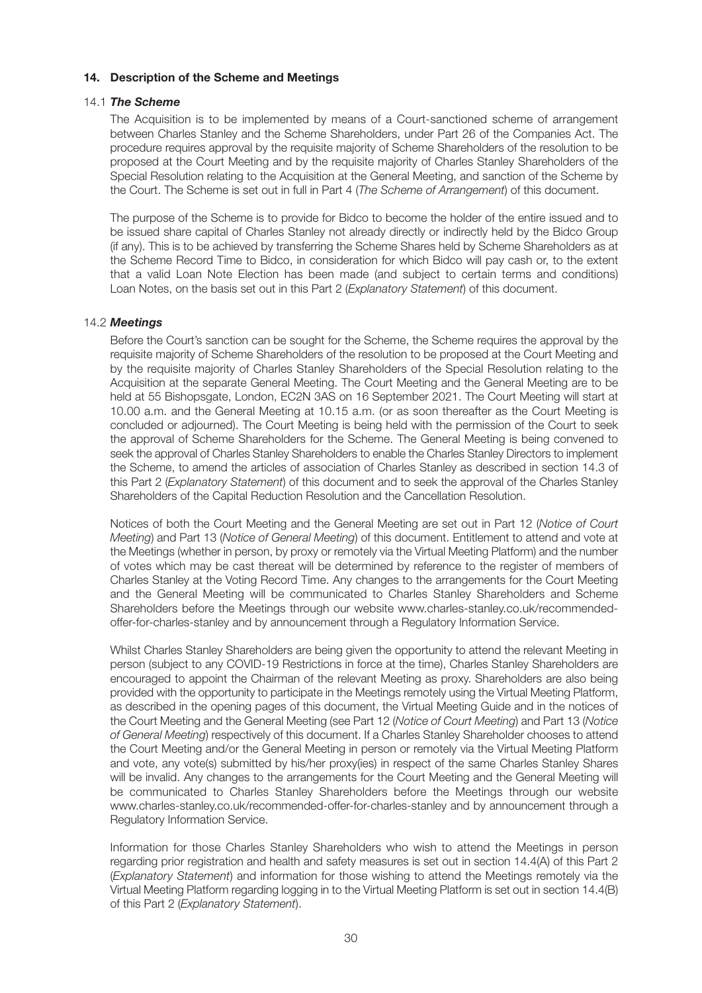## **14. Description of the Scheme and Meetings**

## 14.1 *The Scheme*

 The Acquisition is to be implemented by means of a Court-sanctioned scheme of arrangement between Charles Stanley and the Scheme Shareholders, under Part 26 of the Companies Act. The procedure requires approval by the requisite majority of Scheme Shareholders of the resolution to be proposed at the Court Meeting and by the requisite majority of Charles Stanley Shareholders of the Special Resolution relating to the Acquisition at the General Meeting, and sanction of the Scheme by the Court. The Scheme is set out in full in Part 4 (*The Scheme of Arrangement*) of this document.

 The purpose of the Scheme is to provide for Bidco to become the holder of the entire issued and to be issued share capital of Charles Stanley not already directly or indirectly held by the Bidco Group (if any). This is to be achieved by transferring the Scheme Shares held by Scheme Shareholders as at the Scheme Record Time to Bidco, in consideration for which Bidco will pay cash or, to the extent that a valid Loan Note Election has been made (and subject to certain terms and conditions) Loan Notes, on the basis set out in this Part 2 (*Explanatory Statement*) of this document.

## 14.2 *Meetings*

 Before the Court's sanction can be sought for the Scheme, the Scheme requires the approval by the requisite majority of Scheme Shareholders of the resolution to be proposed at the Court Meeting and by the requisite majority of Charles Stanley Shareholders of the Special Resolution relating to the Acquisition at the separate General Meeting. The Court Meeting and the General Meeting are to be held at 55 Bishopsgate, London, EC2N 3AS on 16 September 2021. The Court Meeting will start at 10.00 a.m. and the General Meeting at 10.15 a.m. (or as soon thereafter as the Court Meeting is concluded or adjourned). The Court Meeting is being held with the permission of the Court to seek the approval of Scheme Shareholders for the Scheme. The General Meeting is being convened to seek the approval of Charles Stanley Shareholders to enable the Charles Stanley Directors to implement the Scheme, to amend the articles of association of Charles Stanley as described in section 14.3 of this Part 2 (*Explanatory Statement*) of this document and to seek the approval of the Charles Stanley Shareholders of the Capital Reduction Resolution and the Cancellation Resolution.

 Notices of both the Court Meeting and the General Meeting are set out in Part 12 (*Notice of Court Meeting*) and Part 13 (*Notice of General Meeting*) of this document. Entitlement to attend and vote at the Meetings (whether in person, by proxy or remotely via the Virtual Meeting Platform) and the number of votes which may be cast thereat will be determined by reference to the register of members of Charles Stanley at the Voting Record Time. Any changes to the arrangements for the Court Meeting and the General Meeting will be communicated to Charles Stanley Shareholders and Scheme Shareholders before the Meetings through our website www.charles-stanley.co.uk/recommendedoffer-for-charles-stanley and by announcement through a Regulatory Information Service.

 Whilst Charles Stanley Shareholders are being given the opportunity to attend the relevant Meeting in person (subject to any COVID-19 Restrictions in force at the time), Charles Stanley Shareholders are encouraged to appoint the Chairman of the relevant Meeting as proxy. Shareholders are also being provided with the opportunity to participate in the Meetings remotely using the Virtual Meeting Platform, as described in the opening pages of this document, the Virtual Meeting Guide and in the notices of the Court Meeting and the General Meeting (see Part 12 (*Notice of Court Meeting*) and Part 13 (*Notice of General Meeting*) respectively of this document. If a Charles Stanley Shareholder chooses to attend the Court Meeting and/or the General Meeting in person or remotely via the Virtual Meeting Platform and vote, any vote(s) submitted by his/her proxy(ies) in respect of the same Charles Stanley Shares will be invalid. Any changes to the arrangements for the Court Meeting and the General Meeting will be communicated to Charles Stanley Shareholders before the Meetings through our website www.charles-stanley.co.uk/recommended-offer-for-charles-stanley and by announcement through a Regulatory Information Service.

 Information for those Charles Stanley Shareholders who wish to attend the Meetings in person regarding prior registration and health and safety measures is set out in section 14.4(A) of this Part 2 (*Explanatory Statement*) and information for those wishing to attend the Meetings remotely via the Virtual Meeting Platform regarding logging in to the Virtual Meeting Platform is set out in section 14.4(B) of this Part 2 (*Explanatory Statement*).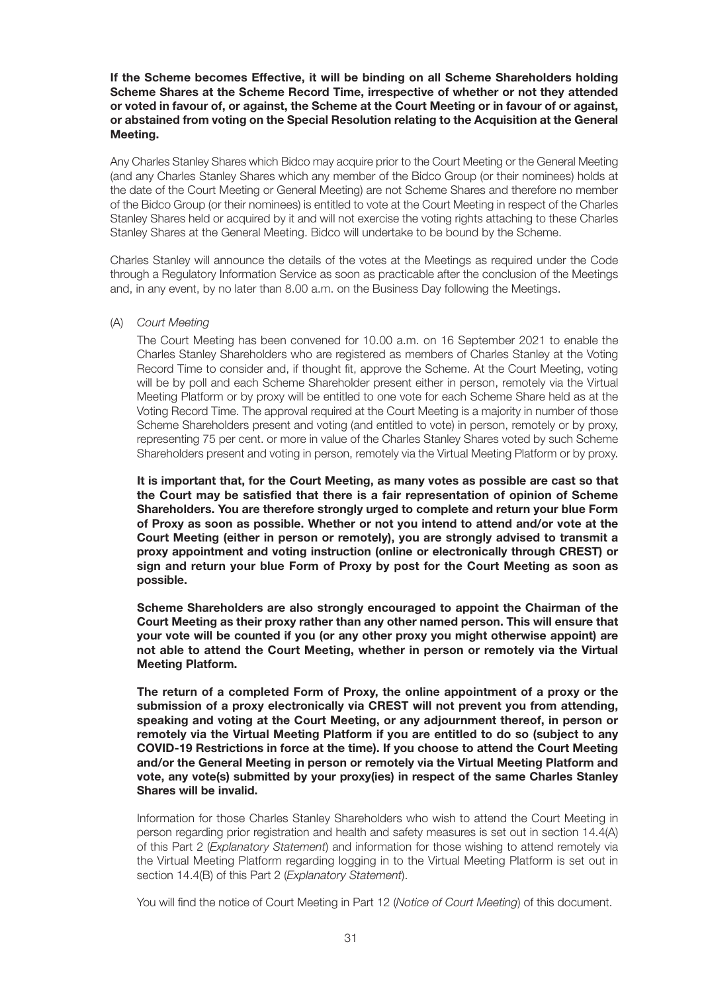## **If the Scheme becomes Effective, it will be binding on all Scheme Shareholders holding Scheme Shares at the Scheme Record Time, irrespective of whether or not they attended or voted in favour of, or against, the Scheme at the Court Meeting or in favour of or against, or abstained from voting on the Special Resolution relating to the Acquisition at the General Meeting.**

 Any Charles Stanley Shares which Bidco may acquire prior to the Court Meeting or the General Meeting (and any Charles Stanley Shares which any member of the Bidco Group (or their nominees) holds at the date of the Court Meeting or General Meeting) are not Scheme Shares and therefore no member of the Bidco Group (or their nominees) is entitled to vote at the Court Meeting in respect of the Charles Stanley Shares held or acquired by it and will not exercise the voting rights attaching to these Charles Stanley Shares at the General Meeting. Bidco will undertake to be bound by the Scheme.

 Charles Stanley will announce the details of the votes at the Meetings as required under the Code through a Regulatory Information Service as soon as practicable after the conclusion of the Meetings and, in any event, by no later than 8.00 a.m. on the Business Day following the Meetings.

## (A) *Court Meeting*

 The Court Meeting has been convened for 10.00 a.m. on 16 September 2021 to enable the Charles Stanley Shareholders who are registered as members of Charles Stanley at the Voting Record Time to consider and, if thought fit, approve the Scheme. At the Court Meeting, voting will be by poll and each Scheme Shareholder present either in person, remotely via the Virtual Meeting Platform or by proxy will be entitled to one vote for each Scheme Share held as at the Voting Record Time. The approval required at the Court Meeting is a majority in number of those Scheme Shareholders present and voting (and entitled to vote) in person, remotely or by proxy, representing 75 per cent. or more in value of the Charles Stanley Shares voted by such Scheme Shareholders present and voting in person, remotely via the Virtual Meeting Platform or by proxy.

 **It is important that, for the Court Meeting, as many votes as possible are cast so that the Court may be satisfied that there is a fair representation of opinion of Scheme Shareholders. You are therefore strongly urged to complete and return your blue Form of Proxy as soon as possible. Whether or not you intend to attend and/or vote at the Court Meeting (either in person or remotely), you are strongly advised to transmit a proxy appointment and voting instruction (online or electronically through CREST) or sign and return your blue Form of Proxy by post for the Court Meeting as soon as possible.**

 **Scheme Shareholders are also strongly encouraged to appoint the Chairman of the Court Meeting as their proxy rather than any other named person. This will ensure that your vote will be counted if you (or any other proxy you might otherwise appoint) are not able to attend the Court Meeting, whether in person or remotely via the Virtual Meeting Platform.**

 **The return of a completed Form of Proxy, the online appointment of a proxy or the submission of a proxy electronically via CREST will not prevent you from attending, speaking and voting at the Court Meeting, or any adjournment thereof, in person or remotely via the Virtual Meeting Platform if you are entitled to do so (subject to any COVID-19 Restrictions in force at the time). If you choose to attend the Court Meeting and/or the General Meeting in person or remotely via the Virtual Meeting Platform and vote, any vote(s) submitted by your proxy(ies) in respect of the same Charles Stanley Shares will be invalid.**

 Information for those Charles Stanley Shareholders who wish to attend the Court Meeting in person regarding prior registration and health and safety measures is set out in section 14.4(A) of this Part 2 (*Explanatory Statement*) and information for those wishing to attend remotely via the Virtual Meeting Platform regarding logging in to the Virtual Meeting Platform is set out in section 14.4(B) of this Part 2 (*Explanatory Statement*).

You will find the notice of Court Meeting in Part 12 (*Notice of Court Meeting*) of this document.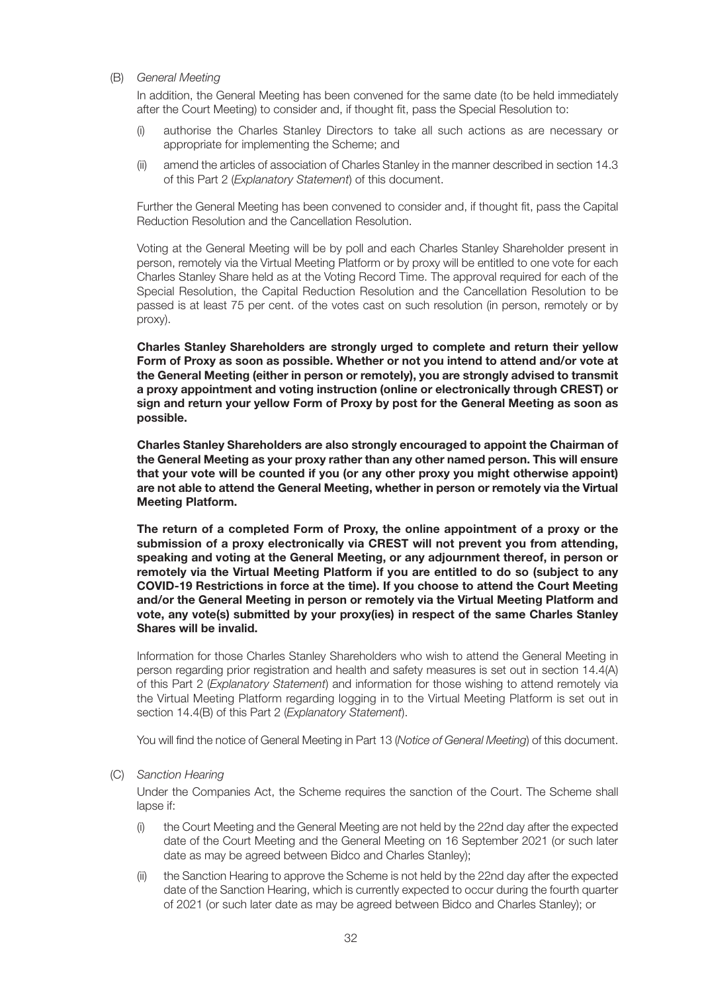(B) *General Meeting*

 In addition, the General Meeting has been convened for the same date (to be held immediately after the Court Meeting) to consider and, if thought fit, pass the Special Resolution to:

- (i) authorise the Charles Stanley Directors to take all such actions as are necessary or appropriate for implementing the Scheme; and
- (ii) amend the articles of association of Charles Stanley in the manner described in section 14.3 of this Part 2 (*Explanatory Statement*) of this document.

 Further the General Meeting has been convened to consider and, if thought fit, pass the Capital Reduction Resolution and the Cancellation Resolution.

 Voting at the General Meeting will be by poll and each Charles Stanley Shareholder present in person, remotely via the Virtual Meeting Platform or by proxy will be entitled to one vote for each Charles Stanley Share held as at the Voting Record Time. The approval required for each of the Special Resolution, the Capital Reduction Resolution and the Cancellation Resolution to be passed is at least 75 per cent. of the votes cast on such resolution (in person, remotely or by proxy).

 **Charles Stanley Shareholders are strongly urged to complete and return their yellow Form of Proxy as soon as possible. Whether or not you intend to attend and/or vote at the General Meeting (either in person or remotely), you are strongly advised to transmit a proxy appointment and voting instruction (online or electronically through CREST) or sign and return your yellow Form of Proxy by post for the General Meeting as soon as possible.**

 **Charles Stanley Shareholders are also strongly encouraged to appoint the Chairman of the General Meeting as your proxy rather than any other named person. This will ensure that your vote will be counted if you (or any other proxy you might otherwise appoint) are not able to attend the General Meeting, whether in person or remotely via the Virtual Meeting Platform.**

 **The return of a completed Form of Proxy, the online appointment of a proxy or the submission of a proxy electronically via CREST will not prevent you from attending, speaking and voting at the General Meeting, or any adjournment thereof, in person or remotely via the Virtual Meeting Platform if you are entitled to do so (subject to any COVID-19 Restrictions in force at the time). If you choose to attend the Court Meeting and/or the General Meeting in person or remotely via the Virtual Meeting Platform and vote, any vote(s) submitted by your proxy(ies) in respect of the same Charles Stanley Shares will be invalid.**

 Information for those Charles Stanley Shareholders who wish to attend the General Meeting in person regarding prior registration and health and safety measures is set out in section 14.4(A) of this Part 2 (*Explanatory Statement*) and information for those wishing to attend remotely via the Virtual Meeting Platform regarding logging in to the Virtual Meeting Platform is set out in section 14.4(B) of this Part 2 (*Explanatory Statement*).

You will find the notice of General Meeting in Part 13 (*Notice of General Meeting*) of this document.

(C) *Sanction Hearing*

 Under the Companies Act, the Scheme requires the sanction of the Court. The Scheme shall lapse if:

- (i) the Court Meeting and the General Meeting are not held by the 22nd day after the expected date of the Court Meeting and the General Meeting on 16 September 2021 (or such later date as may be agreed between Bidco and Charles Stanley);
- (ii) the Sanction Hearing to approve the Scheme is not held by the 22nd day after the expected date of the Sanction Hearing, which is currently expected to occur during the fourth quarter of 2021 (or such later date as may be agreed between Bidco and Charles Stanley); or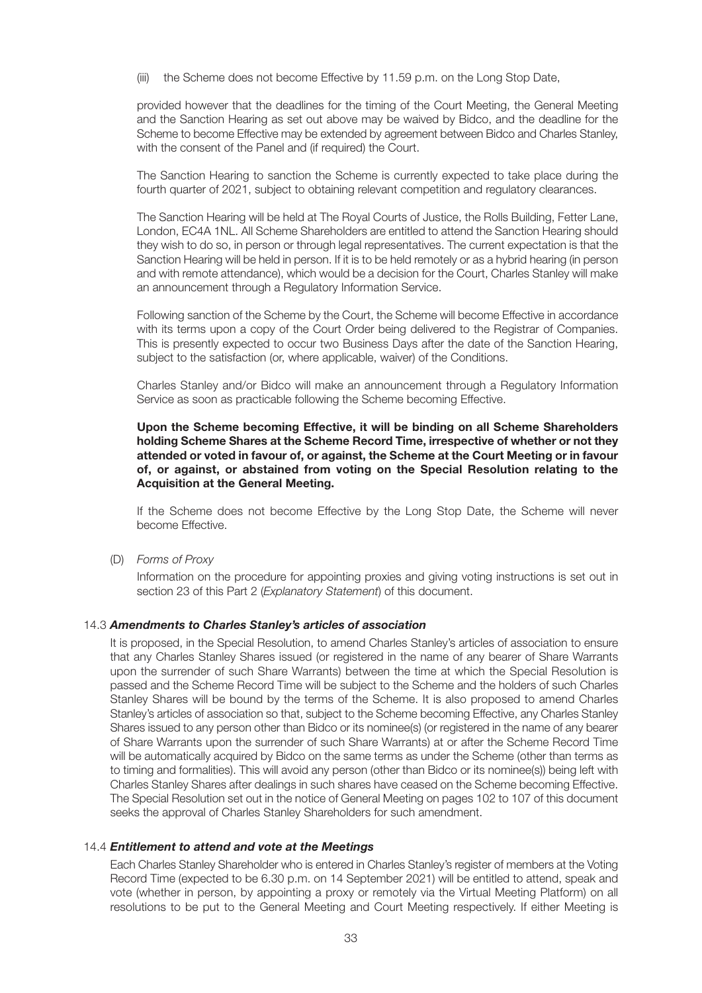(iii) the Scheme does not become Effective by 11.59 p.m. on the Long Stop Date,

 provided however that the deadlines for the timing of the Court Meeting, the General Meeting and the Sanction Hearing as set out above may be waived by Bidco, and the deadline for the Scheme to become Effective may be extended by agreement between Bidco and Charles Stanley, with the consent of the Panel and (if required) the Court.

 The Sanction Hearing to sanction the Scheme is currently expected to take place during the fourth quarter of 2021, subject to obtaining relevant competition and regulatory clearances.

 The Sanction Hearing will be held at The Royal Courts of Justice, the Rolls Building, Fetter Lane, London, EC4A 1NL. All Scheme Shareholders are entitled to attend the Sanction Hearing should they wish to do so, in person or through legal representatives. The current expectation is that the Sanction Hearing will be held in person. If it is to be held remotely or as a hybrid hearing (in person and with remote attendance), which would be a decision for the Court, Charles Stanley will make an announcement through a Regulatory Information Service.

 Following sanction of the Scheme by the Court, the Scheme will become Effective in accordance with its terms upon a copy of the Court Order being delivered to the Registrar of Companies. This is presently expected to occur two Business Days after the date of the Sanction Hearing, subject to the satisfaction (or, where applicable, waiver) of the Conditions.

 Charles Stanley and/or Bidco will make an announcement through a Regulatory Information Service as soon as practicable following the Scheme becoming Effective.

## **Upon the Scheme becoming Effective, it will be binding on all Scheme Shareholders holding Scheme Shares at the Scheme Record Time, irrespective of whether or not they attended or voted in favour of, or against, the Scheme at the Court Meeting or in favour of, or against, or abstained from voting on the Special Resolution relating to the Acquisition at the General Meeting.**

 If the Scheme does not become Effective by the Long Stop Date, the Scheme will never become Effective.

(D) *Forms of Proxy*

 Information on the procedure for appointing proxies and giving voting instructions is set out in section 23 of this Part 2 (*Explanatory Statement*) of this document.

#### 14.3 *Amendments to Charles Stanley's articles of association*

 It is proposed, in the Special Resolution, to amend Charles Stanley's articles of association to ensure that any Charles Stanley Shares issued (or registered in the name of any bearer of Share Warrants upon the surrender of such Share Warrants) between the time at which the Special Resolution is passed and the Scheme Record Time will be subject to the Scheme and the holders of such Charles Stanley Shares will be bound by the terms of the Scheme. It is also proposed to amend Charles Stanley's articles of association so that, subject to the Scheme becoming Effective, any Charles Stanley Shares issued to any person other than Bidco or its nominee(s) (or registered in the name of any bearer of Share Warrants upon the surrender of such Share Warrants) at or after the Scheme Record Time will be automatically acquired by Bidco on the same terms as under the Scheme (other than terms as to timing and formalities). This will avoid any person (other than Bidco or its nominee(s)) being left with Charles Stanley Shares after dealings in such shares have ceased on the Scheme becoming Effective. The Special Resolution set out in the notice of General Meeting on pages 102 to 107 of this document seeks the approval of Charles Stanley Shareholders for such amendment.

#### 14.4 *Entitlement to attend and vote at the Meetings*

 Each Charles Stanley Shareholder who is entered in Charles Stanley's register of members at the Voting Record Time (expected to be 6.30 p.m. on 14 September 2021) will be entitled to attend, speak and vote (whether in person, by appointing a proxy or remotely via the Virtual Meeting Platform) on all resolutions to be put to the General Meeting and Court Meeting respectively. If either Meeting is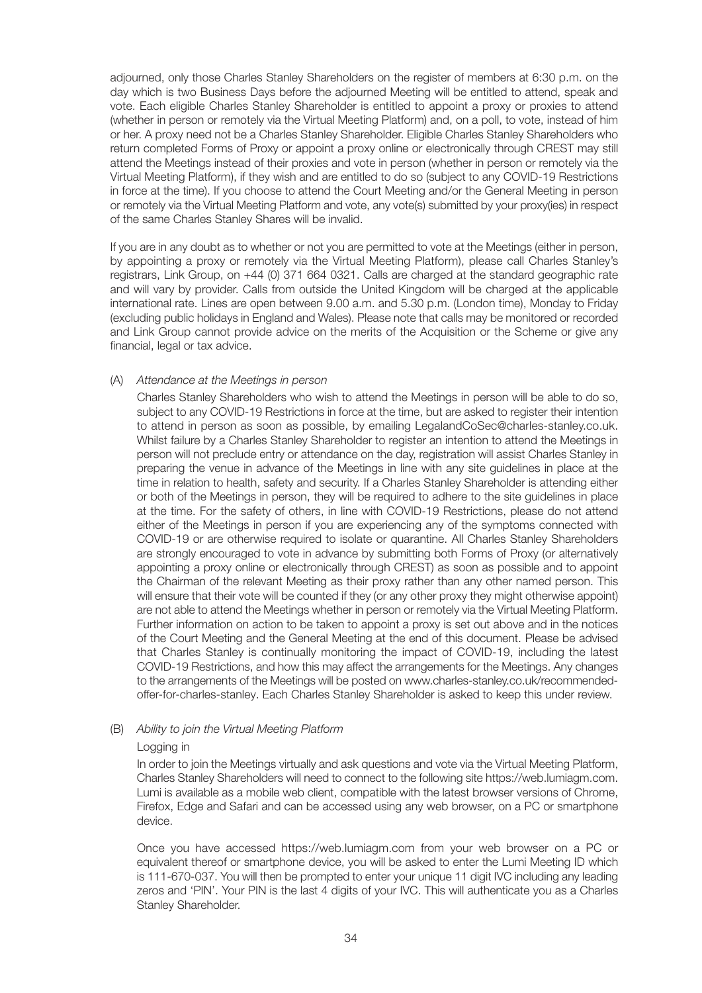adjourned, only those Charles Stanley Shareholders on the register of members at 6:30 p.m. on the day which is two Business Days before the adjourned Meeting will be entitled to attend, speak and vote. Each eligible Charles Stanley Shareholder is entitled to appoint a proxy or proxies to attend (whether in person or remotely via the Virtual Meeting Platform) and, on a poll, to vote, instead of him or her. A proxy need not be a Charles Stanley Shareholder. Eligible Charles Stanley Shareholders who return completed Forms of Proxy or appoint a proxy online or electronically through CREST may still attend the Meetings instead of their proxies and vote in person (whether in person or remotely via the Virtual Meeting Platform), if they wish and are entitled to do so (subject to any COVID-19 Restrictions in force at the time). If you choose to attend the Court Meeting and/or the General Meeting in person or remotely via the Virtual Meeting Platform and vote, any vote(s) submitted by your proxy(ies) in respect of the same Charles Stanley Shares will be invalid.

 If you are in any doubt as to whether or not you are permitted to vote at the Meetings (either in person, by appointing a proxy or remotely via the Virtual Meeting Platform), please call Charles Stanley's registrars, Link Group, on +44 (0) 371 664 0321. Calls are charged at the standard geographic rate and will vary by provider. Calls from outside the United Kingdom will be charged at the applicable international rate. Lines are open between 9.00 a.m. and 5.30 p.m. (London time), Monday to Friday (excluding public holidays in England and Wales). Please note that calls may be monitored or recorded and Link Group cannot provide advice on the merits of the Acquisition or the Scheme or give any financial, legal or tax advice.

#### (A) *Attendance at the Meetings in person*

 Charles Stanley Shareholders who wish to attend the Meetings in person will be able to do so, subject to any COVID-19 Restrictions in force at the time, but are asked to register their intention to attend in person as soon as possible, by emailing LegalandCoSec@charles-stanley.co.uk. Whilst failure by a Charles Stanley Shareholder to register an intention to attend the Meetings in person will not preclude entry or attendance on the day, registration will assist Charles Stanley in preparing the venue in advance of the Meetings in line with any site guidelines in place at the time in relation to health, safety and security. If a Charles Stanley Shareholder is attending either or both of the Meetings in person, they will be required to adhere to the site guidelines in place at the time. For the safety of others, in line with COVID-19 Restrictions, please do not attend either of the Meetings in person if you are experiencing any of the symptoms connected with COVID-19 or are otherwise required to isolate or quarantine. All Charles Stanley Shareholders are strongly encouraged to vote in advance by submitting both Forms of Proxy (or alternatively appointing a proxy online or electronically through CREST) as soon as possible and to appoint the Chairman of the relevant Meeting as their proxy rather than any other named person. This will ensure that their vote will be counted if they (or any other proxy they might otherwise appoint) are not able to attend the Meetings whether in person or remotely via the Virtual Meeting Platform. Further information on action to be taken to appoint a proxy is set out above and in the notices of the Court Meeting and the General Meeting at the end of this document. Please be advised that Charles Stanley is continually monitoring the impact of COVID-19, including the latest COVID-19 Restrictions, and how this may affect the arrangements for the Meetings. Any changes to the arrangements of the Meetings will be posted on www.charles-stanley.co.uk/recommendedoffer-for-charles-stanley. Each Charles Stanley Shareholder is asked to keep this under review.

#### (B) *Ability to join the Virtual Meeting Platform*

#### Logging in

 In order to join the Meetings virtually and ask questions and vote via the Virtual Meeting Platform, Charles Stanley Shareholders will need to connect to the following site https://web.lumiagm.com. Lumi is available as a mobile web client, compatible with the latest browser versions of Chrome, Firefox, Edge and Safari and can be accessed using any web browser, on a PC or smartphone device.

 Once you have accessed https://web.lumiagm.com from your web browser on a PC or equivalent thereof or smartphone device, you will be asked to enter the Lumi Meeting ID which is 111-670-037. You will then be prompted to enter your unique 11 digit IVC including any leading zeros and 'PIN'. Your PIN is the last 4 digits of your IVC. This will authenticate you as a Charles Stanley Shareholder.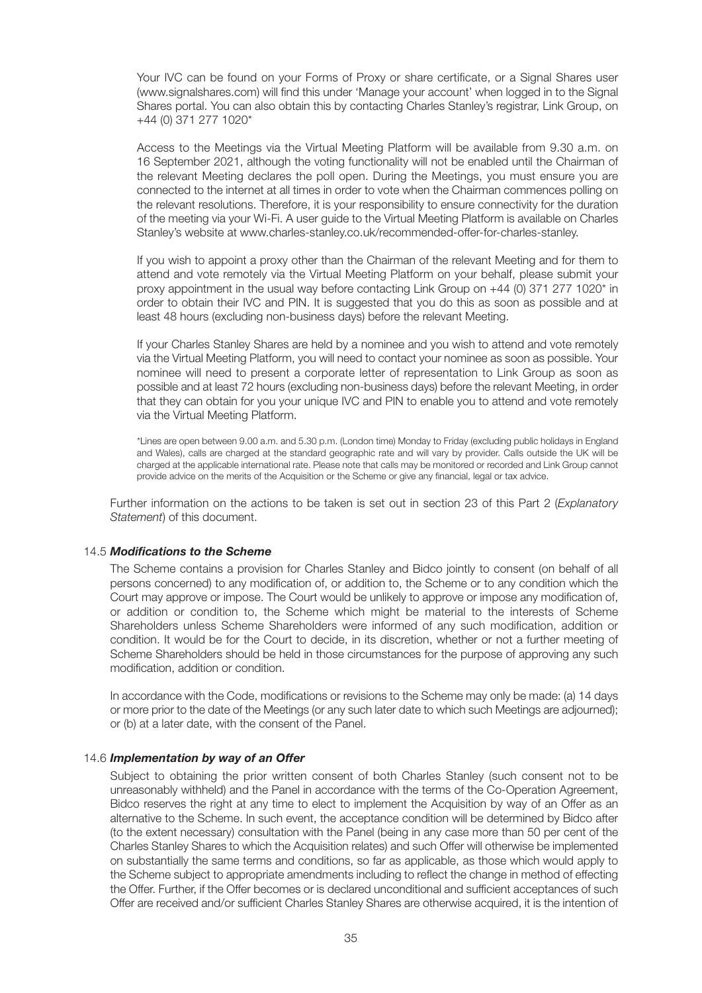Your IVC can be found on your Forms of Proxy or share certificate, or a Signal Shares user (www.signalshares.com) will find this under 'Manage your account' when logged in to the Signal Shares portal. You can also obtain this by contacting Charles Stanley's registrar, Link Group, on +44 (0) 371 277 1020\*

 Access to the Meetings via the Virtual Meeting Platform will be available from 9.30 a.m. on 16 September 2021, although the voting functionality will not be enabled until the Chairman of the relevant Meeting declares the poll open. During the Meetings, you must ensure you are connected to the internet at all times in order to vote when the Chairman commences polling on the relevant resolutions. Therefore, it is your responsibility to ensure connectivity for the duration of the meeting via your Wi-Fi. A user guide to the Virtual Meeting Platform is available on Charles Stanley's website at www.charles-stanley.co.uk/recommended-offer-for-charles-stanley.

 If you wish to appoint a proxy other than the Chairman of the relevant Meeting and for them to attend and vote remotely via the Virtual Meeting Platform on your behalf, please submit your proxy appointment in the usual way before contacting Link Group on +44 (0) 371 277 1020\* in order to obtain their IVC and PIN. It is suggested that you do this as soon as possible and at least 48 hours (excluding non-business days) before the relevant Meeting.

 If your Charles Stanley Shares are held by a nominee and you wish to attend and vote remotely via the Virtual Meeting Platform, you will need to contact your nominee as soon as possible. Your nominee will need to present a corporate letter of representation to Link Group as soon as possible and at least 72 hours (excluding non-business days) before the relevant Meeting, in order that they can obtain for you your unique IVC and PIN to enable you to attend and vote remotely via the Virtual Meeting Platform.

 \*Lines are open between 9.00 a.m. and 5.30 p.m. (London time) Monday to Friday (excluding public holidays in England and Wales), calls are charged at the standard geographic rate and will vary by provider. Calls outside the UK will be charged at the applicable international rate. Please note that calls may be monitored or recorded and Link Group cannot provide advice on the merits of the Acquisition or the Scheme or give any financial, legal or tax advice.

 Further information on the actions to be taken is set out in section 23 of this Part 2 (*Explanatory Statement*) of this document.

#### 14.5 *Modifications to the Scheme*

 The Scheme contains a provision for Charles Stanley and Bidco jointly to consent (on behalf of all persons concerned) to any modification of, or addition to, the Scheme or to any condition which the Court may approve or impose. The Court would be unlikely to approve or impose any modification of, or addition or condition to, the Scheme which might be material to the interests of Scheme Shareholders unless Scheme Shareholders were informed of any such modification, addition or condition. It would be for the Court to decide, in its discretion, whether or not a further meeting of Scheme Shareholders should be held in those circumstances for the purpose of approving any such modification, addition or condition.

 In accordance with the Code, modifications or revisions to the Scheme may only be made: (a) 14 days or more prior to the date of the Meetings (or any such later date to which such Meetings are adjourned); or (b) at a later date, with the consent of the Panel.

#### 14.6 *Implementation by way of an Offer*

 Subject to obtaining the prior written consent of both Charles Stanley (such consent not to be unreasonably withheld) and the Panel in accordance with the terms of the Co-Operation Agreement, Bidco reserves the right at any time to elect to implement the Acquisition by way of an Offer as an alternative to the Scheme. In such event, the acceptance condition will be determined by Bidco after (to the extent necessary) consultation with the Panel (being in any case more than 50 per cent of the Charles Stanley Shares to which the Acquisition relates) and such Offer will otherwise be implemented on substantially the same terms and conditions, so far as applicable, as those which would apply to the Scheme subject to appropriate amendments including to reflect the change in method of effecting the Offer. Further, if the Offer becomes or is declared unconditional and sufficient acceptances of such Offer are received and/or sufficient Charles Stanley Shares are otherwise acquired, it is the intention of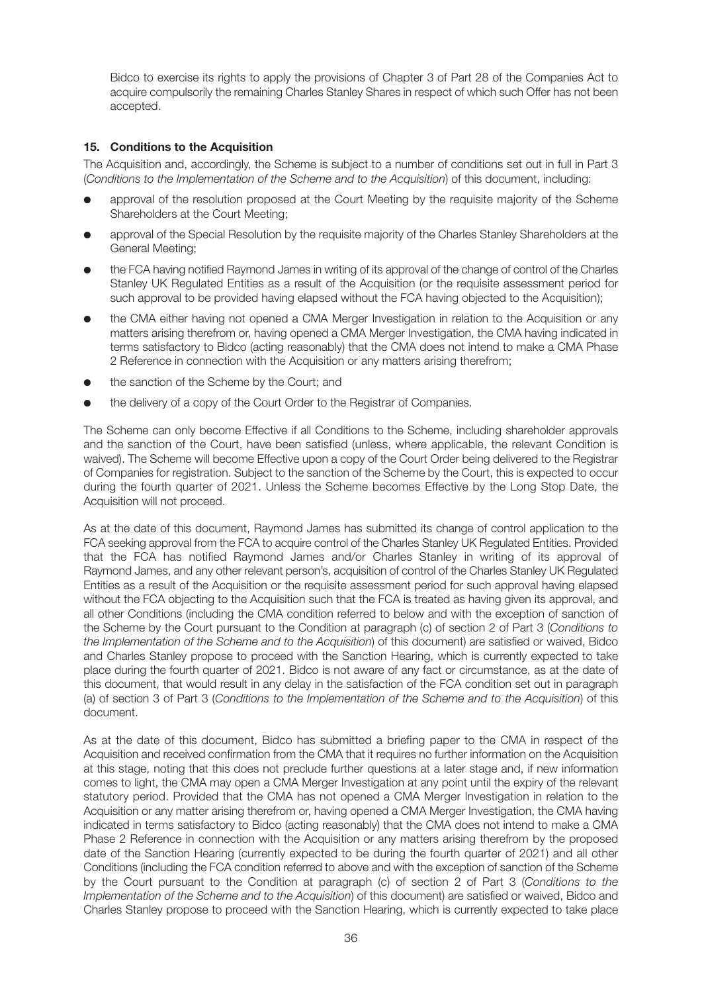Bidco to exercise its rights to apply the provisions of Chapter 3 of Part 28 of the Companies Act to acquire compulsorily the remaining Charles Stanley Shares in respect of which such Offer has not been accepted.

## **15. Conditions to the Acquisition**

The Acquisition and, accordingly, the Scheme is subject to a number of conditions set out in full in Part 3 (*Conditions to the Implementation of the Scheme and to the Acquisition*) of this document, including:

- approval of the resolution proposed at the Court Meeting by the requisite majority of the Scheme Shareholders at the Court Meeting;
- approval of the Special Resolution by the requisite majority of the Charles Stanley Shareholders at the General Meeting;
- the FCA having notified Raymond James in writing of its approval of the change of control of the Charles Stanley UK Regulated Entities as a result of the Acquisition (or the requisite assessment period for such approval to be provided having elapsed without the FCA having objected to the Acquisition);
- the CMA either having not opened a CMA Merger Investigation in relation to the Acquisition or any matters arising therefrom or, having opened a CMA Merger Investigation, the CMA having indicated in terms satisfactory to Bidco (acting reasonably) that the CMA does not intend to make a CMA Phase 2 Reference in connection with the Acquisition or any matters arising therefrom;
- the sanction of the Scheme by the Court; and
- the delivery of a copy of the Court Order to the Registrar of Companies.

The Scheme can only become Effective if all Conditions to the Scheme, including shareholder approvals and the sanction of the Court, have been satisfied (unless, where applicable, the relevant Condition is waived). The Scheme will become Effective upon a copy of the Court Order being delivered to the Registrar of Companies for registration. Subject to the sanction of the Scheme by the Court, this is expected to occur during the fourth quarter of 2021. Unless the Scheme becomes Effective by the Long Stop Date, the Acquisition will not proceed.

As at the date of this document, Raymond James has submitted its change of control application to the FCA seeking approval from the FCA to acquire control of the Charles Stanley UK Regulated Entities. Provided that the FCA has notified Raymond James and/or Charles Stanley in writing of its approval of Raymond James, and any other relevant person's, acquisition of control of the Charles Stanley UK Regulated Entities as a result of the Acquisition or the requisite assessment period for such approval having elapsed without the FCA objecting to the Acquisition such that the FCA is treated as having given its approval, and all other Conditions (including the CMA condition referred to below and with the exception of sanction of the Scheme by the Court pursuant to the Condition at paragraph (c) of section 2 of Part 3 (*Conditions to the Implementation of the Scheme and to the Acquisition*) of this document) are satisfied or waived, Bidco and Charles Stanley propose to proceed with the Sanction Hearing, which is currently expected to take place during the fourth quarter of 2021. Bidco is not aware of any fact or circumstance, as at the date of this document, that would result in any delay in the satisfaction of the FCA condition set out in paragraph (a) of section 3 of Part 3 (*Conditions to the Implementation of the Scheme and to the Acquisition*) of this document.

As at the date of this document, Bidco has submitted a briefing paper to the CMA in respect of the Acquisition and received confirmation from the CMA that it requires no further information on the Acquisition at this stage, noting that this does not preclude further questions at a later stage and, if new information comes to light, the CMA may open a CMA Merger Investigation at any point until the expiry of the relevant statutory period. Provided that the CMA has not opened a CMA Merger Investigation in relation to the Acquisition or any matter arising therefrom or, having opened a CMA Merger Investigation, the CMA having indicated in terms satisfactory to Bidco (acting reasonably) that the CMA does not intend to make a CMA Phase 2 Reference in connection with the Acquisition or any matters arising therefrom by the proposed date of the Sanction Hearing (currently expected to be during the fourth quarter of 2021) and all other Conditions (including the FCA condition referred to above and with the exception of sanction of the Scheme by the Court pursuant to the Condition at paragraph (c) of section 2 of Part 3 (*Conditions to the Implementation of the Scheme and to the Acquisition*) of this document) are satisfied or waived, Bidco and Charles Stanley propose to proceed with the Sanction Hearing, which is currently expected to take place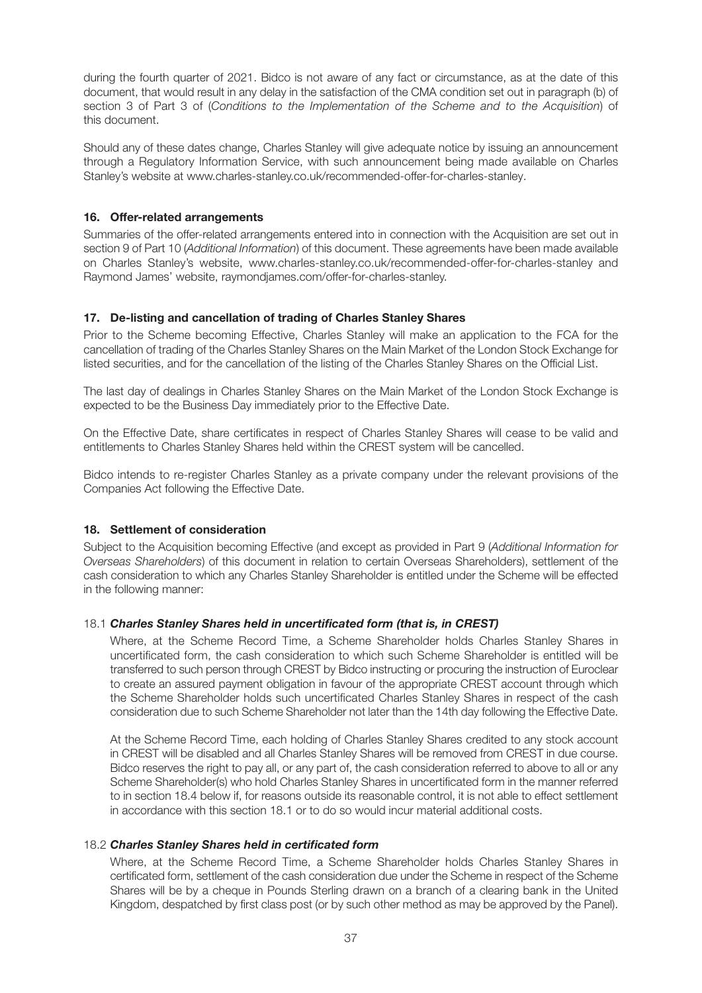during the fourth quarter of 2021. Bidco is not aware of any fact or circumstance, as at the date of this document, that would result in any delay in the satisfaction of the CMA condition set out in paragraph (b) of section 3 of Part 3 of (*Conditions to the Implementation of the Scheme and to the Acquisition*) of this document.

Should any of these dates change, Charles Stanley will give adequate notice by issuing an announcement through a Regulatory Information Service, with such announcement being made available on Charles Stanley's website at www.charles-stanley.co.uk/recommended-offer-for-charles-stanley.

## **16. Offer-related arrangements**

Summaries of the offer-related arrangements entered into in connection with the Acquisition are set out in section 9 of Part 10 (*Additional Information*) of this document. These agreements have been made available on Charles Stanley's website, www.charles-stanley.co.uk/recommended-offer-for-charles-stanley and Raymond James' website, raymondjames.com/offer-for-charles-stanley.

## **17. De-listing and cancellation of trading of Charles Stanley Shares**

Prior to the Scheme becoming Effective, Charles Stanley will make an application to the FCA for the cancellation of trading of the Charles Stanley Shares on the Main Market of the London Stock Exchange for listed securities, and for the cancellation of the listing of the Charles Stanley Shares on the Official List.

The last day of dealings in Charles Stanley Shares on the Main Market of the London Stock Exchange is expected to be the Business Day immediately prior to the Effective Date.

On the Effective Date, share certificates in respect of Charles Stanley Shares will cease to be valid and entitlements to Charles Stanley Shares held within the CREST system will be cancelled.

Bidco intends to re-register Charles Stanley as a private company under the relevant provisions of the Companies Act following the Effective Date.

#### **18. Settlement of consideration**

Subject to the Acquisition becoming Effective (and except as provided in Part 9 (*Additional Information for Overseas Shareholders*) of this document in relation to certain Overseas Shareholders), settlement of the cash consideration to which any Charles Stanley Shareholder is entitled under the Scheme will be effected in the following manner:

#### 18.1 *Charles Stanley Shares held in uncertificated form (that is, in CREST)*

 Where, at the Scheme Record Time, a Scheme Shareholder holds Charles Stanley Shares in uncertificated form, the cash consideration to which such Scheme Shareholder is entitled will be transferred to such person through CREST by Bidco instructing or procuring the instruction of Euroclear to create an assured payment obligation in favour of the appropriate CREST account through which the Scheme Shareholder holds such uncertificated Charles Stanley Shares in respect of the cash consideration due to such Scheme Shareholder not later than the 14th day following the Effective Date.

 At the Scheme Record Time, each holding of Charles Stanley Shares credited to any stock account in CREST will be disabled and all Charles Stanley Shares will be removed from CREST in due course. Bidco reserves the right to pay all, or any part of, the cash consideration referred to above to all or any Scheme Shareholder(s) who hold Charles Stanley Shares in uncertificated form in the manner referred to in section 18.4 below if, for reasons outside its reasonable control, it is not able to effect settlement in accordance with this section 18.1 or to do so would incur material additional costs.

## 18.2 *Charles Stanley Shares held in certificated form*

 Where, at the Scheme Record Time, a Scheme Shareholder holds Charles Stanley Shares in certificated form, settlement of the cash consideration due under the Scheme in respect of the Scheme Shares will be by a cheque in Pounds Sterling drawn on a branch of a clearing bank in the United Kingdom, despatched by first class post (or by such other method as may be approved by the Panel).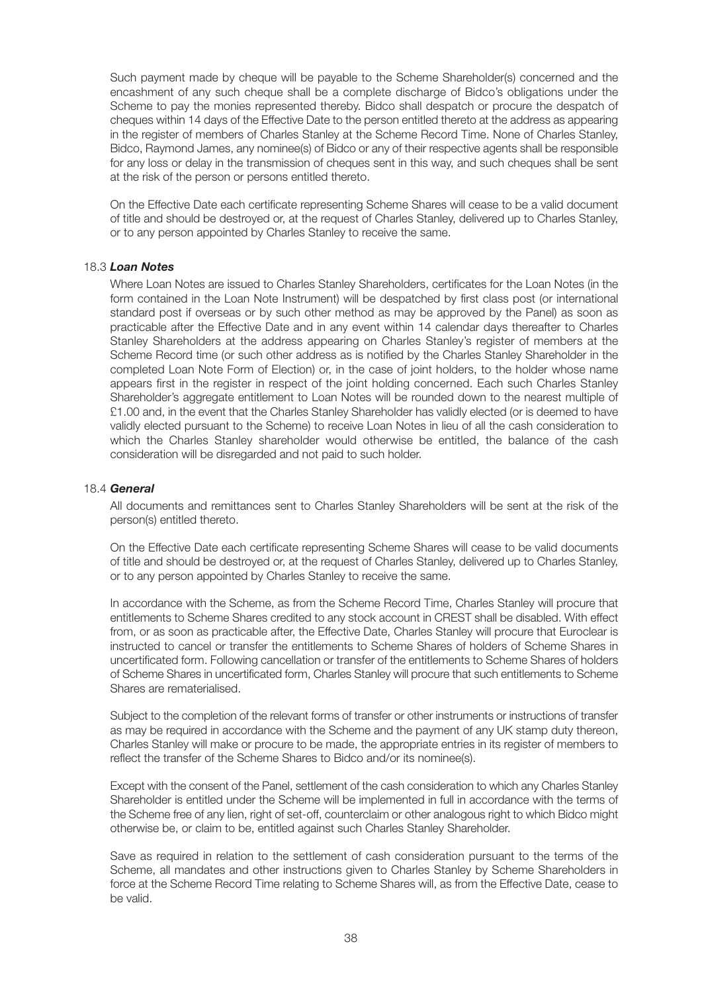Such payment made by cheque will be payable to the Scheme Shareholder(s) concerned and the encashment of any such cheque shall be a complete discharge of Bidco's obligations under the Scheme to pay the monies represented thereby. Bidco shall despatch or procure the despatch of cheques within 14 days of the Effective Date to the person entitled thereto at the address as appearing in the register of members of Charles Stanley at the Scheme Record Time. None of Charles Stanley, Bidco, Raymond James, any nominee(s) of Bidco or any of their respective agents shall be responsible for any loss or delay in the transmission of cheques sent in this way, and such cheques shall be sent at the risk of the person or persons entitled thereto.

 On the Effective Date each certificate representing Scheme Shares will cease to be a valid document of title and should be destroyed or, at the request of Charles Stanley, delivered up to Charles Stanley, or to any person appointed by Charles Stanley to receive the same.

#### 18.3 *Loan Notes*

 Where Loan Notes are issued to Charles Stanley Shareholders, certificates for the Loan Notes (in the form contained in the Loan Note Instrument) will be despatched by first class post (or international standard post if overseas or by such other method as may be approved by the Panel) as soon as practicable after the Effective Date and in any event within 14 calendar days thereafter to Charles Stanley Shareholders at the address appearing on Charles Stanley's register of members at the Scheme Record time (or such other address as is notified by the Charles Stanley Shareholder in the completed Loan Note Form of Election) or, in the case of joint holders, to the holder whose name appears first in the register in respect of the joint holding concerned. Each such Charles Stanley Shareholder's aggregate entitlement to Loan Notes will be rounded down to the nearest multiple of £1.00 and, in the event that the Charles Stanley Shareholder has validly elected (or is deemed to have validly elected pursuant to the Scheme) to receive Loan Notes in lieu of all the cash consideration to which the Charles Stanley shareholder would otherwise be entitled, the balance of the cash consideration will be disregarded and not paid to such holder.

#### 18.4 *General*

 All documents and remittances sent to Charles Stanley Shareholders will be sent at the risk of the person(s) entitled thereto.

 On the Effective Date each certificate representing Scheme Shares will cease to be valid documents of title and should be destroyed or, at the request of Charles Stanley, delivered up to Charles Stanley, or to any person appointed by Charles Stanley to receive the same.

 In accordance with the Scheme, as from the Scheme Record Time, Charles Stanley will procure that entitlements to Scheme Shares credited to any stock account in CREST shall be disabled. With effect from, or as soon as practicable after, the Effective Date, Charles Stanley will procure that Euroclear is instructed to cancel or transfer the entitlements to Scheme Shares of holders of Scheme Shares in uncertificated form. Following cancellation or transfer of the entitlements to Scheme Shares of holders of Scheme Shares in uncertificated form, Charles Stanley will procure that such entitlements to Scheme Shares are rematerialised.

 Subject to the completion of the relevant forms of transfer or other instruments or instructions of transfer as may be required in accordance with the Scheme and the payment of any UK stamp duty thereon, Charles Stanley will make or procure to be made, the appropriate entries in its register of members to reflect the transfer of the Scheme Shares to Bidco and/or its nominee(s).

 Except with the consent of the Panel, settlement of the cash consideration to which any Charles Stanley Shareholder is entitled under the Scheme will be implemented in full in accordance with the terms of the Scheme free of any lien, right of set-off, counterclaim or other analogous right to which Bidco might otherwise be, or claim to be, entitled against such Charles Stanley Shareholder.

 Save as required in relation to the settlement of cash consideration pursuant to the terms of the Scheme, all mandates and other instructions given to Charles Stanley by Scheme Shareholders in force at the Scheme Record Time relating to Scheme Shares will, as from the Effective Date, cease to be valid.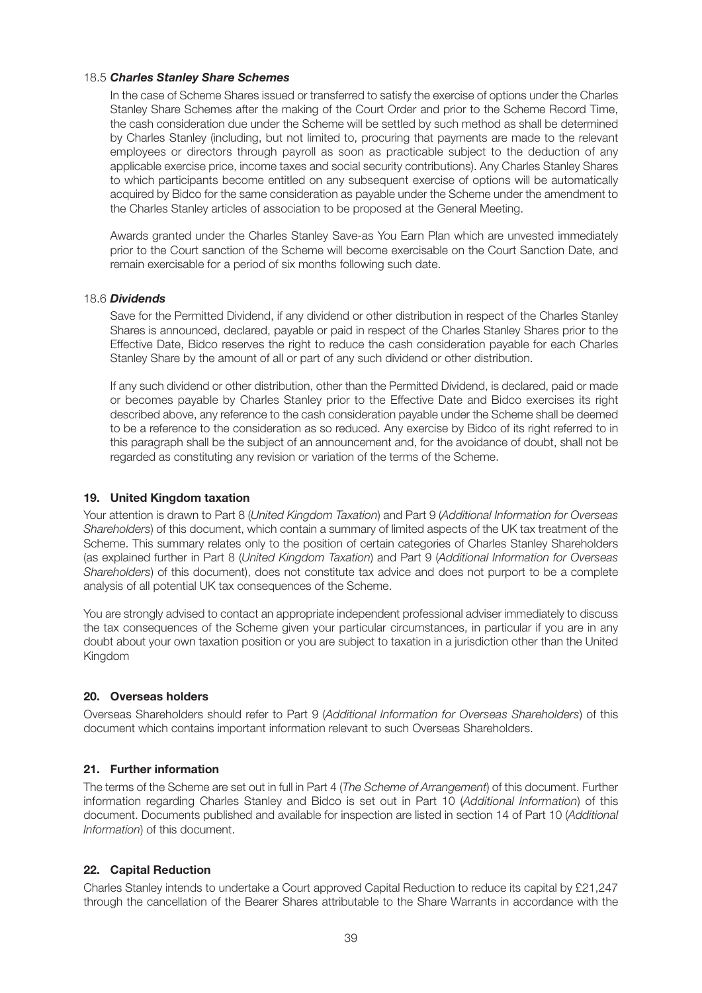### 18.5 *Charles Stanley Share Schemes*

 In the case of Scheme Shares issued or transferred to satisfy the exercise of options under the Charles Stanley Share Schemes after the making of the Court Order and prior to the Scheme Record Time, the cash consideration due under the Scheme will be settled by such method as shall be determined by Charles Stanley (including, but not limited to, procuring that payments are made to the relevant employees or directors through payroll as soon as practicable subject to the deduction of any applicable exercise price, income taxes and social security contributions). Any Charles Stanley Shares to which participants become entitled on any subsequent exercise of options will be automatically acquired by Bidco for the same consideration as payable under the Scheme under the amendment to the Charles Stanley articles of association to be proposed at the General Meeting.

 Awards granted under the Charles Stanley Save-as You Earn Plan which are unvested immediately prior to the Court sanction of the Scheme will become exercisable on the Court Sanction Date, and remain exercisable for a period of six months following such date.

### 18.6 *Dividends*

 Save for the Permitted Dividend, if any dividend or other distribution in respect of the Charles Stanley Shares is announced, declared, payable or paid in respect of the Charles Stanley Shares prior to the Effective Date, Bidco reserves the right to reduce the cash consideration payable for each Charles Stanley Share by the amount of all or part of any such dividend or other distribution.

 If any such dividend or other distribution, other than the Permitted Dividend, is declared, paid or made or becomes payable by Charles Stanley prior to the Effective Date and Bidco exercises its right described above, any reference to the cash consideration payable under the Scheme shall be deemed to be a reference to the consideration as so reduced. Any exercise by Bidco of its right referred to in this paragraph shall be the subject of an announcement and, for the avoidance of doubt, shall not be regarded as constituting any revision or variation of the terms of the Scheme.

## **19. United Kingdom taxation**

Your attention is drawn to Part 8 (*United Kingdom Taxation*) and Part 9 (*Additional Information for Overseas Shareholders*) of this document, which contain a summary of limited aspects of the UK tax treatment of the Scheme. This summary relates only to the position of certain categories of Charles Stanley Shareholders (as explained further in Part 8 (*United Kingdom Taxation*) and Part 9 (*Additional Information for Overseas Shareholders*) of this document), does not constitute tax advice and does not purport to be a complete analysis of all potential UK tax consequences of the Scheme.

You are strongly advised to contact an appropriate independent professional adviser immediately to discuss the tax consequences of the Scheme given your particular circumstances, in particular if you are in any doubt about your own taxation position or you are subject to taxation in a jurisdiction other than the United Kingdom

#### **20. Overseas holders**

Overseas Shareholders should refer to Part 9 (*Additional Information for Overseas Shareholders*) of this document which contains important information relevant to such Overseas Shareholders.

## **21. Further information**

The terms of the Scheme are set out in full in Part 4 (*The Scheme of Arrangement*) of this document. Further information regarding Charles Stanley and Bidco is set out in Part 10 (*Additional Information*) of this document. Documents published and available for inspection are listed in section 14 of Part 10 (*Additional Information*) of this document.

## **22. Capital Reduction**

Charles Stanley intends to undertake a Court approved Capital Reduction to reduce its capital by £21,247 through the cancellation of the Bearer Shares attributable to the Share Warrants in accordance with the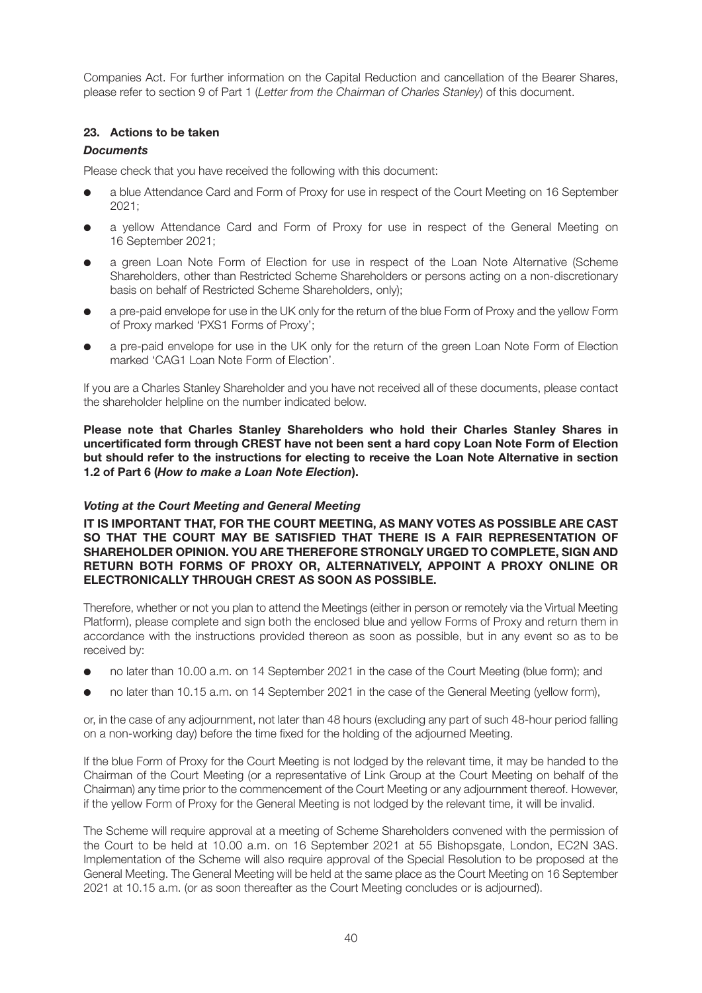Companies Act. For further information on the Capital Reduction and cancellation of the Bearer Shares, please refer to section 9 of Part 1 (*Letter from the Chairman of Charles Stanley*) of this document.

## **23. Actions to be taken**

# *Documents*

Please check that you have received the following with this document:

- a blue Attendance Card and Form of Proxy for use in respect of the Court Meeting on 16 September 2021;
- a yellow Attendance Card and Form of Proxy for use in respect of the General Meeting on 16 September 2021;
- a green Loan Note Form of Election for use in respect of the Loan Note Alternative (Scheme Shareholders, other than Restricted Scheme Shareholders or persons acting on a non-discretionary basis on behalf of Restricted Scheme Shareholders, only);
- a pre-paid envelope for use in the UK only for the return of the blue Form of Proxy and the yellow Form of Proxy marked 'PXS1 Forms of Proxy';
- a pre-paid envelope for use in the UK only for the return of the green Loan Note Form of Election marked 'CAG1 Loan Note Form of Election'.

If you are a Charles Stanley Shareholder and you have not received all of these documents, please contact the shareholder helpline on the number indicated below.

**Please note that Charles Stanley Shareholders who hold their Charles Stanley Shares in uncertificated form through CREST have not been sent a hard copy Loan Note Form of Election but should refer to the instructions for electing to receive the Loan Note Alternative in section 1.2 of Part 6 (***How to make a Loan Note Election***).**

## *Voting at the Court Meeting and General Meeting*

**IT IS IMPORTANT THAT, FOR THE COURT MEETING, AS MANY VOTES AS POSSIBLE ARE CAST SO THAT THE COURT MAY BE SATISFIED THAT THERE IS A FAIR REPRESENTATION OF SHAREHOLDER OPINION. YOU ARE THEREFORE STRONGLY URGED TO COMPLETE, SIGN AND RETURN BOTH FORMS OF PROXY OR, ALTERNATIVELY, APPOINT A PROXY ONLINE OR ELECTRONICALLY THROUGH CREST AS SOON AS POSSIBLE.**

Therefore, whether or not you plan to attend the Meetings (either in person or remotely via the Virtual Meeting Platform), please complete and sign both the enclosed blue and yellow Forms of Proxy and return them in accordance with the instructions provided thereon as soon as possible, but in any event so as to be received by:

- no later than 10.00 a.m. on 14 September 2021 in the case of the Court Meeting (blue form); and
- no later than 10.15 a.m. on 14 September 2021 in the case of the General Meeting (yellow form),

or, in the case of any adjournment, not later than 48 hours (excluding any part of such 48-hour period falling on a non-working day) before the time fixed for the holding of the adjourned Meeting.

If the blue Form of Proxy for the Court Meeting is not lodged by the relevant time, it may be handed to the Chairman of the Court Meeting (or a representative of Link Group at the Court Meeting on behalf of the Chairman) any time prior to the commencement of the Court Meeting or any adjournment thereof. However, if the yellow Form of Proxy for the General Meeting is not lodged by the relevant time, it will be invalid.

The Scheme will require approval at a meeting of Scheme Shareholders convened with the permission of the Court to be held at 10.00 a.m. on 16 September 2021 at 55 Bishopsgate, London, EC2N 3AS. Implementation of the Scheme will also require approval of the Special Resolution to be proposed at the General Meeting. The General Meeting will be held at the same place as the Court Meeting on 16 September 2021 at 10.15 a.m. (or as soon thereafter as the Court Meeting concludes or is adjourned).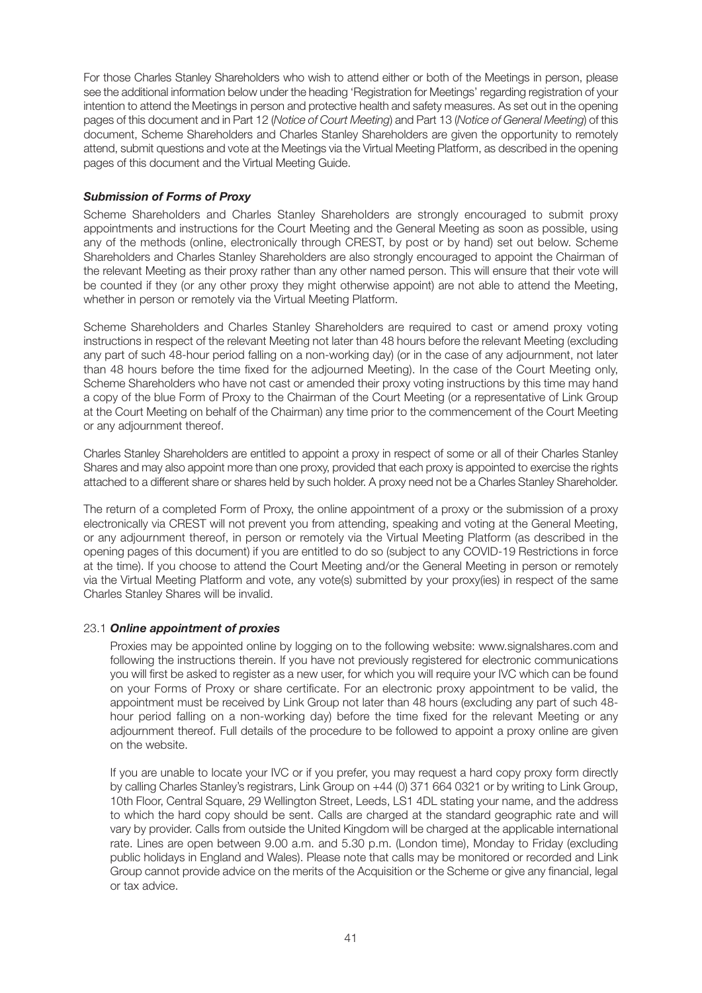For those Charles Stanley Shareholders who wish to attend either or both of the Meetings in person, please see the additional information below under the heading 'Registration for Meetings' regarding registration of your intention to attend the Meetings in person and protective health and safety measures. As set out in the opening pages of this document and in Part 12 (*Notice of Court Meeting*) and Part 13 (*Notice of General Meeting*) of this document, Scheme Shareholders and Charles Stanley Shareholders are given the opportunity to remotely attend, submit questions and vote at the Meetings via the Virtual Meeting Platform, as described in the opening pages of this document and the Virtual Meeting Guide.

## *Submission of Forms of Proxy*

Scheme Shareholders and Charles Stanley Shareholders are strongly encouraged to submit proxy appointments and instructions for the Court Meeting and the General Meeting as soon as possible, using any of the methods (online, electronically through CREST, by post or by hand) set out below. Scheme Shareholders and Charles Stanley Shareholders are also strongly encouraged to appoint the Chairman of the relevant Meeting as their proxy rather than any other named person. This will ensure that their vote will be counted if they (or any other proxy they might otherwise appoint) are not able to attend the Meeting, whether in person or remotely via the Virtual Meeting Platform.

Scheme Shareholders and Charles Stanley Shareholders are required to cast or amend proxy voting instructions in respect of the relevant Meeting not later than 48 hours before the relevant Meeting (excluding any part of such 48-hour period falling on a non-working day) (or in the case of any adjournment, not later than 48 hours before the time fixed for the adjourned Meeting). In the case of the Court Meeting only, Scheme Shareholders who have not cast or amended their proxy voting instructions by this time may hand a copy of the blue Form of Proxy to the Chairman of the Court Meeting (or a representative of Link Group at the Court Meeting on behalf of the Chairman) any time prior to the commencement of the Court Meeting or any adjournment thereof.

Charles Stanley Shareholders are entitled to appoint a proxy in respect of some or all of their Charles Stanley Shares and may also appoint more than one proxy, provided that each proxy is appointed to exercise the rights attached to a different share or shares held by such holder. A proxy need not be a Charles Stanley Shareholder.

The return of a completed Form of Proxy, the online appointment of a proxy or the submission of a proxy electronically via CREST will not prevent you from attending, speaking and voting at the General Meeting, or any adjournment thereof, in person or remotely via the Virtual Meeting Platform (as described in the opening pages of this document) if you are entitled to do so (subject to any COVID-19 Restrictions in force at the time). If you choose to attend the Court Meeting and/or the General Meeting in person or remotely via the Virtual Meeting Platform and vote, any vote(s) submitted by your proxy(ies) in respect of the same Charles Stanley Shares will be invalid.

## 23.1 *Online appointment of proxies*

 Proxies may be appointed online by logging on to the following website: www.signalshares.com and following the instructions therein. If you have not previously registered for electronic communications you will first be asked to register as a new user, for which you will require your IVC which can be found on your Forms of Proxy or share certificate. For an electronic proxy appointment to be valid, the appointment must be received by Link Group not later than 48 hours (excluding any part of such 48 hour period falling on a non-working day) before the time fixed for the relevant Meeting or any adjournment thereof. Full details of the procedure to be followed to appoint a proxy online are given on the website.

 If you are unable to locate your IVC or if you prefer, you may request a hard copy proxy form directly by calling Charles Stanley's registrars, Link Group on +44 (0) 371 664 0321 or by writing to Link Group, 10th Floor, Central Square, 29 Wellington Street, Leeds, LS1 4DL stating your name, and the address to which the hard copy should be sent. Calls are charged at the standard geographic rate and will vary by provider. Calls from outside the United Kingdom will be charged at the applicable international rate. Lines are open between 9.00 a.m. and 5.30 p.m. (London time), Monday to Friday (excluding public holidays in England and Wales). Please note that calls may be monitored or recorded and Link Group cannot provide advice on the merits of the Acquisition or the Scheme or give any financial, legal or tax advice.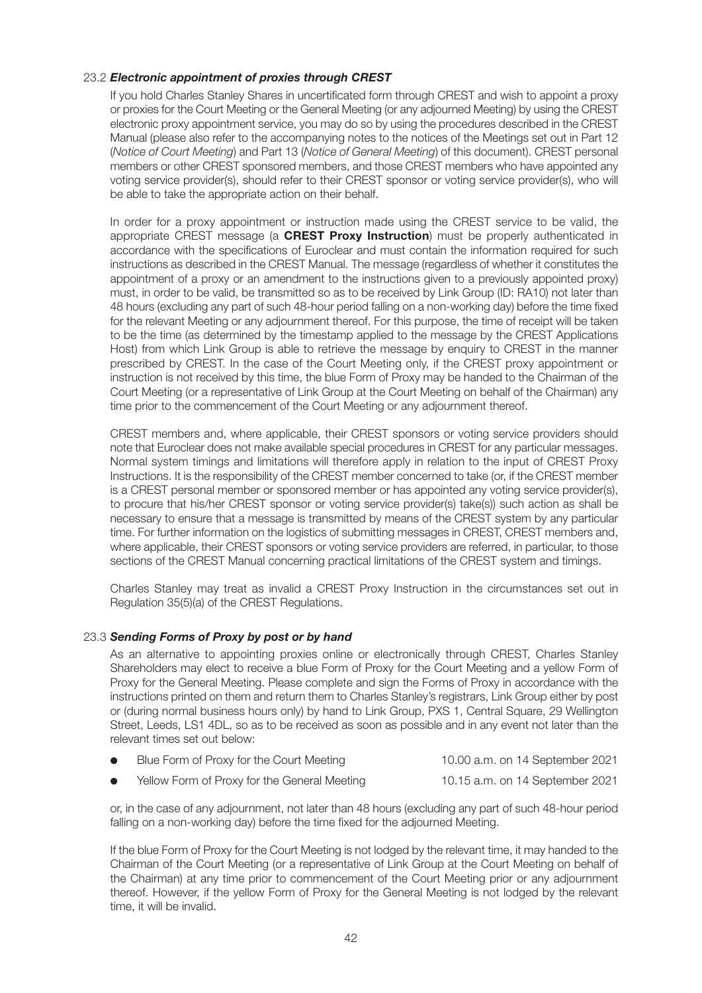## 23.2 *Electronic appointment of proxies through CREST*

 If you hold Charles Stanley Shares in uncertificated form through CREST and wish to appoint a proxy or proxies for the Court Meeting or the General Meeting (or any adjourned Meeting) by using the CREST electronic proxy appointment service, you may do so by using the procedures described in the CREST Manual (please also refer to the accompanying notes to the notices of the Meetings set out in Part 12 (*Notice of Court Meeting*) and Part 13 (*Notice of General Meeting*) of this document). CREST personal members or other CREST sponsored members, and those CREST members who have appointed any voting service provider(s), should refer to their CREST sponsor or voting service provider(s), who will be able to take the appropriate action on their behalf.

 In order for a proxy appointment or instruction made using the CREST service to be valid, the appropriate CREST message (a **CREST Proxy Instruction**) must be properly authenticated in accordance with the specifications of Euroclear and must contain the information required for such instructions as described in the CREST Manual. The message (regardless of whether it constitutes the appointment of a proxy or an amendment to the instructions given to a previously appointed proxy) must, in order to be valid, be transmitted so as to be received by Link Group (ID: RA10) not later than 48 hours (excluding any part of such 48-hour period falling on a non-working day) before the time fixed for the relevant Meeting or any adjournment thereof. For this purpose, the time of receipt will be taken to be the time (as determined by the timestamp applied to the message by the CREST Applications Host) from which Link Group is able to retrieve the message by enquiry to CREST in the manner prescribed by CREST. In the case of the Court Meeting only, if the CREST proxy appointment or instruction is not received by this time, the blue Form of Proxy may be handed to the Chairman of the Court Meeting (or a representative of Link Group at the Court Meeting on behalf of the Chairman) any time prior to the commencement of the Court Meeting or any adjournment thereof.

 CREST members and, where applicable, their CREST sponsors or voting service providers should note that Euroclear does not make available special procedures in CREST for any particular messages. Normal system timings and limitations will therefore apply in relation to the input of CREST Proxy Instructions. It is the responsibility of the CREST member concerned to take (or, if the CREST member is a CREST personal member or sponsored member or has appointed any voting service provider(s), to procure that his/her CREST sponsor or voting service provider(s) take(s)) such action as shall be necessary to ensure that a message is transmitted by means of the CREST system by any particular time. For further information on the logistics of submitting messages in CREST, CREST members and, where applicable, their CREST sponsors or voting service providers are referred, in particular, to those sections of the CREST Manual concerning practical limitations of the CREST system and timings.

 Charles Stanley may treat as invalid a CREST Proxy Instruction in the circumstances set out in Regulation 35(5)(a) of the CREST Regulations.

## 23.3 *Sending Forms of Proxy by post or by hand*

 As an alternative to appointing proxies online or electronically through CREST, Charles Stanley Shareholders may elect to receive a blue Form of Proxy for the Court Meeting and a yellow Form of Proxy for the General Meeting. Please complete and sign the Forms of Proxy in accordance with the instructions printed on them and return them to Charles Stanley's registrars, Link Group either by post or (during normal business hours only) by hand to Link Group, PXS 1, Central Square, 29 Wellington Street, Leeds, LS1 4DL, so as to be received as soon as possible and in any event not later than the relevant times set out below:

| Blue Form of Proxy for the Court Meeting | 10.00 a.m. on 14 September 2021 |
|------------------------------------------|---------------------------------|
|------------------------------------------|---------------------------------|

l Yellow Form of Proxy for the General Meeting 10.15 a.m. on 14 September 2021

 or, in the case of any adjournment, not later than 48 hours (excluding any part of such 48-hour period falling on a non-working day) before the time fixed for the adjourned Meeting.

 If the blue Form of Proxy for the Court Meeting is not lodged by the relevant time, it may handed to the Chairman of the Court Meeting (or a representative of Link Group at the Court Meeting on behalf of the Chairman) at any time prior to commencement of the Court Meeting prior or any adjournment thereof. However, if the yellow Form of Proxy for the General Meeting is not lodged by the relevant time, it will be invalid.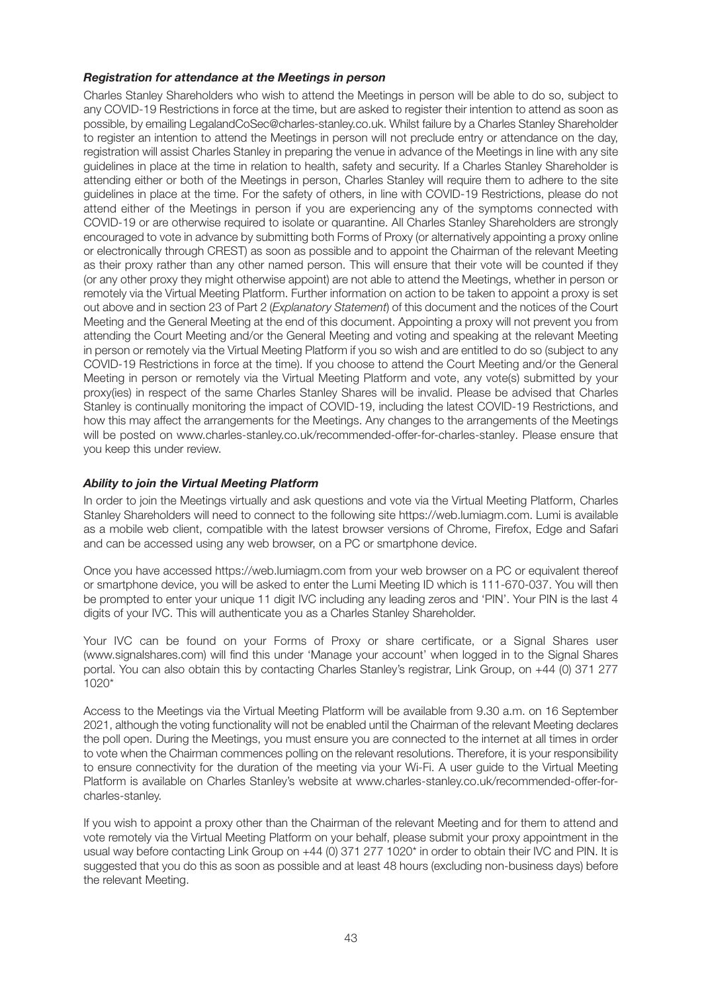## *Registration for attendance at the Meetings in person*

Charles Stanley Shareholders who wish to attend the Meetings in person will be able to do so, subject to any COVID-19 Restrictions in force at the time, but are asked to register their intention to attend as soon as possible, by emailing LegalandCoSec@charles-stanley.co.uk. Whilst failure by a Charles Stanley Shareholder to register an intention to attend the Meetings in person will not preclude entry or attendance on the day, registration will assist Charles Stanley in preparing the venue in advance of the Meetings in line with any site guidelines in place at the time in relation to health, safety and security. If a Charles Stanley Shareholder is attending either or both of the Meetings in person, Charles Stanley will require them to adhere to the site guidelines in place at the time. For the safety of others, in line with COVID-19 Restrictions, please do not attend either of the Meetings in person if you are experiencing any of the symptoms connected with COVID-19 or are otherwise required to isolate or quarantine. All Charles Stanley Shareholders are strongly encouraged to vote in advance by submitting both Forms of Proxy (or alternatively appointing a proxy online or electronically through CREST) as soon as possible and to appoint the Chairman of the relevant Meeting as their proxy rather than any other named person. This will ensure that their vote will be counted if they (or any other proxy they might otherwise appoint) are not able to attend the Meetings, whether in person or remotely via the Virtual Meeting Platform. Further information on action to be taken to appoint a proxy is set out above and in section 23 of Part 2 (*Explanatory Statement*) of this document and the notices of the Court Meeting and the General Meeting at the end of this document. Appointing a proxy will not prevent you from attending the Court Meeting and/or the General Meeting and voting and speaking at the relevant Meeting in person or remotely via the Virtual Meeting Platform if you so wish and are entitled to do so (subject to any COVID-19 Restrictions in force at the time). If you choose to attend the Court Meeting and/or the General Meeting in person or remotely via the Virtual Meeting Platform and vote, any vote(s) submitted by your proxy(ies) in respect of the same Charles Stanley Shares will be invalid. Please be advised that Charles Stanley is continually monitoring the impact of COVID-19, including the latest COVID-19 Restrictions, and how this may affect the arrangements for the Meetings. Any changes to the arrangements of the Meetings will be posted on www.charles-stanley.co.uk/recommended-offer-for-charles-stanley. Please ensure that you keep this under review.

## *Ability to join the Virtual Meeting Platform*

In order to join the Meetings virtually and ask questions and vote via the Virtual Meeting Platform, Charles Stanley Shareholders will need to connect to the following site https://web.lumiagm.com. Lumi is available as a mobile web client, compatible with the latest browser versions of Chrome, Firefox, Edge and Safari and can be accessed using any web browser, on a PC or smartphone device.

Once you have accessed https://web.lumiagm.com from your web browser on a PC or equivalent thereof or smartphone device, you will be asked to enter the Lumi Meeting ID which is 111-670-037. You will then be prompted to enter your unique 11 digit IVC including any leading zeros and 'PIN'. Your PIN is the last 4 digits of your IVC. This will authenticate you as a Charles Stanley Shareholder.

Your IVC can be found on your Forms of Proxy or share certificate, or a Signal Shares user (www.signalshares.com) will find this under 'Manage your account' when logged in to the Signal Shares portal. You can also obtain this by contacting Charles Stanley's registrar, Link Group, on +44 (0) 371 277 1020\*

Access to the Meetings via the Virtual Meeting Platform will be available from 9.30 a.m. on 16 September 2021, although the voting functionality will not be enabled until the Chairman of the relevant Meeting declares the poll open. During the Meetings, you must ensure you are connected to the internet at all times in order to vote when the Chairman commences polling on the relevant resolutions. Therefore, it is your responsibility to ensure connectivity for the duration of the meeting via your Wi-Fi. A user guide to the Virtual Meeting Platform is available on Charles Stanley's website at www.charles-stanley.co.uk/recommended-offer-forcharles-stanley.

If you wish to appoint a proxy other than the Chairman of the relevant Meeting and for them to attend and vote remotely via the Virtual Meeting Platform on your behalf, please submit your proxy appointment in the usual way before contacting Link Group on +44 (0) 371 277 1020<sup>\*</sup> in order to obtain their IVC and PIN. It is suggested that you do this as soon as possible and at least 48 hours (excluding non-business days) before the relevant Meeting.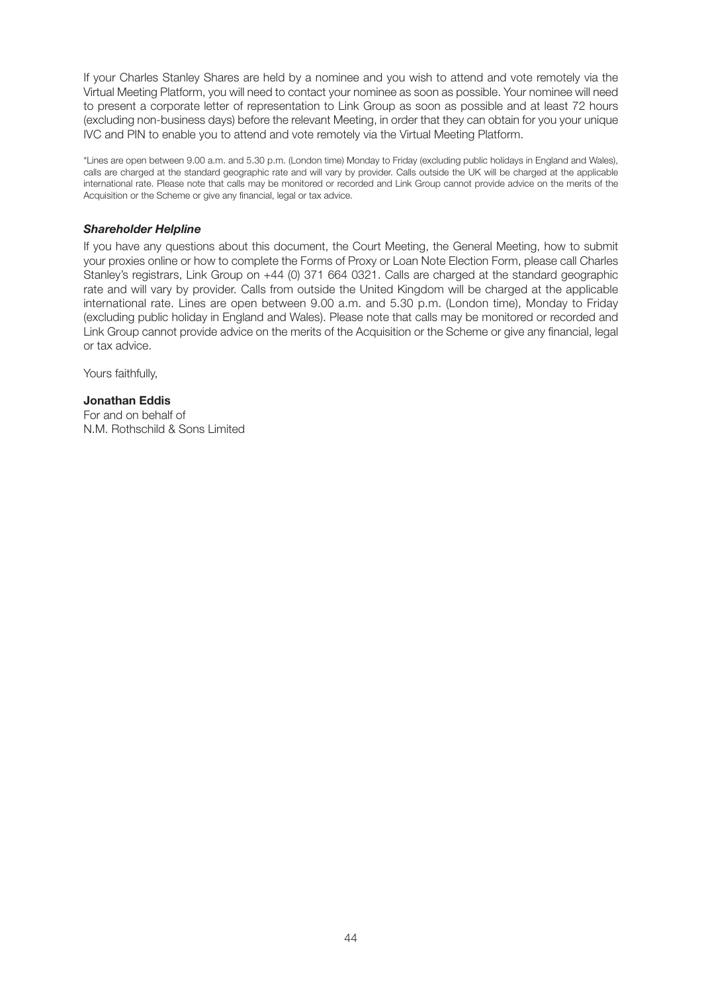If your Charles Stanley Shares are held by a nominee and you wish to attend and vote remotely via the Virtual Meeting Platform, you will need to contact your nominee as soon as possible. Your nominee will need to present a corporate letter of representation to Link Group as soon as possible and at least 72 hours (excluding non-business days) before the relevant Meeting, in order that they can obtain for you your unique IVC and PIN to enable you to attend and vote remotely via the Virtual Meeting Platform.

\*Lines are open between 9.00 a.m. and 5.30 p.m. (London time) Monday to Friday (excluding public holidays in England and Wales), calls are charged at the standard geographic rate and will vary by provider. Calls outside the UK will be charged at the applicable international rate. Please note that calls may be monitored or recorded and Link Group cannot provide advice on the merits of the Acquisition or the Scheme or give any financial, legal or tax advice.

### *Shareholder Helpline*

If you have any questions about this document, the Court Meeting, the General Meeting, how to submit your proxies online or how to complete the Forms of Proxy or Loan Note Election Form, please call Charles Stanley's registrars, Link Group on +44 (0) 371 664 0321. Calls are charged at the standard geographic rate and will vary by provider. Calls from outside the United Kingdom will be charged at the applicable international rate. Lines are open between 9.00 a.m. and 5.30 p.m. (London time), Monday to Friday (excluding public holiday in England and Wales). Please note that calls may be monitored or recorded and Link Group cannot provide advice on the merits of the Acquisition or the Scheme or give any financial, legal or tax advice.

Yours faithfully,

### **Jonathan Eddis**

For and on behalf of N.M. Rothschild & Sons Limited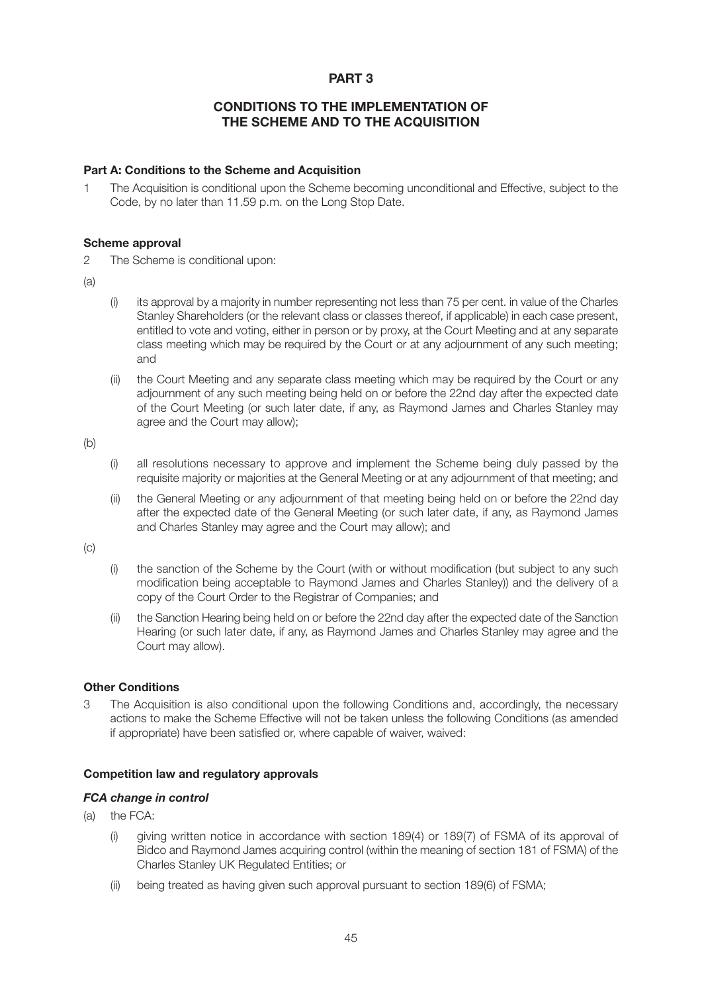# **PART 3**

# **CONDITIONS TO THE IMPLEMENTATION OF THE SCHEME AND TO THE ACQUISITION**

#### **Part A: Conditions to the Scheme and Acquisition**

1 The Acquisition is conditional upon the Scheme becoming unconditional and Effective, subject to the Code, by no later than 11.59 p.m. on the Long Stop Date.

#### **Scheme approval**

2 The Scheme is conditional upon:

(a)

- (i) its approval by a majority in number representing not less than 75 per cent. in value of the Charles Stanley Shareholders (or the relevant class or classes thereof, if applicable) in each case present, entitled to vote and voting, either in person or by proxy, at the Court Meeting and at any separate class meeting which may be required by the Court or at any adjournment of any such meeting; and
- (ii) the Court Meeting and any separate class meeting which may be required by the Court or any adjournment of any such meeting being held on or before the 22nd day after the expected date of the Court Meeting (or such later date, if any, as Raymond James and Charles Stanley may agree and the Court may allow);

(b)

- (i) all resolutions necessary to approve and implement the Scheme being duly passed by the requisite majority or majorities at the General Meeting or at any adjournment of that meeting; and
- (ii) the General Meeting or any adjournment of that meeting being held on or before the 22nd day after the expected date of the General Meeting (or such later date, if any, as Raymond James and Charles Stanley may agree and the Court may allow); and

(c)

- (i) the sanction of the Scheme by the Court (with or without modification (but subject to any such modification being acceptable to Raymond James and Charles Stanley)) and the delivery of a copy of the Court Order to the Registrar of Companies; and
- (ii) the Sanction Hearing being held on or before the 22nd day after the expected date of the Sanction Hearing (or such later date, if any, as Raymond James and Charles Stanley may agree and the Court may allow).

## **Other Conditions**

3 The Acquisition is also conditional upon the following Conditions and, accordingly, the necessary actions to make the Scheme Effective will not be taken unless the following Conditions (as amended if appropriate) have been satisfied or, where capable of waiver, waived:

## **Competition law and regulatory approvals**

## *FCA change in control*

- (a) the FCA:
	- (i) giving written notice in accordance with section 189(4) or 189(7) of FSMA of its approval of Bidco and Raymond James acquiring control (within the meaning of section 181 of FSMA) of the Charles Stanley UK Regulated Entities; or
	- (ii) being treated as having given such approval pursuant to section 189(6) of FSMA;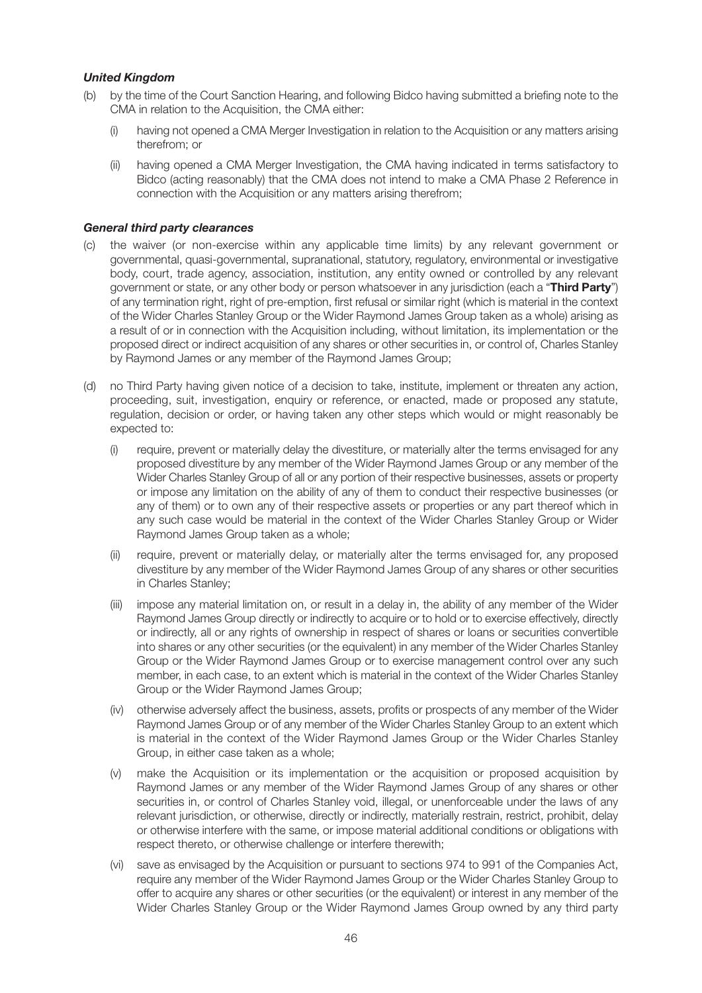## *United Kingdom*

- (b) by the time of the Court Sanction Hearing, and following Bidco having submitted a briefing note to the CMA in relation to the Acquisition, the CMA either:
	- (i) having not opened a CMA Merger Investigation in relation to the Acquisition or any matters arising therefrom; or
	- (ii) having opened a CMA Merger Investigation, the CMA having indicated in terms satisfactory to Bidco (acting reasonably) that the CMA does not intend to make a CMA Phase 2 Reference in connection with the Acquisition or any matters arising therefrom;

#### *General third party clearances*

- (c) the waiver (or non-exercise within any applicable time limits) by any relevant government or governmental, quasi-governmental, supranational, statutory, regulatory, environmental or investigative body, court, trade agency, association, institution, any entity owned or controlled by any relevant government or state, or any other body or person whatsoever in any jurisdiction (each a "**Third Party**") of any termination right, right of pre-emption, first refusal or similar right (which is material in the context of the Wider Charles Stanley Group or the Wider Raymond James Group taken as a whole) arising as a result of or in connection with the Acquisition including, without limitation, its implementation or the proposed direct or indirect acquisition of any shares or other securities in, or control of, Charles Stanley by Raymond James or any member of the Raymond James Group;
- (d) no Third Party having given notice of a decision to take, institute, implement or threaten any action, proceeding, suit, investigation, enquiry or reference, or enacted, made or proposed any statute, regulation, decision or order, or having taken any other steps which would or might reasonably be expected to:
	- (i) require, prevent or materially delay the divestiture, or materially alter the terms envisaged for any proposed divestiture by any member of the Wider Raymond James Group or any member of the Wider Charles Stanley Group of all or any portion of their respective businesses, assets or property or impose any limitation on the ability of any of them to conduct their respective businesses (or any of them) or to own any of their respective assets or properties or any part thereof which in any such case would be material in the context of the Wider Charles Stanley Group or Wider Raymond James Group taken as a whole;
	- (ii) require, prevent or materially delay, or materially alter the terms envisaged for, any proposed divestiture by any member of the Wider Raymond James Group of any shares or other securities in Charles Stanley;
	- (iii) impose any material limitation on, or result in a delay in, the ability of any member of the Wider Raymond James Group directly or indirectly to acquire or to hold or to exercise effectively, directly or indirectly, all or any rights of ownership in respect of shares or loans or securities convertible into shares or any other securities (or the equivalent) in any member of the Wider Charles Stanley Group or the Wider Raymond James Group or to exercise management control over any such member, in each case, to an extent which is material in the context of the Wider Charles Stanley Group or the Wider Raymond James Group;
	- (iv) otherwise adversely affect the business, assets, profits or prospects of any member of the Wider Raymond James Group or of any member of the Wider Charles Stanley Group to an extent which is material in the context of the Wider Raymond James Group or the Wider Charles Stanley Group, in either case taken as a whole;
	- (v) make the Acquisition or its implementation or the acquisition or proposed acquisition by Raymond James or any member of the Wider Raymond James Group of any shares or other securities in, or control of Charles Stanley void, illegal, or unenforceable under the laws of any relevant jurisdiction, or otherwise, directly or indirectly, materially restrain, restrict, prohibit, delay or otherwise interfere with the same, or impose material additional conditions or obligations with respect thereto, or otherwise challenge or interfere therewith;
	- (vi) save as envisaged by the Acquisition or pursuant to sections 974 to 991 of the Companies Act, require any member of the Wider Raymond James Group or the Wider Charles Stanley Group to offer to acquire any shares or other securities (or the equivalent) or interest in any member of the Wider Charles Stanley Group or the Wider Raymond James Group owned by any third party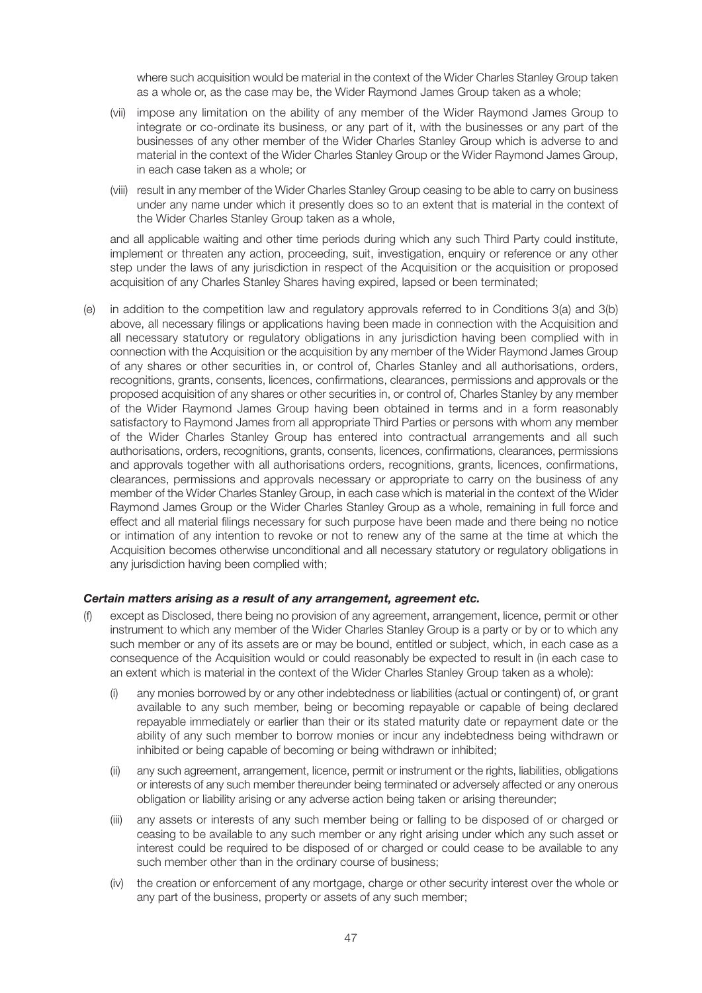where such acquisition would be material in the context of the Wider Charles Stanley Group taken as a whole or, as the case may be, the Wider Raymond James Group taken as a whole;

- (vii) impose any limitation on the ability of any member of the Wider Raymond James Group to integrate or co-ordinate its business, or any part of it, with the businesses or any part of the businesses of any other member of the Wider Charles Stanley Group which is adverse to and material in the context of the Wider Charles Stanley Group or the Wider Raymond James Group, in each case taken as a whole; or
- (viii) result in any member of the Wider Charles Stanley Group ceasing to be able to carry on business under any name under which it presently does so to an extent that is material in the context of the Wider Charles Stanley Group taken as a whole,

 and all applicable waiting and other time periods during which any such Third Party could institute, implement or threaten any action, proceeding, suit, investigation, enquiry or reference or any other step under the laws of any jurisdiction in respect of the Acquisition or the acquisition or proposed acquisition of any Charles Stanley Shares having expired, lapsed or been terminated;

(e) in addition to the competition law and regulatory approvals referred to in Conditions 3(a) and 3(b) above, all necessary filings or applications having been made in connection with the Acquisition and all necessary statutory or regulatory obligations in any jurisdiction having been complied with in connection with the Acquisition or the acquisition by any member of the Wider Raymond James Group of any shares or other securities in, or control of, Charles Stanley and all authorisations, orders, recognitions, grants, consents, licences, confirmations, clearances, permissions and approvals or the proposed acquisition of any shares or other securities in, or control of, Charles Stanley by any member of the Wider Raymond James Group having been obtained in terms and in a form reasonably satisfactory to Raymond James from all appropriate Third Parties or persons with whom any member of the Wider Charles Stanley Group has entered into contractual arrangements and all such authorisations, orders, recognitions, grants, consents, licences, confirmations, clearances, permissions and approvals together with all authorisations orders, recognitions, grants, licences, confirmations, clearances, permissions and approvals necessary or appropriate to carry on the business of any member of the Wider Charles Stanley Group, in each case which is material in the context of the Wider Raymond James Group or the Wider Charles Stanley Group as a whole, remaining in full force and effect and all material filings necessary for such purpose have been made and there being no notice or intimation of any intention to revoke or not to renew any of the same at the time at which the Acquisition becomes otherwise unconditional and all necessary statutory or regulatory obligations in any jurisdiction having been complied with;

## *Certain matters arising as a result of any arrangement, agreement etc.*

- except as Disclosed, there being no provision of any agreement, arrangement, licence, permit or other instrument to which any member of the Wider Charles Stanley Group is a party or by or to which any such member or any of its assets are or may be bound, entitled or subject, which, in each case as a consequence of the Acquisition would or could reasonably be expected to result in (in each case to an extent which is material in the context of the Wider Charles Stanley Group taken as a whole):
	- (i) any monies borrowed by or any other indebtedness or liabilities (actual or contingent) of, or grant available to any such member, being or becoming repayable or capable of being declared repayable immediately or earlier than their or its stated maturity date or repayment date or the ability of any such member to borrow monies or incur any indebtedness being withdrawn or inhibited or being capable of becoming or being withdrawn or inhibited;
	- (ii) any such agreement, arrangement, licence, permit or instrument or the rights, liabilities, obligations or interests of any such member thereunder being terminated or adversely affected or any onerous obligation or liability arising or any adverse action being taken or arising thereunder;
	- (iii) any assets or interests of any such member being or falling to be disposed of or charged or ceasing to be available to any such member or any right arising under which any such asset or interest could be required to be disposed of or charged or could cease to be available to any such member other than in the ordinary course of business;
	- (iv) the creation or enforcement of any mortgage, charge or other security interest over the whole or any part of the business, property or assets of any such member;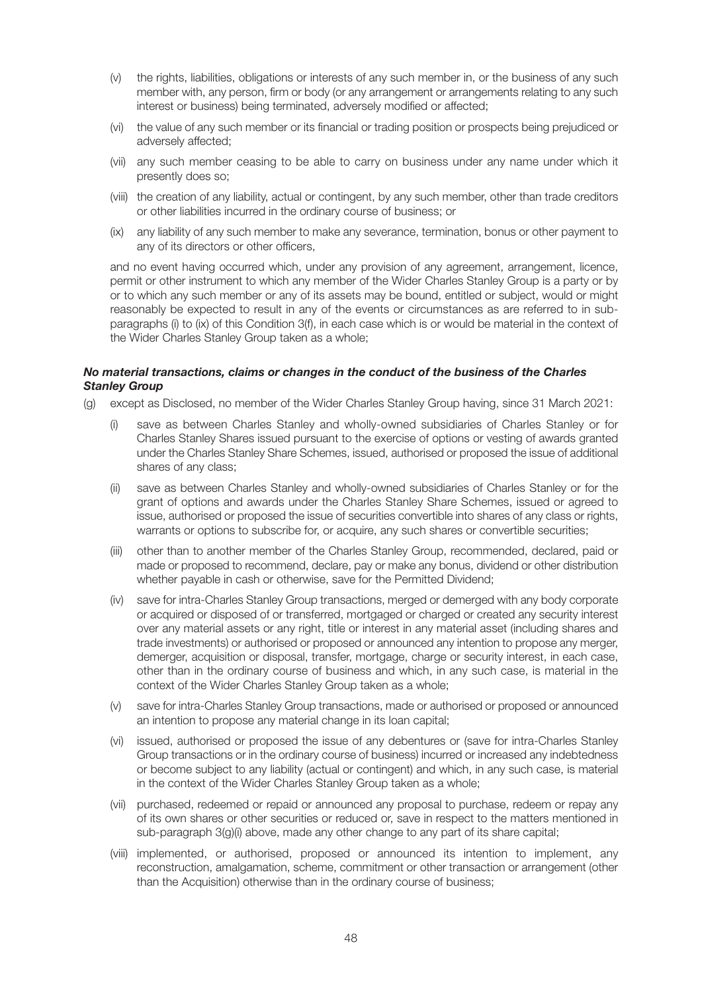- (v) the rights, liabilities, obligations or interests of any such member in, or the business of any such member with, any person, firm or body (or any arrangement or arrangements relating to any such interest or business) being terminated, adversely modified or affected;
- (vi) the value of any such member or its financial or trading position or prospects being prejudiced or adversely affected;
- (vii) any such member ceasing to be able to carry on business under any name under which it presently does so;
- (viii) the creation of any liability, actual or contingent, by any such member, other than trade creditors or other liabilities incurred in the ordinary course of business; or
- (ix) any liability of any such member to make any severance, termination, bonus or other payment to any of its directors or other officers,

 and no event having occurred which, under any provision of any agreement, arrangement, licence, permit or other instrument to which any member of the Wider Charles Stanley Group is a party or by or to which any such member or any of its assets may be bound, entitled or subject, would or might reasonably be expected to result in any of the events or circumstances as are referred to in subparagraphs (i) to (ix) of this Condition 3(f), in each case which is or would be material in the context of the Wider Charles Stanley Group taken as a whole;

### *No material transactions, claims or changes in the conduct of the business of the Charles Stanley Group*

- (g) except as Disclosed, no member of the Wider Charles Stanley Group having, since 31 March 2021:
	- (i) save as between Charles Stanley and wholly-owned subsidiaries of Charles Stanley or for Charles Stanley Shares issued pursuant to the exercise of options or vesting of awards granted under the Charles Stanley Share Schemes, issued, authorised or proposed the issue of additional shares of any class;
	- (ii) save as between Charles Stanley and wholly-owned subsidiaries of Charles Stanley or for the grant of options and awards under the Charles Stanley Share Schemes, issued or agreed to issue, authorised or proposed the issue of securities convertible into shares of any class or rights, warrants or options to subscribe for, or acquire, any such shares or convertible securities;
	- (iii) other than to another member of the Charles Stanley Group, recommended, declared, paid or made or proposed to recommend, declare, pay or make any bonus, dividend or other distribution whether payable in cash or otherwise, save for the Permitted Dividend;
	- (iv) save for intra-Charles Stanley Group transactions, merged or demerged with any body corporate or acquired or disposed of or transferred, mortgaged or charged or created any security interest over any material assets or any right, title or interest in any material asset (including shares and trade investments) or authorised or proposed or announced any intention to propose any merger, demerger, acquisition or disposal, transfer, mortgage, charge or security interest, in each case, other than in the ordinary course of business and which, in any such case, is material in the context of the Wider Charles Stanley Group taken as a whole;
	- (v) save for intra-Charles Stanley Group transactions, made or authorised or proposed or announced an intention to propose any material change in its loan capital;
	- (vi) issued, authorised or proposed the issue of any debentures or (save for intra-Charles Stanley Group transactions or in the ordinary course of business) incurred or increased any indebtedness or become subject to any liability (actual or contingent) and which, in any such case, is material in the context of the Wider Charles Stanley Group taken as a whole;
	- (vii) purchased, redeemed or repaid or announced any proposal to purchase, redeem or repay any of its own shares or other securities or reduced or, save in respect to the matters mentioned in sub-paragraph 3(g)(i) above, made any other change to any part of its share capital;
	- (viii) implemented, or authorised, proposed or announced its intention to implement, any reconstruction, amalgamation, scheme, commitment or other transaction or arrangement (other than the Acquisition) otherwise than in the ordinary course of business;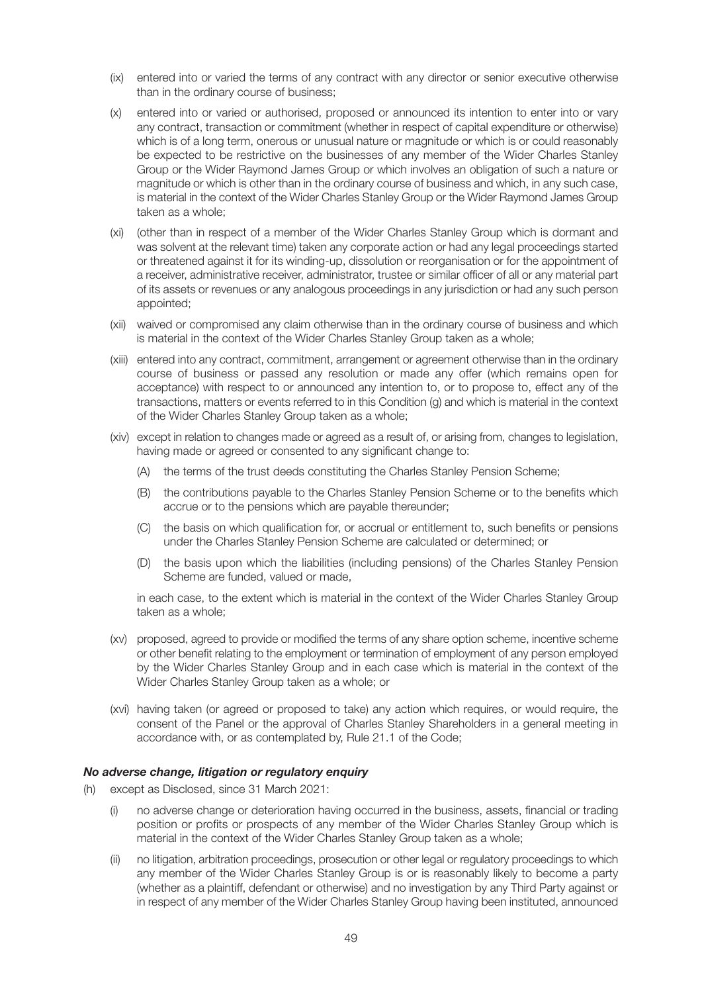- (ix) entered into or varied the terms of any contract with any director or senior executive otherwise than in the ordinary course of business;
- (x) entered into or varied or authorised, proposed or announced its intention to enter into or vary any contract, transaction or commitment (whether in respect of capital expenditure or otherwise) which is of a long term, onerous or unusual nature or magnitude or which is or could reasonably be expected to be restrictive on the businesses of any member of the Wider Charles Stanley Group or the Wider Raymond James Group or which involves an obligation of such a nature or magnitude or which is other than in the ordinary course of business and which, in any such case, is material in the context of the Wider Charles Stanley Group or the Wider Raymond James Group taken as a whole;
- (xi) (other than in respect of a member of the Wider Charles Stanley Group which is dormant and was solvent at the relevant time) taken any corporate action or had any legal proceedings started or threatened against it for its winding-up, dissolution or reorganisation or for the appointment of a receiver, administrative receiver, administrator, trustee or similar officer of all or any material part of its assets or revenues or any analogous proceedings in any jurisdiction or had any such person appointed;
- (xii) waived or compromised any claim otherwise than in the ordinary course of business and which is material in the context of the Wider Charles Stanley Group taken as a whole;
- (xiii) entered into any contract, commitment, arrangement or agreement otherwise than in the ordinary course of business or passed any resolution or made any offer (which remains open for acceptance) with respect to or announced any intention to, or to propose to, effect any of the transactions, matters or events referred to in this Condition (g) and which is material in the context of the Wider Charles Stanley Group taken as a whole;
- (xiv) except in relation to changes made or agreed as a result of, or arising from, changes to legislation, having made or agreed or consented to any significant change to:
	- (A) the terms of the trust deeds constituting the Charles Stanley Pension Scheme;
	- (B) the contributions payable to the Charles Stanley Pension Scheme or to the benefits which accrue or to the pensions which are payable thereunder;
	- (C) the basis on which qualification for, or accrual or entitlement to, such benefits or pensions under the Charles Stanley Pension Scheme are calculated or determined; or
	- (D) the basis upon which the liabilities (including pensions) of the Charles Stanley Pension Scheme are funded, valued or made,

 in each case, to the extent which is material in the context of the Wider Charles Stanley Group taken as a whole;

- (xv) proposed, agreed to provide or modified the terms of any share option scheme, incentive scheme or other benefit relating to the employment or termination of employment of any person employed by the Wider Charles Stanley Group and in each case which is material in the context of the Wider Charles Stanley Group taken as a whole; or
- (xvi) having taken (or agreed or proposed to take) any action which requires, or would require, the consent of the Panel or the approval of Charles Stanley Shareholders in a general meeting in accordance with, or as contemplated by, Rule 21.1 of the Code;

## *No adverse change, litigation or regulatory enquiry*

- (h) except as Disclosed, since 31 March 2021:
	- no adverse change or deterioration having occurred in the business, assets, financial or trading position or profits or prospects of any member of the Wider Charles Stanley Group which is material in the context of the Wider Charles Stanley Group taken as a whole;
	- (ii) no litigation, arbitration proceedings, prosecution or other legal or regulatory proceedings to which any member of the Wider Charles Stanley Group is or is reasonably likely to become a party (whether as a plaintiff, defendant or otherwise) and no investigation by any Third Party against or in respect of any member of the Wider Charles Stanley Group having been instituted, announced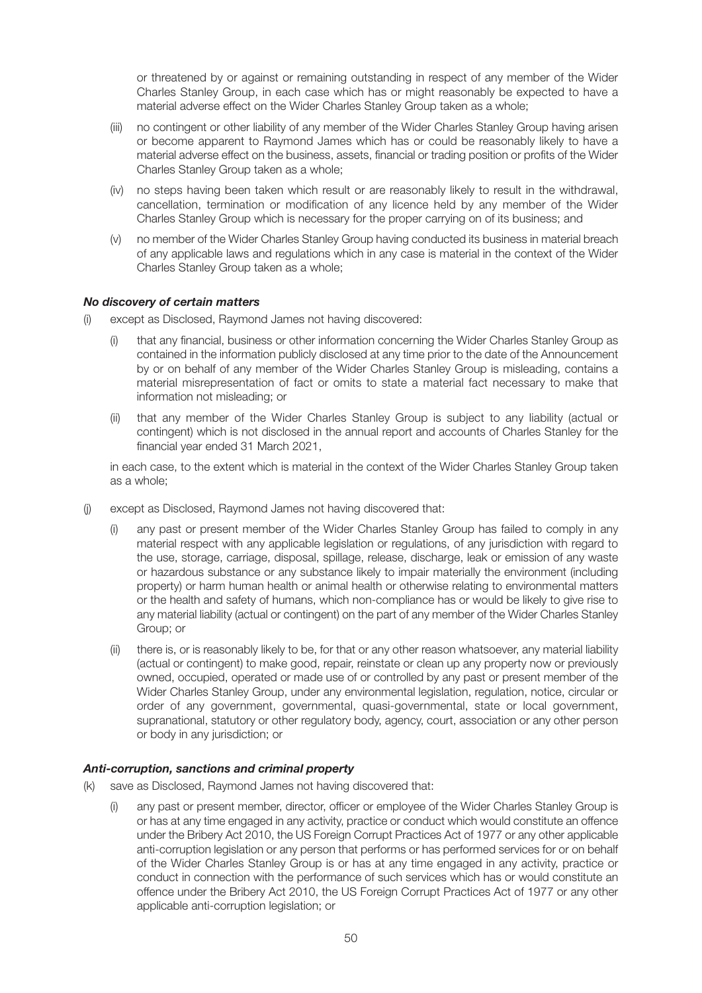or threatened by or against or remaining outstanding in respect of any member of the Wider Charles Stanley Group, in each case which has or might reasonably be expected to have a material adverse effect on the Wider Charles Stanley Group taken as a whole;

- (iii) no contingent or other liability of any member of the Wider Charles Stanley Group having arisen or become apparent to Raymond James which has or could be reasonably likely to have a material adverse effect on the business, assets, financial or trading position or profits of the Wider Charles Stanley Group taken as a whole;
- (iv) no steps having been taken which result or are reasonably likely to result in the withdrawal, cancellation, termination or modification of any licence held by any member of the Wider Charles Stanley Group which is necessary for the proper carrying on of its business; and
- (v) no member of the Wider Charles Stanley Group having conducted its business in material breach of any applicable laws and regulations which in any case is material in the context of the Wider Charles Stanley Group taken as a whole;

## *No discovery of certain matters*

- (i) except as Disclosed, Raymond James not having discovered:
	- (i) that any financial, business or other information concerning the Wider Charles Stanley Group as contained in the information publicly disclosed at any time prior to the date of the Announcement by or on behalf of any member of the Wider Charles Stanley Group is misleading, contains a material misrepresentation of fact or omits to state a material fact necessary to make that information not misleading; or
	- (ii) that any member of the Wider Charles Stanley Group is subject to any liability (actual or contingent) which is not disclosed in the annual report and accounts of Charles Stanley for the financial year ended 31 March 2021,

 in each case, to the extent which is material in the context of the Wider Charles Stanley Group taken as a whole;

- (j) except as Disclosed, Raymond James not having discovered that:
	- (i) any past or present member of the Wider Charles Stanley Group has failed to comply in any material respect with any applicable legislation or regulations, of any jurisdiction with regard to the use, storage, carriage, disposal, spillage, release, discharge, leak or emission of any waste or hazardous substance or any substance likely to impair materially the environment (including property) or harm human health or animal health or otherwise relating to environmental matters or the health and safety of humans, which non-compliance has or would be likely to give rise to any material liability (actual or contingent) on the part of any member of the Wider Charles Stanley Group; or
	- (ii) there is, or is reasonably likely to be, for that or any other reason whatsoever, any material liability (actual or contingent) to make good, repair, reinstate or clean up any property now or previously owned, occupied, operated or made use of or controlled by any past or present member of the Wider Charles Stanley Group, under any environmental legislation, regulation, notice, circular or order of any government, governmental, quasi-governmental, state or local government, supranational, statutory or other regulatory body, agency, court, association or any other person or body in any jurisdiction; or

# *Anti-corruption, sanctions and criminal property*

- (k) save as Disclosed, Raymond James not having discovered that:
	- (i) any past or present member, director, officer or employee of the Wider Charles Stanley Group is or has at any time engaged in any activity, practice or conduct which would constitute an offence under the Bribery Act 2010, the US Foreign Corrupt Practices Act of 1977 or any other applicable anti-corruption legislation or any person that performs or has performed services for or on behalf of the Wider Charles Stanley Group is or has at any time engaged in any activity, practice or conduct in connection with the performance of such services which has or would constitute an offence under the Bribery Act 2010, the US Foreign Corrupt Practices Act of 1977 or any other applicable anti-corruption legislation; or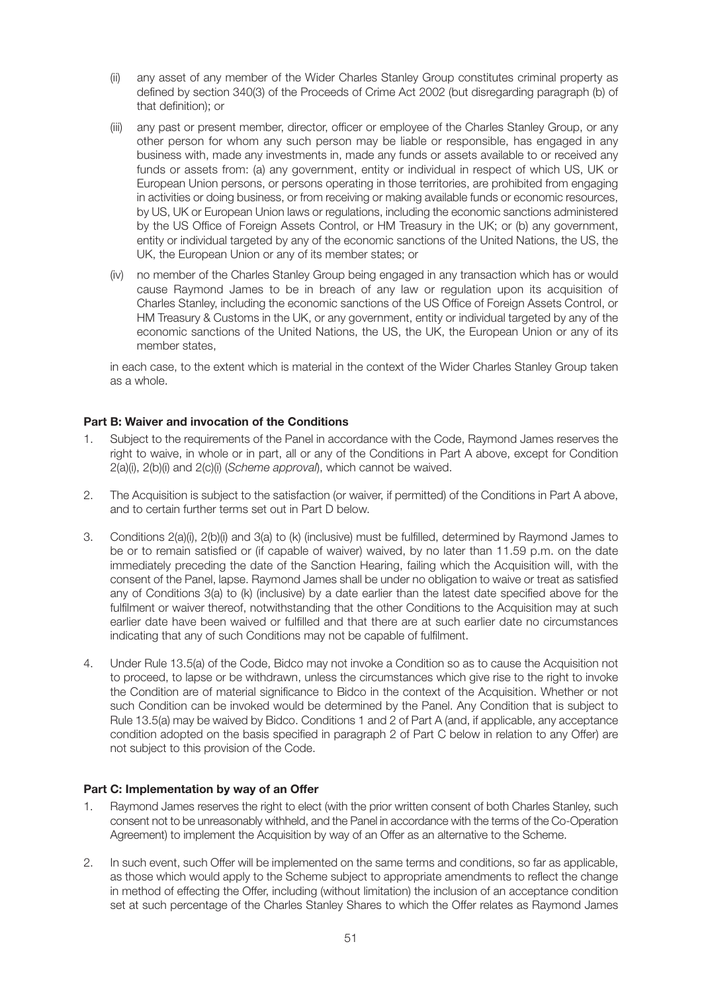- (ii) any asset of any member of the Wider Charles Stanley Group constitutes criminal property as defined by section 340(3) of the Proceeds of Crime Act 2002 (but disregarding paragraph (b) of that definition); or
- (iii) any past or present member, director, officer or employee of the Charles Stanley Group, or any other person for whom any such person may be liable or responsible, has engaged in any business with, made any investments in, made any funds or assets available to or received any funds or assets from: (a) any government, entity or individual in respect of which US, UK or European Union persons, or persons operating in those territories, are prohibited from engaging in activities or doing business, or from receiving or making available funds or economic resources, by US, UK or European Union laws or regulations, including the economic sanctions administered by the US Office of Foreign Assets Control, or HM Treasury in the UK; or (b) any government, entity or individual targeted by any of the economic sanctions of the United Nations, the US, the UK, the European Union or any of its member states; or
- (iv) no member of the Charles Stanley Group being engaged in any transaction which has or would cause Raymond James to be in breach of any law or regulation upon its acquisition of Charles Stanley, including the economic sanctions of the US Office of Foreign Assets Control, or HM Treasury & Customs in the UK, or any government, entity or individual targeted by any of the economic sanctions of the United Nations, the US, the UK, the European Union or any of its member states,

 in each case, to the extent which is material in the context of the Wider Charles Stanley Group taken as a whole.

## **Part B: Waiver and invocation of the Conditions**

- 1. Subject to the requirements of the Panel in accordance with the Code, Raymond James reserves the right to waive, in whole or in part, all or any of the Conditions in Part A above, except for Condition 2(a)(i), 2(b)(i) and 2(c)(i) (*Scheme approval*), which cannot be waived.
- 2. The Acquisition is subject to the satisfaction (or waiver, if permitted) of the Conditions in Part A above, and to certain further terms set out in Part D below.
- 3. Conditions 2(a)(i), 2(b)(i) and 3(a) to (k) (inclusive) must be fulfilled, determined by Raymond James to be or to remain satisfied or (if capable of waiver) waived, by no later than 11.59 p.m. on the date immediately preceding the date of the Sanction Hearing, failing which the Acquisition will, with the consent of the Panel, lapse. Raymond James shall be under no obligation to waive or treat as satisfied any of Conditions 3(a) to (k) (inclusive) by a date earlier than the latest date specified above for the fulfilment or waiver thereof, notwithstanding that the other Conditions to the Acquisition may at such earlier date have been waived or fulfilled and that there are at such earlier date no circumstances indicating that any of such Conditions may not be capable of fulfilment.
- 4. Under Rule 13.5(a) of the Code, Bidco may not invoke a Condition so as to cause the Acquisition not to proceed, to lapse or be withdrawn, unless the circumstances which give rise to the right to invoke the Condition are of material significance to Bidco in the context of the Acquisition. Whether or not such Condition can be invoked would be determined by the Panel. Any Condition that is subject to Rule 13.5(a) may be waived by Bidco. Conditions 1 and 2 of Part A (and, if applicable, any acceptance condition adopted on the basis specified in paragraph 2 of Part C below in relation to any Offer) are not subject to this provision of the Code.

## **Part C: Implementation by way of an Offer**

- 1. Raymond James reserves the right to elect (with the prior written consent of both Charles Stanley, such consent not to be unreasonably withheld, and the Panel in accordance with the terms of the Co-Operation Agreement) to implement the Acquisition by way of an Offer as an alternative to the Scheme.
- 2. In such event, such Offer will be implemented on the same terms and conditions, so far as applicable, as those which would apply to the Scheme subject to appropriate amendments to reflect the change in method of effecting the Offer, including (without limitation) the inclusion of an acceptance condition set at such percentage of the Charles Stanley Shares to which the Offer relates as Raymond James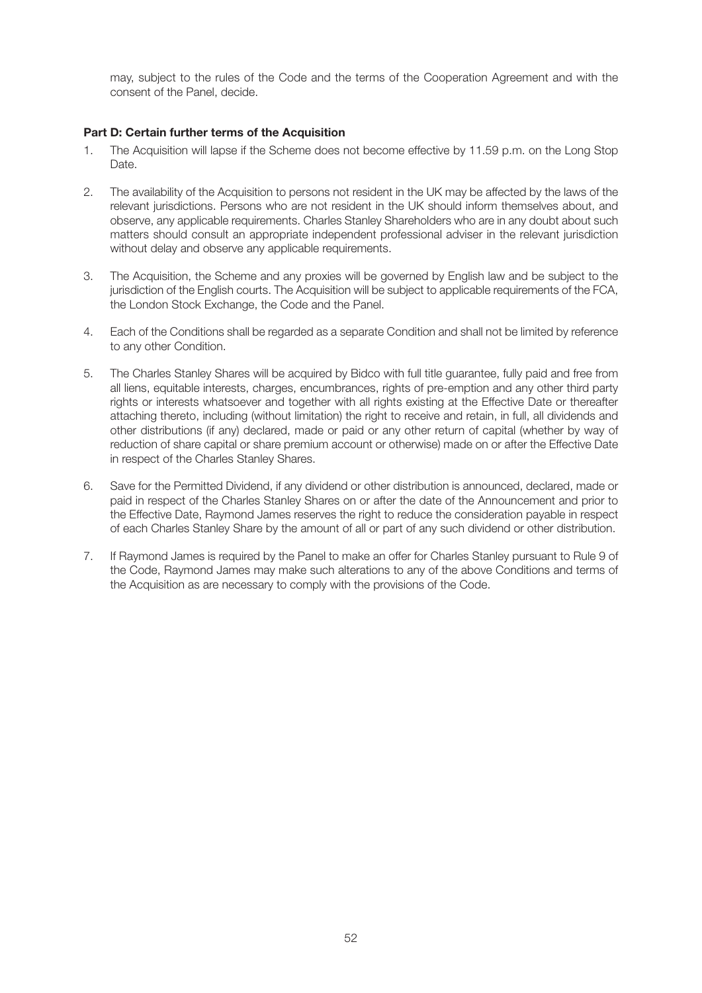may, subject to the rules of the Code and the terms of the Cooperation Agreement and with the consent of the Panel, decide.

## **Part D: Certain further terms of the Acquisition**

- 1. The Acquisition will lapse if the Scheme does not become effective by 11.59 p.m. on the Long Stop Date.
- 2. The availability of the Acquisition to persons not resident in the UK may be affected by the laws of the relevant jurisdictions. Persons who are not resident in the UK should inform themselves about, and observe, any applicable requirements. Charles Stanley Shareholders who are in any doubt about such matters should consult an appropriate independent professional adviser in the relevant jurisdiction without delay and observe any applicable requirements.
- 3. The Acquisition, the Scheme and any proxies will be governed by English law and be subject to the jurisdiction of the English courts. The Acquisition will be subject to applicable requirements of the FCA, the London Stock Exchange, the Code and the Panel.
- 4. Each of the Conditions shall be regarded as a separate Condition and shall not be limited by reference to any other Condition.
- 5. The Charles Stanley Shares will be acquired by Bidco with full title guarantee, fully paid and free from all liens, equitable interests, charges, encumbrances, rights of pre-emption and any other third party rights or interests whatsoever and together with all rights existing at the Effective Date or thereafter attaching thereto, including (without limitation) the right to receive and retain, in full, all dividends and other distributions (if any) declared, made or paid or any other return of capital (whether by way of reduction of share capital or share premium account or otherwise) made on or after the Effective Date in respect of the Charles Stanley Shares.
- 6. Save for the Permitted Dividend, if any dividend or other distribution is announced, declared, made or paid in respect of the Charles Stanley Shares on or after the date of the Announcement and prior to the Effective Date, Raymond James reserves the right to reduce the consideration payable in respect of each Charles Stanley Share by the amount of all or part of any such dividend or other distribution.
- 7. If Raymond James is required by the Panel to make an offer for Charles Stanley pursuant to Rule 9 of the Code, Raymond James may make such alterations to any of the above Conditions and terms of the Acquisition as are necessary to comply with the provisions of the Code.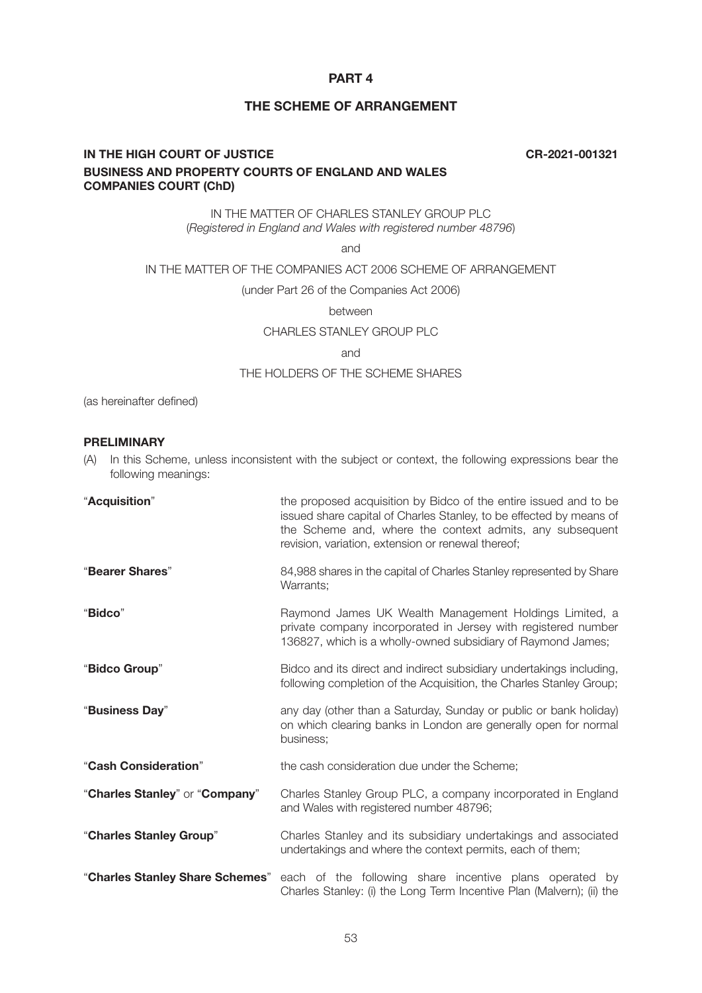# **PART 4**

# **THE SCHEME OF ARRANGEMENT**

# **IN THE HIGH COURT OF JUSTICE CR-2021-001321 BUSINESS AND PROPERTY COURTS OF ENGLAND AND WALES COMPANIES COURT (ChD)**

IN THE MATTER OF CHARLES STANLEY GROUP PLC (*Registered in England and Wales with registered number 48796*)

and

## IN THE MATTER OF THE COMPANIES ACT 2006 SCHEME OF ARRANGEMENT

(under Part 26 of the Companies Act 2006)

between

CHARI FS STANLEY GROUP PLC

and

### THE HOLDERS OF THE SCHEME SHARES

(as hereinafter defined)

### **PRELIMINARY**

(A) In this Scheme, unless inconsistent with the subject or context, the following expressions bear the following meanings:

| "Acquisition"                   | the proposed acquisition by Bidco of the entire issued and to be<br>issued share capital of Charles Stanley, to be effected by means of<br>the Scheme and, where the context admits, any subsequent<br>revision, variation, extension or renewal thereof; |
|---------------------------------|-----------------------------------------------------------------------------------------------------------------------------------------------------------------------------------------------------------------------------------------------------------|
| "Bearer Shares"                 | 84,988 shares in the capital of Charles Stanley represented by Share<br>Warrants;                                                                                                                                                                         |
| "Bidco"                         | Raymond James UK Wealth Management Holdings Limited, a<br>private company incorporated in Jersey with registered number<br>136827, which is a wholly-owned subsidiary of Raymond James;                                                                   |
| "Bidco Group"                   | Bidco and its direct and indirect subsidiary undertakings including,<br>following completion of the Acquisition, the Charles Stanley Group;                                                                                                               |
| "Business Day"                  | any day (other than a Saturday, Sunday or public or bank holiday)<br>on which clearing banks in London are generally open for normal<br>business;                                                                                                         |
| "Cash Consideration"            | the cash consideration due under the Scheme;                                                                                                                                                                                                              |
| "Charles Stanley" or "Company"  | Charles Stanley Group PLC, a company incorporated in England<br>and Wales with registered number 48796;                                                                                                                                                   |
| "Charles Stanley Group"         | Charles Stanley and its subsidiary undertakings and associated<br>undertakings and where the context permits, each of them;                                                                                                                               |
| "Charles Stanley Share Schemes" | each of the following share incentive plans operated by<br>Charles Stanley: (i) the Long Term Incentive Plan (Malvern); (ii) the                                                                                                                          |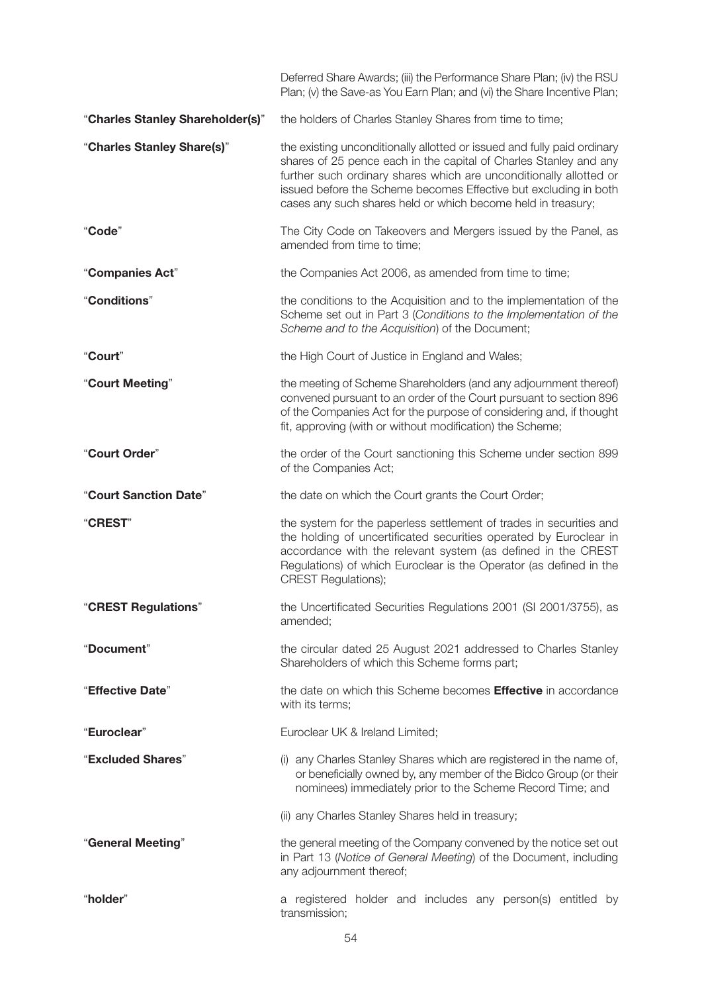|                                  | Deferred Share Awards; (iii) the Performance Share Plan; (iv) the RSU<br>Plan; (v) the Save-as You Earn Plan; and (vi) the Share Incentive Plan;                                                                                                                                                                                                       |
|----------------------------------|--------------------------------------------------------------------------------------------------------------------------------------------------------------------------------------------------------------------------------------------------------------------------------------------------------------------------------------------------------|
| "Charles Stanley Shareholder(s)" | the holders of Charles Stanley Shares from time to time;                                                                                                                                                                                                                                                                                               |
| "Charles Stanley Share(s)"       | the existing unconditionally allotted or issued and fully paid ordinary<br>shares of 25 pence each in the capital of Charles Stanley and any<br>further such ordinary shares which are unconditionally allotted or<br>issued before the Scheme becomes Effective but excluding in both<br>cases any such shares held or which become held in treasury; |
| "Code"                           | The City Code on Takeovers and Mergers issued by the Panel, as<br>amended from time to time;                                                                                                                                                                                                                                                           |
| "Companies Act"                  | the Companies Act 2006, as amended from time to time;                                                                                                                                                                                                                                                                                                  |
| "Conditions"                     | the conditions to the Acquisition and to the implementation of the<br>Scheme set out in Part 3 (Conditions to the Implementation of the<br>Scheme and to the Acquisition) of the Document;                                                                                                                                                             |
| "Court"                          | the High Court of Justice in England and Wales;                                                                                                                                                                                                                                                                                                        |
| "Court Meeting"                  | the meeting of Scheme Shareholders (and any adjournment thereof)<br>convened pursuant to an order of the Court pursuant to section 896<br>of the Companies Act for the purpose of considering and, if thought<br>fit, approving (with or without modification) the Scheme;                                                                             |
| "Court Order"                    | the order of the Court sanctioning this Scheme under section 899<br>of the Companies Act;                                                                                                                                                                                                                                                              |
| "Court Sanction Date"            | the date on which the Court grants the Court Order;                                                                                                                                                                                                                                                                                                    |
| <b>"CREST"</b>                   | the system for the paperless settlement of trades in securities and<br>the holding of uncertificated securities operated by Euroclear in<br>accordance with the relevant system (as defined in the CREST<br>Regulations) of which Euroclear is the Operator (as defined in the<br><b>CREST Regulations);</b>                                           |
| "CREST Regulations"              | the Uncertificated Securities Regulations 2001 (SI 2001/3755), as<br>amended;                                                                                                                                                                                                                                                                          |
| "Document"                       | the circular dated 25 August 2021 addressed to Charles Stanley<br>Shareholders of which this Scheme forms part;                                                                                                                                                                                                                                        |
| "Effective Date"                 | the date on which this Scheme becomes <b>Effective</b> in accordance<br>with its terms;                                                                                                                                                                                                                                                                |
| "Euroclear"                      | Euroclear UK & Ireland Limited;                                                                                                                                                                                                                                                                                                                        |
| "Excluded Shares"                | (i) any Charles Stanley Shares which are registered in the name of,<br>or beneficially owned by, any member of the Bidco Group (or their<br>nominees) immediately prior to the Scheme Record Time; and                                                                                                                                                 |
|                                  | (ii) any Charles Stanley Shares held in treasury;                                                                                                                                                                                                                                                                                                      |
| "General Meeting"                | the general meeting of the Company convened by the notice set out<br>in Part 13 (Notice of General Meeting) of the Document, including<br>any adjournment thereof;                                                                                                                                                                                     |
| "holder"                         | a registered holder and includes any person(s) entitled by<br>transmission;                                                                                                                                                                                                                                                                            |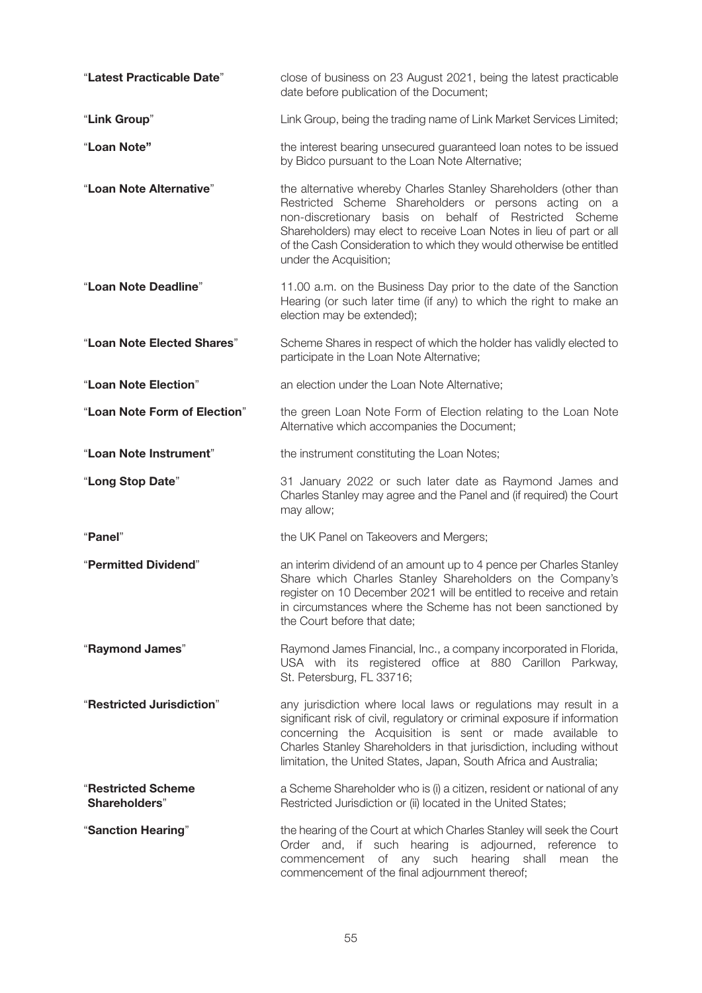| "Latest Practicable Date"                  | close of business on 23 August 2021, being the latest practicable<br>date before publication of the Document;                                                                                                                                                                                                                                                |
|--------------------------------------------|--------------------------------------------------------------------------------------------------------------------------------------------------------------------------------------------------------------------------------------------------------------------------------------------------------------------------------------------------------------|
| "Link Group"                               | Link Group, being the trading name of Link Market Services Limited;                                                                                                                                                                                                                                                                                          |
| "Loan Note"                                | the interest bearing unsecured guaranteed loan notes to be issued<br>by Bidco pursuant to the Loan Note Alternative;                                                                                                                                                                                                                                         |
| "Loan Note Alternative"                    | the alternative whereby Charles Stanley Shareholders (other than<br>Restricted Scheme Shareholders or persons acting on a<br>non-discretionary basis on behalf of Restricted Scheme<br>Shareholders) may elect to receive Loan Notes in lieu of part or all<br>of the Cash Consideration to which they would otherwise be entitled<br>under the Acquisition; |
| "Loan Note Deadline"                       | 11.00 a.m. on the Business Day prior to the date of the Sanction<br>Hearing (or such later time (if any) to which the right to make an<br>election may be extended);                                                                                                                                                                                         |
| "Loan Note Elected Shares"                 | Scheme Shares in respect of which the holder has validly elected to<br>participate in the Loan Note Alternative;                                                                                                                                                                                                                                             |
| "Loan Note Election"                       | an election under the Loan Note Alternative;                                                                                                                                                                                                                                                                                                                 |
| "Loan Note Form of Election"               | the green Loan Note Form of Election relating to the Loan Note<br>Alternative which accompanies the Document;                                                                                                                                                                                                                                                |
| "Loan Note Instrument"                     | the instrument constituting the Loan Notes;                                                                                                                                                                                                                                                                                                                  |
| "Long Stop Date"                           | 31 January 2022 or such later date as Raymond James and<br>Charles Stanley may agree and the Panel and (if required) the Court<br>may allow;                                                                                                                                                                                                                 |
| "Panel"                                    | the UK Panel on Takeovers and Mergers;                                                                                                                                                                                                                                                                                                                       |
| "Permitted Dividend"                       | an interim dividend of an amount up to 4 pence per Charles Stanley<br>Share which Charles Stanley Shareholders on the Company's<br>register on 10 December 2021 will be entitled to receive and retain<br>in circumstances where the Scheme has not been sanctioned by<br>the Court before that date;                                                        |
| "Raymond James"                            | Raymond James Financial, Inc., a company incorporated in Florida,<br>USA with its registered office at 880 Carillon Parkway,<br>St. Petersburg, FL 33716;                                                                                                                                                                                                    |
| "Restricted Jurisdiction"                  | any jurisdiction where local laws or regulations may result in a<br>significant risk of civil, regulatory or criminal exposure if information<br>concerning the Acquisition is sent or made available to<br>Charles Stanley Shareholders in that jurisdiction, including without<br>limitation, the United States, Japan, South Africa and Australia;        |
| <b>"Restricted Scheme</b><br>Shareholders" | a Scheme Shareholder who is (i) a citizen, resident or national of any<br>Restricted Jurisdiction or (ii) located in the United States;                                                                                                                                                                                                                      |
| "Sanction Hearing"                         | the hearing of the Court at which Charles Stanley will seek the Court<br>Order and, if such hearing is adjourned, reference to<br>commencement of any such hearing shall<br>mean<br>the<br>commencement of the final adjournment thereof;                                                                                                                    |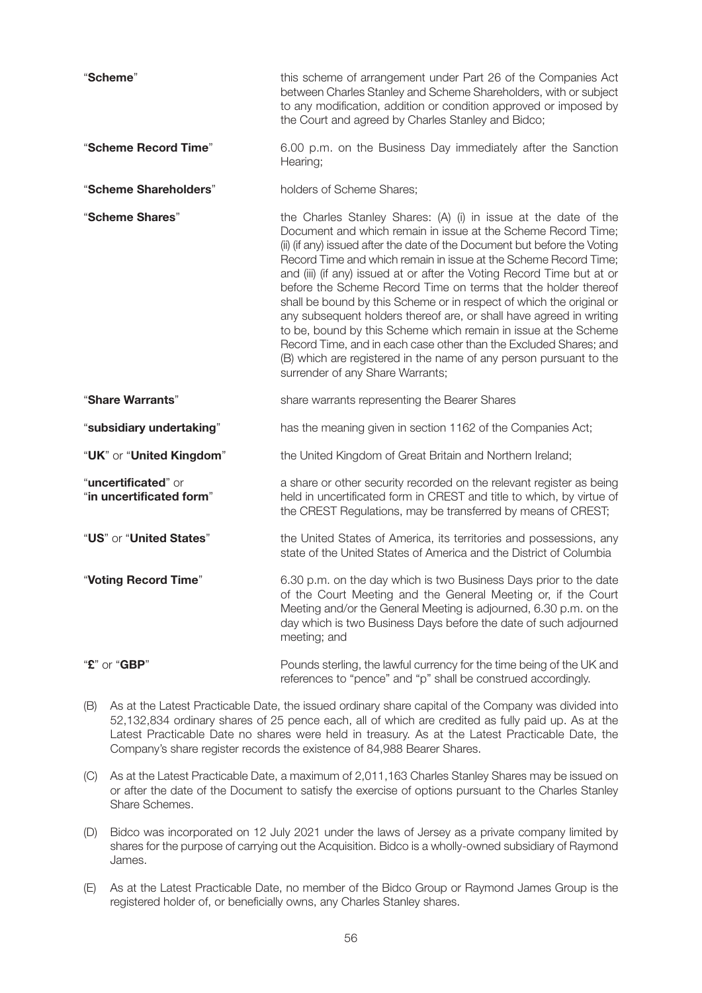| "Scheme"                                        | this scheme of arrangement under Part 26 of the Companies Act<br>between Charles Stanley and Scheme Shareholders, with or subject<br>to any modification, addition or condition approved or imposed by<br>the Court and agreed by Charles Stanley and Bidco;                                                                                                                                                                                                                                                                                                                                                                                                                                                                                                                                                                   |
|-------------------------------------------------|--------------------------------------------------------------------------------------------------------------------------------------------------------------------------------------------------------------------------------------------------------------------------------------------------------------------------------------------------------------------------------------------------------------------------------------------------------------------------------------------------------------------------------------------------------------------------------------------------------------------------------------------------------------------------------------------------------------------------------------------------------------------------------------------------------------------------------|
| "Scheme Record Time"                            | 6.00 p.m. on the Business Day immediately after the Sanction<br>Hearing;                                                                                                                                                                                                                                                                                                                                                                                                                                                                                                                                                                                                                                                                                                                                                       |
| "Scheme Shareholders"                           | holders of Scheme Shares;                                                                                                                                                                                                                                                                                                                                                                                                                                                                                                                                                                                                                                                                                                                                                                                                      |
| "Scheme Shares"                                 | the Charles Stanley Shares: (A) (i) in issue at the date of the<br>Document and which remain in issue at the Scheme Record Time;<br>(ii) (if any) issued after the date of the Document but before the Voting<br>Record Time and which remain in issue at the Scheme Record Time;<br>and (iii) (if any) issued at or after the Voting Record Time but at or<br>before the Scheme Record Time on terms that the holder thereof<br>shall be bound by this Scheme or in respect of which the original or<br>any subsequent holders thereof are, or shall have agreed in writing<br>to be, bound by this Scheme which remain in issue at the Scheme<br>Record Time, and in each case other than the Excluded Shares; and<br>(B) which are registered in the name of any person pursuant to the<br>surrender of any Share Warrants; |
| "Share Warrants"                                | share warrants representing the Bearer Shares                                                                                                                                                                                                                                                                                                                                                                                                                                                                                                                                                                                                                                                                                                                                                                                  |
| "subsidiary undertaking"                        | has the meaning given in section 1162 of the Companies Act;                                                                                                                                                                                                                                                                                                                                                                                                                                                                                                                                                                                                                                                                                                                                                                    |
| "UK" or "United Kingdom"                        | the United Kingdom of Great Britain and Northern Ireland;                                                                                                                                                                                                                                                                                                                                                                                                                                                                                                                                                                                                                                                                                                                                                                      |
| "uncertificated" or<br>"in uncertificated form" | a share or other security recorded on the relevant register as being<br>held in uncertificated form in CREST and title to which, by virtue of<br>the CREST Regulations, may be transferred by means of CREST;                                                                                                                                                                                                                                                                                                                                                                                                                                                                                                                                                                                                                  |
| "US" or "United States"                         | the United States of America, its territories and possessions, any<br>state of the United States of America and the District of Columbia                                                                                                                                                                                                                                                                                                                                                                                                                                                                                                                                                                                                                                                                                       |
| "Voting Record Time"                            | 6.30 p.m. on the day which is two Business Days prior to the date<br>of the Court Meeting and the General Meeting or, if the Court<br>Meeting and/or the General Meeting is adjourned, 6.30 p.m. on the<br>day which is two Business Days before the date of such adjourned<br>meeting; and                                                                                                                                                                                                                                                                                                                                                                                                                                                                                                                                    |
| "£" or "GBP"                                    | Pounds sterling, the lawful currency for the time being of the UK and<br>references to "pence" and "p" shall be construed accordingly.                                                                                                                                                                                                                                                                                                                                                                                                                                                                                                                                                                                                                                                                                         |

- (B) As at the Latest Practicable Date, the issued ordinary share capital of the Company was divided into 52,132,834 ordinary shares of 25 pence each, all of which are credited as fully paid up. As at the Latest Practicable Date no shares were held in treasury. As at the Latest Practicable Date, the Company's share register records the existence of 84,988 Bearer Shares.
- (C) As at the Latest Practicable Date, a maximum of 2,011,163 Charles Stanley Shares may be issued on or after the date of the Document to satisfy the exercise of options pursuant to the Charles Stanley Share Schemes.
- (D) Bidco was incorporated on 12 July 2021 under the laws of Jersey as a private company limited by shares for the purpose of carrying out the Acquisition. Bidco is a wholly-owned subsidiary of Raymond James.
- (E) As at the Latest Practicable Date, no member of the Bidco Group or Raymond James Group is the registered holder of, or beneficially owns, any Charles Stanley shares.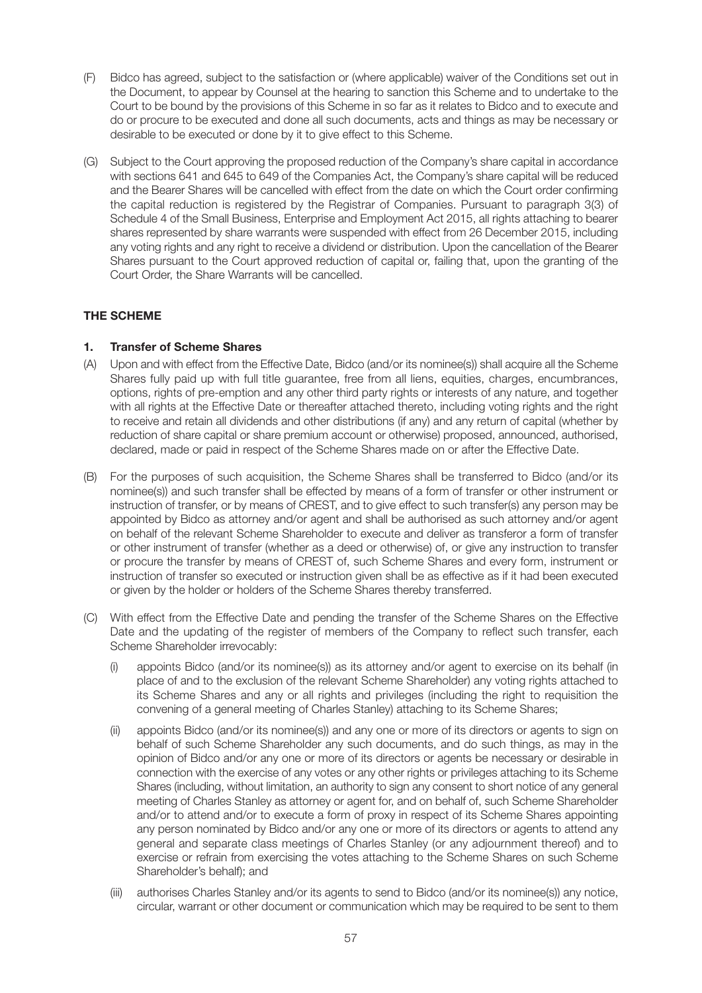- (F) Bidco has agreed, subject to the satisfaction or (where applicable) waiver of the Conditions set out in the Document, to appear by Counsel at the hearing to sanction this Scheme and to undertake to the Court to be bound by the provisions of this Scheme in so far as it relates to Bidco and to execute and do or procure to be executed and done all such documents, acts and things as may be necessary or desirable to be executed or done by it to give effect to this Scheme.
- (G) Subject to the Court approving the proposed reduction of the Company's share capital in accordance with sections 641 and 645 to 649 of the Companies Act, the Company's share capital will be reduced and the Bearer Shares will be cancelled with effect from the date on which the Court order confirming the capital reduction is registered by the Registrar of Companies. Pursuant to paragraph 3(3) of Schedule 4 of the Small Business, Enterprise and Employment Act 2015, all rights attaching to bearer shares represented by share warrants were suspended with effect from 26 December 2015, including any voting rights and any right to receive a dividend or distribution. Upon the cancellation of the Bearer Shares pursuant to the Court approved reduction of capital or, failing that, upon the granting of the Court Order, the Share Warrants will be cancelled.

# **THE SCHEME**

# **1. Transfer of Scheme Shares**

- (A) Upon and with effect from the Effective Date, Bidco (and/or its nominee(s)) shall acquire all the Scheme Shares fully paid up with full title guarantee, free from all liens, equities, charges, encumbrances, options, rights of pre-emption and any other third party rights or interests of any nature, and together with all rights at the Effective Date or thereafter attached thereto, including voting rights and the right to receive and retain all dividends and other distributions (if any) and any return of capital (whether by reduction of share capital or share premium account or otherwise) proposed, announced, authorised, declared, made or paid in respect of the Scheme Shares made on or after the Effective Date.
- (B) For the purposes of such acquisition, the Scheme Shares shall be transferred to Bidco (and/or its nominee(s)) and such transfer shall be effected by means of a form of transfer or other instrument or instruction of transfer, or by means of CREST, and to give effect to such transfer(s) any person may be appointed by Bidco as attorney and/or agent and shall be authorised as such attorney and/or agent on behalf of the relevant Scheme Shareholder to execute and deliver as transferor a form of transfer or other instrument of transfer (whether as a deed or otherwise) of, or give any instruction to transfer or procure the transfer by means of CREST of, such Scheme Shares and every form, instrument or instruction of transfer so executed or instruction given shall be as effective as if it had been executed or given by the holder or holders of the Scheme Shares thereby transferred.
- (C) With effect from the Effective Date and pending the transfer of the Scheme Shares on the Effective Date and the updating of the register of members of the Company to reflect such transfer, each Scheme Shareholder irrevocably:
	- (i) appoints Bidco (and/or its nominee(s)) as its attorney and/or agent to exercise on its behalf (in place of and to the exclusion of the relevant Scheme Shareholder) any voting rights attached to its Scheme Shares and any or all rights and privileges (including the right to requisition the convening of a general meeting of Charles Stanley) attaching to its Scheme Shares;
	- (ii) appoints Bidco (and/or its nominee(s)) and any one or more of its directors or agents to sign on behalf of such Scheme Shareholder any such documents, and do such things, as may in the opinion of Bidco and/or any one or more of its directors or agents be necessary or desirable in connection with the exercise of any votes or any other rights or privileges attaching to its Scheme Shares (including, without limitation, an authority to sign any consent to short notice of any general meeting of Charles Stanley as attorney or agent for, and on behalf of, such Scheme Shareholder and/or to attend and/or to execute a form of proxy in respect of its Scheme Shares appointing any person nominated by Bidco and/or any one or more of its directors or agents to attend any general and separate class meetings of Charles Stanley (or any adjournment thereof) and to exercise or refrain from exercising the votes attaching to the Scheme Shares on such Scheme Shareholder's behalf); and
	- (iii) authorises Charles Stanley and/or its agents to send to Bidco (and/or its nominee(s)) any notice, circular, warrant or other document or communication which may be required to be sent to them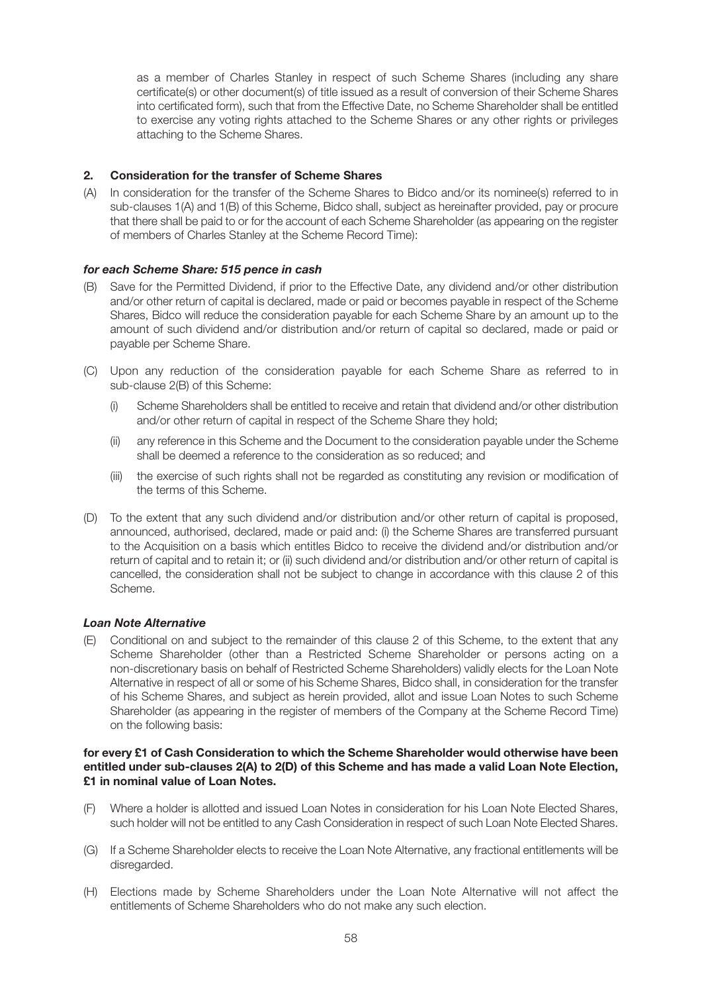as a member of Charles Stanley in respect of such Scheme Shares (including any share certificate(s) or other document(s) of title issued as a result of conversion of their Scheme Shares into certificated form), such that from the Effective Date, no Scheme Shareholder shall be entitled to exercise any voting rights attached to the Scheme Shares or any other rights or privileges attaching to the Scheme Shares.

# **2. Consideration for the transfer of Scheme Shares**

(A) In consideration for the transfer of the Scheme Shares to Bidco and/or its nominee(s) referred to in sub-clauses 1(A) and 1(B) of this Scheme, Bidco shall, subject as hereinafter provided, pay or procure that there shall be paid to or for the account of each Scheme Shareholder (as appearing on the register of members of Charles Stanley at the Scheme Record Time):

## *for each Scheme Share: 515 pence in cash*

- (B) Save for the Permitted Dividend, if prior to the Effective Date, any dividend and/or other distribution and/or other return of capital is declared, made or paid or becomes payable in respect of the Scheme Shares, Bidco will reduce the consideration payable for each Scheme Share by an amount up to the amount of such dividend and/or distribution and/or return of capital so declared, made or paid or payable per Scheme Share.
- (C) Upon any reduction of the consideration payable for each Scheme Share as referred to in sub-clause 2(B) of this Scheme:
	- (i) Scheme Shareholders shall be entitled to receive and retain that dividend and/or other distribution and/or other return of capital in respect of the Scheme Share they hold;
	- (ii) any reference in this Scheme and the Document to the consideration payable under the Scheme shall be deemed a reference to the consideration as so reduced; and
	- (iii) the exercise of such rights shall not be regarded as constituting any revision or modification of the terms of this Scheme.
- (D) To the extent that any such dividend and/or distribution and/or other return of capital is proposed, announced, authorised, declared, made or paid and: (i) the Scheme Shares are transferred pursuant to the Acquisition on a basis which entitles Bidco to receive the dividend and/or distribution and/or return of capital and to retain it; or (ii) such dividend and/or distribution and/or other return of capital is cancelled, the consideration shall not be subject to change in accordance with this clause 2 of this Scheme.

## *Loan Note Alternative*

(E) Conditional on and subject to the remainder of this clause 2 of this Scheme, to the extent that any Scheme Shareholder (other than a Restricted Scheme Shareholder or persons acting on a non-discretionary basis on behalf of Restricted Scheme Shareholders) validly elects for the Loan Note Alternative in respect of all or some of his Scheme Shares, Bidco shall, in consideration for the transfer of his Scheme Shares, and subject as herein provided, allot and issue Loan Notes to such Scheme Shareholder (as appearing in the register of members of the Company at the Scheme Record Time) on the following basis:

#### **for every £1 of Cash Consideration to which the Scheme Shareholder would otherwise have been entitled under sub-clauses 2(A) to 2(D) of this Scheme and has made a valid Loan Note Election, £1 in nominal value of Loan Notes.**

- (F) Where a holder is allotted and issued Loan Notes in consideration for his Loan Note Elected Shares, such holder will not be entitled to any Cash Consideration in respect of such Loan Note Elected Shares.
- (G) If a Scheme Shareholder elects to receive the Loan Note Alternative, any fractional entitlements will be disregarded.
- (H) Elections made by Scheme Shareholders under the Loan Note Alternative will not affect the entitlements of Scheme Shareholders who do not make any such election.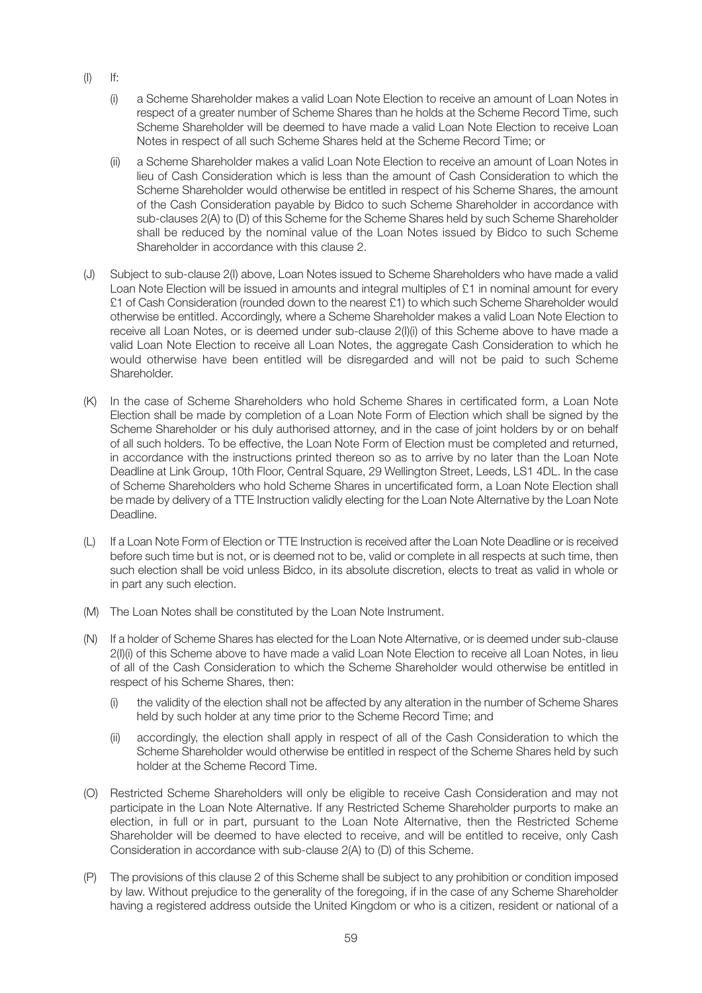- $(I)$  If:
	- (i) a Scheme Shareholder makes a valid Loan Note Election to receive an amount of Loan Notes in respect of a greater number of Scheme Shares than he holds at the Scheme Record Time, such Scheme Shareholder will be deemed to have made a valid Loan Note Election to receive Loan Notes in respect of all such Scheme Shares held at the Scheme Record Time; or
	- (ii) a Scheme Shareholder makes a valid Loan Note Election to receive an amount of Loan Notes in lieu of Cash Consideration which is less than the amount of Cash Consideration to which the Scheme Shareholder would otherwise be entitled in respect of his Scheme Shares, the amount of the Cash Consideration payable by Bidco to such Scheme Shareholder in accordance with sub-clauses 2(A) to (D) of this Scheme for the Scheme Shares held by such Scheme Shareholder shall be reduced by the nominal value of the Loan Notes issued by Bidco to such Scheme Shareholder in accordance with this clause 2.
- (J) Subject to sub-clause 2(I) above, Loan Notes issued to Scheme Shareholders who have made a valid Loan Note Election will be issued in amounts and integral multiples of £1 in nominal amount for every £1 of Cash Consideration (rounded down to the nearest £1) to which such Scheme Shareholder would otherwise be entitled. Accordingly, where a Scheme Shareholder makes a valid Loan Note Election to receive all Loan Notes, or is deemed under sub-clause 2(I)(i) of this Scheme above to have made a valid Loan Note Election to receive all Loan Notes, the aggregate Cash Consideration to which he would otherwise have been entitled will be disregarded and will not be paid to such Scheme Shareholder.
- (K) In the case of Scheme Shareholders who hold Scheme Shares in certificated form, a Loan Note Election shall be made by completion of a Loan Note Form of Election which shall be signed by the Scheme Shareholder or his duly authorised attorney, and in the case of joint holders by or on behalf of all such holders. To be effective, the Loan Note Form of Election must be completed and returned, in accordance with the instructions printed thereon so as to arrive by no later than the Loan Note Deadline at Link Group, 10th Floor, Central Square, 29 Wellington Street, Leeds, LS1 4DL. In the case of Scheme Shareholders who hold Scheme Shares in uncertificated form, a Loan Note Election shall be made by delivery of a TTE Instruction validly electing for the Loan Note Alternative by the Loan Note Deadline.
- (L) If a Loan Note Form of Election or TTE Instruction is received after the Loan Note Deadline or is received before such time but is not, or is deemed not to be, valid or complete in all respects at such time, then such election shall be void unless Bidco, in its absolute discretion, elects to treat as valid in whole or in part any such election.
- (M) The Loan Notes shall be constituted by the Loan Note Instrument.
- (N) If a holder of Scheme Shares has elected for the Loan Note Alternative, or is deemed under sub-clause 2(I)(i) of this Scheme above to have made a valid Loan Note Election to receive all Loan Notes, in lieu of all of the Cash Consideration to which the Scheme Shareholder would otherwise be entitled in respect of his Scheme Shares, then:
	- (i) the validity of the election shall not be affected by any alteration in the number of Scheme Shares held by such holder at any time prior to the Scheme Record Time; and
	- (ii) accordingly, the election shall apply in respect of all of the Cash Consideration to which the Scheme Shareholder would otherwise be entitled in respect of the Scheme Shares held by such holder at the Scheme Record Time.
- (O) Restricted Scheme Shareholders will only be eligible to receive Cash Consideration and may not participate in the Loan Note Alternative. If any Restricted Scheme Shareholder purports to make an election, in full or in part, pursuant to the Loan Note Alternative, then the Restricted Scheme Shareholder will be deemed to have elected to receive, and will be entitled to receive, only Cash Consideration in accordance with sub-clause 2(A) to (D) of this Scheme.
- (P) The provisions of this clause 2 of this Scheme shall be subject to any prohibition or condition imposed by law. Without prejudice to the generality of the foregoing, if in the case of any Scheme Shareholder having a registered address outside the United Kingdom or who is a citizen, resident or national of a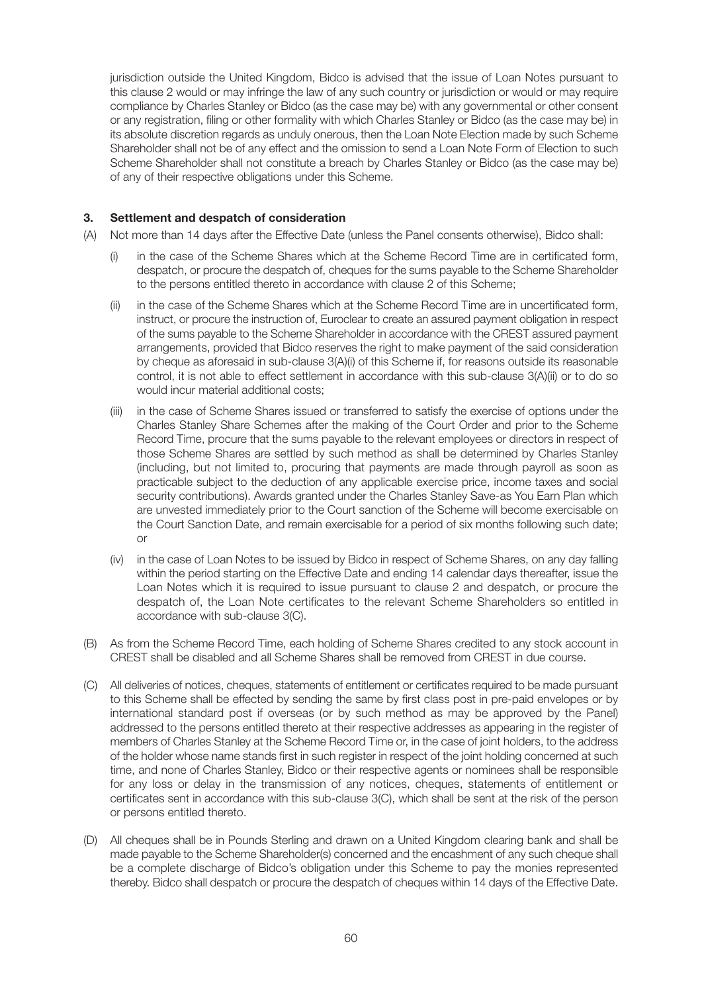jurisdiction outside the United Kingdom, Bidco is advised that the issue of Loan Notes pursuant to this clause 2 would or may infringe the law of any such country or jurisdiction or would or may require compliance by Charles Stanley or Bidco (as the case may be) with any governmental or other consent or any registration, filing or other formality with which Charles Stanley or Bidco (as the case may be) in its absolute discretion regards as unduly onerous, then the Loan Note Election made by such Scheme Shareholder shall not be of any effect and the omission to send a Loan Note Form of Election to such Scheme Shareholder shall not constitute a breach by Charles Stanley or Bidco (as the case may be) of any of their respective obligations under this Scheme.

# **3. Settlement and despatch of consideration**

- (A) Not more than 14 days after the Effective Date (unless the Panel consents otherwise), Bidco shall:
	- in the case of the Scheme Shares which at the Scheme Record Time are in certificated form, despatch, or procure the despatch of, cheques for the sums payable to the Scheme Shareholder to the persons entitled thereto in accordance with clause 2 of this Scheme;
	- (ii) in the case of the Scheme Shares which at the Scheme Record Time are in uncertificated form, instruct, or procure the instruction of, Euroclear to create an assured payment obligation in respect of the sums payable to the Scheme Shareholder in accordance with the CREST assured payment arrangements, provided that Bidco reserves the right to make payment of the said consideration by cheque as aforesaid in sub-clause 3(A)(i) of this Scheme if, for reasons outside its reasonable control, it is not able to effect settlement in accordance with this sub-clause 3(A)(ii) or to do so would incur material additional costs;
	- (iii) in the case of Scheme Shares issued or transferred to satisfy the exercise of options under the Charles Stanley Share Schemes after the making of the Court Order and prior to the Scheme Record Time, procure that the sums payable to the relevant employees or directors in respect of those Scheme Shares are settled by such method as shall be determined by Charles Stanley (including, but not limited to, procuring that payments are made through payroll as soon as practicable subject to the deduction of any applicable exercise price, income taxes and social security contributions). Awards granted under the Charles Stanley Save-as You Earn Plan which are unvested immediately prior to the Court sanction of the Scheme will become exercisable on the Court Sanction Date, and remain exercisable for a period of six months following such date; or
	- (iv) in the case of Loan Notes to be issued by Bidco in respect of Scheme Shares, on any day falling within the period starting on the Effective Date and ending 14 calendar days thereafter, issue the Loan Notes which it is required to issue pursuant to clause 2 and despatch, or procure the despatch of, the Loan Note certificates to the relevant Scheme Shareholders so entitled in accordance with sub-clause 3(C).
- (B) As from the Scheme Record Time, each holding of Scheme Shares credited to any stock account in CREST shall be disabled and all Scheme Shares shall be removed from CREST in due course.
- (C) All deliveries of notices, cheques, statements of entitlement or certificates required to be made pursuant to this Scheme shall be effected by sending the same by first class post in pre-paid envelopes or by international standard post if overseas (or by such method as may be approved by the Panel) addressed to the persons entitled thereto at their respective addresses as appearing in the register of members of Charles Stanley at the Scheme Record Time or, in the case of joint holders, to the address of the holder whose name stands first in such register in respect of the joint holding concerned at such time, and none of Charles Stanley, Bidco or their respective agents or nominees shall be responsible for any loss or delay in the transmission of any notices, cheques, statements of entitlement or certificates sent in accordance with this sub-clause 3(C), which shall be sent at the risk of the person or persons entitled thereto.
- (D) All cheques shall be in Pounds Sterling and drawn on a United Kingdom clearing bank and shall be made payable to the Scheme Shareholder(s) concerned and the encashment of any such cheque shall be a complete discharge of Bidco's obligation under this Scheme to pay the monies represented thereby. Bidco shall despatch or procure the despatch of cheques within 14 days of the Effective Date.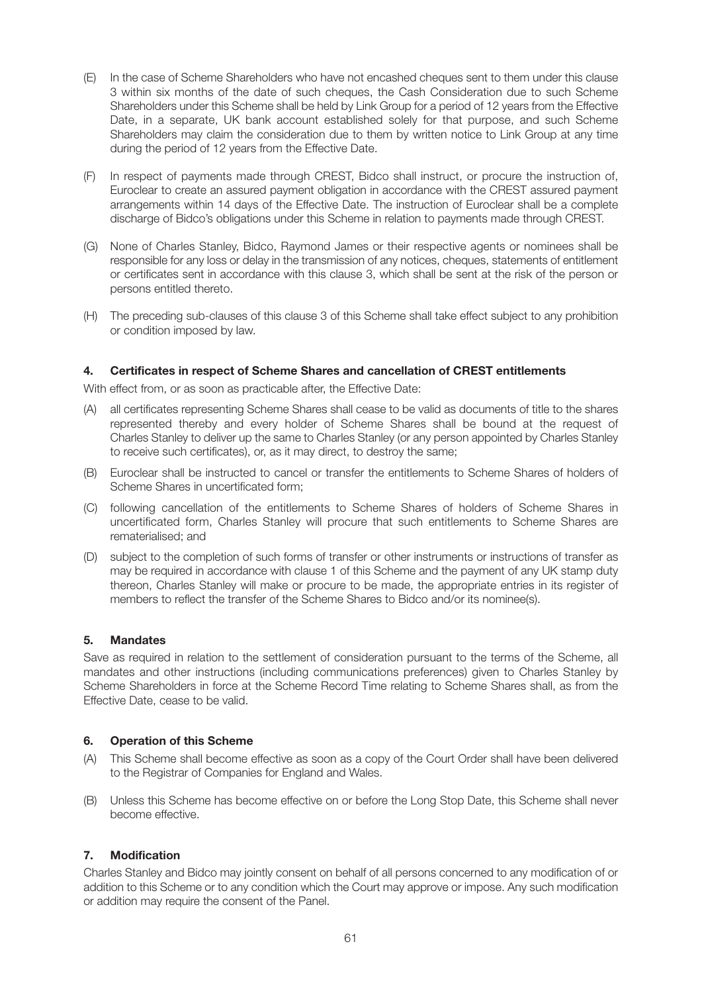- (E) In the case of Scheme Shareholders who have not encashed cheques sent to them under this clause 3 within six months of the date of such cheques, the Cash Consideration due to such Scheme Shareholders under this Scheme shall be held by Link Group for a period of 12 years from the Effective Date, in a separate, UK bank account established solely for that purpose, and such Scheme Shareholders may claim the consideration due to them by written notice to Link Group at any time during the period of 12 years from the Effective Date.
- (F) In respect of payments made through CREST, Bidco shall instruct, or procure the instruction of, Euroclear to create an assured payment obligation in accordance with the CREST assured payment arrangements within 14 days of the Effective Date. The instruction of Euroclear shall be a complete discharge of Bidco's obligations under this Scheme in relation to payments made through CREST.
- (G) None of Charles Stanley, Bidco, Raymond James or their respective agents or nominees shall be responsible for any loss or delay in the transmission of any notices, cheques, statements of entitlement or certificates sent in accordance with this clause 3, which shall be sent at the risk of the person or persons entitled thereto.
- (H) The preceding sub-clauses of this clause 3 of this Scheme shall take effect subject to any prohibition or condition imposed by law.

## **4. Certificates in respect of Scheme Shares and cancellation of CREST entitlements**

With effect from, or as soon as practicable after, the Effective Date:

- (A) all certificates representing Scheme Shares shall cease to be valid as documents of title to the shares represented thereby and every holder of Scheme Shares shall be bound at the request of Charles Stanley to deliver up the same to Charles Stanley (or any person appointed by Charles Stanley to receive such certificates), or, as it may direct, to destroy the same;
- (B) Euroclear shall be instructed to cancel or transfer the entitlements to Scheme Shares of holders of Scheme Shares in uncertificated form;
- (C) following cancellation of the entitlements to Scheme Shares of holders of Scheme Shares in uncertificated form, Charles Stanley will procure that such entitlements to Scheme Shares are rematerialised; and
- (D) subject to the completion of such forms of transfer or other instruments or instructions of transfer as may be required in accordance with clause 1 of this Scheme and the payment of any UK stamp duty thereon, Charles Stanley will make or procure to be made, the appropriate entries in its register of members to reflect the transfer of the Scheme Shares to Bidco and/or its nominee(s).

## **5. Mandates**

Save as required in relation to the settlement of consideration pursuant to the terms of the Scheme, all mandates and other instructions (including communications preferences) given to Charles Stanley by Scheme Shareholders in force at the Scheme Record Time relating to Scheme Shares shall, as from the Effective Date, cease to be valid.

## **6. Operation of this Scheme**

- (A) This Scheme shall become effective as soon as a copy of the Court Order shall have been delivered to the Registrar of Companies for England and Wales.
- (B) Unless this Scheme has become effective on or before the Long Stop Date, this Scheme shall never become effective.

## **7. Modification**

Charles Stanley and Bidco may jointly consent on behalf of all persons concerned to any modification of or addition to this Scheme or to any condition which the Court may approve or impose. Any such modification or addition may require the consent of the Panel.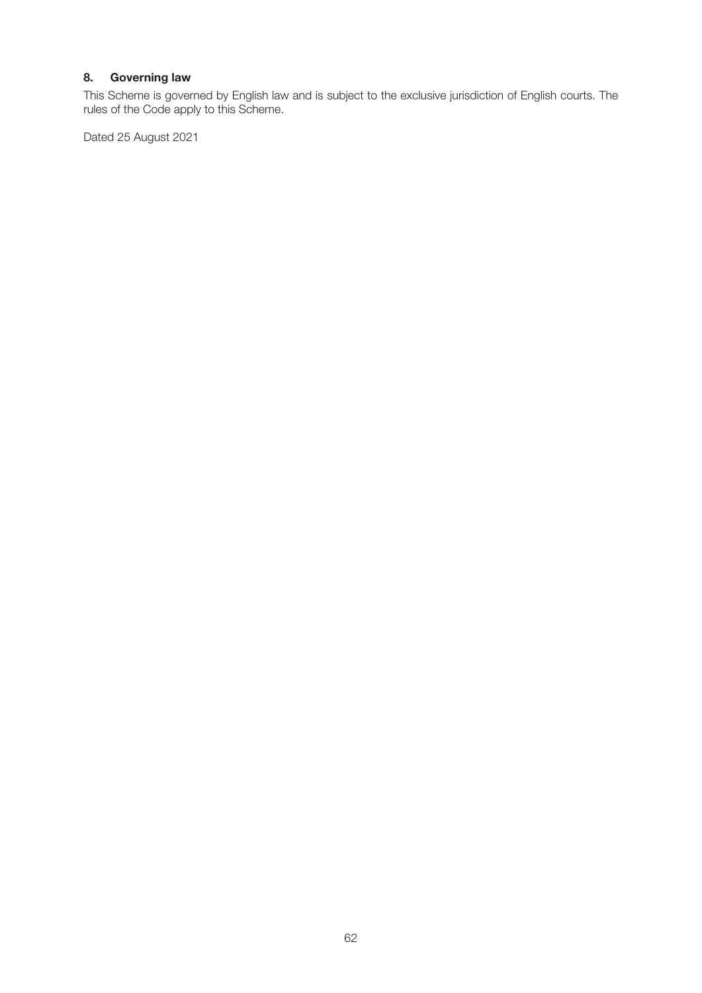# **8. Governing law**

This Scheme is governed by English law and is subject to the exclusive jurisdiction of English courts. The rules of the Code apply to this Scheme.

Dated 25 August 2021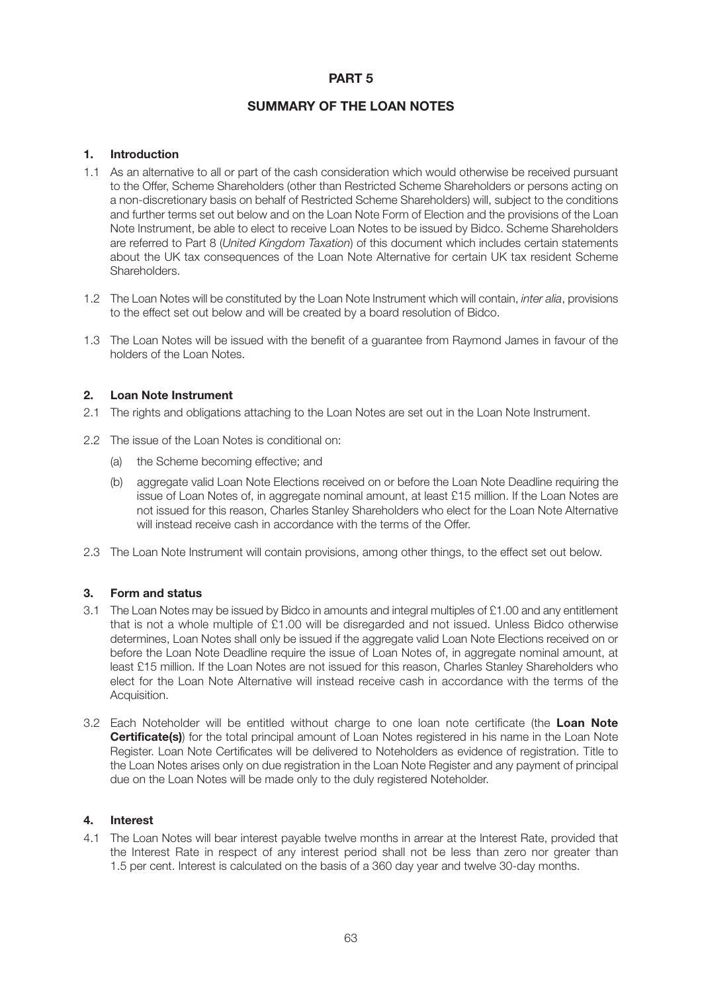# **PART 5**

# **SUMMARY OF THE LOAN NOTES**

### **1. Introduction**

- 1.1 As an alternative to all or part of the cash consideration which would otherwise be received pursuant to the Offer, Scheme Shareholders (other than Restricted Scheme Shareholders or persons acting on a non-discretionary basis on behalf of Restricted Scheme Shareholders) will, subject to the conditions and further terms set out below and on the Loan Note Form of Election and the provisions of the Loan Note Instrument, be able to elect to receive Loan Notes to be issued by Bidco. Scheme Shareholders are referred to Part 8 (*United Kingdom Taxation*) of this document which includes certain statements about the UK tax consequences of the Loan Note Alternative for certain UK tax resident Scheme Shareholders.
- 1.2 The Loan Notes will be constituted by the Loan Note Instrument which will contain, *inter alia*, provisions to the effect set out below and will be created by a board resolution of Bidco.
- 1.3 The Loan Notes will be issued with the benefit of a guarantee from Raymond James in favour of the holders of the Loan Notes.

### **2. Loan Note Instrument**

- 2.1 The rights and obligations attaching to the Loan Notes are set out in the Loan Note Instrument.
- 2.2 The issue of the Loan Notes is conditional on:
	- (a) the Scheme becoming effective; and
	- (b) aggregate valid Loan Note Elections received on or before the Loan Note Deadline requiring the issue of Loan Notes of, in aggregate nominal amount, at least £15 million. If the Loan Notes are not issued for this reason, Charles Stanley Shareholders who elect for the Loan Note Alternative will instead receive cash in accordance with the terms of the Offer.
- 2.3 The Loan Note Instrument will contain provisions, among other things, to the effect set out below.

## **3. Form and status**

- 3.1 The Loan Notes may be issued by Bidco in amounts and integral multiples of £1.00 and any entitlement that is not a whole multiple of £1.00 will be disregarded and not issued. Unless Bidco otherwise determines, Loan Notes shall only be issued if the aggregate valid Loan Note Elections received on or before the Loan Note Deadline require the issue of Loan Notes of, in aggregate nominal amount, at least £15 million. If the Loan Notes are not issued for this reason, Charles Stanley Shareholders who elect for the Loan Note Alternative will instead receive cash in accordance with the terms of the Acquisition.
- 3.2 Each Noteholder will be entitled without charge to one loan note certificate (the **Loan Note Certificate(s)**) for the total principal amount of Loan Notes registered in his name in the Loan Note Register. Loan Note Certificates will be delivered to Noteholders as evidence of registration. Title to the Loan Notes arises only on due registration in the Loan Note Register and any payment of principal due on the Loan Notes will be made only to the duly registered Noteholder.

## **4. Interest**

4.1 The Loan Notes will bear interest payable twelve months in arrear at the Interest Rate, provided that the Interest Rate in respect of any interest period shall not be less than zero nor greater than 1.5 per cent. Interest is calculated on the basis of a 360 day year and twelve 30-day months.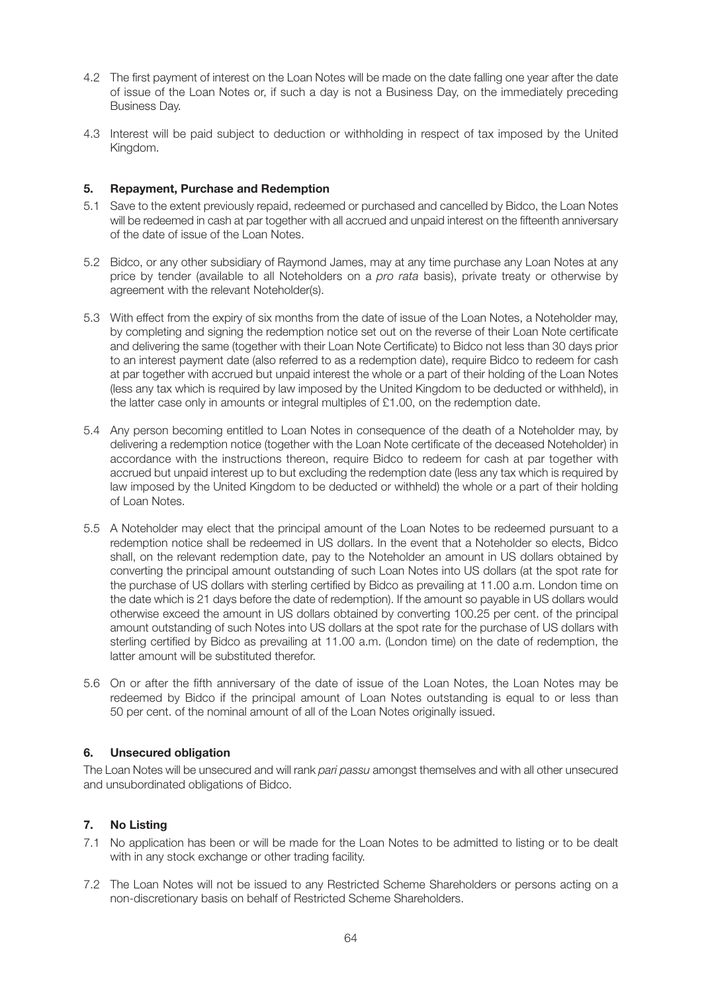- 4.2 The first payment of interest on the Loan Notes will be made on the date falling one year after the date of issue of the Loan Notes or, if such a day is not a Business Day, on the immediately preceding Business Day.
- 4.3 Interest will be paid subject to deduction or withholding in respect of tax imposed by the United Kingdom.

### **5. Repayment, Purchase and Redemption**

- 5.1 Save to the extent previously repaid, redeemed or purchased and cancelled by Bidco, the Loan Notes will be redeemed in cash at par together with all accrued and unpaid interest on the fifteenth anniversary of the date of issue of the Loan Notes.
- 5.2 Bidco, or any other subsidiary of Raymond James, may at any time purchase any Loan Notes at any price by tender (available to all Noteholders on a *pro rata* basis), private treaty or otherwise by agreement with the relevant Noteholder(s).
- 5.3 With effect from the expiry of six months from the date of issue of the Loan Notes, a Noteholder may, by completing and signing the redemption notice set out on the reverse of their Loan Note certificate and delivering the same (together with their Loan Note Certificate) to Bidco not less than 30 days prior to an interest payment date (also referred to as a redemption date), require Bidco to redeem for cash at par together with accrued but unpaid interest the whole or a part of their holding of the Loan Notes (less any tax which is required by law imposed by the United Kingdom to be deducted or withheld), in the latter case only in amounts or integral multiples of £1.00, on the redemption date.
- 5.4 Any person becoming entitled to Loan Notes in consequence of the death of a Noteholder may, by delivering a redemption notice (together with the Loan Note certificate of the deceased Noteholder) in accordance with the instructions thereon, require Bidco to redeem for cash at par together with accrued but unpaid interest up to but excluding the redemption date (less any tax which is required by law imposed by the United Kingdom to be deducted or withheld) the whole or a part of their holding of Loan Notes.
- 5.5 A Noteholder may elect that the principal amount of the Loan Notes to be redeemed pursuant to a redemption notice shall be redeemed in US dollars. In the event that a Noteholder so elects, Bidco shall, on the relevant redemption date, pay to the Noteholder an amount in US dollars obtained by converting the principal amount outstanding of such Loan Notes into US dollars (at the spot rate for the purchase of US dollars with sterling certified by Bidco as prevailing at 11.00 a.m. London time on the date which is 21 days before the date of redemption). If the amount so payable in US dollars would otherwise exceed the amount in US dollars obtained by converting 100.25 per cent. of the principal amount outstanding of such Notes into US dollars at the spot rate for the purchase of US dollars with sterling certified by Bidco as prevailing at 11.00 a.m. (London time) on the date of redemption, the latter amount will be substituted therefor.
- 5.6 On or after the fifth anniversary of the date of issue of the Loan Notes, the Loan Notes may be redeemed by Bidco if the principal amount of Loan Notes outstanding is equal to or less than 50 per cent. of the nominal amount of all of the Loan Notes originally issued.

## **6. Unsecured obligation**

The Loan Notes will be unsecured and will rank *pari passu* amongst themselves and with all other unsecured and unsubordinated obligations of Bidco.

## **7. No Listing**

- 7.1 No application has been or will be made for the Loan Notes to be admitted to listing or to be dealt with in any stock exchange or other trading facility.
- 7.2 The Loan Notes will not be issued to any Restricted Scheme Shareholders or persons acting on a non-discretionary basis on behalf of Restricted Scheme Shareholders.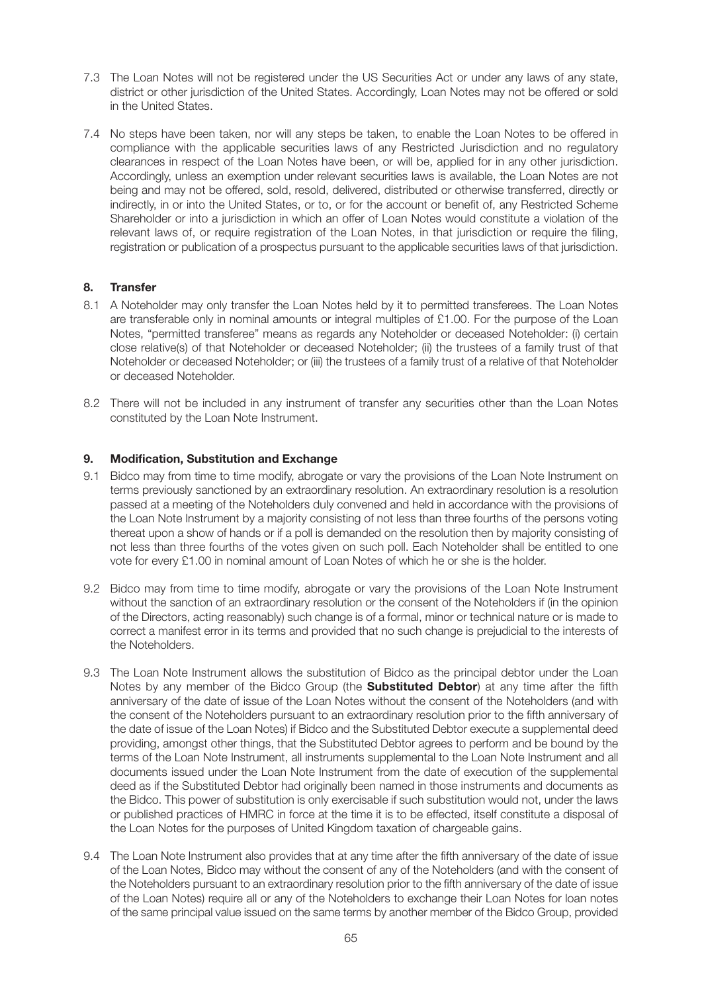- 7.3 The Loan Notes will not be registered under the US Securities Act or under any laws of any state, district or other jurisdiction of the United States. Accordingly, Loan Notes may not be offered or sold in the United States.
- 7.4 No steps have been taken, nor will any steps be taken, to enable the Loan Notes to be offered in compliance with the applicable securities laws of any Restricted Jurisdiction and no regulatory clearances in respect of the Loan Notes have been, or will be, applied for in any other jurisdiction. Accordingly, unless an exemption under relevant securities laws is available, the Loan Notes are not being and may not be offered, sold, resold, delivered, distributed or otherwise transferred, directly or indirectly, in or into the United States, or to, or for the account or benefit of, any Restricted Scheme Shareholder or into a jurisdiction in which an offer of Loan Notes would constitute a violation of the relevant laws of, or require registration of the Loan Notes, in that jurisdiction or require the filing, registration or publication of a prospectus pursuant to the applicable securities laws of that jurisdiction.

## **8. Transfer**

- 8.1 A Noteholder may only transfer the Loan Notes held by it to permitted transferees. The Loan Notes are transferable only in nominal amounts or integral multiples of £1.00. For the purpose of the Loan Notes, "permitted transferee" means as regards any Noteholder or deceased Noteholder: (i) certain close relative(s) of that Noteholder or deceased Noteholder; (ii) the trustees of a family trust of that Noteholder or deceased Noteholder; or (iii) the trustees of a family trust of a relative of that Noteholder or deceased Noteholder.
- 8.2 There will not be included in any instrument of transfer any securities other than the Loan Notes constituted by the Loan Note Instrument.

## **9. Modification, Substitution and Exchange**

- 9.1 Bidco may from time to time modify, abrogate or vary the provisions of the Loan Note Instrument on terms previously sanctioned by an extraordinary resolution. An extraordinary resolution is a resolution passed at a meeting of the Noteholders duly convened and held in accordance with the provisions of the Loan Note Instrument by a majority consisting of not less than three fourths of the persons voting thereat upon a show of hands or if a poll is demanded on the resolution then by majority consisting of not less than three fourths of the votes given on such poll. Each Noteholder shall be entitled to one vote for every £1.00 in nominal amount of Loan Notes of which he or she is the holder.
- 9.2 Bidco may from time to time modify, abrogate or vary the provisions of the Loan Note Instrument without the sanction of an extraordinary resolution or the consent of the Noteholders if (in the opinion of the Directors, acting reasonably) such change is of a formal, minor or technical nature or is made to correct a manifest error in its terms and provided that no such change is prejudicial to the interests of the Noteholders.
- 9.3 The Loan Note Instrument allows the substitution of Bidco as the principal debtor under the Loan Notes by any member of the Bidco Group (the **Substituted Debtor**) at any time after the fifth anniversary of the date of issue of the Loan Notes without the consent of the Noteholders (and with the consent of the Noteholders pursuant to an extraordinary resolution prior to the fifth anniversary of the date of issue of the Loan Notes) if Bidco and the Substituted Debtor execute a supplemental deed providing, amongst other things, that the Substituted Debtor agrees to perform and be bound by the terms of the Loan Note Instrument, all instruments supplemental to the Loan Note Instrument and all documents issued under the Loan Note Instrument from the date of execution of the supplemental deed as if the Substituted Debtor had originally been named in those instruments and documents as the Bidco. This power of substitution is only exercisable if such substitution would not, under the laws or published practices of HMRC in force at the time it is to be effected, itself constitute a disposal of the Loan Notes for the purposes of United Kingdom taxation of chargeable gains.
- 9.4 The Loan Note Instrument also provides that at any time after the fifth anniversary of the date of issue of the Loan Notes, Bidco may without the consent of any of the Noteholders (and with the consent of the Noteholders pursuant to an extraordinary resolution prior to the fifth anniversary of the date of issue of the Loan Notes) require all or any of the Noteholders to exchange their Loan Notes for loan notes of the same principal value issued on the same terms by another member of the Bidco Group, provided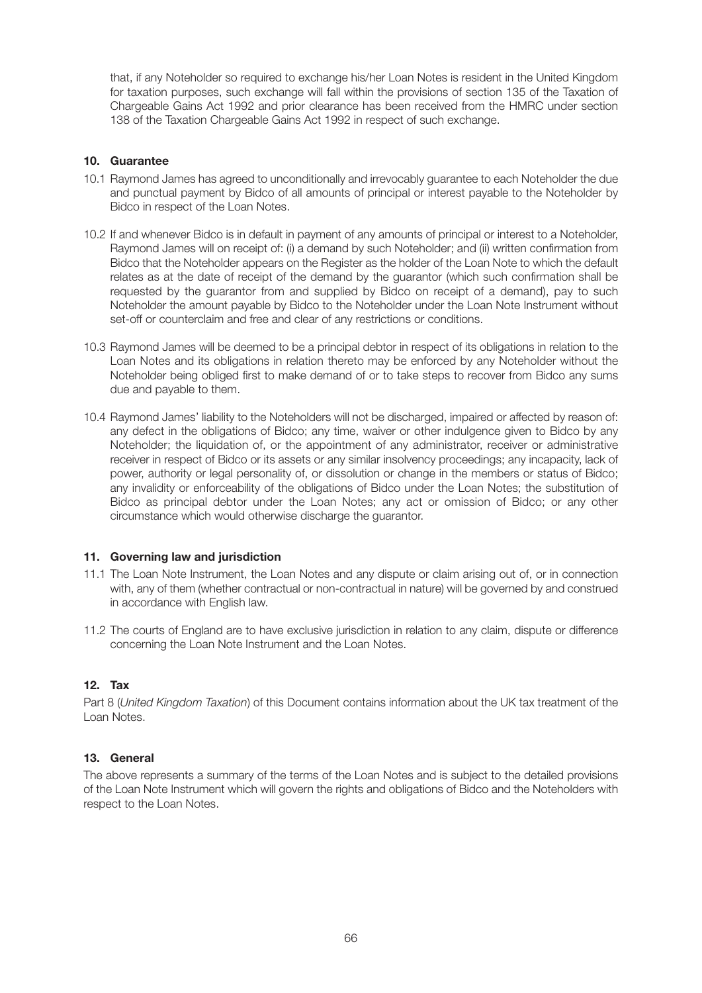that, if any Noteholder so required to exchange his/her Loan Notes is resident in the United Kingdom for taxation purposes, such exchange will fall within the provisions of section 135 of the Taxation of Chargeable Gains Act 1992 and prior clearance has been received from the HMRC under section 138 of the Taxation Chargeable Gains Act 1992 in respect of such exchange.

## **10. Guarantee**

- 10.1 Raymond James has agreed to unconditionally and irrevocably guarantee to each Noteholder the due and punctual payment by Bidco of all amounts of principal or interest payable to the Noteholder by Bidco in respect of the Loan Notes.
- 10.2 If and whenever Bidco is in default in payment of any amounts of principal or interest to a Noteholder, Raymond James will on receipt of: (i) a demand by such Noteholder; and (ii) written confirmation from Bidco that the Noteholder appears on the Register as the holder of the Loan Note to which the default relates as at the date of receipt of the demand by the guarantor (which such confirmation shall be requested by the guarantor from and supplied by Bidco on receipt of a demand), pay to such Noteholder the amount payable by Bidco to the Noteholder under the Loan Note Instrument without set-off or counterclaim and free and clear of any restrictions or conditions.
- 10.3 Raymond James will be deemed to be a principal debtor in respect of its obligations in relation to the Loan Notes and its obligations in relation thereto may be enforced by any Noteholder without the Noteholder being obliged first to make demand of or to take steps to recover from Bidco any sums due and payable to them.
- 10.4 Raymond James' liability to the Noteholders will not be discharged, impaired or affected by reason of: any defect in the obligations of Bidco; any time, waiver or other indulgence given to Bidco by any Noteholder; the liquidation of, or the appointment of any administrator, receiver or administrative receiver in respect of Bidco or its assets or any similar insolvency proceedings; any incapacity, lack of power, authority or legal personality of, or dissolution or change in the members or status of Bidco; any invalidity or enforceability of the obligations of Bidco under the Loan Notes; the substitution of Bidco as principal debtor under the Loan Notes; any act or omission of Bidco; or any other circumstance which would otherwise discharge the guarantor.

## **11. Governing law and jurisdiction**

- 11.1 The Loan Note Instrument, the Loan Notes and any dispute or claim arising out of, or in connection with, any of them (whether contractual or non-contractual in nature) will be governed by and construed in accordance with English law.
- 11.2 The courts of England are to have exclusive jurisdiction in relation to any claim, dispute or difference concerning the Loan Note Instrument and the Loan Notes.

## **12. Tax**

Part 8 (*United Kingdom Taxation*) of this Document contains information about the UK tax treatment of the Loan Notes.

## **13. General**

The above represents a summary of the terms of the Loan Notes and is subject to the detailed provisions of the Loan Note Instrument which will govern the rights and obligations of Bidco and the Noteholders with respect to the Loan Notes.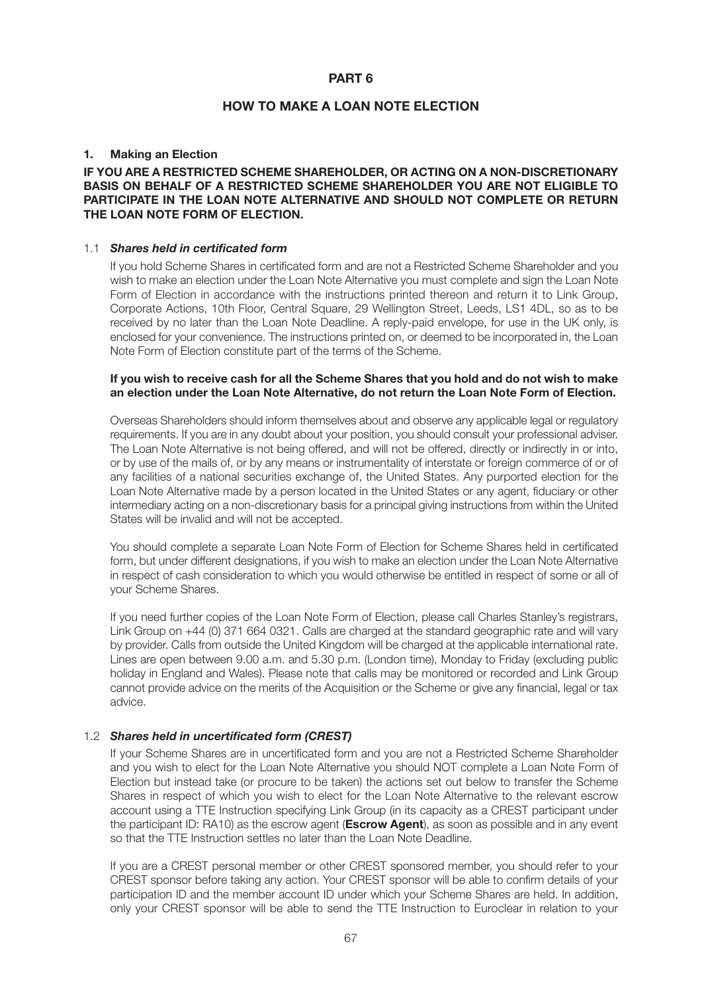### **PART 6**

## **HOW TO MAKE A LOAN NOTE ELECTION**

## **1. Making an Election**

### **IF YOU ARE A RESTRICTED SCHEME SHAREHOLDER, OR ACTING ON A NON-DISCRETIONARY BASIS ON BEHALF OF A RESTRICTED SCHEME SHAREHOLDER YOU ARE NOT ELIGIBLE TO PARTICIPATE IN THE LOAN NOTE ALTERNATIVE AND SHOULD NOT COMPLETE OR RETURN THE LOAN NOTE FORM OF ELECTION.**

#### 1.1 *Shares held in certificated form*

 If you hold Scheme Shares in certificated form and are not a Restricted Scheme Shareholder and you wish to make an election under the Loan Note Alternative you must complete and sign the Loan Note Form of Election in accordance with the instructions printed thereon and return it to Link Group, Corporate Actions, 10th Floor, Central Square, 29 Wellington Street, Leeds, LS1 4DL, so as to be received by no later than the Loan Note Deadline. A reply-paid envelope, for use in the UK only, is enclosed for your convenience. The instructions printed on, or deemed to be incorporated in, the Loan Note Form of Election constitute part of the terms of the Scheme.

### **If you wish to receive cash for all the Scheme Shares that you hold and do not wish to make an election under the Loan Note Alternative, do not return the Loan Note Form of Election.**

 Overseas Shareholders should inform themselves about and observe any applicable legal or regulatory requirements. If you are in any doubt about your position, you should consult your professional adviser. The Loan Note Alternative is not being offered, and will not be offered, directly or indirectly in or into, or by use of the mails of, or by any means or instrumentality of interstate or foreign commerce of or of any facilities of a national securities exchange of, the United States. Any purported election for the Loan Note Alternative made by a person located in the United States or any agent, fiduciary or other intermediary acting on a non-discretionary basis for a principal giving instructions from within the United States will be invalid and will not be accepted.

 You should complete a separate Loan Note Form of Election for Scheme Shares held in certificated form, but under different designations, if you wish to make an election under the Loan Note Alternative in respect of cash consideration to which you would otherwise be entitled in respect of some or all of your Scheme Shares.

 If you need further copies of the Loan Note Form of Election, please call Charles Stanley's registrars, Link Group on +44 (0) 371 664 0321. Calls are charged at the standard geographic rate and will vary by provider. Calls from outside the United Kingdom will be charged at the applicable international rate. Lines are open between 9.00 a.m. and 5.30 p.m. (London time), Monday to Friday (excluding public holiday in England and Wales). Please note that calls may be monitored or recorded and Link Group cannot provide advice on the merits of the Acquisition or the Scheme or give any financial, legal or tax advice.

## 1.2 *Shares held in uncertificated form (CREST)*

 If your Scheme Shares are in uncertificated form and you are not a Restricted Scheme Shareholder and you wish to elect for the Loan Note Alternative you should NOT complete a Loan Note Form of Election but instead take (or procure to be taken) the actions set out below to transfer the Scheme Shares in respect of which you wish to elect for the Loan Note Alternative to the relevant escrow account using a TTE Instruction specifying Link Group (in its capacity as a CREST participant under the participant ID: RA10) as the escrow agent (**Escrow Agent**), as soon as possible and in any event so that the TTE Instruction settles no later than the Loan Note Deadline.

 If you are a CREST personal member or other CREST sponsored member, you should refer to your CREST sponsor before taking any action. Your CREST sponsor will be able to confirm details of your participation ID and the member account ID under which your Scheme Shares are held. In addition, only your CREST sponsor will be able to send the TTE Instruction to Euroclear in relation to your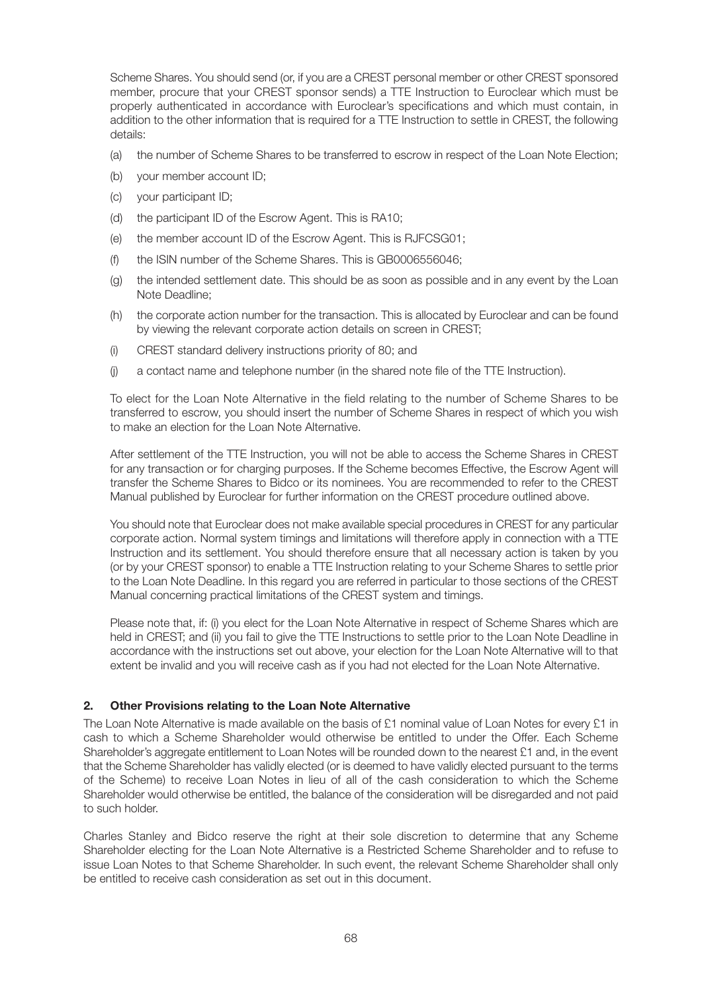Scheme Shares. You should send (or, if you are a CREST personal member or other CREST sponsored member, procure that your CREST sponsor sends) a TTE Instruction to Euroclear which must be properly authenticated in accordance with Euroclear's specifications and which must contain, in addition to the other information that is required for a TTE Instruction to settle in CREST, the following details:

- (a) the number of Scheme Shares to be transferred to escrow in respect of the Loan Note Election;
- (b) your member account ID;
- (c) your participant ID;
- (d) the participant ID of the Escrow Agent. This is RA10;
- (e) the member account ID of the Escrow Agent. This is RJFCSG01;
- (f) the ISIN number of the Scheme Shares. This is GB0006556046;
- (g) the intended settlement date. This should be as soon as possible and in any event by the Loan Note Deadline;
- (h) the corporate action number for the transaction. This is allocated by Euroclear and can be found by viewing the relevant corporate action details on screen in CREST;
- (i) CREST standard delivery instructions priority of 80; and
- (j) a contact name and telephone number (in the shared note file of the TTE Instruction).

 To elect for the Loan Note Alternative in the field relating to the number of Scheme Shares to be transferred to escrow, you should insert the number of Scheme Shares in respect of which you wish to make an election for the Loan Note Alternative.

 After settlement of the TTE Instruction, you will not be able to access the Scheme Shares in CREST for any transaction or for charging purposes. If the Scheme becomes Effective, the Escrow Agent will transfer the Scheme Shares to Bidco or its nominees. You are recommended to refer to the CREST Manual published by Euroclear for further information on the CREST procedure outlined above.

 You should note that Euroclear does not make available special procedures in CREST for any particular corporate action. Normal system timings and limitations will therefore apply in connection with a TTE Instruction and its settlement. You should therefore ensure that all necessary action is taken by you (or by your CREST sponsor) to enable a TTE Instruction relating to your Scheme Shares to settle prior to the Loan Note Deadline. In this regard you are referred in particular to those sections of the CREST Manual concerning practical limitations of the CREST system and timings.

 Please note that, if: (i) you elect for the Loan Note Alternative in respect of Scheme Shares which are held in CREST; and (ii) you fail to give the TTE Instructions to settle prior to the Loan Note Deadline in accordance with the instructions set out above, your election for the Loan Note Alternative will to that extent be invalid and you will receive cash as if you had not elected for the Loan Note Alternative.

# **2. Other Provisions relating to the Loan Note Alternative**

The Loan Note Alternative is made available on the basis of £1 nominal value of Loan Notes for every £1 in cash to which a Scheme Shareholder would otherwise be entitled to under the Offer. Each Scheme Shareholder's aggregate entitlement to Loan Notes will be rounded down to the nearest £1 and, in the event that the Scheme Shareholder has validly elected (or is deemed to have validly elected pursuant to the terms of the Scheme) to receive Loan Notes in lieu of all of the cash consideration to which the Scheme Shareholder would otherwise be entitled, the balance of the consideration will be disregarded and not paid to such holder.

Charles Stanley and Bidco reserve the right at their sole discretion to determine that any Scheme Shareholder electing for the Loan Note Alternative is a Restricted Scheme Shareholder and to refuse to issue Loan Notes to that Scheme Shareholder. In such event, the relevant Scheme Shareholder shall only be entitled to receive cash consideration as set out in this document.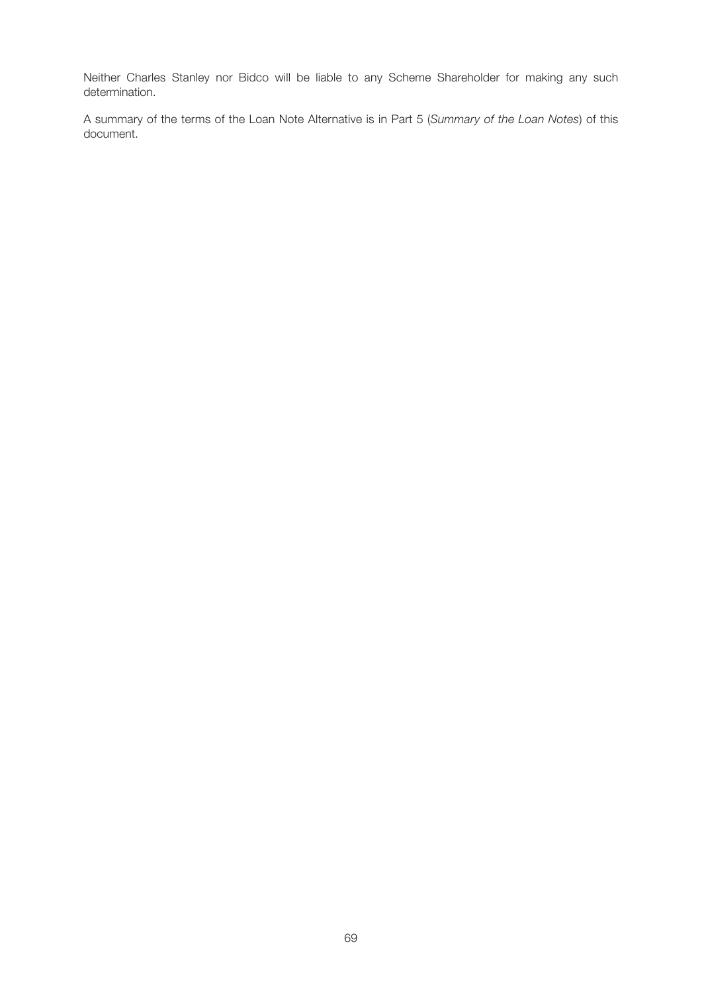Neither Charles Stanley nor Bidco will be liable to any Scheme Shareholder for making any such determination.

A summary of the terms of the Loan Note Alternative is in Part 5 (*Summary of the Loan Notes*) of this document.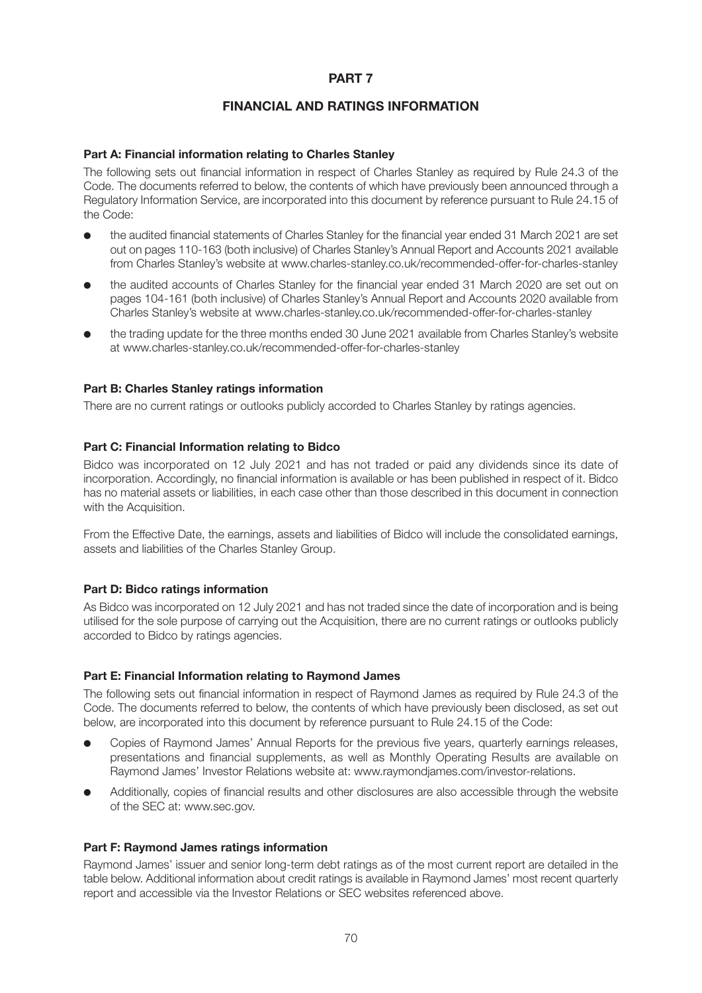# **PART 7**

# **FINANCIAL AND RATINGS INFORMATION**

## **Part A: Financial information relating to Charles Stanley**

The following sets out financial information in respect of Charles Stanley as required by Rule 24.3 of the Code. The documents referred to below, the contents of which have previously been announced through a Regulatory Information Service, are incorporated into this document by reference pursuant to Rule 24.15 of the Code:

- l the audited financial statements of Charles Stanley for the financial year ended 31 March 2021 are set out on pages 110-163 (both inclusive) of Charles Stanley's Annual Report and Accounts 2021 available from Charles Stanley's website at www.charles-stanley.co.uk/recommended-offer-for-charles-stanley
- the audited accounts of Charles Stanley for the financial year ended 31 March 2020 are set out on pages 104-161 (both inclusive) of Charles Stanley's Annual Report and Accounts 2020 available from Charles Stanley's website at www.charles-stanley.co.uk/recommended-offer-for-charles-stanley
- l the trading update for the three months ended 30 June 2021 available from Charles Stanley's website at www.charles-stanley.co.uk/recommended-offer-for-charles-stanley

### **Part B: Charles Stanley ratings information**

There are no current ratings or outlooks publicly accorded to Charles Stanley by ratings agencies.

### **Part C: Financial Information relating to Bidco**

Bidco was incorporated on 12 July 2021 and has not traded or paid any dividends since its date of incorporation. Accordingly, no financial information is available or has been published in respect of it. Bidco has no material assets or liabilities, in each case other than those described in this document in connection with the Acquisition.

From the Effective Date, the earnings, assets and liabilities of Bidco will include the consolidated earnings, assets and liabilities of the Charles Stanley Group.

### **Part D: Bidco ratings information**

As Bidco was incorporated on 12 July 2021 and has not traded since the date of incorporation and is being utilised for the sole purpose of carrying out the Acquisition, there are no current ratings or outlooks publicly accorded to Bidco by ratings agencies.

## **Part E: Financial Information relating to Raymond James**

The following sets out financial information in respect of Raymond James as required by Rule 24.3 of the Code. The documents referred to below, the contents of which have previously been disclosed, as set out below, are incorporated into this document by reference pursuant to Rule 24.15 of the Code:

- l Copies of Raymond James' Annual Reports for the previous five years, quarterly earnings releases, presentations and financial supplements, as well as Monthly Operating Results are available on Raymond James' Investor Relations website at: www.raymondjames.com/investor-relations.
- Additionally, copies of financial results and other disclosures are also accessible through the website of the SEC at: www.sec.gov.

#### **Part F: Raymond James ratings information**

Raymond James' issuer and senior long-term debt ratings as of the most current report are detailed in the table below. Additional information about credit ratings is available in Raymond James' most recent quarterly report and accessible via the Investor Relations or SEC websites referenced above.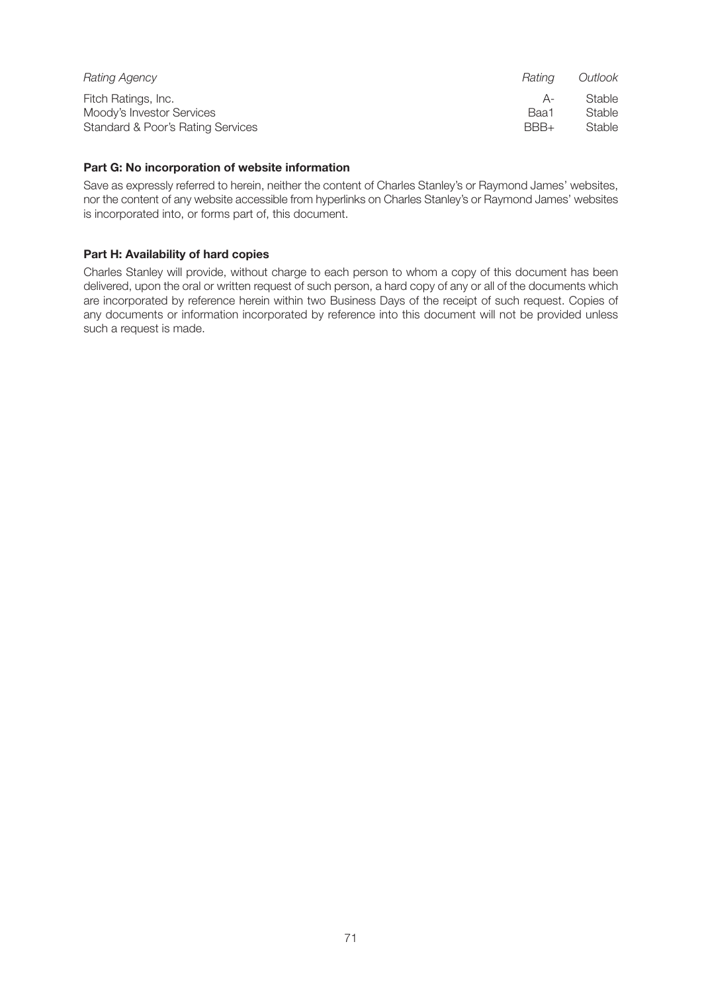| Rating Agency                     | Ratina | Outlook |
|-----------------------------------|--------|---------|
| Fitch Ratings, Inc.               | $A -$  | Stable  |
| Moody's Investor Services         | Baa1   | Stable  |
| Standard & Poor's Rating Services | BBB+   | Stable  |

### **Part G: No incorporation of website information**

Save as expressly referred to herein, neither the content of Charles Stanley's or Raymond James' websites, nor the content of any website accessible from hyperlinks on Charles Stanley's or Raymond James' websites is incorporated into, or forms part of, this document.

## **Part H: Availability of hard copies**

Charles Stanley will provide, without charge to each person to whom a copy of this document has been delivered, upon the oral or written request of such person, a hard copy of any or all of the documents which are incorporated by reference herein within two Business Days of the receipt of such request. Copies of any documents or information incorporated by reference into this document will not be provided unless such a request is made.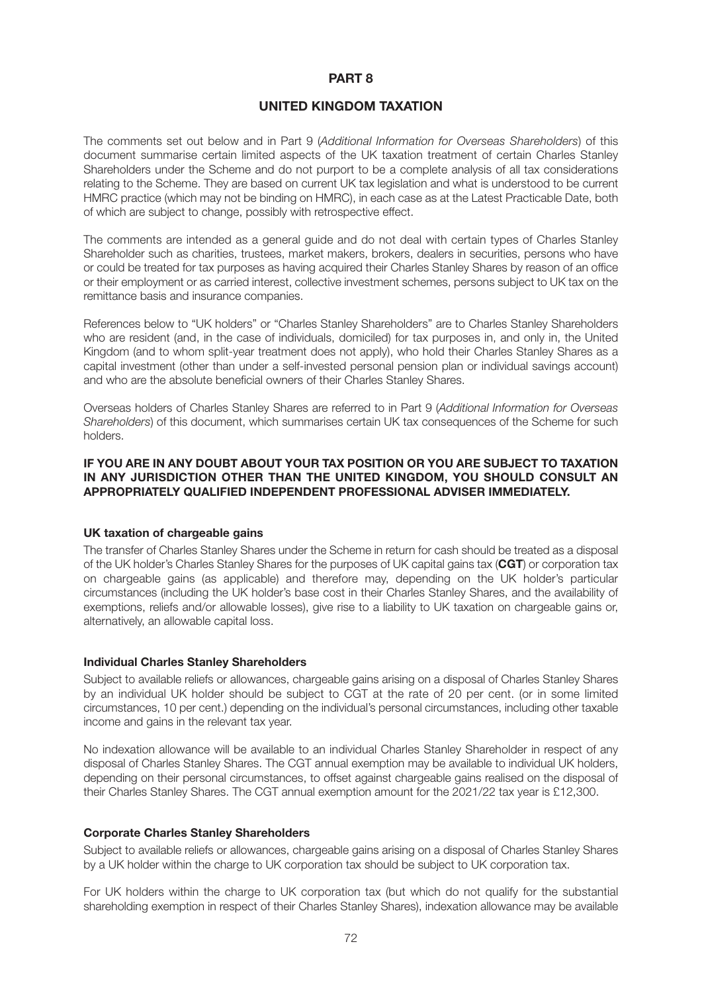### **PART 8**

### **UNITED KINGDOM TAXATION**

The comments set out below and in Part 9 (*Additional Information for Overseas Shareholders*) of this document summarise certain limited aspects of the UK taxation treatment of certain Charles Stanley Shareholders under the Scheme and do not purport to be a complete analysis of all tax considerations relating to the Scheme. They are based on current UK tax legislation and what is understood to be current HMRC practice (which may not be binding on HMRC), in each case as at the Latest Practicable Date, both of which are subject to change, possibly with retrospective effect.

The comments are intended as a general guide and do not deal with certain types of Charles Stanley Shareholder such as charities, trustees, market makers, brokers, dealers in securities, persons who have or could be treated for tax purposes as having acquired their Charles Stanley Shares by reason of an office or their employment or as carried interest, collective investment schemes, persons subject to UK tax on the remittance basis and insurance companies.

References below to "UK holders" or "Charles Stanley Shareholders" are to Charles Stanley Shareholders who are resident (and, in the case of individuals, domiciled) for tax purposes in, and only in, the United Kingdom (and to whom split-year treatment does not apply), who hold their Charles Stanley Shares as a capital investment (other than under a self-invested personal pension plan or individual savings account) and who are the absolute beneficial owners of their Charles Stanley Shares.

Overseas holders of Charles Stanley Shares are referred to in Part 9 (*Additional Information for Overseas Shareholders*) of this document, which summarises certain UK tax consequences of the Scheme for such holders.

### **IF YOU ARE IN ANY DOUBT ABOUT YOUR TAX POSITION OR YOU ARE SUBJECT TO TAXATION IN ANY JURISDICTION OTHER THAN THE UNITED KINGDOM, YOU SHOULD CONSULT AN APPROPRIATELY QUALIFIED INDEPENDENT PROFESSIONAL ADVISER IMMEDIATELY.**

#### **UK taxation of chargeable gains**

The transfer of Charles Stanley Shares under the Scheme in return for cash should be treated as a disposal of the UK holder's Charles Stanley Shares for the purposes of UK capital gains tax (**CGT**) or corporation tax on chargeable gains (as applicable) and therefore may, depending on the UK holder's particular circumstances (including the UK holder's base cost in their Charles Stanley Shares, and the availability of exemptions, reliefs and/or allowable losses), give rise to a liability to UK taxation on chargeable gains or, alternatively, an allowable capital loss.

#### **Individual Charles Stanley Shareholders**

Subject to available reliefs or allowances, chargeable gains arising on a disposal of Charles Stanley Shares by an individual UK holder should be subject to CGT at the rate of 20 per cent. (or in some limited circumstances, 10 per cent.) depending on the individual's personal circumstances, including other taxable income and gains in the relevant tax year.

No indexation allowance will be available to an individual Charles Stanley Shareholder in respect of any disposal of Charles Stanley Shares. The CGT annual exemption may be available to individual UK holders, depending on their personal circumstances, to offset against chargeable gains realised on the disposal of their Charles Stanley Shares. The CGT annual exemption amount for the 2021/22 tax year is £12,300.

#### **Corporate Charles Stanley Shareholders**

Subject to available reliefs or allowances, chargeable gains arising on a disposal of Charles Stanley Shares by a UK holder within the charge to UK corporation tax should be subject to UK corporation tax.

For UK holders within the charge to UK corporation tax (but which do not qualify for the substantial shareholding exemption in respect of their Charles Stanley Shares), indexation allowance may be available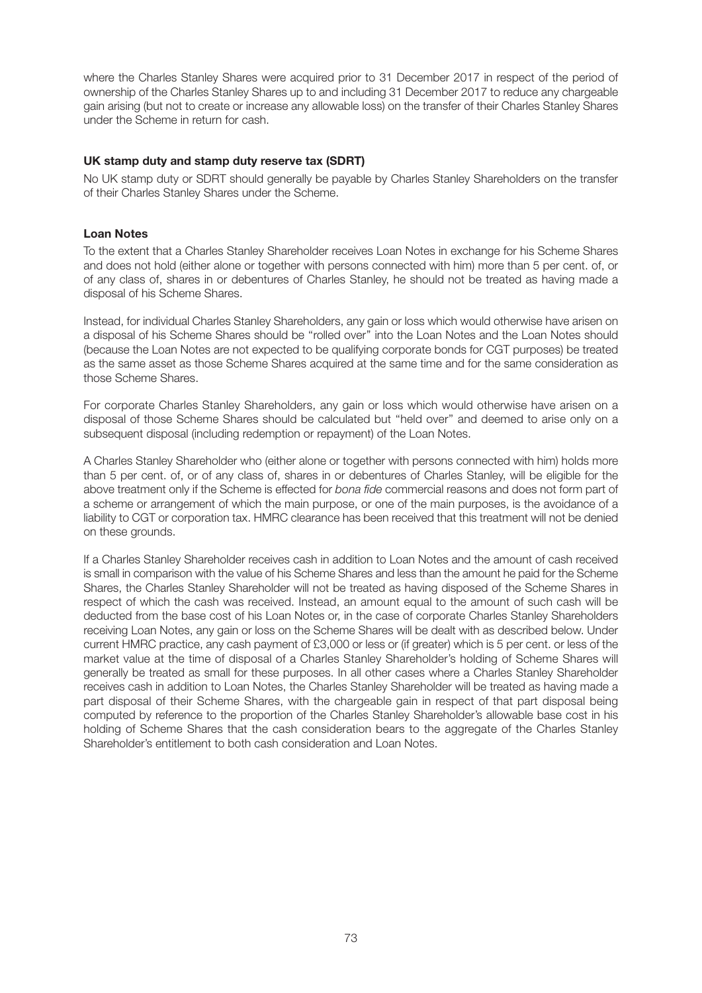where the Charles Stanley Shares were acquired prior to 31 December 2017 in respect of the period of ownership of the Charles Stanley Shares up to and including 31 December 2017 to reduce any chargeable gain arising (but not to create or increase any allowable loss) on the transfer of their Charles Stanley Shares under the Scheme in return for cash.

# **UK stamp duty and stamp duty reserve tax (SDRT)**

No UK stamp duty or SDRT should generally be payable by Charles Stanley Shareholders on the transfer of their Charles Stanley Shares under the Scheme.

#### **Loan Notes**

To the extent that a Charles Stanley Shareholder receives Loan Notes in exchange for his Scheme Shares and does not hold (either alone or together with persons connected with him) more than 5 per cent. of, or of any class of, shares in or debentures of Charles Stanley, he should not be treated as having made a disposal of his Scheme Shares.

Instead, for individual Charles Stanley Shareholders, any gain or loss which would otherwise have arisen on a disposal of his Scheme Shares should be ''rolled over'' into the Loan Notes and the Loan Notes should (because the Loan Notes are not expected to be qualifying corporate bonds for CGT purposes) be treated as the same asset as those Scheme Shares acquired at the same time and for the same consideration as those Scheme Shares.

For corporate Charles Stanley Shareholders, any gain or loss which would otherwise have arisen on a disposal of those Scheme Shares should be calculated but ''held over'' and deemed to arise only on a subsequent disposal (including redemption or repayment) of the Loan Notes.

A Charles Stanley Shareholder who (either alone or together with persons connected with him) holds more than 5 per cent. of, or of any class of, shares in or debentures of Charles Stanley, will be eligible for the above treatment only if the Scheme is effected for *bona fide* commercial reasons and does not form part of a scheme or arrangement of which the main purpose, or one of the main purposes, is the avoidance of a liability to CGT or corporation tax. HMRC clearance has been received that this treatment will not be denied on these grounds.

If a Charles Stanley Shareholder receives cash in addition to Loan Notes and the amount of cash received is small in comparison with the value of his Scheme Shares and less than the amount he paid for the Scheme Shares, the Charles Stanley Shareholder will not be treated as having disposed of the Scheme Shares in respect of which the cash was received. Instead, an amount equal to the amount of such cash will be deducted from the base cost of his Loan Notes or, in the case of corporate Charles Stanley Shareholders receiving Loan Notes, any gain or loss on the Scheme Shares will be dealt with as described below. Under current HMRC practice, any cash payment of £3,000 or less or (if greater) which is 5 per cent. or less of the market value at the time of disposal of a Charles Stanley Shareholder's holding of Scheme Shares will generally be treated as small for these purposes. In all other cases where a Charles Stanley Shareholder receives cash in addition to Loan Notes, the Charles Stanley Shareholder will be treated as having made a part disposal of their Scheme Shares, with the chargeable gain in respect of that part disposal being computed by reference to the proportion of the Charles Stanley Shareholder's allowable base cost in his holding of Scheme Shares that the cash consideration bears to the aggregate of the Charles Stanley Shareholder's entitlement to both cash consideration and Loan Notes.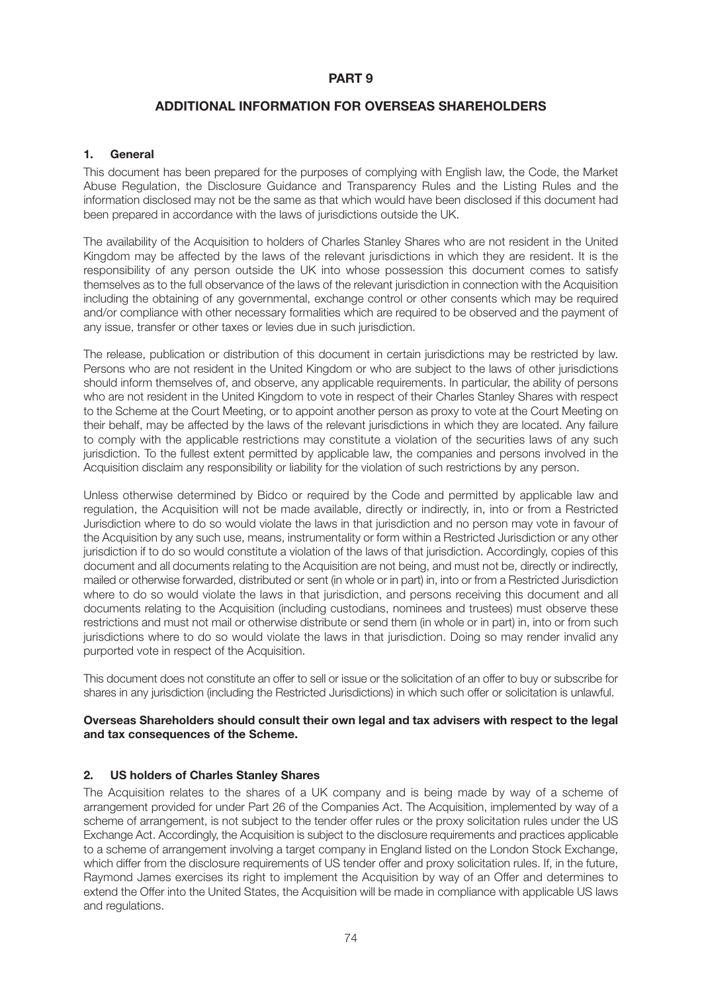# **PART 9**

# **ADDITIONAL INFORMATION FOR OVERSEAS SHAREHOLDERS**

# **1. General**

This document has been prepared for the purposes of complying with English law, the Code, the Market Abuse Regulation, the Disclosure Guidance and Transparency Rules and the Listing Rules and the information disclosed may not be the same as that which would have been disclosed if this document had been prepared in accordance with the laws of jurisdictions outside the UK.

The availability of the Acquisition to holders of Charles Stanley Shares who are not resident in the United Kingdom may be affected by the laws of the relevant jurisdictions in which they are resident. It is the responsibility of any person outside the UK into whose possession this document comes to satisfy themselves as to the full observance of the laws of the relevant jurisdiction in connection with the Acquisition including the obtaining of any governmental, exchange control or other consents which may be required and/or compliance with other necessary formalities which are required to be observed and the payment of any issue, transfer or other taxes or levies due in such jurisdiction.

The release, publication or distribution of this document in certain jurisdictions may be restricted by law. Persons who are not resident in the United Kingdom or who are subject to the laws of other jurisdictions should inform themselves of, and observe, any applicable requirements. In particular, the ability of persons who are not resident in the United Kingdom to vote in respect of their Charles Stanley Shares with respect to the Scheme at the Court Meeting, or to appoint another person as proxy to vote at the Court Meeting on their behalf, may be affected by the laws of the relevant jurisdictions in which they are located. Any failure to comply with the applicable restrictions may constitute a violation of the securities laws of any such jurisdiction. To the fullest extent permitted by applicable law, the companies and persons involved in the Acquisition disclaim any responsibility or liability for the violation of such restrictions by any person.

Unless otherwise determined by Bidco or required by the Code and permitted by applicable law and regulation, the Acquisition will not be made available, directly or indirectly, in, into or from a Restricted Jurisdiction where to do so would violate the laws in that jurisdiction and no person may vote in favour of the Acquisition by any such use, means, instrumentality or form within a Restricted Jurisdiction or any other jurisdiction if to do so would constitute a violation of the laws of that jurisdiction. Accordingly, copies of this document and all documents relating to the Acquisition are not being, and must not be, directly or indirectly, mailed or otherwise forwarded, distributed or sent (in whole or in part) in, into or from a Restricted Jurisdiction where to do so would violate the laws in that jurisdiction, and persons receiving this document and all documents relating to the Acquisition (including custodians, nominees and trustees) must observe these restrictions and must not mail or otherwise distribute or send them (in whole or in part) in, into or from such jurisdictions where to do so would violate the laws in that jurisdiction. Doing so may render invalid any purported vote in respect of the Acquisition.

This document does not constitute an offer to sell or issue or the solicitation of an offer to buy or subscribe for shares in any jurisdiction (including the Restricted Jurisdictions) in which such offer or solicitation is unlawful.

# **Overseas Shareholders should consult their own legal and tax advisers with respect to the legal and tax consequences of the Scheme.**

# **2. US holders of Charles Stanley Shares**

The Acquisition relates to the shares of a UK company and is being made by way of a scheme of arrangement provided for under Part 26 of the Companies Act. The Acquisition, implemented by way of a scheme of arrangement, is not subject to the tender offer rules or the proxy solicitation rules under the US Exchange Act. Accordingly, the Acquisition is subject to the disclosure requirements and practices applicable to a scheme of arrangement involving a target company in England listed on the London Stock Exchange, which differ from the disclosure requirements of US tender offer and proxy solicitation rules. If, in the future, Raymond James exercises its right to implement the Acquisition by way of an Offer and determines to extend the Offer into the United States, the Acquisition will be made in compliance with applicable US laws and regulations.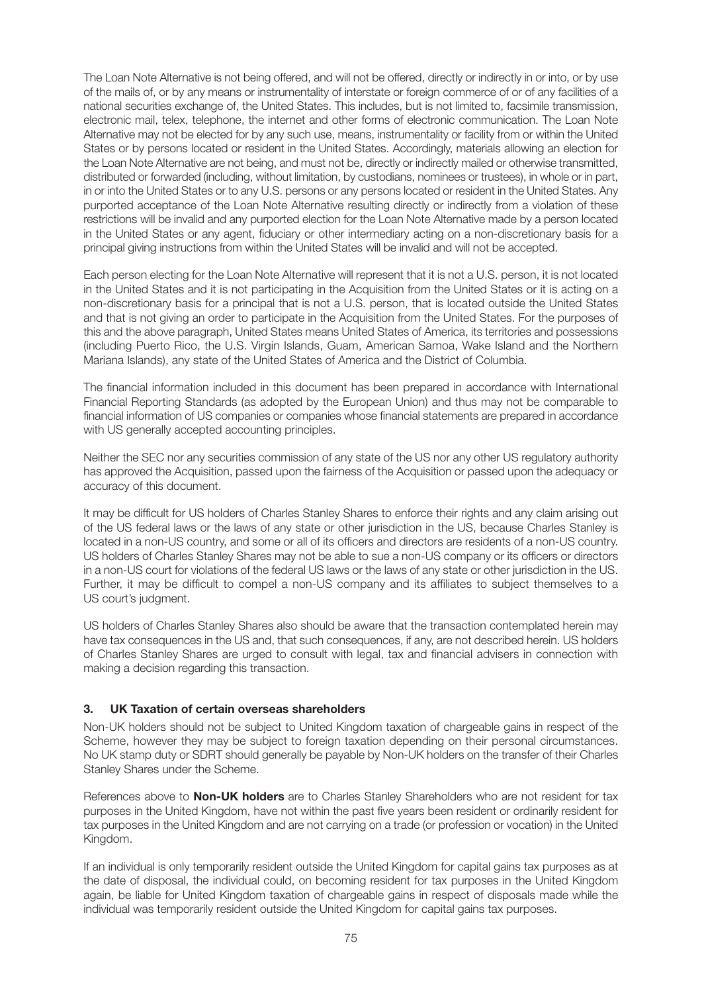The Loan Note Alternative is not being offered, and will not be offered, directly or indirectly in or into, or by use of the mails of, or by any means or instrumentality of interstate or foreign commerce of or of any facilities of a national securities exchange of, the United States. This includes, but is not limited to, facsimile transmission, electronic mail, telex, telephone, the internet and other forms of electronic communication. The Loan Note Alternative may not be elected for by any such use, means, instrumentality or facility from or within the United States or by persons located or resident in the United States. Accordingly, materials allowing an election for the Loan Note Alternative are not being, and must not be, directly or indirectly mailed or otherwise transmitted, distributed or forwarded (including, without limitation, by custodians, nominees or trustees), in whole or in part, in or into the United States or to any U.S. persons or any persons located or resident in the United States. Any purported acceptance of the Loan Note Alternative resulting directly or indirectly from a violation of these restrictions will be invalid and any purported election for the Loan Note Alternative made by a person located in the United States or any agent, fiduciary or other intermediary acting on a non-discretionary basis for a principal giving instructions from within the United States will be invalid and will not be accepted.

Each person electing for the Loan Note Alternative will represent that it is not a U.S. person, it is not located in the United States and it is not participating in the Acquisition from the United States or it is acting on a non-discretionary basis for a principal that is not a U.S. person, that is located outside the United States and that is not giving an order to participate in the Acquisition from the United States. For the purposes of this and the above paragraph, United States means United States of America, its territories and possessions (including Puerto Rico, the U.S. Virgin Islands, Guam, American Samoa, Wake Island and the Northern Mariana Islands), any state of the United States of America and the District of Columbia.

The financial information included in this document has been prepared in accordance with International Financial Reporting Standards (as adopted by the European Union) and thus may not be comparable to financial information of US companies or companies whose financial statements are prepared in accordance with US generally accepted accounting principles.

Neither the SEC nor any securities commission of any state of the US nor any other US regulatory authority has approved the Acquisition, passed upon the fairness of the Acquisition or passed upon the adequacy or accuracy of this document.

It may be difficult for US holders of Charles Stanley Shares to enforce their rights and any claim arising out of the US federal laws or the laws of any state or other jurisdiction in the US, because Charles Stanley is located in a non-US country, and some or all of its officers and directors are residents of a non-US country. US holders of Charles Stanley Shares may not be able to sue a non-US company or its officers or directors in a non-US court for violations of the federal US laws or the laws of any state or other jurisdiction in the US. Further, it may be difficult to compel a non-US company and its affiliates to subject themselves to a US court's judgment.

US holders of Charles Stanley Shares also should be aware that the transaction contemplated herein may have tax consequences in the US and, that such consequences, if any, are not described herein. US holders of Charles Stanley Shares are urged to consult with legal, tax and financial advisers in connection with making a decision regarding this transaction.

# **3. UK Taxation of certain overseas shareholders**

Non-UK holders should not be subject to United Kingdom taxation of chargeable gains in respect of the Scheme, however they may be subject to foreign taxation depending on their personal circumstances. No UK stamp duty or SDRT should generally be payable by Non-UK holders on the transfer of their Charles Stanley Shares under the Scheme.

References above to **Non-UK holders** are to Charles Stanley Shareholders who are not resident for tax purposes in the United Kingdom, have not within the past five years been resident or ordinarily resident for tax purposes in the United Kingdom and are not carrying on a trade (or profession or vocation) in the United Kingdom.

If an individual is only temporarily resident outside the United Kingdom for capital gains tax purposes as at the date of disposal, the individual could, on becoming resident for tax purposes in the United Kingdom again, be liable for United Kingdom taxation of chargeable gains in respect of disposals made while the individual was temporarily resident outside the United Kingdom for capital gains tax purposes.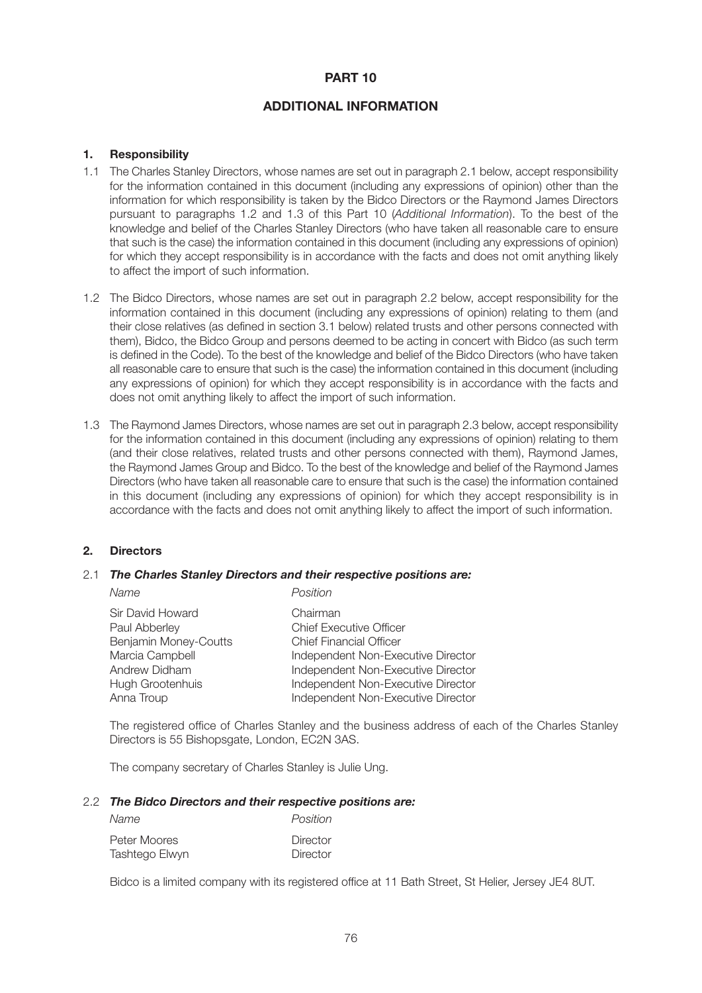# **PART 10**

# **ADDITIONAL INFORMATION**

# **1. Responsibility**

- 1.1 The Charles Stanley Directors, whose names are set out in paragraph 2.1 below, accept responsibility for the information contained in this document (including any expressions of opinion) other than the information for which responsibility is taken by the Bidco Directors or the Raymond James Directors pursuant to paragraphs 1.2 and 1.3 of this Part 10 (*Additional Information*). To the best of the knowledge and belief of the Charles Stanley Directors (who have taken all reasonable care to ensure that such is the case) the information contained in this document (including any expressions of opinion) for which they accept responsibility is in accordance with the facts and does not omit anything likely to affect the import of such information.
- 1.2 The Bidco Directors, whose names are set out in paragraph 2.2 below, accept responsibility for the information contained in this document (including any expressions of opinion) relating to them (and their close relatives (as defined in section 3.1 below) related trusts and other persons connected with them), Bidco, the Bidco Group and persons deemed to be acting in concert with Bidco (as such term is defined in the Code). To the best of the knowledge and belief of the Bidco Directors (who have taken all reasonable care to ensure that such is the case) the information contained in this document (including any expressions of opinion) for which they accept responsibility is in accordance with the facts and does not omit anything likely to affect the import of such information.
- 1.3 The Raymond James Directors, whose names are set out in paragraph 2.3 below, accept responsibility for the information contained in this document (including any expressions of opinion) relating to them (and their close relatives, related trusts and other persons connected with them), Raymond James, the Raymond James Group and Bidco. To the best of the knowledge and belief of the Raymond James Directors (who have taken all reasonable care to ensure that such is the case) the information contained in this document (including any expressions of opinion) for which they accept responsibility is in accordance with the facts and does not omit anything likely to affect the import of such information.

# **2. Directors**

# 2.1 *The Charles Stanley Directors and their respective positions are:*

| Name                                                       | Position                                                                     |
|------------------------------------------------------------|------------------------------------------------------------------------------|
| Sir David Howard<br>Paul Abberley<br>Benjamin Money-Coutts | Chairman<br><b>Chief Executive Officer</b><br><b>Chief Financial Officer</b> |
| Marcia Campbell                                            | Independent Non-Executive Director                                           |
| Andrew Didham                                              | Independent Non-Executive Director                                           |
| Hugh Grootenhuis                                           | Independent Non-Executive Director                                           |
| Anna Troup                                                 | Independent Non-Executive Director                                           |

 The registered office of Charles Stanley and the business address of each of the Charles Stanley Directors is 55 Bishopsgate, London, EC2N 3AS.

The company secretary of Charles Stanley is Julie Ung.

#### 2.2 *The Bidco Directors and their respective positions are:*

| Name           | Position |
|----------------|----------|
| Peter Moores   | Director |
| Tashtego Elwyn | Director |

Bidco is a limited company with its registered office at 11 Bath Street, St Helier, Jersey JE4 8UT.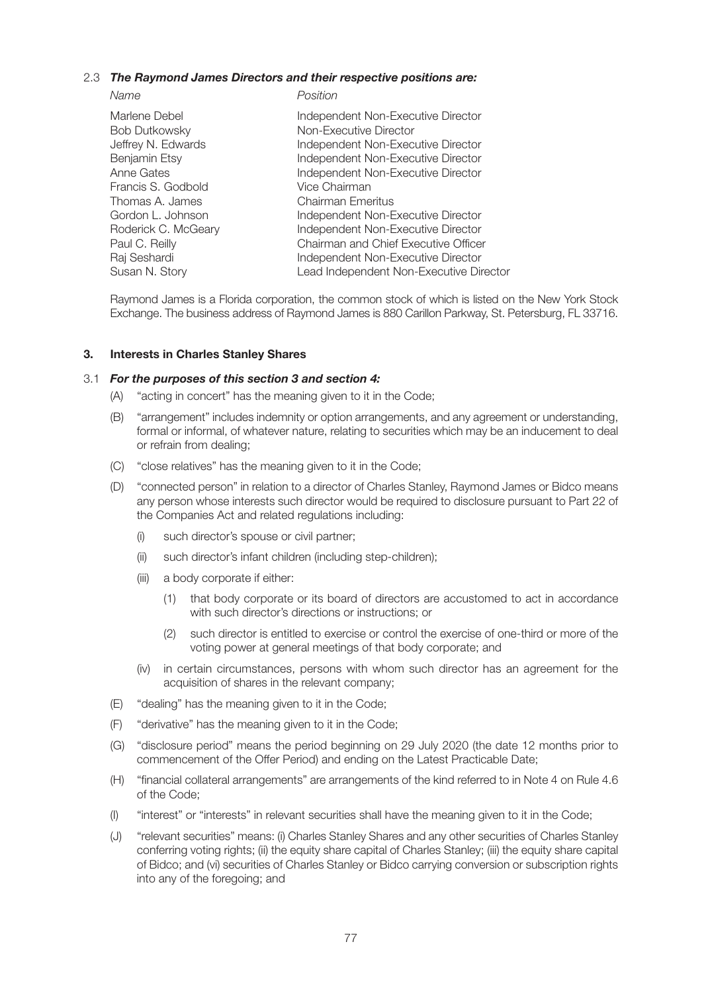# 2.3 *The Raymond James Directors and their respective positions are:*

 *Name Position*

| Marlene Debel        | Independent Non-Executive Director      |
|----------------------|-----------------------------------------|
| <b>Bob Dutkowsky</b> | Non-Executive Director                  |
| Jeffrey N. Edwards   | Independent Non-Executive Director      |
| Benjamin Etsy        | Independent Non-Executive Director      |
| Anne Gates           | Independent Non-Executive Director      |
| Francis S. Godbold   | Vice Chairman                           |
| Thomas A. James      | <b>Chairman Emeritus</b>                |
| Gordon L. Johnson    | Independent Non-Executive Director      |
| Roderick C. McGeary  | Independent Non-Executive Director      |
| Paul C. Reilly       | Chairman and Chief Executive Officer    |
| Raj Seshardi         | Independent Non-Executive Director      |
| Susan N. Story       | Lead Independent Non-Executive Director |
|                      |                                         |

 Raymond James is a Florida corporation, the common stock of which is listed on the New York Stock Exchange. The business address of Raymond James is 880 Carillon Parkway, St. Petersburg, FL 33716.

## **3. Interests in Charles Stanley Shares**

#### 3.1 *For the purposes of this section 3 and section 4:*

- (A) "acting in concert" has the meaning given to it in the Code;
- (B) "arrangement" includes indemnity or option arrangements, and any agreement or understanding, formal or informal, of whatever nature, relating to securities which may be an inducement to deal or refrain from dealing;
- (C) "close relatives" has the meaning given to it in the Code;
- (D) "connected person" in relation to a director of Charles Stanley, Raymond James or Bidco means any person whose interests such director would be required to disclosure pursuant to Part 22 of the Companies Act and related regulations including:
	- (i) such director's spouse or civil partner;
	- (ii) such director's infant children (including step-children);
	- (iii) a body corporate if either:
		- (1) that body corporate or its board of directors are accustomed to act in accordance with such director's directions or instructions; or
		- (2) such director is entitled to exercise or control the exercise of one-third or more of the voting power at general meetings of that body corporate; and
	- (iv) in certain circumstances, persons with whom such director has an agreement for the acquisition of shares in the relevant company;
- (E) "dealing" has the meaning given to it in the Code;
- (F) "derivative" has the meaning given to it in the Code;
- (G) "disclosure period" means the period beginning on 29 July 2020 (the date 12 months prior to commencement of the Offer Period) and ending on the Latest Practicable Date;
- (H) "financial collateral arrangements" are arrangements of the kind referred to in Note 4 on Rule 4.6 of the Code;
- (I) "interest" or "interests" in relevant securities shall have the meaning given to it in the Code;
- (J) "relevant securities" means: (i) Charles Stanley Shares and any other securities of Charles Stanley conferring voting rights; (ii) the equity share capital of Charles Stanley; (iii) the equity share capital of Bidco; and (vi) securities of Charles Stanley or Bidco carrying conversion or subscription rights into any of the foregoing; and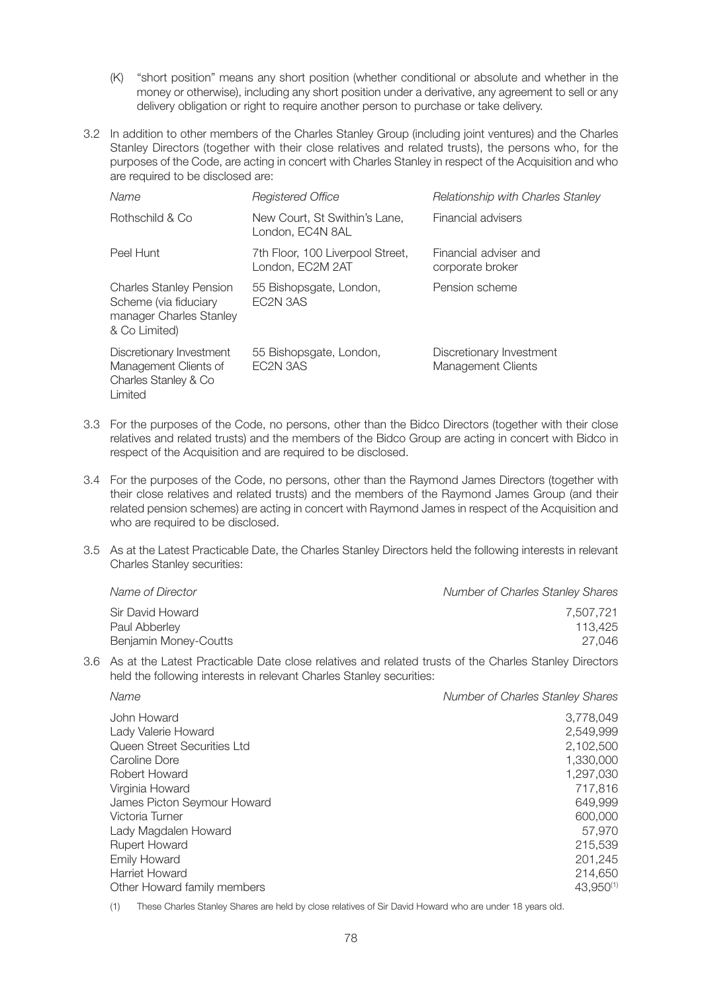- (K) "short position" means any short position (whether conditional or absolute and whether in the money or otherwise), including any short position under a derivative, any agreement to sell or any delivery obligation or right to require another person to purchase or take delivery.
- 3.2 In addition to other members of the Charles Stanley Group (including joint ventures) and the Charles Stanley Directors (together with their close relatives and related trusts), the persons who, for the purposes of the Code, are acting in concert with Charles Stanley in respect of the Acquisition and who are required to be disclosed are:

| Name                                                                                                | Registered Office                                    | <b>Relationship with Charles Stanley</b>              |
|-----------------------------------------------------------------------------------------------------|------------------------------------------------------|-------------------------------------------------------|
| Rothschild & Co                                                                                     | New Court, St Swithin's Lane,<br>London, EC4N 8AL    | Financial advisers                                    |
| Peel Hunt                                                                                           | 7th Floor, 100 Liverpool Street,<br>London, EC2M 2AT | Financial adviser and<br>corporate broker             |
| <b>Charles Stanley Pension</b><br>Scheme (via fiduciary<br>manager Charles Stanley<br>& Co Limited) | 55 Bishopsgate, London,<br>FC2N 3AS                  | Pension scheme                                        |
| Discretionary Investment<br>Management Clients of<br>Charles Stanley & Co<br>Limited                | 55 Bishopsgate, London,<br>EC2N 3AS                  | Discretionary Investment<br><b>Management Clients</b> |

- 3.3 For the purposes of the Code, no persons, other than the Bidco Directors (together with their close relatives and related trusts) and the members of the Bidco Group are acting in concert with Bidco in respect of the Acquisition and are required to be disclosed.
- 3.4 For the purposes of the Code, no persons, other than the Raymond James Directors (together with their close relatives and related trusts) and the members of the Raymond James Group (and their related pension schemes) are acting in concert with Raymond James in respect of the Acquisition and who are required to be disclosed.
- 3.5 As at the Latest Practicable Date, the Charles Stanley Directors held the following interests in relevant Charles Stanley securities:

| Name of Director                       | <b>Number of Charles Stanley Shares</b> |
|----------------------------------------|-----------------------------------------|
| Sir David Howard                       | 7.507.721                               |
| Paul Abberley<br>Benjamin Money-Coutts | 113.425<br>27.046                       |
|                                        |                                         |

3.6 As at the Latest Practicable Date close relatives and related trusts of the Charles Stanley Directors held the following interests in relevant Charles Stanley securities:

| Name                        | <b>Number of Charles Stanley Shares</b> |
|-----------------------------|-----------------------------------------|
| John Howard                 | 3,778,049                               |
| Lady Valerie Howard         | 2,549,999                               |
| Queen Street Securities Ltd | 2,102,500                               |
| Caroline Dore               | 1,330,000                               |
| Robert Howard               | 1,297,030                               |
| Virginia Howard             | 717,816                                 |
| James Picton Seymour Howard | 649,999                                 |
| Victoria Turner             | 600,000                                 |
| Lady Magdalen Howard        | 57,970                                  |
| Rupert Howard               | 215,539                                 |
| <b>Emily Howard</b>         | 201,245                                 |
| Harriet Howard              | 214,650                                 |
| Other Howard family members | 43,950 <sup>(1)</sup>                   |
|                             |                                         |

(1) These Charles Stanley Shares are held by close relatives of Sir David Howard who are under 18 years old.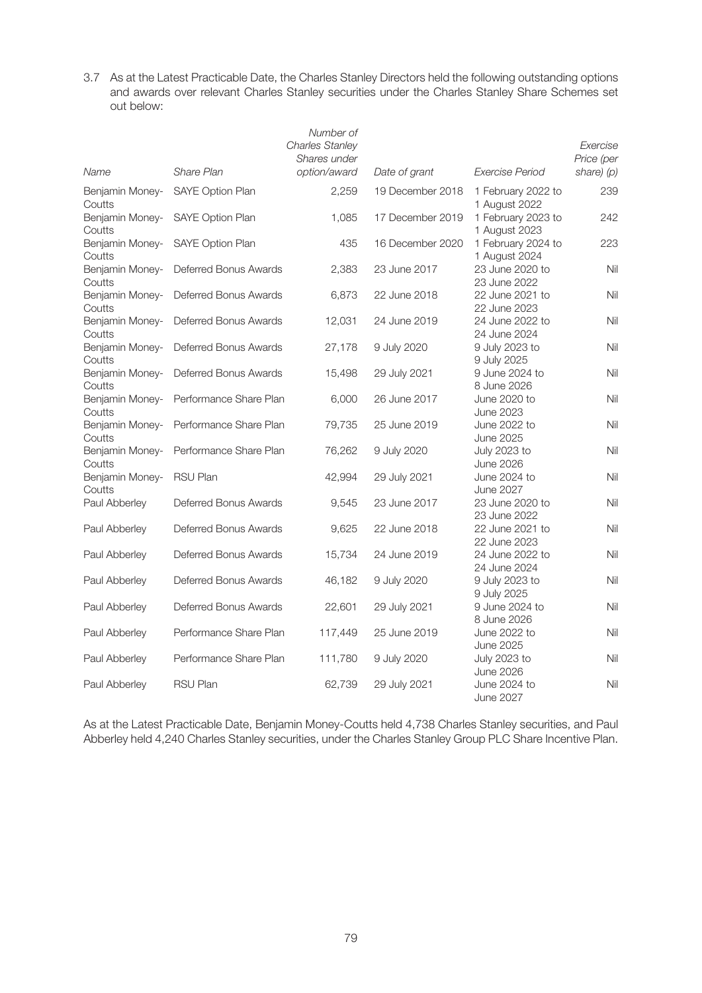3.7 As at the Latest Practicable Date, the Charles Stanley Directors held the following outstanding options and awards over relevant Charles Stanley securities under the Charles Stanley Share Schemes set out below:

| Name                      | Share Plan              | Number of<br><b>Charles Stanley</b><br>Shares under<br>option/award | Date of grant    | Exercise Period                         | Exercise<br>Price (per<br>share) (p) |
|---------------------------|-------------------------|---------------------------------------------------------------------|------------------|-----------------------------------------|--------------------------------------|
|                           |                         |                                                                     |                  |                                         |                                      |
| Benjamin Money-<br>Coutts | <b>SAYE Option Plan</b> | 2,259                                                               | 19 December 2018 | 1 February 2022 to<br>1 August 2022     | 239                                  |
| Benjamin Money-<br>Coutts | SAYE Option Plan        | 1,085                                                               | 17 December 2019 | 1 February 2023 to<br>1 August 2023     | 242                                  |
| Benjamin Money-<br>Coutts | SAYE Option Plan        | 435                                                                 | 16 December 2020 | 1 February 2024 to<br>1 August 2024     | 223                                  |
| Benjamin Money-<br>Coutts | Deferred Bonus Awards   | 2,383                                                               | 23 June 2017     | 23 June 2020 to<br>23 June 2022         | Nil                                  |
| Benjamin Money-<br>Coutts | Deferred Bonus Awards   | 6,873                                                               | 22 June 2018     | 22 June 2021 to<br>22 June 2023         | Nil                                  |
| Benjamin Money-<br>Coutts | Deferred Bonus Awards   | 12,031                                                              | 24 June 2019     | 24 June 2022 to<br>24 June 2024         | Nil                                  |
| Benjamin Money-<br>Coutts | Deferred Bonus Awards   | 27,178                                                              | 9 July 2020      | 9 July 2023 to<br>9 July 2025           | Nil                                  |
| Benjamin Money-<br>Coutts | Deferred Bonus Awards   | 15,498                                                              | 29 July 2021     | 9 June 2024 to<br>8 June 2026           | Nil                                  |
| Benjamin Money-<br>Coutts | Performance Share Plan  | 6,000                                                               | 26 June 2017     | June 2020 to<br><b>June 2023</b>        | Nil                                  |
| Benjamin Money-<br>Coutts | Performance Share Plan  | 79,735                                                              | 25 June 2019     | June 2022 to<br><b>June 2025</b>        | Nil                                  |
| Benjamin Money-<br>Coutts | Performance Share Plan  | 76,262                                                              | 9 July 2020      | July 2023 to<br><b>June 2026</b>        | Nil                                  |
| Benjamin Money-<br>Coutts | <b>RSU Plan</b>         | 42,994                                                              | 29 July 2021     | June 2024 to<br><b>June 2027</b>        | Nil                                  |
| Paul Abberley             | Deferred Bonus Awards   | 9,545                                                               | 23 June 2017     | 23 June 2020 to<br>23 June 2022         | Nil                                  |
| Paul Abberley             | Deferred Bonus Awards   | 9,625                                                               | 22 June 2018     | 22 June 2021 to<br>22 June 2023         | Nil                                  |
| Paul Abberley             | Deferred Bonus Awards   | 15,734                                                              | 24 June 2019     | 24 June 2022 to<br>24 June 2024         | Nil                                  |
| Paul Abberley             | Deferred Bonus Awards   | 46,182                                                              | 9 July 2020      | 9 July 2023 to<br>9 July 2025           | Nil                                  |
| Paul Abberley             | Deferred Bonus Awards   | 22,601                                                              | 29 July 2021     | 9 June 2024 to<br>8 June 2026           | Nil                                  |
| Paul Abberley             | Performance Share Plan  | 117,449                                                             | 25 June 2019     | June 2022 to<br><b>June 2025</b>        | Nil                                  |
| Paul Abberley             | Performance Share Plan  | 111,780                                                             | 9 July 2020      | <b>July 2023 to</b><br><b>June 2026</b> | Nil                                  |
| Paul Abberley             | <b>RSU Plan</b>         | 62,739                                                              | 29 July 2021     | June 2024 to<br><b>June 2027</b>        | Nil                                  |

As at the Latest Practicable Date, Benjamin Money-Coutts held 4,738 Charles Stanley securities, and Paul Abberley held 4,240 Charles Stanley securities, under the Charles Stanley Group PLC Share Incentive Plan.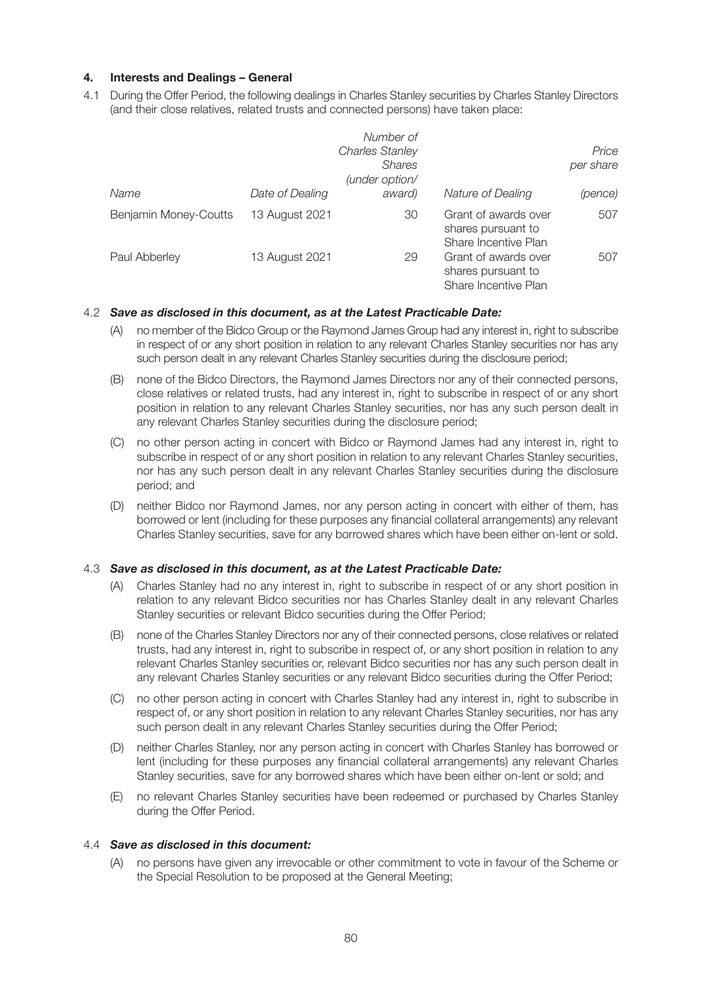# **4. Interests and Dealings – General**

4.1 During the Offer Period, the following dealings in Charles Stanley securities by Charles Stanley Directors (and their close relatives, related trusts and connected persons) have taken place:

|                       |                 | Number of<br><b>Charles Stanley</b><br><b>Shares</b><br>(under option/ |                                                                    | Price<br>per share |
|-----------------------|-----------------|------------------------------------------------------------------------|--------------------------------------------------------------------|--------------------|
| Name                  | Date of Dealing | award)                                                                 | Nature of Dealing                                                  | (pence)            |
| Benjamin Money-Coutts | 13 August 2021  | 30                                                                     | Grant of awards over<br>shares pursuant to<br>Share Incentive Plan | 507                |
| Paul Abberley         | 13 August 2021  | 29                                                                     | Grant of awards over<br>shares pursuant to<br>Share Incentive Plan | 507                |

# 4.2 *Save as disclosed in this document, as at the Latest Practicable Date:*

- (A) no member of the Bidco Group or the Raymond James Group had any interest in, right to subscribe in respect of or any short position in relation to any relevant Charles Stanley securities nor has any such person dealt in any relevant Charles Stanley securities during the disclosure period;
- (B) none of the Bidco Directors, the Raymond James Directors nor any of their connected persons, close relatives or related trusts, had any interest in, right to subscribe in respect of or any short position in relation to any relevant Charles Stanley securities, nor has any such person dealt in any relevant Charles Stanley securities during the disclosure period;
- (C) no other person acting in concert with Bidco or Raymond James had any interest in, right to subscribe in respect of or any short position in relation to any relevant Charles Stanley securities, nor has any such person dealt in any relevant Charles Stanley securities during the disclosure period; and
- (D) neither Bidco nor Raymond James, nor any person acting in concert with either of them, has borrowed or lent (including for these purposes any financial collateral arrangements) any relevant Charles Stanley securities, save for any borrowed shares which have been either on-lent or sold.

#### 4.3 *Save as disclosed in this document, as at the Latest Practicable Date:*

- (A) Charles Stanley had no any interest in, right to subscribe in respect of or any short position in relation to any relevant Bidco securities nor has Charles Stanley dealt in any relevant Charles Stanley securities or relevant Bidco securities during the Offer Period;
- (B) none of the Charles Stanley Directors nor any of their connected persons, close relatives or related trusts, had any interest in, right to subscribe in respect of, or any short position in relation to any relevant Charles Stanley securities or, relevant Bidco securities nor has any such person dealt in any relevant Charles Stanley securities or any relevant Bidco securities during the Offer Period;
- (C) no other person acting in concert with Charles Stanley had any interest in, right to subscribe in respect of, or any short position in relation to any relevant Charles Stanley securities, nor has any such person dealt in any relevant Charles Stanley securities during the Offer Period;
- (D) neither Charles Stanley, nor any person acting in concert with Charles Stanley has borrowed or lent (including for these purposes any financial collateral arrangements) any relevant Charles Stanley securities, save for any borrowed shares which have been either on-lent or sold; and
- (E) no relevant Charles Stanley securities have been redeemed or purchased by Charles Stanley during the Offer Period.

# 4.4 *Save as disclosed in this document:*

 (A) no persons have given any irrevocable or other commitment to vote in favour of the Scheme or the Special Resolution to be proposed at the General Meeting;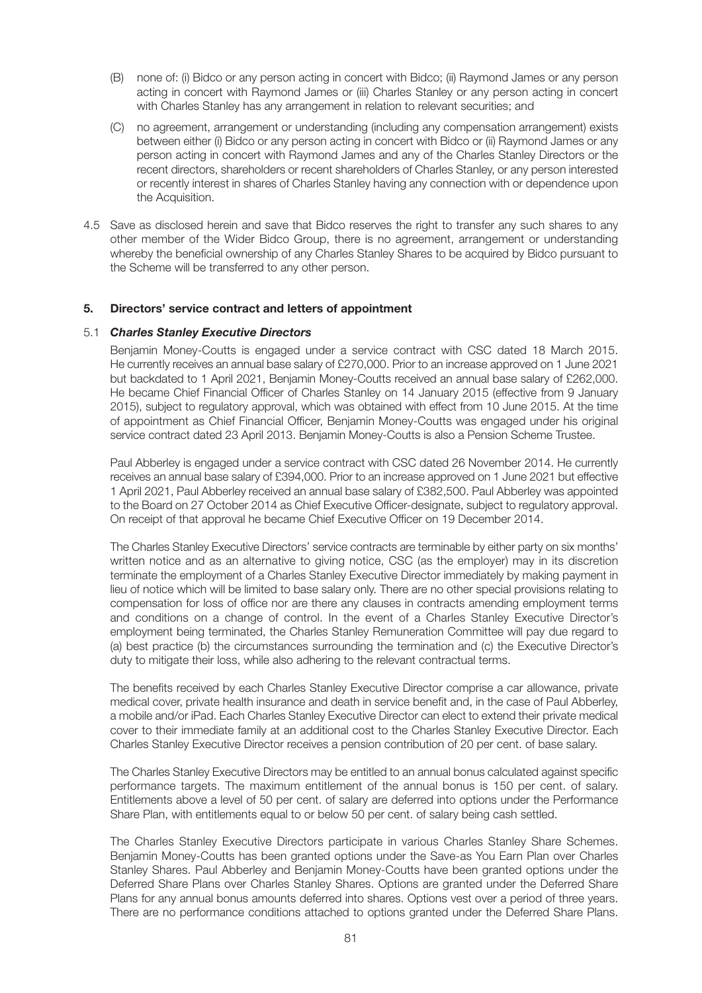- (B) none of: (i) Bidco or any person acting in concert with Bidco; (ii) Raymond James or any person acting in concert with Raymond James or (iii) Charles Stanley or any person acting in concert with Charles Stanley has any arrangement in relation to relevant securities; and
- (C) no agreement, arrangement or understanding (including any compensation arrangement) exists between either (i) Bidco or any person acting in concert with Bidco or (ii) Raymond James or any person acting in concert with Raymond James and any of the Charles Stanley Directors or the recent directors, shareholders or recent shareholders of Charles Stanley, or any person interested or recently interest in shares of Charles Stanley having any connection with or dependence upon the Acquisition.
- 4.5 Save as disclosed herein and save that Bidco reserves the right to transfer any such shares to any other member of the Wider Bidco Group, there is no agreement, arrangement or understanding whereby the beneficial ownership of any Charles Stanley Shares to be acquired by Bidco pursuant to the Scheme will be transferred to any other person.

## **5. Directors' service contract and letters of appointment**

#### 5.1 *Charles Stanley Executive Directors*

 Benjamin Money-Coutts is engaged under a service contract with CSC dated 18 March 2015. He currently receives an annual base salary of £270,000. Prior to an increase approved on 1 June 2021 but backdated to 1 April 2021, Benjamin Money-Coutts received an annual base salary of £262,000. He became Chief Financial Officer of Charles Stanley on 14 January 2015 (effective from 9 January 2015), subject to regulatory approval, which was obtained with effect from 10 June 2015. At the time of appointment as Chief Financial Officer, Benjamin Money-Coutts was engaged under his original service contract dated 23 April 2013. Benjamin Money-Coutts is also a Pension Scheme Trustee.

 Paul Abberley is engaged under a service contract with CSC dated 26 November 2014. He currently receives an annual base salary of £394,000. Prior to an increase approved on 1 June 2021 but effective 1 April 2021, Paul Abberley received an annual base salary of £382,500. Paul Abberley was appointed to the Board on 27 October 2014 as Chief Executive Officer-designate, subject to regulatory approval. On receipt of that approval he became Chief Executive Officer on 19 December 2014.

 The Charles Stanley Executive Directors' service contracts are terminable by either party on six months' written notice and as an alternative to giving notice, CSC (as the employer) may in its discretion terminate the employment of a Charles Stanley Executive Director immediately by making payment in lieu of notice which will be limited to base salary only. There are no other special provisions relating to compensation for loss of office nor are there any clauses in contracts amending employment terms and conditions on a change of control. In the event of a Charles Stanley Executive Director's employment being terminated, the Charles Stanley Remuneration Committee will pay due regard to (a) best practice (b) the circumstances surrounding the termination and (c) the Executive Director's duty to mitigate their loss, while also adhering to the relevant contractual terms.

 The benefits received by each Charles Stanley Executive Director comprise a car allowance, private medical cover, private health insurance and death in service benefit and, in the case of Paul Abberley, a mobile and/or iPad. Each Charles Stanley Executive Director can elect to extend their private medical cover to their immediate family at an additional cost to the Charles Stanley Executive Director. Each Charles Stanley Executive Director receives a pension contribution of 20 per cent. of base salary.

 The Charles Stanley Executive Directors may be entitled to an annual bonus calculated against specific performance targets. The maximum entitlement of the annual bonus is 150 per cent. of salary. Entitlements above a level of 50 per cent. of salary are deferred into options under the Performance Share Plan, with entitlements equal to or below 50 per cent. of salary being cash settled.

 The Charles Stanley Executive Directors participate in various Charles Stanley Share Schemes. Benjamin Money-Coutts has been granted options under the Save-as You Earn Plan over Charles Stanley Shares. Paul Abberley and Benjamin Money-Coutts have been granted options under the Deferred Share Plans over Charles Stanley Shares. Options are granted under the Deferred Share Plans for any annual bonus amounts deferred into shares. Options vest over a period of three years. There are no performance conditions attached to options granted under the Deferred Share Plans.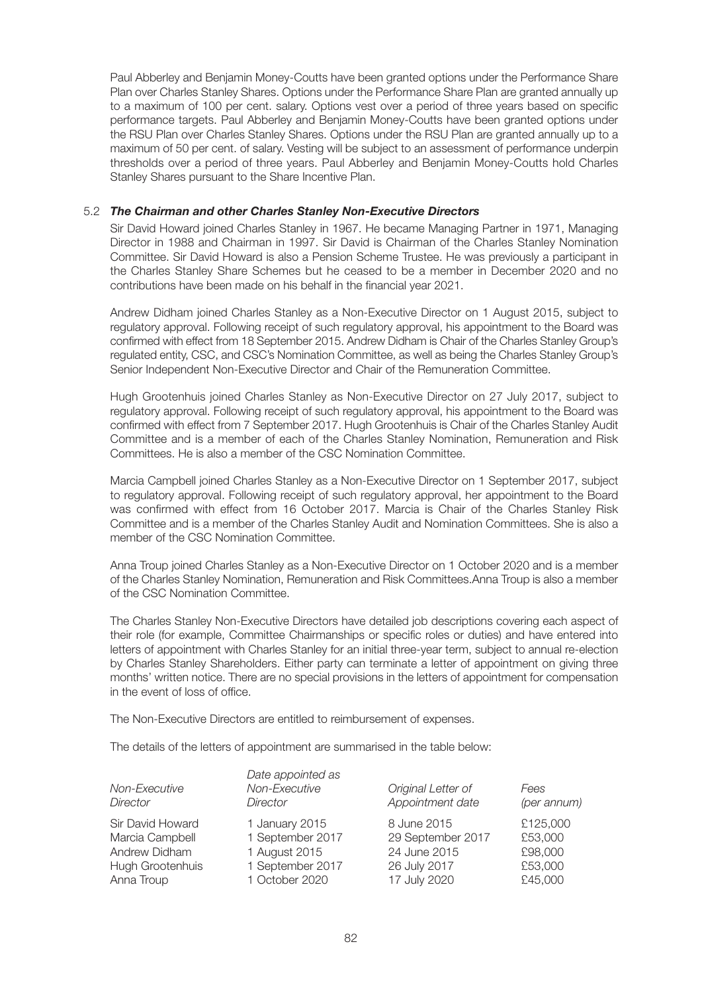Paul Abberley and Benjamin Money-Coutts have been granted options under the Performance Share Plan over Charles Stanley Shares. Options under the Performance Share Plan are granted annually up to a maximum of 100 per cent. salary. Options vest over a period of three years based on specific performance targets. Paul Abberley and Benjamin Money-Coutts have been granted options under the RSU Plan over Charles Stanley Shares. Options under the RSU Plan are granted annually up to a maximum of 50 per cent. of salary. Vesting will be subject to an assessment of performance underpin thresholds over a period of three years. Paul Abberley and Benjamin Money-Coutts hold Charles Stanley Shares pursuant to the Share Incentive Plan.

## 5.2 *The Chairman and other Charles Stanley Non-Executive Directors*

 Sir David Howard joined Charles Stanley in 1967. He became Managing Partner in 1971, Managing Director in 1988 and Chairman in 1997. Sir David is Chairman of the Charles Stanley Nomination Committee. Sir David Howard is also a Pension Scheme Trustee. He was previously a participant in the Charles Stanley Share Schemes but he ceased to be a member in December 2020 and no contributions have been made on his behalf in the financial year 2021.

 Andrew Didham joined Charles Stanley as a Non-Executive Director on 1 August 2015, subject to regulatory approval. Following receipt of such regulatory approval, his appointment to the Board was confirmed with effect from 18 September 2015. Andrew Didham is Chair of the Charles Stanley Group's regulated entity, CSC, and CSC's Nomination Committee, as well as being the Charles Stanley Group's Senior Independent Non-Executive Director and Chair of the Remuneration Committee.

 Hugh Grootenhuis joined Charles Stanley as Non-Executive Director on 27 July 2017, subject to regulatory approval. Following receipt of such regulatory approval, his appointment to the Board was confirmed with effect from 7 September 2017. Hugh Grootenhuis is Chair of the Charles Stanley Audit Committee and is a member of each of the Charles Stanley Nomination, Remuneration and Risk Committees. He is also a member of the CSC Nomination Committee.

 Marcia Campbell joined Charles Stanley as a Non-Executive Director on 1 September 2017, subject to regulatory approval. Following receipt of such regulatory approval, her appointment to the Board was confirmed with effect from 16 October 2017. Marcia is Chair of the Charles Stanley Risk Committee and is a member of the Charles Stanley Audit and Nomination Committees. She is also a member of the CSC Nomination Committee.

 Anna Troup joined Charles Stanley as a Non-Executive Director on 1 October 2020 and is a member of the Charles Stanley Nomination, Remuneration and Risk Committees.Anna Troup is also a member of the CSC Nomination Committee.

 The Charles Stanley Non-Executive Directors have detailed job descriptions covering each aspect of their role (for example, Committee Chairmanships or specific roles or duties) and have entered into letters of appointment with Charles Stanley for an initial three-year term, subject to annual re-election by Charles Stanley Shareholders. Either party can terminate a letter of appointment on giving three months' written notice. There are no special provisions in the letters of appointment for compensation in the event of loss of office.

The Non-Executive Directors are entitled to reimbursement of expenses.

The details of the letters of appointment are summarised in the table below:

| Non-Executive<br>Director | Date appointed as<br>Non-Executive<br>Director | Original Letter of<br>Appointment date | Fees<br>(per annum) |
|---------------------------|------------------------------------------------|----------------------------------------|---------------------|
| Sir David Howard          | 1 January 2015                                 | 8 June 2015                            | £125,000            |
| Marcia Campbell           | 1 September 2017                               | 29 September 2017                      | £53,000             |
| Andrew Didham             | 1 August 2015                                  | 24 June 2015                           | £98,000             |
| Hugh Grootenhuis          | 1 September 2017                               | 26 July 2017                           | £53,000             |
| Anna Troup                | 1 October 2020                                 | 17 July 2020                           | £45,000             |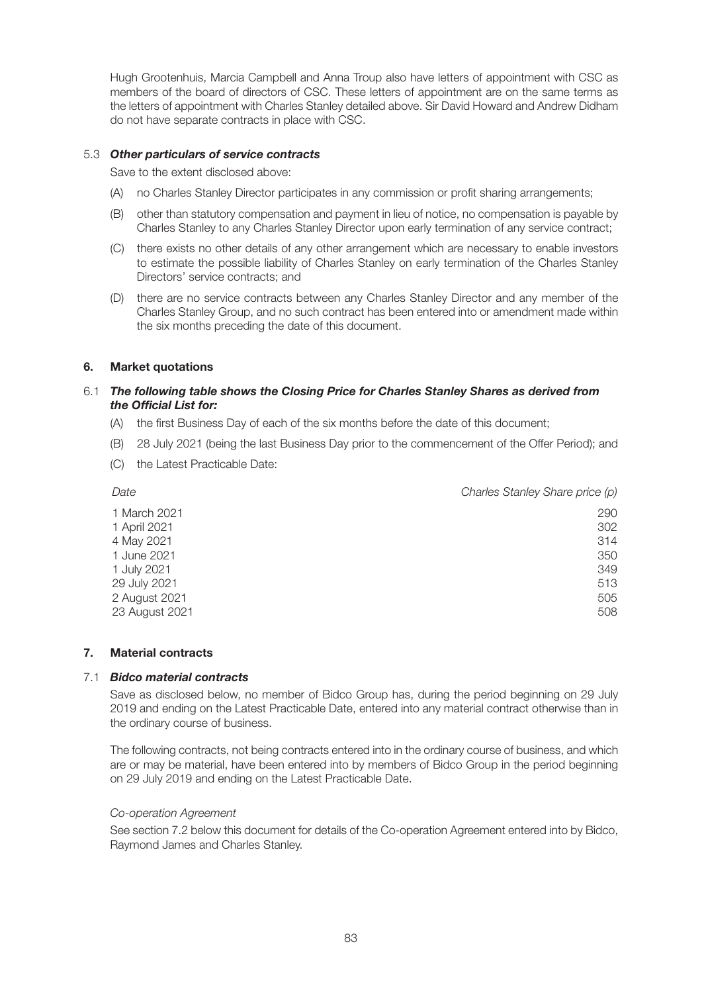Hugh Grootenhuis, Marcia Campbell and Anna Troup also have letters of appointment with CSC as members of the board of directors of CSC. These letters of appointment are on the same terms as the letters of appointment with Charles Stanley detailed above. Sir David Howard and Andrew Didham do not have separate contracts in place with CSC.

# 5.3 *Other particulars of service contracts*

Save to the extent disclosed above:

- (A) no Charles Stanley Director participates in any commission or profit sharing arrangements;
- (B) other than statutory compensation and payment in lieu of notice, no compensation is payable by Charles Stanley to any Charles Stanley Director upon early termination of any service contract;
- (C) there exists no other details of any other arrangement which are necessary to enable investors to estimate the possible liability of Charles Stanley on early termination of the Charles Stanley Directors' service contracts; and
- (D) there are no service contracts between any Charles Stanley Director and any member of the Charles Stanley Group, and no such contract has been entered into or amendment made within the six months preceding the date of this document.

# **6. Market quotations**

# 6.1 *The following table shows the Closing Price for Charles Stanley Shares as derived from the Official List for:*

- (A) the first Business Day of each of the six months before the date of this document;
- (B) 28 July 2021 (being the last Business Day prior to the commencement of the Offer Period); and
- (C) the Latest Practicable Date:

| Date           | Charles Stanley Share price (p) |
|----------------|---------------------------------|
| 1 March 2021   | 290                             |
| 1 April 2021   | 302                             |
| 4 May 2021     | 314                             |
| 1 June 2021    | 350                             |
| 1 July 2021    | 349                             |
| 29 July 2021   | 513                             |
| 2 August 2021  | 505                             |
| 23 August 2021 | 508                             |
|                |                                 |

### **7. Material contracts**

# 7.1 *Bidco material contracts*

 Save as disclosed below, no member of Bidco Group has, during the period beginning on 29 July 2019 and ending on the Latest Practicable Date, entered into any material contract otherwise than in the ordinary course of business.

 The following contracts, not being contracts entered into in the ordinary course of business, and which are or may be material, have been entered into by members of Bidco Group in the period beginning on 29 July 2019 and ending on the Latest Practicable Date.

## *Co-operation Agreement*

 See section 7.2 below this document for details of the Co-operation Agreement entered into by Bidco, Raymond James and Charles Stanley.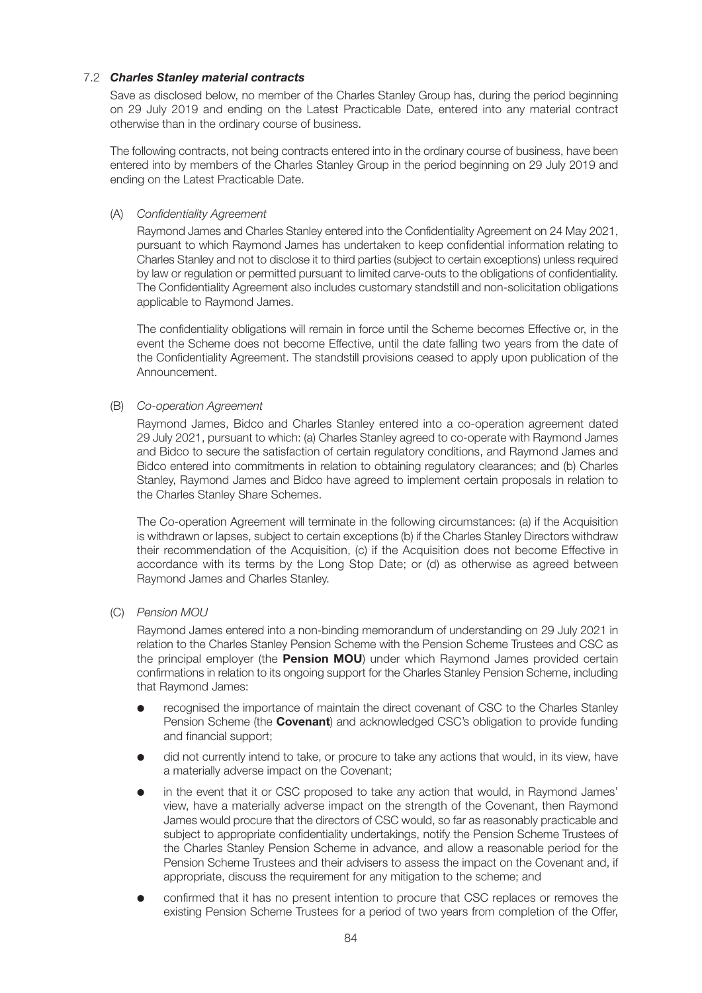# 7.2 *Charles Stanley material contracts*

 Save as disclosed below, no member of the Charles Stanley Group has, during the period beginning on 29 July 2019 and ending on the Latest Practicable Date, entered into any material contract otherwise than in the ordinary course of business.

 The following contracts, not being contracts entered into in the ordinary course of business, have been entered into by members of the Charles Stanley Group in the period beginning on 29 July 2019 and ending on the Latest Practicable Date.

(A) *Confidentiality Agreement*

 Raymond James and Charles Stanley entered into the Confidentiality Agreement on 24 May 2021, pursuant to which Raymond James has undertaken to keep confidential information relating to Charles Stanley and not to disclose it to third parties (subject to certain exceptions) unless required by law or regulation or permitted pursuant to limited carve-outs to the obligations of confidentiality. The Confidentiality Agreement also includes customary standstill and non-solicitation obligations applicable to Raymond James.

 The confidentiality obligations will remain in force until the Scheme becomes Effective or, in the event the Scheme does not become Effective, until the date falling two years from the date of the Confidentiality Agreement. The standstill provisions ceased to apply upon publication of the Announcement.

(B) *Co-operation Agreement*

 Raymond James, Bidco and Charles Stanley entered into a co-operation agreement dated 29 July 2021, pursuant to which: (a) Charles Stanley agreed to co-operate with Raymond James and Bidco to secure the satisfaction of certain regulatory conditions, and Raymond James and Bidco entered into commitments in relation to obtaining regulatory clearances; and (b) Charles Stanley, Raymond James and Bidco have agreed to implement certain proposals in relation to the Charles Stanley Share Schemes.

 The Co-operation Agreement will terminate in the following circumstances: (a) if the Acquisition is withdrawn or lapses, subject to certain exceptions (b) if the Charles Stanley Directors withdraw their recommendation of the Acquisition, (c) if the Acquisition does not become Effective in accordance with its terms by the Long Stop Date; or (d) as otherwise as agreed between Raymond James and Charles Stanley.

(C) *Pension MOU*

 Raymond James entered into a non-binding memorandum of understanding on 29 July 2021 in relation to the Charles Stanley Pension Scheme with the Pension Scheme Trustees and CSC as the principal employer (the **Pension MOU**) under which Raymond James provided certain confirmations in relation to its ongoing support for the Charles Stanley Pension Scheme, including that Raymond James:

- recognised the importance of maintain the direct covenant of CSC to the Charles Stanley Pension Scheme (the **Covenant**) and acknowledged CSC's obligation to provide funding and financial support;
- did not currently intend to take, or procure to take any actions that would, in its view, have a materially adverse impact on the Covenant;
- in the event that it or CSC proposed to take any action that would, in Raymond James' view, have a materially adverse impact on the strength of the Covenant, then Raymond James would procure that the directors of CSC would, so far as reasonably practicable and subject to appropriate confidentiality undertakings, notify the Pension Scheme Trustees of the Charles Stanley Pension Scheme in advance, and allow a reasonable period for the Pension Scheme Trustees and their advisers to assess the impact on the Covenant and, if appropriate, discuss the requirement for any mitigation to the scheme; and
- confirmed that it has no present intention to procure that CSC replaces or removes the existing Pension Scheme Trustees for a period of two years from completion of the Offer,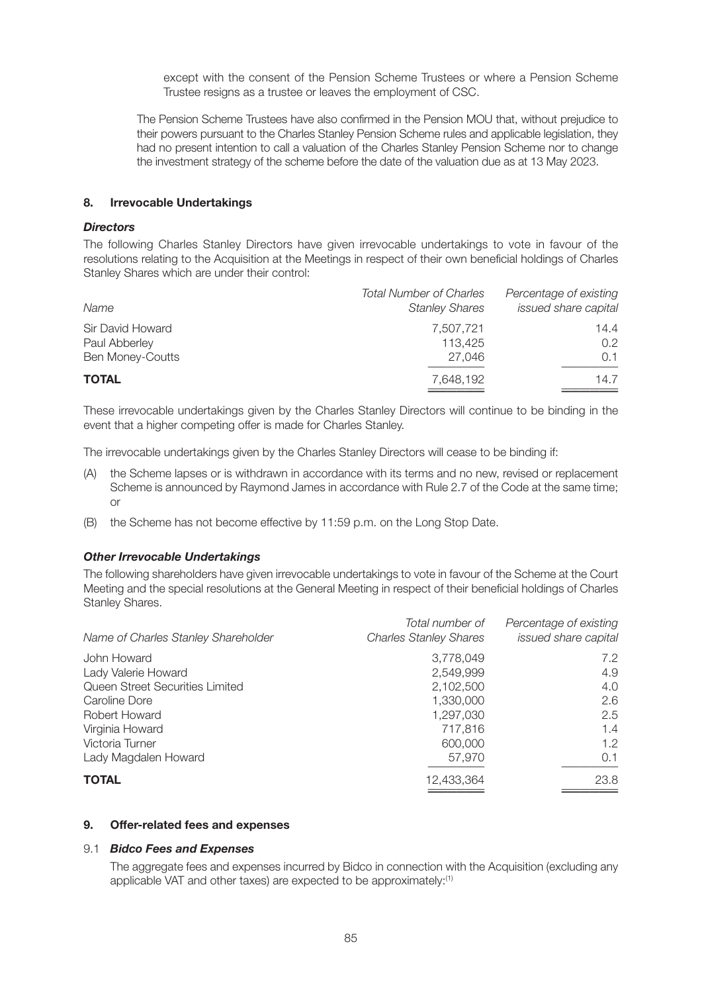except with the consent of the Pension Scheme Trustees or where a Pension Scheme Trustee resigns as a trustee or leaves the employment of CSC.

 The Pension Scheme Trustees have also confirmed in the Pension MOU that, without prejudice to their powers pursuant to the Charles Stanley Pension Scheme rules and applicable legislation, they had no present intention to call a valuation of the Charles Stanley Pension Scheme nor to change the investment strategy of the scheme before the date of the valuation due as at 13 May 2023.

#### **8. Irrevocable Undertakings**

# *Directors*

The following Charles Stanley Directors have given irrevocable undertakings to vote in favour of the resolutions relating to the Acquisition at the Meetings in respect of their own beneficial holdings of Charles Stanley Shares which are under their control:

| Name                                                         | <b>Total Number of Charles</b><br><b>Stanley Shares</b> | Percentage of existing<br>issued share capital |
|--------------------------------------------------------------|---------------------------------------------------------|------------------------------------------------|
| Sir David Howard<br>Paul Abberley<br><b>Ben Money-Coutts</b> | 7,507,721<br>113.425<br>27.046                          | 14.4<br>$0.2^{\circ}$<br>0.1                   |
| <b>TOTAL</b>                                                 | 7,648,192                                               | 14.7                                           |

These irrevocable undertakings given by the Charles Stanley Directors will continue to be binding in the event that a higher competing offer is made for Charles Stanley.

The irrevocable undertakings given by the Charles Stanley Directors will cease to be binding if:

- (A) the Scheme lapses or is withdrawn in accordance with its terms and no new, revised or replacement Scheme is announced by Raymond James in accordance with Rule 2.7 of the Code at the same time; or
- (B) the Scheme has not become effective by 11:59 p.m. on the Long Stop Date.

#### *Other Irrevocable Undertakings*

The following shareholders have given irrevocable undertakings to vote in favour of the Scheme at the Court Meeting and the special resolutions at the General Meeting in respect of their beneficial holdings of Charles Stanley Shares.

| Name of Charles Stanley Shareholder | Total number of<br><b>Charles Stanley Shares</b> | Percentage of existing<br>issued share capital |
|-------------------------------------|--------------------------------------------------|------------------------------------------------|
| John Howard                         | 3,778,049                                        | 7.2                                            |
| Lady Valerie Howard                 | 2,549,999                                        | 4.9                                            |
| Queen Street Securities Limited     | 2,102,500                                        | 4.0                                            |
| Caroline Dore                       | 1,330,000                                        | 2.6                                            |
| Robert Howard                       | 1,297,030                                        | 2.5                                            |
| Virginia Howard                     | 717,816                                          | 1.4                                            |
| Victoria Turner                     | 600,000                                          | 1.2                                            |
| Lady Magdalen Howard                | 57,970                                           | 0.1                                            |
| <b>TOTAL</b>                        | 12,433,364                                       | 23.8                                           |
|                                     |                                                  |                                                |

## **9. Offer-related fees and expenses**

#### 9.1 *Bidco Fees and Expenses*

 The aggregate fees and expenses incurred by Bidco in connection with the Acquisition (excluding any applicable VAT and other taxes) are expected to be approximately:<sup>(1)</sup>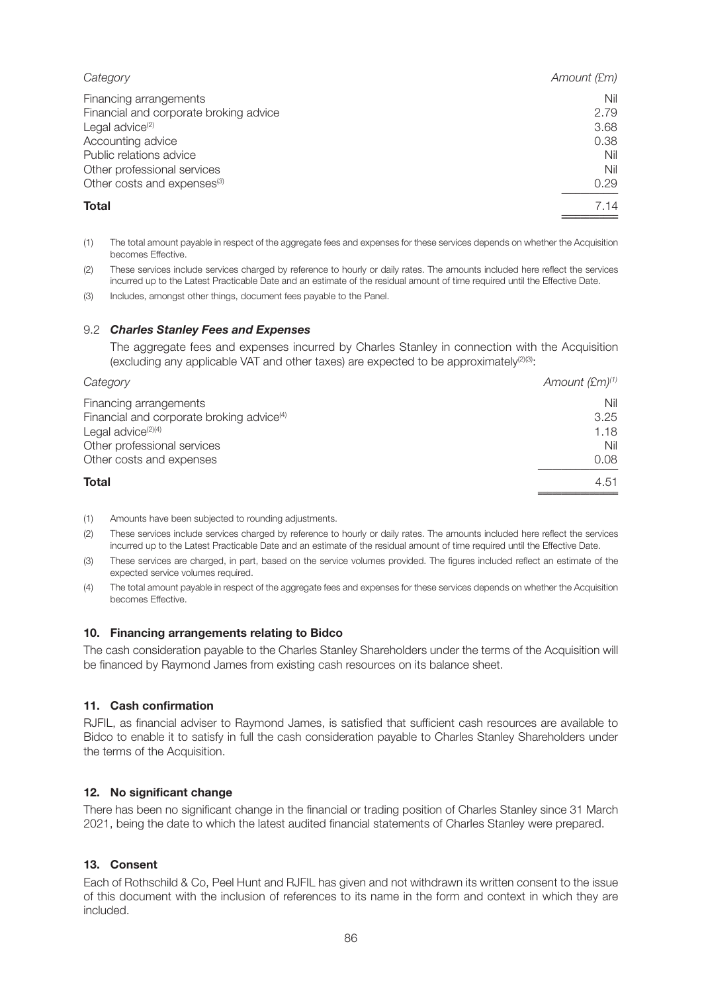| Amount (£m) |
|-------------|
| Nil         |
| 2.79        |
| 3.68        |
| 0.38        |
| Nil         |
| Nil         |
| 0.29        |
| 7.14        |
|             |

- (1) The total amount payable in respect of the aggregate fees and expenses for these services depends on whether the Acquisition becomes Effective.
- (2) These services include services charged by reference to hourly or daily rates. The amounts included here reflect the services incurred up to the Latest Practicable Date and an estimate of the residual amount of time required until the Effective Date.
- (3) Includes, amongst other things, document fees payable to the Panel.

# 9.2 *Charles Stanley Fees and Expenses*

 The aggregate fees and expenses incurred by Charles Stanley in connection with the Acquisition (excluding any applicable VAT and other taxes) are expected to be approximately $^{(2)(3)}$ :

| Category                                              | Amount $(\text{\textsterling} m)^{(1)}$ |
|-------------------------------------------------------|-----------------------------------------|
| Financing arrangements                                | Nil                                     |
| Financial and corporate broking advice <sup>(4)</sup> | 3.25                                    |
| Legal advice <sup>(2)(4)</sup>                        | 1.18                                    |
| Other professional services                           | Nil                                     |
| Other costs and expenses                              | 0.08                                    |
| <b>Total</b>                                          | 4.51                                    |
|                                                       |                                         |

- (1) Amounts have been subjected to rounding adjustments.
- (2) These services include services charged by reference to hourly or daily rates. The amounts included here reflect the services incurred up to the Latest Practicable Date and an estimate of the residual amount of time required until the Effective Date.
- (3) These services are charged, in part, based on the service volumes provided. The figures included reflect an estimate of the expected service volumes required.
- (4) The total amount payable in respect of the aggregate fees and expenses for these services depends on whether the Acquisition becomes Effective.

#### **10. Financing arrangements relating to Bidco**

The cash consideration payable to the Charles Stanley Shareholders under the terms of the Acquisition will be financed by Raymond James from existing cash resources on its balance sheet.

#### **11. Cash confirmation**

RJFIL, as financial adviser to Raymond James, is satisfied that sufficient cash resources are available to Bidco to enable it to satisfy in full the cash consideration payable to Charles Stanley Shareholders under the terms of the Acquisition.

# **12. No significant change**

There has been no significant change in the financial or trading position of Charles Stanley since 31 March 2021, being the date to which the latest audited financial statements of Charles Stanley were prepared.

#### **13. Consent**

Each of Rothschild & Co, Peel Hunt and RJFIL has given and not withdrawn its written consent to the issue of this document with the inclusion of references to its name in the form and context in which they are included.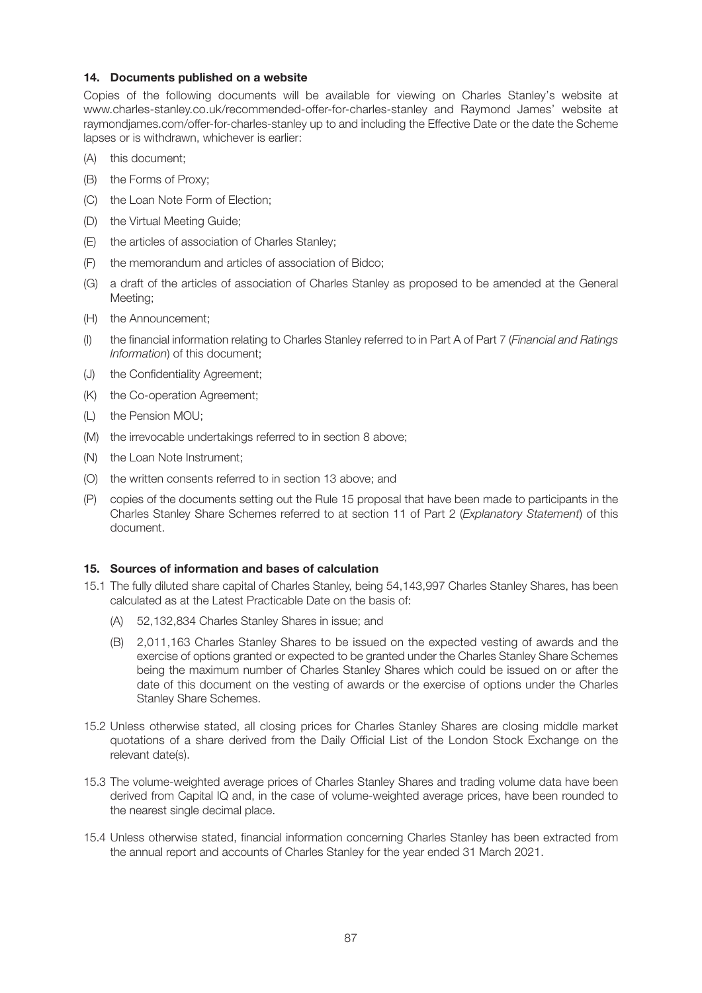## **14. Documents published on a website**

Copies of the following documents will be available for viewing on Charles Stanley's website at www.charles-stanley.co.uk/recommended-offer-for-charles-stanley and Raymond James' website at raymondjames.com/offer-for-charles-stanley up to and including the Effective Date or the date the Scheme lapses or is withdrawn, whichever is earlier:

- (A) this document;
- (B) the Forms of Proxy;
- (C) the Loan Note Form of Election;
- (D) the Virtual Meeting Guide;
- (E) the articles of association of Charles Stanley;
- (F) the memorandum and articles of association of Bidco;
- (G) a draft of the articles of association of Charles Stanley as proposed to be amended at the General Meeting;
- (H) the Announcement;
- (I) the financial information relating to Charles Stanley referred to in Part A of Part 7 (*Financial and Ratings Information*) of this document;
- (J) the Confidentiality Agreement;
- (K) the Co-operation Agreement;
- (L) the Pension MOU;
- (M) the irrevocable undertakings referred to in section 8 above;
- (N) the Loan Note Instrument;
- (O) the written consents referred to in section 13 above; and
- (P) copies of the documents setting out the Rule 15 proposal that have been made to participants in the Charles Stanley Share Schemes referred to at section 11 of Part 2 (*Explanatory Statement*) of this document.

#### **15. Sources of information and bases of calculation**

- 15.1 The fully diluted share capital of Charles Stanley, being 54,143,997 Charles Stanley Shares, has been calculated as at the Latest Practicable Date on the basis of:
	- (A) 52,132,834 Charles Stanley Shares in issue; and
	- (B) 2,011,163 Charles Stanley Shares to be issued on the expected vesting of awards and the exercise of options granted or expected to be granted under the Charles Stanley Share Schemes being the maximum number of Charles Stanley Shares which could be issued on or after the date of this document on the vesting of awards or the exercise of options under the Charles Stanley Share Schemes.
- 15.2 Unless otherwise stated, all closing prices for Charles Stanley Shares are closing middle market quotations of a share derived from the Daily Official List of the London Stock Exchange on the relevant date(s).
- 15.3 The volume-weighted average prices of Charles Stanley Shares and trading volume data have been derived from Capital IQ and, in the case of volume-weighted average prices, have been rounded to the nearest single decimal place.
- 15.4 Unless otherwise stated, financial information concerning Charles Stanley has been extracted from the annual report and accounts of Charles Stanley for the year ended 31 March 2021.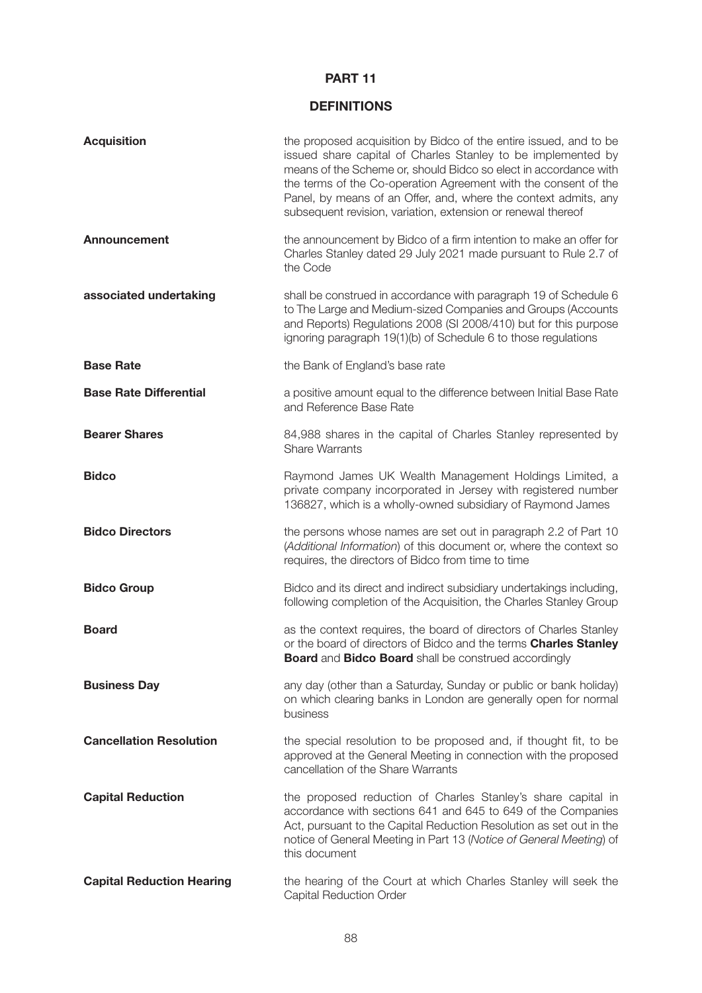# **PART 11**

# **DEFINITIONS**

| <b>Acquisition</b>               | the proposed acquisition by Bidco of the entire issued, and to be<br>issued share capital of Charles Stanley to be implemented by<br>means of the Scheme or, should Bidco so elect in accordance with<br>the terms of the Co-operation Agreement with the consent of the<br>Panel, by means of an Offer, and, where the context admits, any<br>subsequent revision, variation, extension or renewal thereof |
|----------------------------------|-------------------------------------------------------------------------------------------------------------------------------------------------------------------------------------------------------------------------------------------------------------------------------------------------------------------------------------------------------------------------------------------------------------|
| <b>Announcement</b>              | the announcement by Bidco of a firm intention to make an offer for<br>Charles Stanley dated 29 July 2021 made pursuant to Rule 2.7 of<br>the Code                                                                                                                                                                                                                                                           |
| associated undertaking           | shall be construed in accordance with paragraph 19 of Schedule 6<br>to The Large and Medium-sized Companies and Groups (Accounts<br>and Reports) Regulations 2008 (SI 2008/410) but for this purpose<br>ignoring paragraph 19(1)(b) of Schedule 6 to those regulations                                                                                                                                      |
| <b>Base Rate</b>                 | the Bank of England's base rate                                                                                                                                                                                                                                                                                                                                                                             |
| <b>Base Rate Differential</b>    | a positive amount equal to the difference between Initial Base Rate<br>and Reference Base Rate                                                                                                                                                                                                                                                                                                              |
| <b>Bearer Shares</b>             | 84,988 shares in the capital of Charles Stanley represented by<br><b>Share Warrants</b>                                                                                                                                                                                                                                                                                                                     |
| <b>Bidco</b>                     | Raymond James UK Wealth Management Holdings Limited, a<br>private company incorporated in Jersey with registered number<br>136827, which is a wholly-owned subsidiary of Raymond James                                                                                                                                                                                                                      |
| <b>Bidco Directors</b>           | the persons whose names are set out in paragraph 2.2 of Part 10<br>(Additional Information) of this document or, where the context so<br>requires, the directors of Bidco from time to time                                                                                                                                                                                                                 |
| <b>Bidco Group</b>               | Bidco and its direct and indirect subsidiary undertakings including,<br>following completion of the Acquisition, the Charles Stanley Group                                                                                                                                                                                                                                                                  |
| <b>Board</b>                     | as the context requires, the board of directors of Charles Stanley<br>or the board of directors of Bidco and the terms Charles Stanley<br><b>Board and Bidco Board shall be construed accordingly</b>                                                                                                                                                                                                       |
| <b>Business Day</b>              | any day (other than a Saturday, Sunday or public or bank holiday)<br>on which clearing banks in London are generally open for normal<br>business                                                                                                                                                                                                                                                            |
| <b>Cancellation Resolution</b>   | the special resolution to be proposed and, if thought fit, to be<br>approved at the General Meeting in connection with the proposed<br>cancellation of the Share Warrants                                                                                                                                                                                                                                   |
| <b>Capital Reduction</b>         | the proposed reduction of Charles Stanley's share capital in<br>accordance with sections 641 and 645 to 649 of the Companies<br>Act, pursuant to the Capital Reduction Resolution as set out in the<br>notice of General Meeting in Part 13 (Notice of General Meeting) of<br>this document                                                                                                                 |
| <b>Capital Reduction Hearing</b> | the hearing of the Court at which Charles Stanley will seek the<br>Capital Reduction Order                                                                                                                                                                                                                                                                                                                  |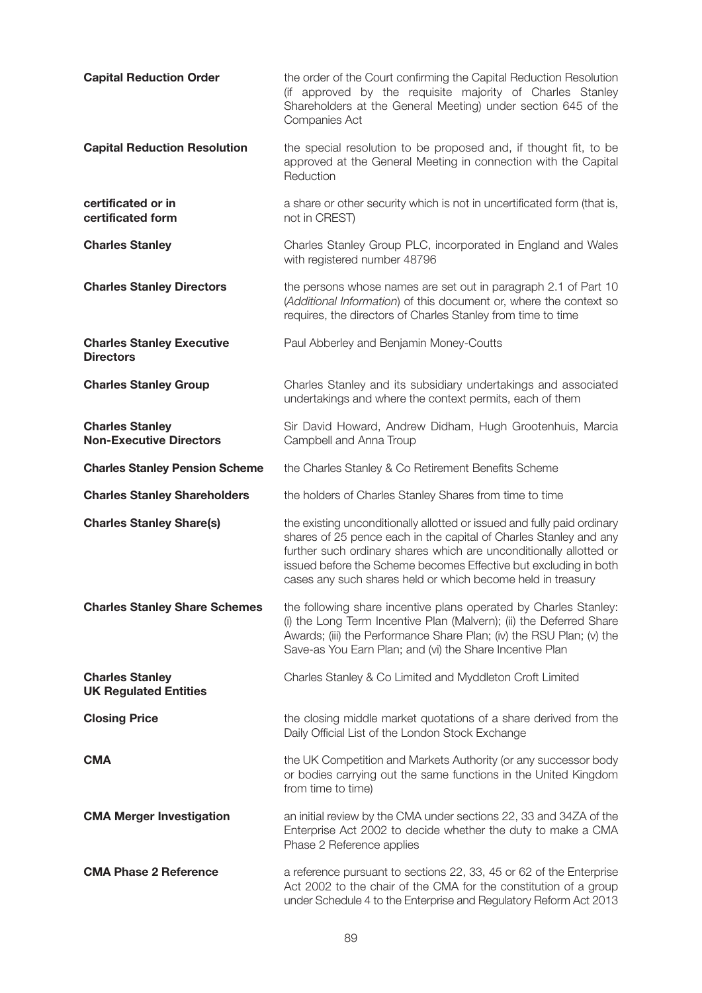| <b>Capital Reduction Order</b>                           | the order of the Court confirming the Capital Reduction Resolution<br>(if approved by the requisite majority of Charles Stanley<br>Shareholders at the General Meeting) under section 645 of the<br>Companies Act                                                                                                                                     |
|----------------------------------------------------------|-------------------------------------------------------------------------------------------------------------------------------------------------------------------------------------------------------------------------------------------------------------------------------------------------------------------------------------------------------|
| <b>Capital Reduction Resolution</b>                      | the special resolution to be proposed and, if thought fit, to be<br>approved at the General Meeting in connection with the Capital<br>Reduction                                                                                                                                                                                                       |
| certificated or in<br>certificated form                  | a share or other security which is not in uncertificated form (that is,<br>not in CREST)                                                                                                                                                                                                                                                              |
| <b>Charles Stanley</b>                                   | Charles Stanley Group PLC, incorporated in England and Wales<br>with registered number 48796                                                                                                                                                                                                                                                          |
| <b>Charles Stanley Directors</b>                         | the persons whose names are set out in paragraph 2.1 of Part 10<br>(Additional Information) of this document or, where the context so<br>requires, the directors of Charles Stanley from time to time                                                                                                                                                 |
| <b>Charles Stanley Executive</b><br><b>Directors</b>     | Paul Abberley and Benjamin Money-Coutts                                                                                                                                                                                                                                                                                                               |
| <b>Charles Stanley Group</b>                             | Charles Stanley and its subsidiary undertakings and associated<br>undertakings and where the context permits, each of them                                                                                                                                                                                                                            |
| <b>Charles Stanley</b><br><b>Non-Executive Directors</b> | Sir David Howard, Andrew Didham, Hugh Grootenhuis, Marcia<br>Campbell and Anna Troup                                                                                                                                                                                                                                                                  |
| <b>Charles Stanley Pension Scheme</b>                    | the Charles Stanley & Co Retirement Benefits Scheme                                                                                                                                                                                                                                                                                                   |
| <b>Charles Stanley Shareholders</b>                      | the holders of Charles Stanley Shares from time to time                                                                                                                                                                                                                                                                                               |
| <b>Charles Stanley Share(s)</b>                          | the existing unconditionally allotted or issued and fully paid ordinary<br>shares of 25 pence each in the capital of Charles Stanley and any<br>further such ordinary shares which are unconditionally allotted or<br>issued before the Scheme becomes Effective but excluding in both<br>cases any such shares held or which become held in treasury |
| <b>Charles Stanley Share Schemes</b>                     | the following share incentive plans operated by Charles Stanley:<br>(i) the Long Term Incentive Plan (Malvern); (ii) the Deferred Share<br>Awards; (iii) the Performance Share Plan; (iv) the RSU Plan; (v) the<br>Save-as You Earn Plan; and (vi) the Share Incentive Plan                                                                           |
| <b>Charles Stanley</b><br><b>UK Regulated Entities</b>   | Charles Stanley & Co Limited and Myddleton Croft Limited                                                                                                                                                                                                                                                                                              |
| <b>Closing Price</b>                                     | the closing middle market quotations of a share derived from the<br>Daily Official List of the London Stock Exchange                                                                                                                                                                                                                                  |
| <b>CMA</b>                                               | the UK Competition and Markets Authority (or any successor body<br>or bodies carrying out the same functions in the United Kingdom<br>from time to time)                                                                                                                                                                                              |
| <b>CMA Merger Investigation</b>                          | an initial review by the CMA under sections 22, 33 and 34ZA of the<br>Enterprise Act 2002 to decide whether the duty to make a CMA<br>Phase 2 Reference applies                                                                                                                                                                                       |
| <b>CMA Phase 2 Reference</b>                             | a reference pursuant to sections 22, 33, 45 or 62 of the Enterprise<br>Act 2002 to the chair of the CMA for the constitution of a group<br>under Schedule 4 to the Enterprise and Regulatory Reform Act 2013                                                                                                                                          |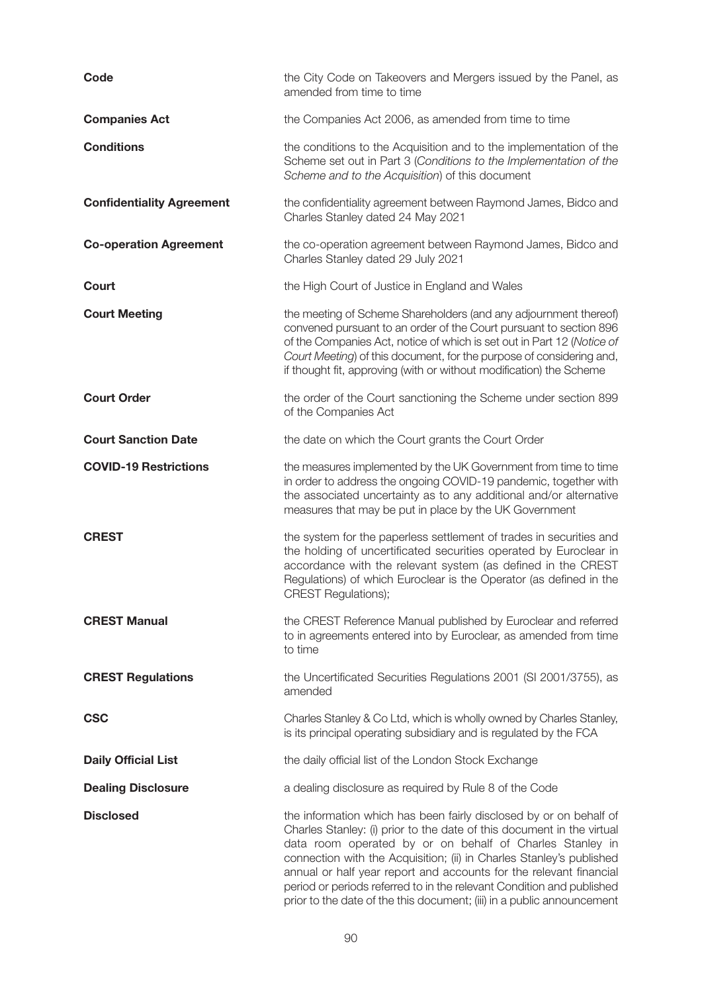| Code                             | the City Code on Takeovers and Mergers issued by the Panel, as<br>amended from time to time                                                                                                                                                                                                                                                                                                                                                                                                               |
|----------------------------------|-----------------------------------------------------------------------------------------------------------------------------------------------------------------------------------------------------------------------------------------------------------------------------------------------------------------------------------------------------------------------------------------------------------------------------------------------------------------------------------------------------------|
| <b>Companies Act</b>             | the Companies Act 2006, as amended from time to time                                                                                                                                                                                                                                                                                                                                                                                                                                                      |
| <b>Conditions</b>                | the conditions to the Acquisition and to the implementation of the<br>Scheme set out in Part 3 (Conditions to the Implementation of the<br>Scheme and to the Acquisition) of this document                                                                                                                                                                                                                                                                                                                |
| <b>Confidentiality Agreement</b> | the confidentiality agreement between Raymond James, Bidco and<br>Charles Stanley dated 24 May 2021                                                                                                                                                                                                                                                                                                                                                                                                       |
| <b>Co-operation Agreement</b>    | the co-operation agreement between Raymond James, Bidco and<br>Charles Stanley dated 29 July 2021                                                                                                                                                                                                                                                                                                                                                                                                         |
| Court                            | the High Court of Justice in England and Wales                                                                                                                                                                                                                                                                                                                                                                                                                                                            |
| <b>Court Meeting</b>             | the meeting of Scheme Shareholders (and any adjournment thereof)<br>convened pursuant to an order of the Court pursuant to section 896<br>of the Companies Act, notice of which is set out in Part 12 (Notice of<br>Court Meeting) of this document, for the purpose of considering and,<br>if thought fit, approving (with or without modification) the Scheme                                                                                                                                           |
| <b>Court Order</b>               | the order of the Court sanctioning the Scheme under section 899<br>of the Companies Act                                                                                                                                                                                                                                                                                                                                                                                                                   |
| <b>Court Sanction Date</b>       | the date on which the Court grants the Court Order                                                                                                                                                                                                                                                                                                                                                                                                                                                        |
| <b>COVID-19 Restrictions</b>     | the measures implemented by the UK Government from time to time<br>in order to address the ongoing COVID-19 pandemic, together with<br>the associated uncertainty as to any additional and/or alternative<br>measures that may be put in place by the UK Government                                                                                                                                                                                                                                       |
| <b>CREST</b>                     | the system for the paperless settlement of trades in securities and<br>the holding of uncertificated securities operated by Euroclear in<br>accordance with the relevant system (as defined in the CREST<br>Regulations) of which Euroclear is the Operator (as defined in the<br><b>CREST Regulations);</b>                                                                                                                                                                                              |
| <b>CREST Manual</b>              | the CREST Reference Manual published by Euroclear and referred<br>to in agreements entered into by Euroclear, as amended from time<br>to time                                                                                                                                                                                                                                                                                                                                                             |
| <b>CREST Regulations</b>         | the Uncertificated Securities Regulations 2001 (SI 2001/3755), as<br>amended                                                                                                                                                                                                                                                                                                                                                                                                                              |
| <b>CSC</b>                       | Charles Stanley & Co Ltd, which is wholly owned by Charles Stanley,<br>is its principal operating subsidiary and is regulated by the FCA                                                                                                                                                                                                                                                                                                                                                                  |
| <b>Daily Official List</b>       | the daily official list of the London Stock Exchange                                                                                                                                                                                                                                                                                                                                                                                                                                                      |
| <b>Dealing Disclosure</b>        | a dealing disclosure as required by Rule 8 of the Code                                                                                                                                                                                                                                                                                                                                                                                                                                                    |
| <b>Disclosed</b>                 | the information which has been fairly disclosed by or on behalf of<br>Charles Stanley: (i) prior to the date of this document in the virtual<br>data room operated by or on behalf of Charles Stanley in<br>connection with the Acquisition; (ii) in Charles Stanley's published<br>annual or half year report and accounts for the relevant financial<br>period or periods referred to in the relevant Condition and published<br>prior to the date of the this document; (iii) in a public announcement |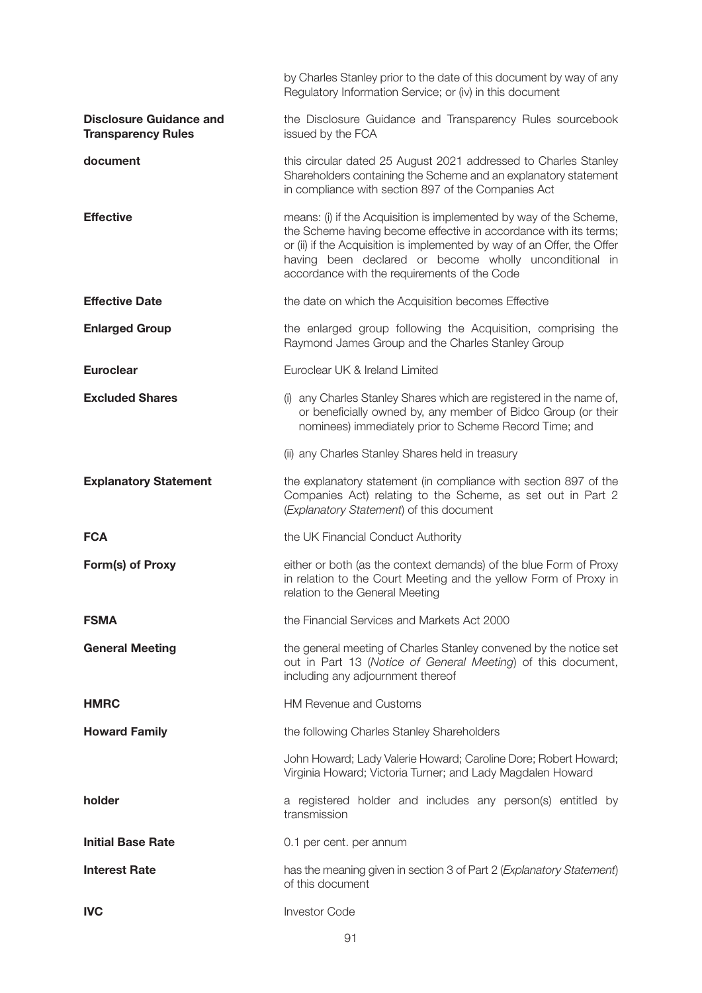|                                                             | by Charles Stanley prior to the date of this document by way of any<br>Regulatory Information Service; or (iv) in this document                                                                                                                                                                                             |
|-------------------------------------------------------------|-----------------------------------------------------------------------------------------------------------------------------------------------------------------------------------------------------------------------------------------------------------------------------------------------------------------------------|
| <b>Disclosure Guidance and</b><br><b>Transparency Rules</b> | the Disclosure Guidance and Transparency Rules sourcebook<br>issued by the FCA                                                                                                                                                                                                                                              |
| document                                                    | this circular dated 25 August 2021 addressed to Charles Stanley<br>Shareholders containing the Scheme and an explanatory statement<br>in compliance with section 897 of the Companies Act                                                                                                                                   |
| <b>Effective</b>                                            | means: (i) if the Acquisition is implemented by way of the Scheme,<br>the Scheme having become effective in accordance with its terms;<br>or (ii) if the Acquisition is implemented by way of an Offer, the Offer<br>having been declared or become wholly unconditional in<br>accordance with the requirements of the Code |
| <b>Effective Date</b>                                       | the date on which the Acquisition becomes Effective                                                                                                                                                                                                                                                                         |
| <b>Enlarged Group</b>                                       | the enlarged group following the Acquisition, comprising the<br>Raymond James Group and the Charles Stanley Group                                                                                                                                                                                                           |
| <b>Euroclear</b>                                            | Euroclear UK & Ireland Limited                                                                                                                                                                                                                                                                                              |
| <b>Excluded Shares</b>                                      | (i) any Charles Stanley Shares which are registered in the name of,<br>or beneficially owned by, any member of Bidco Group (or their<br>nominees) immediately prior to Scheme Record Time; and                                                                                                                              |
|                                                             | (ii) any Charles Stanley Shares held in treasury                                                                                                                                                                                                                                                                            |
| <b>Explanatory Statement</b>                                | the explanatory statement (in compliance with section 897 of the<br>Companies Act) relating to the Scheme, as set out in Part 2<br>(Explanatory Statement) of this document                                                                                                                                                 |
| <b>FCA</b>                                                  | the UK Financial Conduct Authority                                                                                                                                                                                                                                                                                          |
| Form(s) of Proxy                                            | either or both (as the context demands) of the blue Form of Proxy<br>in relation to the Court Meeting and the yellow Form of Proxy in<br>relation to the General Meeting                                                                                                                                                    |
| <b>FSMA</b>                                                 | the Financial Services and Markets Act 2000                                                                                                                                                                                                                                                                                 |
| <b>General Meeting</b>                                      | the general meeting of Charles Stanley convened by the notice set<br>out in Part 13 (Notice of General Meeting) of this document,<br>including any adjournment thereof                                                                                                                                                      |
| <b>HMRC</b>                                                 | <b>HM Revenue and Customs</b>                                                                                                                                                                                                                                                                                               |
| <b>Howard Family</b>                                        | the following Charles Stanley Shareholders                                                                                                                                                                                                                                                                                  |
|                                                             | John Howard; Lady Valerie Howard; Caroline Dore; Robert Howard;<br>Virginia Howard; Victoria Turner; and Lady Magdalen Howard                                                                                                                                                                                               |
| holder                                                      | a registered holder and includes any person(s) entitled by<br>transmission                                                                                                                                                                                                                                                  |
| <b>Initial Base Rate</b>                                    | 0.1 per cent. per annum                                                                                                                                                                                                                                                                                                     |
| <b>Interest Rate</b>                                        | has the meaning given in section 3 of Part 2 (Explanatory Statement)<br>of this document                                                                                                                                                                                                                                    |
| <b>IVC</b>                                                  | <b>Investor Code</b>                                                                                                                                                                                                                                                                                                        |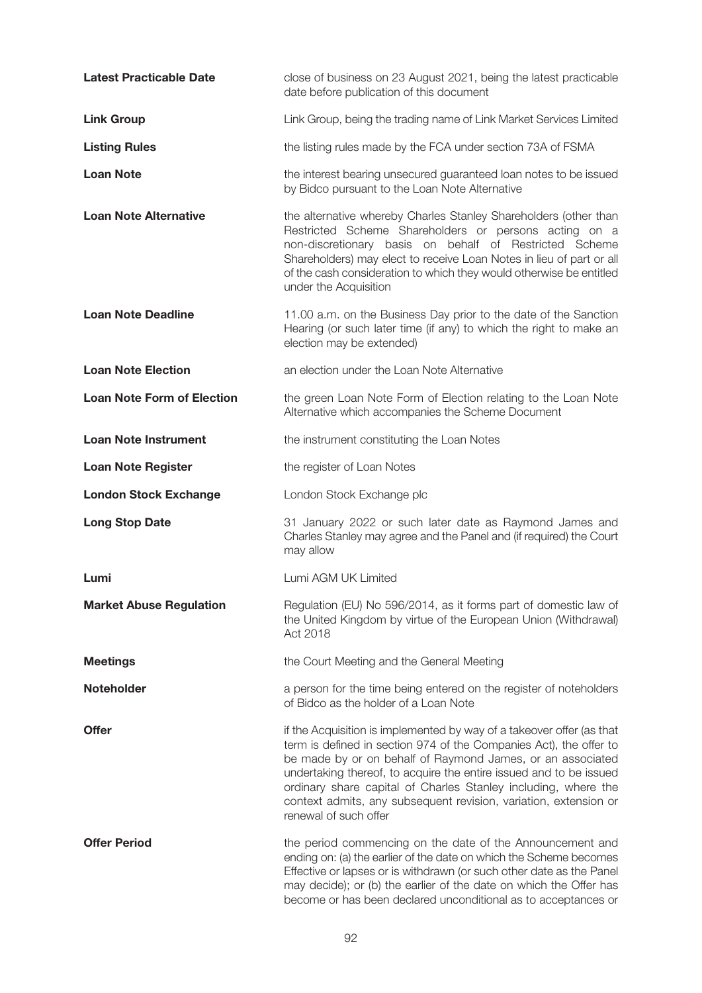| <b>Latest Practicable Date</b>    | close of business on 23 August 2021, being the latest practicable<br>date before publication of this document                                                                                                                                                                                                                                                                                                                                  |
|-----------------------------------|------------------------------------------------------------------------------------------------------------------------------------------------------------------------------------------------------------------------------------------------------------------------------------------------------------------------------------------------------------------------------------------------------------------------------------------------|
| <b>Link Group</b>                 | Link Group, being the trading name of Link Market Services Limited                                                                                                                                                                                                                                                                                                                                                                             |
| <b>Listing Rules</b>              | the listing rules made by the FCA under section 73A of FSMA                                                                                                                                                                                                                                                                                                                                                                                    |
| <b>Loan Note</b>                  | the interest bearing unsecured guaranteed loan notes to be issued<br>by Bidco pursuant to the Loan Note Alternative                                                                                                                                                                                                                                                                                                                            |
| <b>Loan Note Alternative</b>      | the alternative whereby Charles Stanley Shareholders (other than<br>Restricted Scheme Shareholders or persons acting on a<br>non-discretionary basis on behalf of Restricted Scheme<br>Shareholders) may elect to receive Loan Notes in lieu of part or all<br>of the cash consideration to which they would otherwise be entitled<br>under the Acquisition                                                                                    |
| <b>Loan Note Deadline</b>         | 11.00 a.m. on the Business Day prior to the date of the Sanction<br>Hearing (or such later time (if any) to which the right to make an<br>election may be extended)                                                                                                                                                                                                                                                                            |
| <b>Loan Note Election</b>         | an election under the Loan Note Alternative                                                                                                                                                                                                                                                                                                                                                                                                    |
| <b>Loan Note Form of Election</b> | the green Loan Note Form of Election relating to the Loan Note<br>Alternative which accompanies the Scheme Document                                                                                                                                                                                                                                                                                                                            |
| <b>Loan Note Instrument</b>       | the instrument constituting the Loan Notes                                                                                                                                                                                                                                                                                                                                                                                                     |
| <b>Loan Note Register</b>         | the register of Loan Notes                                                                                                                                                                                                                                                                                                                                                                                                                     |
| <b>London Stock Exchange</b>      | London Stock Exchange plc                                                                                                                                                                                                                                                                                                                                                                                                                      |
| <b>Long Stop Date</b>             | 31 January 2022 or such later date as Raymond James and<br>Charles Stanley may agree and the Panel and (if required) the Court<br>may allow                                                                                                                                                                                                                                                                                                    |
| Lumi                              | Lumi AGM UK Limited                                                                                                                                                                                                                                                                                                                                                                                                                            |
| <b>Market Abuse Regulation</b>    | Regulation (EU) No 596/2014, as it forms part of domestic law of<br>the United Kingdom by virtue of the European Union (Withdrawal)<br>Act 2018                                                                                                                                                                                                                                                                                                |
| <b>Meetings</b>                   | the Court Meeting and the General Meeting                                                                                                                                                                                                                                                                                                                                                                                                      |
| Noteholder                        | a person for the time being entered on the register of noteholders<br>of Bidco as the holder of a Loan Note                                                                                                                                                                                                                                                                                                                                    |
| <b>Offer</b>                      | if the Acquisition is implemented by way of a takeover offer (as that<br>term is defined in section 974 of the Companies Act), the offer to<br>be made by or on behalf of Raymond James, or an associated<br>undertaking thereof, to acquire the entire issued and to be issued<br>ordinary share capital of Charles Stanley including, where the<br>context admits, any subsequent revision, variation, extension or<br>renewal of such offer |
| <b>Offer Period</b>               | the period commencing on the date of the Announcement and<br>ending on: (a) the earlier of the date on which the Scheme becomes<br>Effective or lapses or is withdrawn (or such other date as the Panel<br>may decide); or (b) the earlier of the date on which the Offer has<br>become or has been declared unconditional as to acceptances or                                                                                                |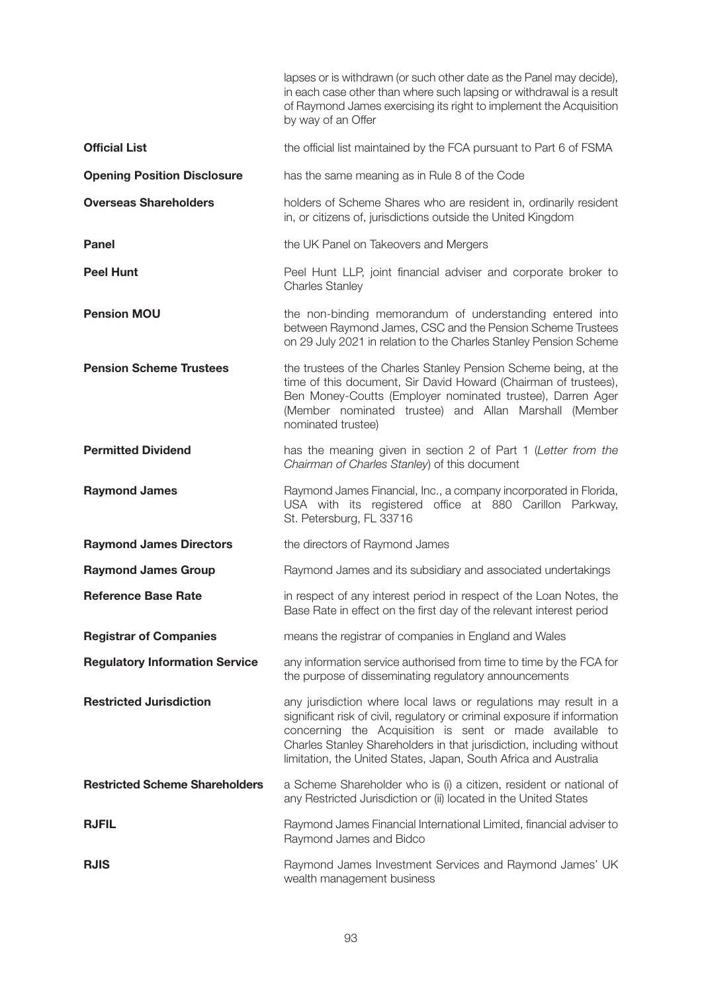|                                       | lapses or is withdrawn (or such other date as the Panel may decide),<br>in each case other than where such lapsing or withdrawal is a result<br>of Raymond James exercising its right to implement the Acquisition<br>by way of an Offer                                                                                                             |
|---------------------------------------|------------------------------------------------------------------------------------------------------------------------------------------------------------------------------------------------------------------------------------------------------------------------------------------------------------------------------------------------------|
| <b>Official List</b>                  | the official list maintained by the FCA pursuant to Part 6 of FSMA                                                                                                                                                                                                                                                                                   |
| <b>Opening Position Disclosure</b>    | has the same meaning as in Rule 8 of the Code                                                                                                                                                                                                                                                                                                        |
| <b>Overseas Shareholders</b>          | holders of Scheme Shares who are resident in, ordinarily resident<br>in, or citizens of, jurisdictions outside the United Kingdom                                                                                                                                                                                                                    |
| <b>Panel</b>                          | the UK Panel on Takeovers and Mergers                                                                                                                                                                                                                                                                                                                |
| <b>Peel Hunt</b>                      | Peel Hunt LLP, joint financial adviser and corporate broker to<br><b>Charles Stanley</b>                                                                                                                                                                                                                                                             |
| <b>Pension MOU</b>                    | the non-binding memorandum of understanding entered into<br>between Raymond James, CSC and the Pension Scheme Trustees<br>on 29 July 2021 in relation to the Charles Stanley Pension Scheme                                                                                                                                                          |
| <b>Pension Scheme Trustees</b>        | the trustees of the Charles Stanley Pension Scheme being, at the<br>time of this document, Sir David Howard (Chairman of trustees),<br>Ben Money-Coutts (Employer nominated trustee), Darren Ager<br>(Member nominated trustee) and Allan Marshall (Member<br>nominated trustee)                                                                     |
| <b>Permitted Dividend</b>             | has the meaning given in section 2 of Part 1 (Letter from the<br>Chairman of Charles Stanley) of this document                                                                                                                                                                                                                                       |
| <b>Raymond James</b>                  | Raymond James Financial, Inc., a company incorporated in Florida,<br>USA with its registered office at 880 Carillon Parkway,<br>St. Petersburg, FL 33716                                                                                                                                                                                             |
| <b>Raymond James Directors</b>        | the directors of Raymond James                                                                                                                                                                                                                                                                                                                       |
| <b>Raymond James Group</b>            | Raymond James and its subsidiary and associated undertakings                                                                                                                                                                                                                                                                                         |
| <b>Reference Base Rate</b>            | in respect of any interest period in respect of the Loan Notes, the<br>Base Rate in effect on the first day of the relevant interest period                                                                                                                                                                                                          |
| <b>Registrar of Companies</b>         | means the registrar of companies in England and Wales                                                                                                                                                                                                                                                                                                |
| <b>Regulatory Information Service</b> | any information service authorised from time to time by the FCA for<br>the purpose of disseminating regulatory announcements                                                                                                                                                                                                                         |
| <b>Restricted Jurisdiction</b>        | any jurisdiction where local laws or regulations may result in a<br>significant risk of civil, regulatory or criminal exposure if information<br>concerning the Acquisition is sent or made available to<br>Charles Stanley Shareholders in that jurisdiction, including without<br>limitation, the United States, Japan, South Africa and Australia |
| <b>Restricted Scheme Shareholders</b> | a Scheme Shareholder who is (i) a citizen, resident or national of<br>any Restricted Jurisdiction or (ii) located in the United States                                                                                                                                                                                                               |
| <b>RJFIL</b>                          | Raymond James Financial International Limited, financial adviser to<br>Raymond James and Bidco                                                                                                                                                                                                                                                       |
| <b>RJIS</b>                           | Raymond James Investment Services and Raymond James' UK<br>wealth management business                                                                                                                                                                                                                                                                |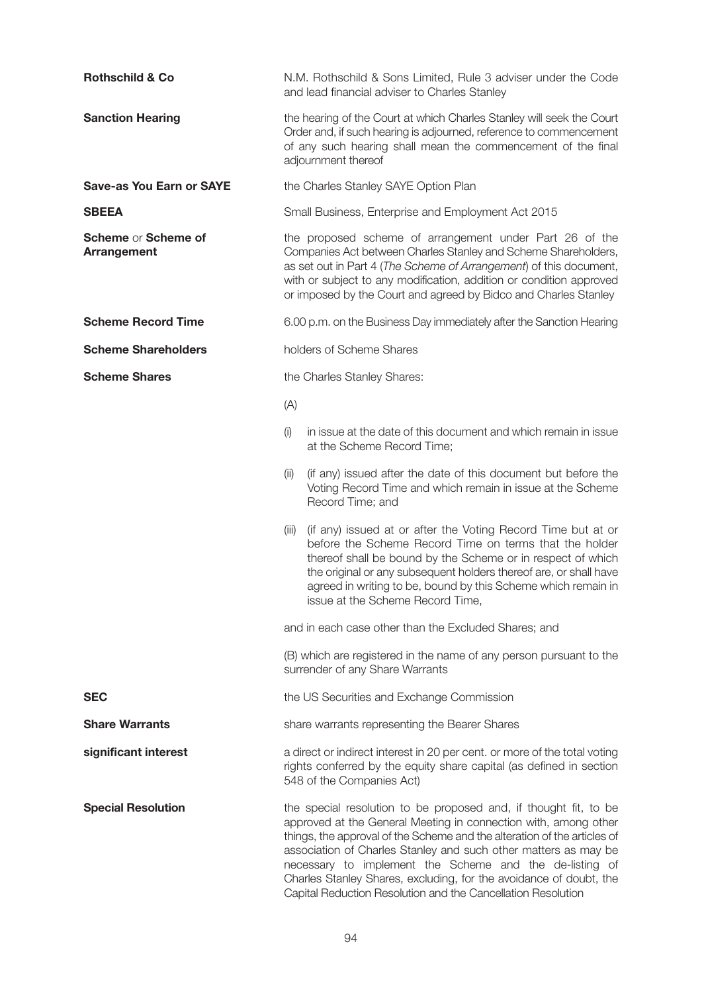| <b>Rothschild &amp; Co</b>                | N.M. Rothschild & Sons Limited, Rule 3 adviser under the Code<br>and lead financial adviser to Charles Stanley                                                                                                                                                                                                                                                                                                                                                                      |
|-------------------------------------------|-------------------------------------------------------------------------------------------------------------------------------------------------------------------------------------------------------------------------------------------------------------------------------------------------------------------------------------------------------------------------------------------------------------------------------------------------------------------------------------|
| <b>Sanction Hearing</b>                   | the hearing of the Court at which Charles Stanley will seek the Court<br>Order and, if such hearing is adjourned, reference to commencement<br>of any such hearing shall mean the commencement of the final<br>adjournment thereof                                                                                                                                                                                                                                                  |
| <b>Save-as You Earn or SAYE</b>           | the Charles Stanley SAYE Option Plan                                                                                                                                                                                                                                                                                                                                                                                                                                                |
| <b>SBEEA</b>                              | Small Business, Enterprise and Employment Act 2015                                                                                                                                                                                                                                                                                                                                                                                                                                  |
| Scheme or Scheme of<br><b>Arrangement</b> | the proposed scheme of arrangement under Part 26 of the<br>Companies Act between Charles Stanley and Scheme Shareholders,<br>as set out in Part 4 (The Scheme of Arrangement) of this document,<br>with or subject to any modification, addition or condition approved<br>or imposed by the Court and agreed by Bidco and Charles Stanley                                                                                                                                           |
| <b>Scheme Record Time</b>                 | 6.00 p.m. on the Business Day immediately after the Sanction Hearing                                                                                                                                                                                                                                                                                                                                                                                                                |
| <b>Scheme Shareholders</b>                | holders of Scheme Shares                                                                                                                                                                                                                                                                                                                                                                                                                                                            |
| <b>Scheme Shares</b>                      | the Charles Stanley Shares:                                                                                                                                                                                                                                                                                                                                                                                                                                                         |
|                                           | (A)                                                                                                                                                                                                                                                                                                                                                                                                                                                                                 |
|                                           | in issue at the date of this document and which remain in issue<br>(i)<br>at the Scheme Record Time;                                                                                                                                                                                                                                                                                                                                                                                |
|                                           | (if any) issued after the date of this document but before the<br>(ii)<br>Voting Record Time and which remain in issue at the Scheme<br>Record Time; and                                                                                                                                                                                                                                                                                                                            |
|                                           | (if any) issued at or after the Voting Record Time but at or<br>(iii)<br>before the Scheme Record Time on terms that the holder<br>thereof shall be bound by the Scheme or in respect of which<br>the original or any subsequent holders thereof are, or shall have<br>agreed in writing to be, bound by this Scheme which remain in<br>issue at the Scheme Record Time,                                                                                                            |
|                                           | and in each case other than the Excluded Shares; and                                                                                                                                                                                                                                                                                                                                                                                                                                |
|                                           | (B) which are registered in the name of any person pursuant to the<br>surrender of any Share Warrants                                                                                                                                                                                                                                                                                                                                                                               |
| <b>SEC</b>                                | the US Securities and Exchange Commission                                                                                                                                                                                                                                                                                                                                                                                                                                           |
| <b>Share Warrants</b>                     | share warrants representing the Bearer Shares                                                                                                                                                                                                                                                                                                                                                                                                                                       |
| significant interest                      | a direct or indirect interest in 20 per cent. or more of the total voting<br>rights conferred by the equity share capital (as defined in section<br>548 of the Companies Act)                                                                                                                                                                                                                                                                                                       |
| <b>Special Resolution</b>                 | the special resolution to be proposed and, if thought fit, to be<br>approved at the General Meeting in connection with, among other<br>things, the approval of the Scheme and the alteration of the articles of<br>association of Charles Stanley and such other matters as may be<br>necessary to implement the Scheme and the de-listing of<br>Charles Stanley Shares, excluding, for the avoidance of doubt, the<br>Capital Reduction Resolution and the Cancellation Resolution |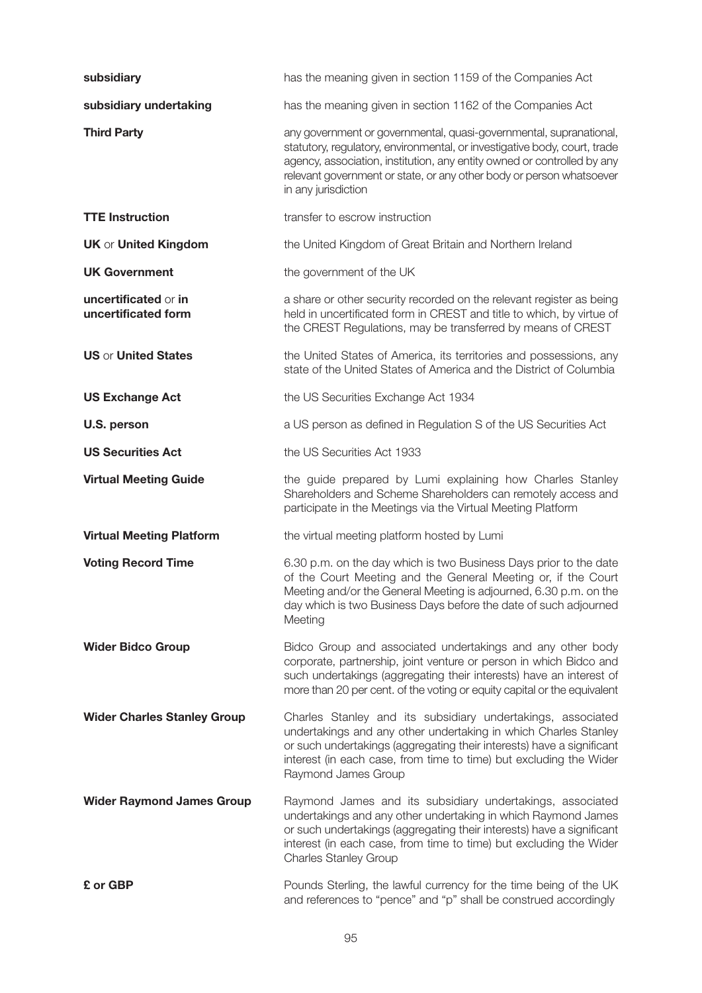| subsidiary                                  | has the meaning given in section 1159 of the Companies Act                                                                                                                                                                                                                                                                |
|---------------------------------------------|---------------------------------------------------------------------------------------------------------------------------------------------------------------------------------------------------------------------------------------------------------------------------------------------------------------------------|
| subsidiary undertaking                      | has the meaning given in section 1162 of the Companies Act                                                                                                                                                                                                                                                                |
| <b>Third Party</b>                          | any government or governmental, quasi-governmental, supranational,<br>statutory, regulatory, environmental, or investigative body, court, trade<br>agency, association, institution, any entity owned or controlled by any<br>relevant government or state, or any other body or person whatsoever<br>in any jurisdiction |
| <b>TTE Instruction</b>                      | transfer to escrow instruction                                                                                                                                                                                                                                                                                            |
| <b>UK or United Kingdom</b>                 | the United Kingdom of Great Britain and Northern Ireland                                                                                                                                                                                                                                                                  |
| <b>UK Government</b>                        | the government of the UK                                                                                                                                                                                                                                                                                                  |
| uncertificated or in<br>uncertificated form | a share or other security recorded on the relevant register as being<br>held in uncertificated form in CREST and title to which, by virtue of<br>the CREST Regulations, may be transferred by means of CREST                                                                                                              |
| <b>US or United States</b>                  | the United States of America, its territories and possessions, any<br>state of the United States of America and the District of Columbia                                                                                                                                                                                  |
| <b>US Exchange Act</b>                      | the US Securities Exchange Act 1934                                                                                                                                                                                                                                                                                       |
| U.S. person                                 | a US person as defined in Regulation S of the US Securities Act                                                                                                                                                                                                                                                           |
| <b>US Securities Act</b>                    | the US Securities Act 1933                                                                                                                                                                                                                                                                                                |
| <b>Virtual Meeting Guide</b>                | the guide prepared by Lumi explaining how Charles Stanley<br>Shareholders and Scheme Shareholders can remotely access and<br>participate in the Meetings via the Virtual Meeting Platform                                                                                                                                 |
| <b>Virtual Meeting Platform</b>             | the virtual meeting platform hosted by Lumi                                                                                                                                                                                                                                                                               |
| <b>Voting Record Time</b>                   | 6.30 p.m. on the day which is two Business Days prior to the date<br>of the Court Meeting and the General Meeting or, if the Court<br>Meeting and/or the General Meeting is adjourned, 6.30 p.m. on the<br>day which is two Business Days before the date of such adjourned<br>Meeting                                    |
| <b>Wider Bidco Group</b>                    | Bidco Group and associated undertakings and any other body<br>corporate, partnership, joint venture or person in which Bidco and<br>such undertakings (aggregating their interests) have an interest of<br>more than 20 per cent. of the voting or equity capital or the equivalent                                       |
| <b>Wider Charles Stanley Group</b>          | Charles Stanley and its subsidiary undertakings, associated<br>undertakings and any other undertaking in which Charles Stanley<br>or such undertakings (aggregating their interests) have a significant<br>interest (in each case, from time to time) but excluding the Wider<br>Raymond James Group                      |
| <b>Wider Raymond James Group</b>            | Raymond James and its subsidiary undertakings, associated<br>undertakings and any other undertaking in which Raymond James<br>or such undertakings (aggregating their interests) have a significant<br>interest (in each case, from time to time) but excluding the Wider<br><b>Charles Stanley Group</b>                 |
| £ or GBP                                    | Pounds Sterling, the lawful currency for the time being of the UK<br>and references to "pence" and "p" shall be construed accordingly                                                                                                                                                                                     |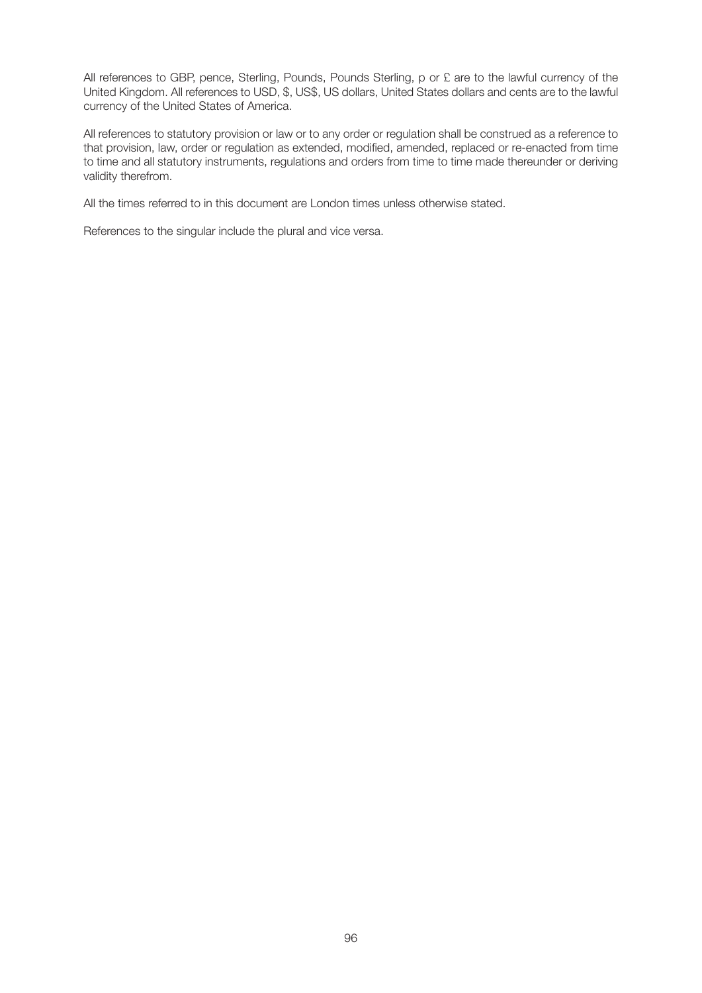All references to GBP, pence, Sterling, Pounds, Pounds Sterling, p or £ are to the lawful currency of the United Kingdom. All references to USD, \$, US\$, US dollars, United States dollars and cents are to the lawful currency of the United States of America.

All references to statutory provision or law or to any order or regulation shall be construed as a reference to that provision, law, order or regulation as extended, modified, amended, replaced or re-enacted from time to time and all statutory instruments, regulations and orders from time to time made thereunder or deriving validity therefrom.

All the times referred to in this document are London times unless otherwise stated.

References to the singular include the plural and vice versa.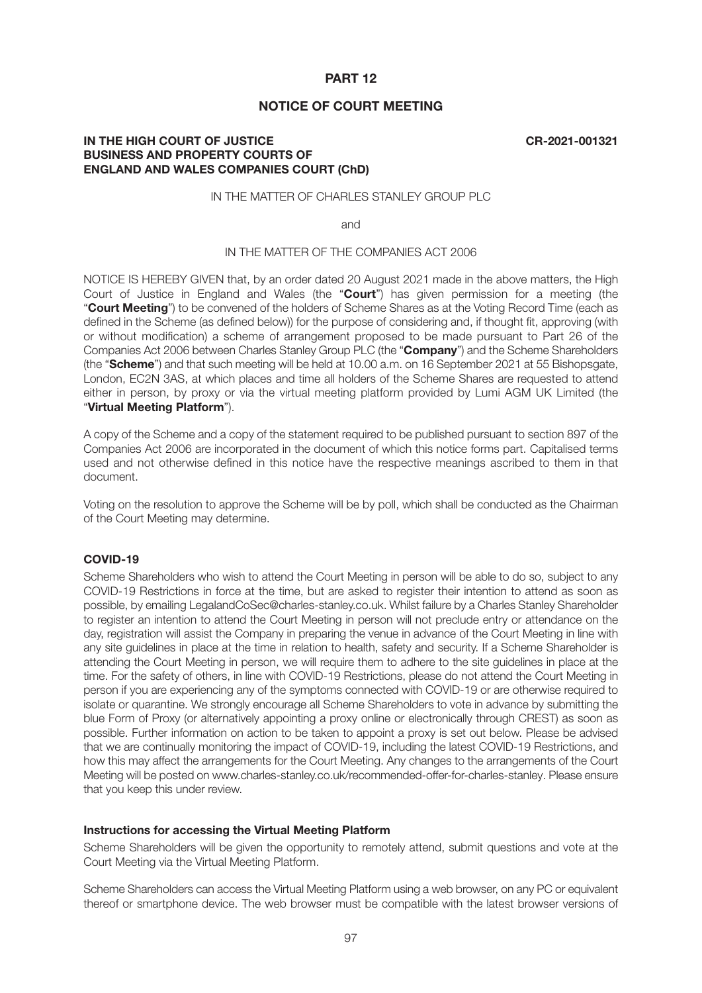# **PART 12**

# **NOTICE OF COURT MEETING**

# **IN THE HIGH COURT OF JUSTICE CR-2021-001321 BUSINESS AND PROPERTY COURTS OF ENGLAND AND WALES COMPANIES COURT (ChD)**

# IN THE MATTER OF CHARLES STANLEY GROUP PLC

and

## IN THE MATTER OF THE COMPANIES ACT 2006

NOTICE IS HEREBY GIVEN that, by an order dated 20 August 2021 made in the above matters, the High Court of Justice in England and Wales (the "**Court**") has given permission for a meeting (the "**Court Meeting**") to be convened of the holders of Scheme Shares as at the Voting Record Time (each as defined in the Scheme (as defined below)) for the purpose of considering and, if thought fit, approving (with or without modification) a scheme of arrangement proposed to be made pursuant to Part 26 of the Companies Act 2006 between Charles Stanley Group PLC (the "**Company**") and the Scheme Shareholders (the "**Scheme**") and that such meeting will be held at 10.00 a.m. on 16 September 2021 at 55 Bishopsgate, London, EC2N 3AS, at which places and time all holders of the Scheme Shares are requested to attend either in person, by proxy or via the virtual meeting platform provided by Lumi AGM UK Limited (the "**Virtual Meeting Platform**").

A copy of the Scheme and a copy of the statement required to be published pursuant to section 897 of the Companies Act 2006 are incorporated in the document of which this notice forms part. Capitalised terms used and not otherwise defined in this notice have the respective meanings ascribed to them in that document.

Voting on the resolution to approve the Scheme will be by poll, which shall be conducted as the Chairman of the Court Meeting may determine.

#### **COVID-19**

Scheme Shareholders who wish to attend the Court Meeting in person will be able to do so, subject to any COVID-19 Restrictions in force at the time, but are asked to register their intention to attend as soon as possible, by emailing LegalandCoSec@charles-stanley.co.uk. Whilst failure by a Charles Stanley Shareholder to register an intention to attend the Court Meeting in person will not preclude entry or attendance on the day, registration will assist the Company in preparing the venue in advance of the Court Meeting in line with any site guidelines in place at the time in relation to health, safety and security. If a Scheme Shareholder is attending the Court Meeting in person, we will require them to adhere to the site guidelines in place at the time. For the safety of others, in line with COVID-19 Restrictions, please do not attend the Court Meeting in person if you are experiencing any of the symptoms connected with COVID-19 or are otherwise required to isolate or quarantine. We strongly encourage all Scheme Shareholders to vote in advance by submitting the blue Form of Proxy (or alternatively appointing a proxy online or electronically through CREST) as soon as possible. Further information on action to be taken to appoint a proxy is set out below. Please be advised that we are continually monitoring the impact of COVID-19, including the latest COVID-19 Restrictions, and how this may affect the arrangements for the Court Meeting. Any changes to the arrangements of the Court Meeting will be posted on www.charles-stanley.co.uk/recommended-offer-for-charles-stanley. Please ensure that you keep this under review.

#### **Instructions for accessing the Virtual Meeting Platform**

Scheme Shareholders will be given the opportunity to remotely attend, submit questions and vote at the Court Meeting via the Virtual Meeting Platform.

Scheme Shareholders can access the Virtual Meeting Platform using a web browser, on any PC or equivalent thereof or smartphone device. The web browser must be compatible with the latest browser versions of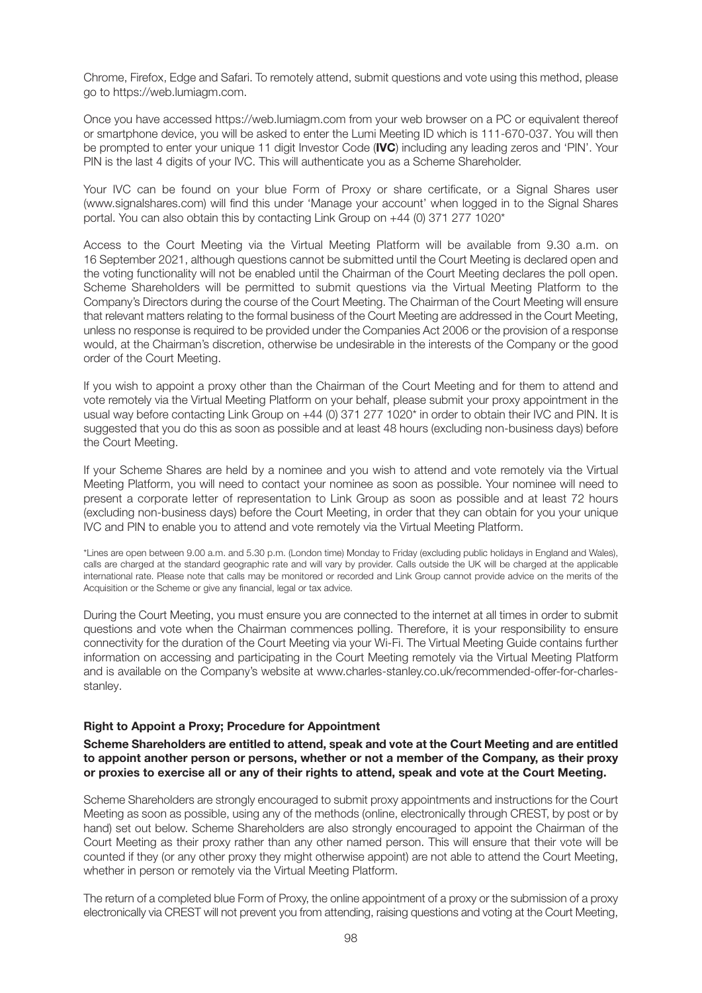Chrome, Firefox, Edge and Safari. To remotely attend, submit questions and vote using this method, please go to https://web.lumiagm.com.

Once you have accessed https://web.lumiagm.com from your web browser on a PC or equivalent thereof or smartphone device, you will be asked to enter the Lumi Meeting ID which is 111-670-037. You will then be prompted to enter your unique 11 digit Investor Code (**IVC**) including any leading zeros and 'PIN'. Your PIN is the last 4 digits of your IVC. This will authenticate you as a Scheme Shareholder.

Your IVC can be found on your blue Form of Proxy or share certificate, or a Signal Shares user (www.signalshares.com) will find this under 'Manage your account' when logged in to the Signal Shares portal. You can also obtain this by contacting Link Group on +44 (0) 371 277 1020\*

Access to the Court Meeting via the Virtual Meeting Platform will be available from 9.30 a.m. on 16 September 2021, although questions cannot be submitted until the Court Meeting is declared open and the voting functionality will not be enabled until the Chairman of the Court Meeting declares the poll open. Scheme Shareholders will be permitted to submit questions via the Virtual Meeting Platform to the Company's Directors during the course of the Court Meeting. The Chairman of the Court Meeting will ensure that relevant matters relating to the formal business of the Court Meeting are addressed in the Court Meeting, unless no response is required to be provided under the Companies Act 2006 or the provision of a response would, at the Chairman's discretion, otherwise be undesirable in the interests of the Company or the good order of the Court Meeting.

If you wish to appoint a proxy other than the Chairman of the Court Meeting and for them to attend and vote remotely via the Virtual Meeting Platform on your behalf, please submit your proxy appointment in the usual way before contacting Link Group on +44 (0) 371 277 1020\* in order to obtain their IVC and PIN. It is suggested that you do this as soon as possible and at least 48 hours (excluding non-business days) before the Court Meeting.

If your Scheme Shares are held by a nominee and you wish to attend and vote remotely via the Virtual Meeting Platform, you will need to contact your nominee as soon as possible. Your nominee will need to present a corporate letter of representation to Link Group as soon as possible and at least 72 hours (excluding non-business days) before the Court Meeting, in order that they can obtain for you your unique IVC and PIN to enable you to attend and vote remotely via the Virtual Meeting Platform.

\*Lines are open between 9.00 a.m. and 5.30 p.m. (London time) Monday to Friday (excluding public holidays in England and Wales), calls are charged at the standard geographic rate and will vary by provider. Calls outside the UK will be charged at the applicable international rate. Please note that calls may be monitored or recorded and Link Group cannot provide advice on the merits of the Acquisition or the Scheme or give any financial, legal or tax advice.

During the Court Meeting, you must ensure you are connected to the internet at all times in order to submit questions and vote when the Chairman commences polling. Therefore, it is your responsibility to ensure connectivity for the duration of the Court Meeting via your Wi-Fi. The Virtual Meeting Guide contains further information on accessing and participating in the Court Meeting remotely via the Virtual Meeting Platform and is available on the Company's website at www.charles-stanley.co.uk/recommended-offer-for-charlesstanley.

# **Right to Appoint a Proxy; Procedure for Appointment**

**Scheme Shareholders are entitled to attend, speak and vote at the Court Meeting and are entitled to appoint another person or persons, whether or not a member of the Company, as their proxy or proxies to exercise all or any of their rights to attend, speak and vote at the Court Meeting.**

Scheme Shareholders are strongly encouraged to submit proxy appointments and instructions for the Court Meeting as soon as possible, using any of the methods (online, electronically through CREST, by post or by hand) set out below. Scheme Shareholders are also strongly encouraged to appoint the Chairman of the Court Meeting as their proxy rather than any other named person. This will ensure that their vote will be counted if they (or any other proxy they might otherwise appoint) are not able to attend the Court Meeting, whether in person or remotely via the Virtual Meeting Platform.

The return of a completed blue Form of Proxy, the online appointment of a proxy or the submission of a proxy electronically via CREST will not prevent you from attending, raising questions and voting at the Court Meeting,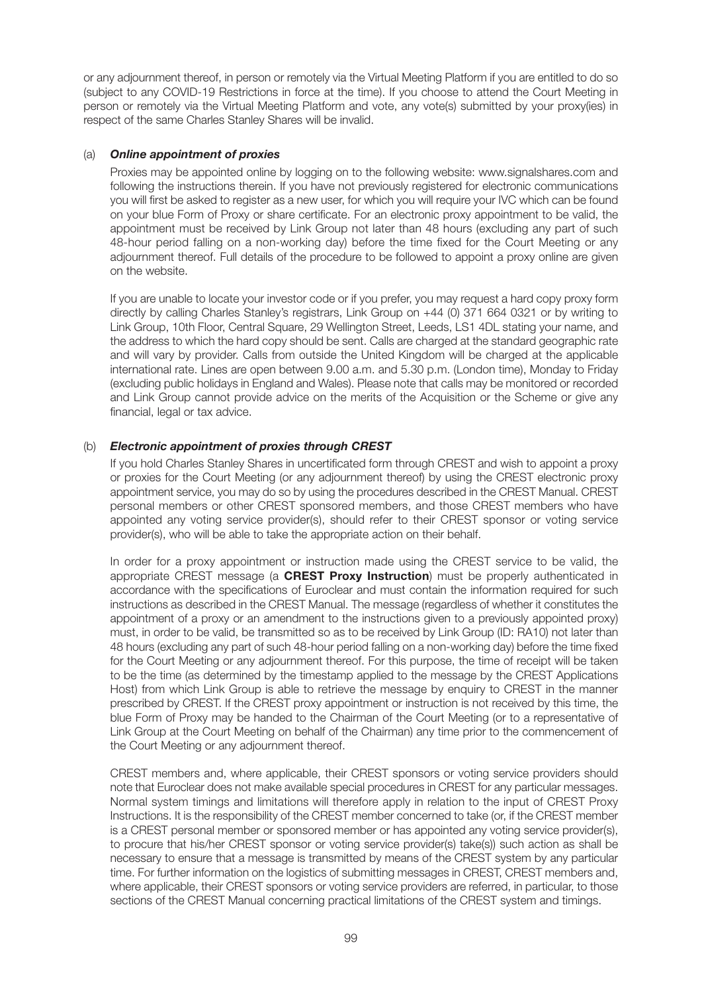or any adjournment thereof, in person or remotely via the Virtual Meeting Platform if you are entitled to do so (subject to any COVID-19 Restrictions in force at the time). If you choose to attend the Court Meeting in person or remotely via the Virtual Meeting Platform and vote, any vote(s) submitted by your proxy(ies) in respect of the same Charles Stanley Shares will be invalid.

# (a) *Online appointment of proxies*

 Proxies may be appointed online by logging on to the following website: www.signalshares.com and following the instructions therein. If you have not previously registered for electronic communications you will first be asked to register as a new user, for which you will require your IVC which can be found on your blue Form of Proxy or share certificate. For an electronic proxy appointment to be valid, the appointment must be received by Link Group not later than 48 hours (excluding any part of such 48-hour period falling on a non-working day) before the time fixed for the Court Meeting or any adjournment thereof. Full details of the procedure to be followed to appoint a proxy online are given on the website.

 If you are unable to locate your investor code or if you prefer, you may request a hard copy proxy form directly by calling Charles Stanley's registrars, Link Group on +44 (0) 371 664 0321 or by writing to Link Group, 10th Floor, Central Square, 29 Wellington Street, Leeds, LS1 4DL stating your name, and the address to which the hard copy should be sent. Calls are charged at the standard geographic rate and will vary by provider. Calls from outside the United Kingdom will be charged at the applicable international rate. Lines are open between 9.00 a.m. and 5.30 p.m. (London time), Monday to Friday (excluding public holidays in England and Wales). Please note that calls may be monitored or recorded and Link Group cannot provide advice on the merits of the Acquisition or the Scheme or give any financial, legal or tax advice.

# (b) *Electronic appointment of proxies through CREST*

 If you hold Charles Stanley Shares in uncertificated form through CREST and wish to appoint a proxy or proxies for the Court Meeting (or any adjournment thereof) by using the CREST electronic proxy appointment service, you may do so by using the procedures described in the CREST Manual. CREST personal members or other CREST sponsored members, and those CREST members who have appointed any voting service provider(s), should refer to their CREST sponsor or voting service provider(s), who will be able to take the appropriate action on their behalf.

 In order for a proxy appointment or instruction made using the CREST service to be valid, the appropriate CREST message (a **CREST Proxy Instruction**) must be properly authenticated in accordance with the specifications of Euroclear and must contain the information required for such instructions as described in the CREST Manual. The message (regardless of whether it constitutes the appointment of a proxy or an amendment to the instructions given to a previously appointed proxy) must, in order to be valid, be transmitted so as to be received by Link Group (ID: RA10) not later than 48 hours (excluding any part of such 48-hour period falling on a non-working day) before the time fixed for the Court Meeting or any adjournment thereof. For this purpose, the time of receipt will be taken to be the time (as determined by the timestamp applied to the message by the CREST Applications Host) from which Link Group is able to retrieve the message by enquiry to CREST in the manner prescribed by CREST. If the CREST proxy appointment or instruction is not received by this time, the blue Form of Proxy may be handed to the Chairman of the Court Meeting (or to a representative of Link Group at the Court Meeting on behalf of the Chairman) any time prior to the commencement of the Court Meeting or any adjournment thereof.

 CREST members and, where applicable, their CREST sponsors or voting service providers should note that Euroclear does not make available special procedures in CREST for any particular messages. Normal system timings and limitations will therefore apply in relation to the input of CREST Proxy Instructions. It is the responsibility of the CREST member concerned to take (or, if the CREST member is a CREST personal member or sponsored member or has appointed any voting service provider(s), to procure that his/her CREST sponsor or voting service provider(s) take(s)) such action as shall be necessary to ensure that a message is transmitted by means of the CREST system by any particular time. For further information on the logistics of submitting messages in CREST, CREST members and, where applicable, their CREST sponsors or voting service providers are referred, in particular, to those sections of the CREST Manual concerning practical limitations of the CREST system and timings.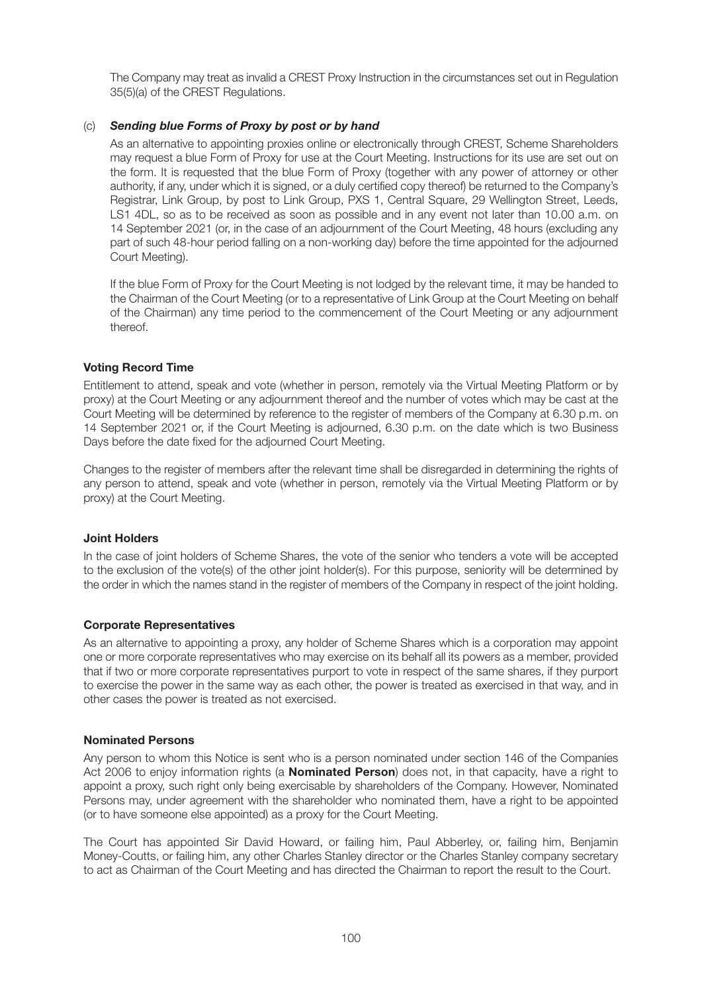The Company may treat as invalid a CREST Proxy Instruction in the circumstances set out in Regulation 35(5)(a) of the CREST Regulations.

# (c) *Sending blue Forms of Proxy by post or by hand*

 As an alternative to appointing proxies online or electronically through CREST, Scheme Shareholders may request a blue Form of Proxy for use at the Court Meeting. Instructions for its use are set out on the form. It is requested that the blue Form of Proxy (together with any power of attorney or other authority, if any, under which it is signed, or a duly certified copy thereof) be returned to the Company's Registrar, Link Group, by post to Link Group, PXS 1, Central Square, 29 Wellington Street, Leeds, LS1 4DL, so as to be received as soon as possible and in any event not later than 10.00 a.m. on 14 September 2021 (or, in the case of an adjournment of the Court Meeting, 48 hours (excluding any part of such 48-hour period falling on a non-working day) before the time appointed for the adjourned Court Meeting).

 If the blue Form of Proxy for the Court Meeting is not lodged by the relevant time, it may be handed to the Chairman of the Court Meeting (or to a representative of Link Group at the Court Meeting on behalf of the Chairman) any time period to the commencement of the Court Meeting or any adjournment thereof.

## **Voting Record Time**

Entitlement to attend, speak and vote (whether in person, remotely via the Virtual Meeting Platform or by proxy) at the Court Meeting or any adjournment thereof and the number of votes which may be cast at the Court Meeting will be determined by reference to the register of members of the Company at 6.30 p.m. on 14 September 2021 or, if the Court Meeting is adjourned, 6.30 p.m. on the date which is two Business Days before the date fixed for the adjourned Court Meeting.

Changes to the register of members after the relevant time shall be disregarded in determining the rights of any person to attend, speak and vote (whether in person, remotely via the Virtual Meeting Platform or by proxy) at the Court Meeting.

#### **Joint Holders**

In the case of joint holders of Scheme Shares, the vote of the senior who tenders a vote will be accepted to the exclusion of the vote(s) of the other joint holder(s). For this purpose, seniority will be determined by the order in which the names stand in the register of members of the Company in respect of the joint holding.

#### **Corporate Representatives**

As an alternative to appointing a proxy, any holder of Scheme Shares which is a corporation may appoint one or more corporate representatives who may exercise on its behalf all its powers as a member, provided that if two or more corporate representatives purport to vote in respect of the same shares, if they purport to exercise the power in the same way as each other, the power is treated as exercised in that way, and in other cases the power is treated as not exercised.

#### **Nominated Persons**

Any person to whom this Notice is sent who is a person nominated under section 146 of the Companies Act 2006 to enjoy information rights (a **Nominated Person**) does not, in that capacity, have a right to appoint a proxy, such right only being exercisable by shareholders of the Company. However, Nominated Persons may, under agreement with the shareholder who nominated them, have a right to be appointed (or to have someone else appointed) as a proxy for the Court Meeting.

The Court has appointed Sir David Howard, or failing him, Paul Abberley, or, failing him, Benjamin Money-Coutts, or failing him, any other Charles Stanley director or the Charles Stanley company secretary to act as Chairman of the Court Meeting and has directed the Chairman to report the result to the Court.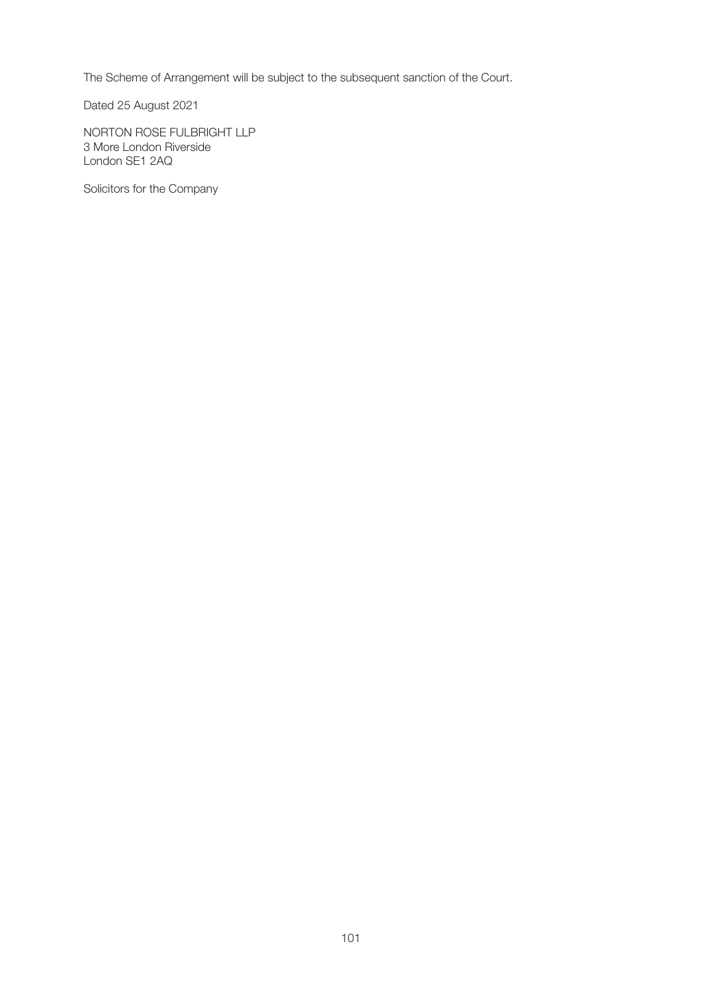The Scheme of Arrangement will be subject to the subsequent sanction of the Court.

Dated 25 August 2021

NORTON ROSE FULBRIGHT LLP 3 More London Riverside London SE1 2AQ

Solicitors for the Company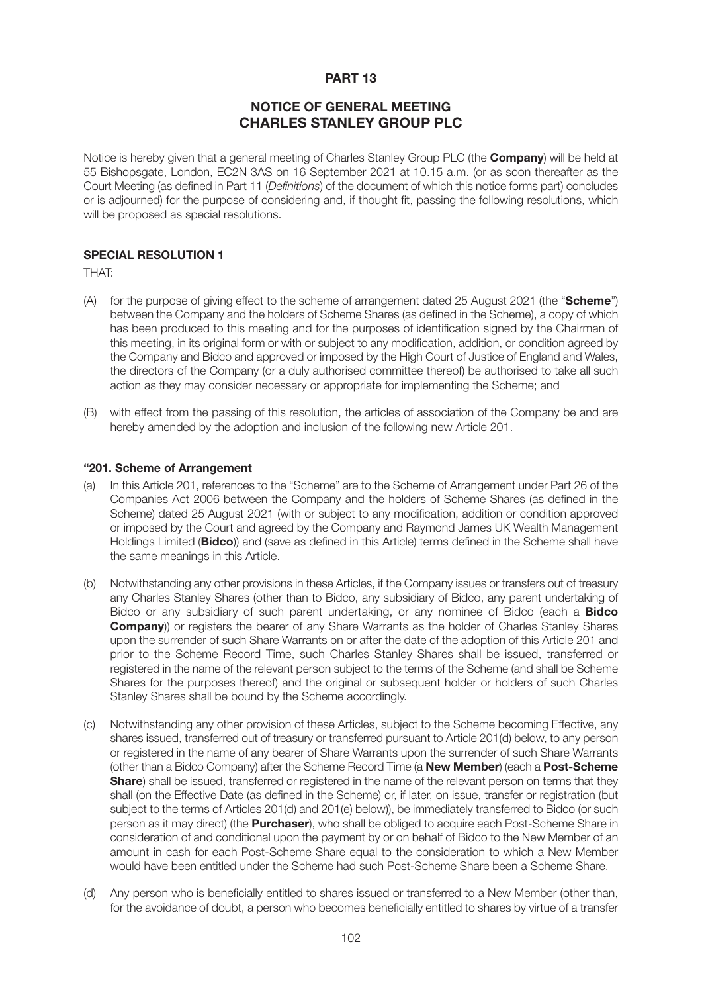# **PART 13**

# **NOTICE OF GENERAL MEETING CHARLES STANLEY GROUP PLC**

Notice is hereby given that a general meeting of Charles Stanley Group PLC (the **Company**) will be held at 55 Bishopsgate, London, EC2N 3AS on 16 September 2021 at 10.15 a.m. (or as soon thereafter as the Court Meeting (as defined in Part 11 (*Definitions*) of the document of which this notice forms part) concludes or is adjourned) for the purpose of considering and, if thought fit, passing the following resolutions, which will be proposed as special resolutions.

# **SPECIAL RESOLUTION 1**

THAT:

- (A) for the purpose of giving effect to the scheme of arrangement dated 25 August 2021 (the "**Scheme**") between the Company and the holders of Scheme Shares (as defined in the Scheme), a copy of which has been produced to this meeting and for the purposes of identification signed by the Chairman of this meeting, in its original form or with or subject to any modification, addition, or condition agreed by the Company and Bidco and approved or imposed by the High Court of Justice of England and Wales, the directors of the Company (or a duly authorised committee thereof) be authorised to take all such action as they may consider necessary or appropriate for implementing the Scheme; and
- (B) with effect from the passing of this resolution, the articles of association of the Company be and are hereby amended by the adoption and inclusion of the following new Article 201.

#### **"201. Scheme of Arrangement**

- (a) In this Article 201, references to the "Scheme" are to the Scheme of Arrangement under Part 26 of the Companies Act 2006 between the Company and the holders of Scheme Shares (as defined in the Scheme) dated 25 August 2021 (with or subject to any modification, addition or condition approved or imposed by the Court and agreed by the Company and Raymond James UK Wealth Management Holdings Limited (**Bidco**)) and (save as defined in this Article) terms defined in the Scheme shall have the same meanings in this Article.
- (b) Notwithstanding any other provisions in these Articles, if the Company issues or transfers out of treasury any Charles Stanley Shares (other than to Bidco, any subsidiary of Bidco, any parent undertaking of Bidco or any subsidiary of such parent undertaking, or any nominee of Bidco (each a **Bidco Company**)) or registers the bearer of any Share Warrants as the holder of Charles Stanley Shares upon the surrender of such Share Warrants on or after the date of the adoption of this Article 201 and prior to the Scheme Record Time, such Charles Stanley Shares shall be issued, transferred or registered in the name of the relevant person subject to the terms of the Scheme (and shall be Scheme Shares for the purposes thereof) and the original or subsequent holder or holders of such Charles Stanley Shares shall be bound by the Scheme accordingly.
- (c) Notwithstanding any other provision of these Articles, subject to the Scheme becoming Effective, any shares issued, transferred out of treasury or transferred pursuant to Article 201(d) below, to any person or registered in the name of any bearer of Share Warrants upon the surrender of such Share Warrants (other than a Bidco Company) after the Scheme Record Time (a **New Member**) (each a **Post-Scheme Share**) shall be issued, transferred or registered in the name of the relevant person on terms that they shall (on the Effective Date (as defined in the Scheme) or, if later, on issue, transfer or registration (but subject to the terms of Articles 201(d) and 201(e) below)), be immediately transferred to Bidco (or such person as it may direct) (the **Purchaser**), who shall be obliged to acquire each Post-Scheme Share in consideration of and conditional upon the payment by or on behalf of Bidco to the New Member of an amount in cash for each Post-Scheme Share equal to the consideration to which a New Member would have been entitled under the Scheme had such Post-Scheme Share been a Scheme Share.
- (d) Any person who is beneficially entitled to shares issued or transferred to a New Member (other than, for the avoidance of doubt, a person who becomes beneficially entitled to shares by virtue of a transfer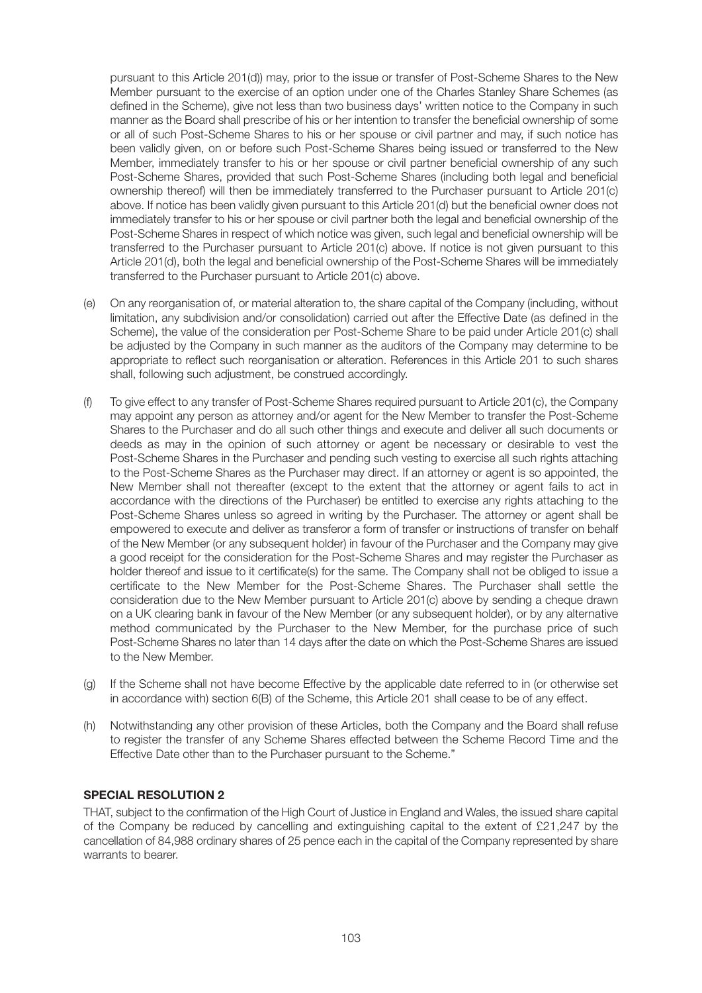pursuant to this Article 201(d)) may, prior to the issue or transfer of Post-Scheme Shares to the New Member pursuant to the exercise of an option under one of the Charles Stanley Share Schemes (as defined in the Scheme), give not less than two business days' written notice to the Company in such manner as the Board shall prescribe of his or her intention to transfer the beneficial ownership of some or all of such Post-Scheme Shares to his or her spouse or civil partner and may, if such notice has been validly given, on or before such Post-Scheme Shares being issued or transferred to the New Member, immediately transfer to his or her spouse or civil partner beneficial ownership of any such Post-Scheme Shares, provided that such Post-Scheme Shares (including both legal and beneficial ownership thereof) will then be immediately transferred to the Purchaser pursuant to Article 201(c) above. If notice has been validly given pursuant to this Article 201(d) but the beneficial owner does not immediately transfer to his or her spouse or civil partner both the legal and beneficial ownership of the Post-Scheme Shares in respect of which notice was given, such legal and beneficial ownership will be transferred to the Purchaser pursuant to Article 201(c) above. If notice is not given pursuant to this Article 201(d), both the legal and beneficial ownership of the Post-Scheme Shares will be immediately transferred to the Purchaser pursuant to Article 201(c) above.

- (e) On any reorganisation of, or material alteration to, the share capital of the Company (including, without limitation, any subdivision and/or consolidation) carried out after the Effective Date (as defined in the Scheme), the value of the consideration per Post-Scheme Share to be paid under Article 201(c) shall be adjusted by the Company in such manner as the auditors of the Company may determine to be appropriate to reflect such reorganisation or alteration. References in this Article 201 to such shares shall, following such adjustment, be construed accordingly.
- (f) To give effect to any transfer of Post-Scheme Shares required pursuant to Article 201(c), the Company may appoint any person as attorney and/or agent for the New Member to transfer the Post-Scheme Shares to the Purchaser and do all such other things and execute and deliver all such documents or deeds as may in the opinion of such attorney or agent be necessary or desirable to vest the Post-Scheme Shares in the Purchaser and pending such vesting to exercise all such rights attaching to the Post-Scheme Shares as the Purchaser may direct. If an attorney or agent is so appointed, the New Member shall not thereafter (except to the extent that the attorney or agent fails to act in accordance with the directions of the Purchaser) be entitled to exercise any rights attaching to the Post-Scheme Shares unless so agreed in writing by the Purchaser. The attorney or agent shall be empowered to execute and deliver as transferor a form of transfer or instructions of transfer on behalf of the New Member (or any subsequent holder) in favour of the Purchaser and the Company may give a good receipt for the consideration for the Post-Scheme Shares and may register the Purchaser as holder thereof and issue to it certificate(s) for the same. The Company shall not be obliged to issue a certificate to the New Member for the Post-Scheme Shares. The Purchaser shall settle the consideration due to the New Member pursuant to Article 201(c) above by sending a cheque drawn on a UK clearing bank in favour of the New Member (or any subsequent holder), or by any alternative method communicated by the Purchaser to the New Member, for the purchase price of such Post-Scheme Shares no later than 14 days after the date on which the Post-Scheme Shares are issued to the New Member.
- (g) If the Scheme shall not have become Effective by the applicable date referred to in (or otherwise set in accordance with) section 6(B) of the Scheme, this Article 201 shall cease to be of any effect.
- (h) Notwithstanding any other provision of these Articles, both the Company and the Board shall refuse to register the transfer of any Scheme Shares effected between the Scheme Record Time and the Effective Date other than to the Purchaser pursuant to the Scheme."

# **SPECIAL RESOLUTION 2**

THAT, subject to the confirmation of the High Court of Justice in England and Wales, the issued share capital of the Company be reduced by cancelling and extinguishing capital to the extent of £21,247 by the cancellation of 84,988 ordinary shares of 25 pence each in the capital of the Company represented by share warrants to bearer.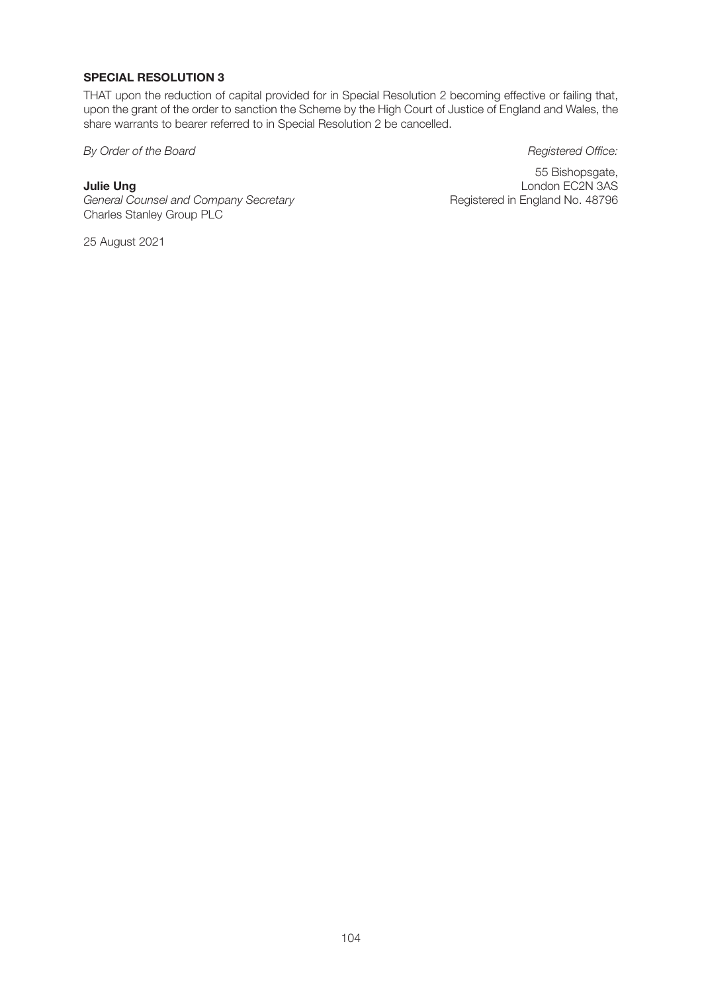# **SPECIAL RESOLUTION 3**

THAT upon the reduction of capital provided for in Special Resolution 2 becoming effective or failing that, upon the grant of the order to sanction the Scheme by the High Court of Justice of England and Wales, the share warrants to bearer referred to in Special Resolution 2 be cancelled.

**By Order of the Board Registered Office:** 

**General Counsel and Company Secretary** Charles Stanley Group PLC

25 August 2021

55 Bishopsgate, **Julie Ung**<br>
London EC2N 3AS<br>
General Counsel and Company Secretary **Exercises** Registered in England No. 48796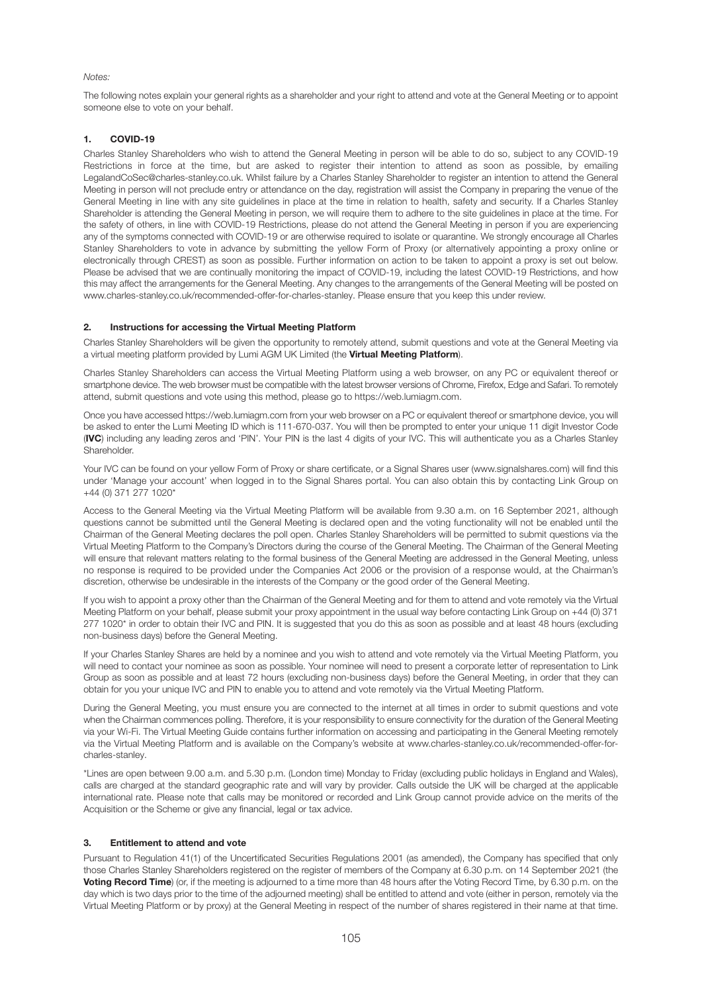#### *Notes:*

The following notes explain your general rights as a shareholder and your right to attend and vote at the General Meeting or to appoint someone else to vote on your behalf.

#### **1. COVID-19**

Charles Stanley Shareholders who wish to attend the General Meeting in person will be able to do so, subject to any COVID-19 Restrictions in force at the time, but are asked to register their intention to attend as soon as possible, by emailing LegalandCoSec@charles-stanley.co.uk. Whilst failure by a Charles Stanley Shareholder to register an intention to attend the General Meeting in person will not preclude entry or attendance on the day, registration will assist the Company in preparing the venue of the General Meeting in line with any site guidelines in place at the time in relation to health, safety and security. If a Charles Stanley Shareholder is attending the General Meeting in person, we will require them to adhere to the site guidelines in place at the time. For the safety of others, in line with COVID-19 Restrictions, please do not attend the General Meeting in person if you are experiencing any of the symptoms connected with COVID-19 or are otherwise required to isolate or quarantine. We strongly encourage all Charles Stanley Shareholders to vote in advance by submitting the yellow Form of Proxy (or alternatively appointing a proxy online or electronically through CREST) as soon as possible. Further information on action to be taken to appoint a proxy is set out below. Please be advised that we are continually monitoring the impact of COVID-19, including the latest COVID-19 Restrictions, and how this may affect the arrangements for the General Meeting. Any changes to the arrangements of the General Meeting will be posted on www.charles-stanley.co.uk/recommended-offer-for-charles-stanley. Please ensure that you keep this under review.

#### **2. Instructions for accessing the Virtual Meeting Platform**

Charles Stanley Shareholders will be given the opportunity to remotely attend, submit questions and vote at the General Meeting via a virtual meeting platform provided by Lumi AGM UK Limited (the **Virtual Meeting Platform**).

Charles Stanley Shareholders can access the Virtual Meeting Platform using a web browser, on any PC or equivalent thereof or smartphone device. The web browser must be compatible with the latest browser versions of Chrome, Firefox, Edge and Safari. To remotely attend, submit questions and vote using this method, please go to https://web.lumiagm.com.

Once you have accessed https://web.lumiagm.com from your web browser on a PC or equivalent thereof or smartphone device, you will be asked to enter the Lumi Meeting ID which is 111-670-037. You will then be prompted to enter your unique 11 digit Investor Code (**IVC**) including any leading zeros and 'PIN'. Your PIN is the last 4 digits of your IVC. This will authenticate you as a Charles Stanley **Shareholder** 

Your IVC can be found on your yellow Form of Proxy or share certificate, or a Signal Shares user (www.signalshares.com) will find this under 'Manage your account' when logged in to the Signal Shares portal. You can also obtain this by contacting Link Group on +44 (0) 371 277 1020\*

Access to the General Meeting via the Virtual Meeting Platform will be available from 9.30 a.m. on 16 September 2021, although questions cannot be submitted until the General Meeting is declared open and the voting functionality will not be enabled until the Chairman of the General Meeting declares the poll open. Charles Stanley Shareholders will be permitted to submit questions via the Virtual Meeting Platform to the Company's Directors during the course of the General Meeting. The Chairman of the General Meeting will ensure that relevant matters relating to the formal business of the General Meeting are addressed in the General Meeting, unless no response is required to be provided under the Companies Act 2006 or the provision of a response would, at the Chairman's discretion, otherwise be undesirable in the interests of the Company or the good order of the General Meeting.

If you wish to appoint a proxy other than the Chairman of the General Meeting and for them to attend and vote remotely via the Virtual Meeting Platform on your behalf, please submit your proxy appointment in the usual way before contacting Link Group on +44 (0) 371 277 1020\* in order to obtain their IVC and PIN. It is suggested that you do this as soon as possible and at least 48 hours (excluding non-business days) before the General Meeting.

If your Charles Stanley Shares are held by a nominee and you wish to attend and vote remotely via the Virtual Meeting Platform, you will need to contact your nominee as soon as possible. Your nominee will need to present a corporate letter of representation to Link Group as soon as possible and at least 72 hours (excluding non-business days) before the General Meeting, in order that they can obtain for you your unique IVC and PIN to enable you to attend and vote remotely via the Virtual Meeting Platform.

During the General Meeting, you must ensure you are connected to the internet at all times in order to submit questions and vote when the Chairman commences polling. Therefore, it is your responsibility to ensure connectivity for the duration of the General Meeting via your Wi-Fi. The Virtual Meeting Guide contains further information on accessing and participating in the General Meeting remotely via the Virtual Meeting Platform and is available on the Company's website at www.charles-stanley.co.uk/recommended-offer-forcharles-stanley.

\*Lines are open between 9.00 a.m. and 5.30 p.m. (London time) Monday to Friday (excluding public holidays in England and Wales), calls are charged at the standard geographic rate and will vary by provider. Calls outside the UK will be charged at the applicable international rate. Please note that calls may be monitored or recorded and Link Group cannot provide advice on the merits of the Acquisition or the Scheme or give any financial, legal or tax advice.

#### **3. Entitlement to attend and vote**

Pursuant to Regulation 41(1) of the Uncertificated Securities Regulations 2001 (as amended), the Company has specified that only those Charles Stanley Shareholders registered on the register of members of the Company at 6.30 p.m. on 14 September 2021 (the **Voting Record Time**) (or, if the meeting is adjourned to a time more than 48 hours after the Voting Record Time, by 6.30 p.m. on the day which is two days prior to the time of the adjourned meeting) shall be entitled to attend and vote (either in person, remotely via the Virtual Meeting Platform or by proxy) at the General Meeting in respect of the number of shares registered in their name at that time.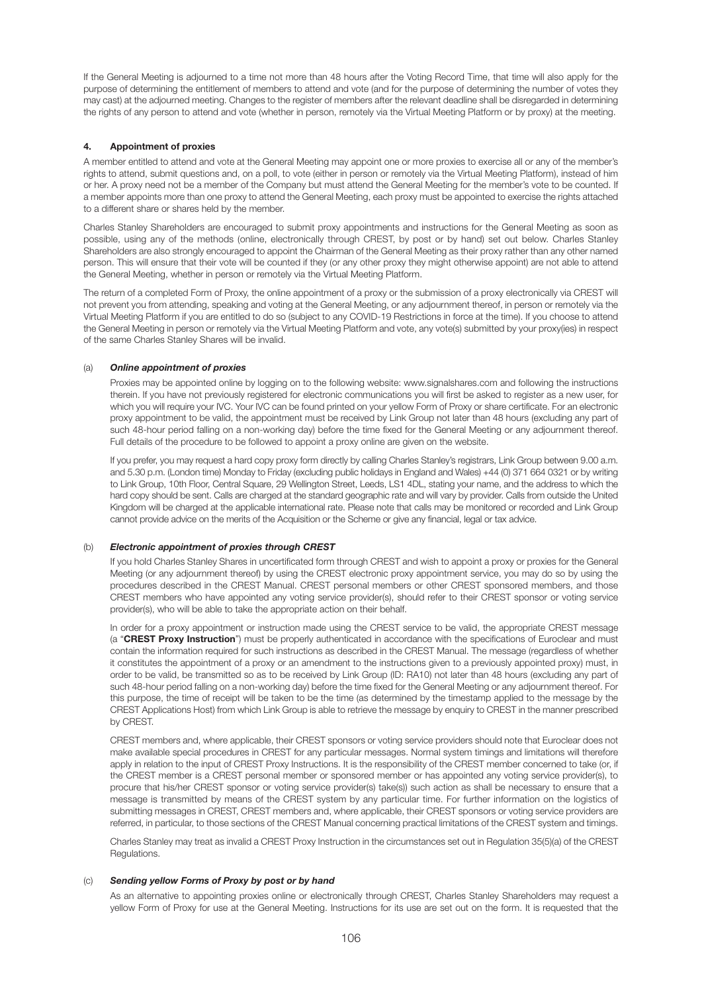If the General Meeting is adjourned to a time not more than 48 hours after the Voting Record Time, that time will also apply for the purpose of determining the entitlement of members to attend and vote (and for the purpose of determining the number of votes they may cast) at the adjourned meeting. Changes to the register of members after the relevant deadline shall be disregarded in determining the rights of any person to attend and vote (whether in person, remotely via the Virtual Meeting Platform or by proxy) at the meeting.

#### **4. Appointment of proxies**

A member entitled to attend and vote at the General Meeting may appoint one or more proxies to exercise all or any of the member's rights to attend, submit questions and, on a poll, to vote (either in person or remotely via the Virtual Meeting Platform), instead of him or her. A proxy need not be a member of the Company but must attend the General Meeting for the member's vote to be counted. If a member appoints more than one proxy to attend the General Meeting, each proxy must be appointed to exercise the rights attached to a different share or shares held by the member.

Charles Stanley Shareholders are encouraged to submit proxy appointments and instructions for the General Meeting as soon as possible, using any of the methods (online, electronically through CREST, by post or by hand) set out below. Charles Stanley Shareholders are also strongly encouraged to appoint the Chairman of the General Meeting as their proxy rather than any other named person. This will ensure that their vote will be counted if they (or any other proxy they might otherwise appoint) are not able to attend the General Meeting, whether in person or remotely via the Virtual Meeting Platform.

The return of a completed Form of Proxy, the online appointment of a proxy or the submission of a proxy electronically via CREST will not prevent you from attending, speaking and voting at the General Meeting, or any adjournment thereof, in person or remotely via the Virtual Meeting Platform if you are entitled to do so (subject to any COVID-19 Restrictions in force at the time). If you choose to attend the General Meeting in person or remotely via the Virtual Meeting Platform and vote, any vote(s) submitted by your proxy(ies) in respect of the same Charles Stanley Shares will be invalid.

#### (a) *Online appointment of proxies*

 Proxies may be appointed online by logging on to the following website: www.signalshares.com and following the instructions therein. If you have not previously registered for electronic communications you will first be asked to register as a new user, for which you will require your IVC. Your IVC can be found printed on your yellow Form of Proxy or share certificate. For an electronic proxy appointment to be valid, the appointment must be received by Link Group not later than 48 hours (excluding any part of such 48-hour period falling on a non-working day) before the time fixed for the General Meeting or any adjournment thereof. Full details of the procedure to be followed to appoint a proxy online are given on the website.

If you prefer, you may request a hard copy proxy form directly by calling Charles Stanley's registrars, Link Group between 9.00 a.m. and 5.30 p.m. (London time) Monday to Friday (excluding public holidays in England and Wales) +44 (0) 371 664 0321 or by writing to Link Group, 10th Floor, Central Square, 29 Wellington Street, Leeds, LS1 4DL, stating your name, and the address to which the hard copy should be sent. Calls are charged at the standard geographic rate and will vary by provider. Calls from outside the United Kingdom will be charged at the applicable international rate. Please note that calls may be monitored or recorded and Link Group cannot provide advice on the merits of the Acquisition or the Scheme or give any financial, legal or tax advice.

#### (b) *Electronic appointment of proxies through CREST*

 If you hold Charles Stanley Shares in uncertificated form through CREST and wish to appoint a proxy or proxies for the General Meeting (or any adjournment thereof) by using the CREST electronic proxy appointment service, you may do so by using the procedures described in the CREST Manual. CREST personal members or other CREST sponsored members, and those CREST members who have appointed any voting service provider(s), should refer to their CREST sponsor or voting service provider(s), who will be able to take the appropriate action on their behalf.

 In order for a proxy appointment or instruction made using the CREST service to be valid, the appropriate CREST message (a "**CREST Proxy Instruction**") must be properly authenticated in accordance with the specifications of Euroclear and must contain the information required for such instructions as described in the CREST Manual. The message (regardless of whether it constitutes the appointment of a proxy or an amendment to the instructions given to a previously appointed proxy) must, in order to be valid, be transmitted so as to be received by Link Group (ID: RA10) not later than 48 hours (excluding any part of such 48-hour period falling on a non-working day) before the time fixed for the General Meeting or any adjournment thereof. For this purpose, the time of receipt will be taken to be the time (as determined by the timestamp applied to the message by the CREST Applications Host) from which Link Group is able to retrieve the message by enquiry to CREST in the manner prescribed by CREST.

 CREST members and, where applicable, their CREST sponsors or voting service providers should note that Euroclear does not make available special procedures in CREST for any particular messages. Normal system timings and limitations will therefore apply in relation to the input of CREST Proxy Instructions. It is the responsibility of the CREST member concerned to take (or, if the CREST member is a CREST personal member or sponsored member or has appointed any voting service provider(s), to procure that his/her CREST sponsor or voting service provider(s) take(s)) such action as shall be necessary to ensure that a message is transmitted by means of the CREST system by any particular time. For further information on the logistics of submitting messages in CREST, CREST members and, where applicable, their CREST sponsors or voting service providers are referred, in particular, to those sections of the CREST Manual concerning practical limitations of the CREST system and timings.

 Charles Stanley may treat as invalid a CREST Proxy Instruction in the circumstances set out in Regulation 35(5)(a) of the CREST Regulations.

#### (c) *Sending yellow Forms of Proxy by post or by hand*

 As an alternative to appointing proxies online or electronically through CREST, Charles Stanley Shareholders may request a yellow Form of Proxy for use at the General Meeting. Instructions for its use are set out on the form. It is requested that the